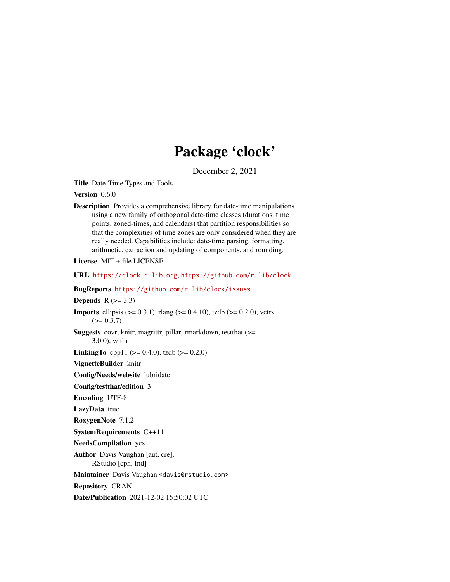# Package 'clock'

December 2, 2021

<span id="page-0-0"></span>Title Date-Time Types and Tools

Version 0.6.0

Description Provides a comprehensive library for date-time manipulations using a new family of orthogonal date-time classes (durations, time points, zoned-times, and calendars) that partition responsibilities so that the complexities of time zones are only considered when they are really needed. Capabilities include: date-time parsing, formatting, arithmetic, extraction and updating of components, and rounding.

License MIT + file LICENSE

URL <https://clock.r-lib.org>, <https://github.com/r-lib/clock>

BugReports <https://github.com/r-lib/clock/issues>

Depends  $R$  ( $>= 3.3$ )

**Imports** ellipsis ( $> = 0.3.1$ ), rlang ( $> = 0.4.10$ ), tzdb ( $> = 0.2.0$ ), vctrs  $(>= 0.3.7)$ 

Suggests covr, knitr, magrittr, pillar, rmarkdown, testthat (>= 3.0.0), withr

**LinkingTo** cpp11 ( $>= 0.4.0$ ), tzdb ( $>= 0.2.0$ )

VignetteBuilder knitr

Config/Needs/website lubridate

Config/testthat/edition 3

Encoding UTF-8

LazyData true

RoxygenNote 7.1.2

SystemRequirements C++11

NeedsCompilation yes

Author Davis Vaughan [aut, cre], RStudio [cph, fnd]

Maintainer Davis Vaughan <davis@rstudio.com>

Repository CRAN

Date/Publication 2021-12-02 15:50:02 UTC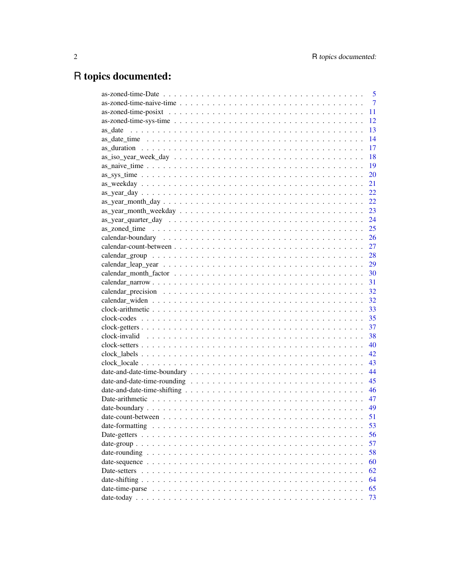# R topics documented:

| $\overline{5}$ |
|----------------|
| $\overline{7}$ |
| 11             |
| 12             |
| 13             |
| 14             |
| 17             |
| 18             |
| 19             |
| 20             |
| 21             |
| 22             |
| 22             |
| 23             |
| 24             |
| 25             |
|                |
|                |
|                |
|                |
| 30             |
| 31             |
| 32             |
| 32             |
| 33             |
| 35             |
| 37             |
| 38             |
| 40             |
| 42             |
| 43             |
| 44             |
| 45             |
| 46             |
| 47             |
| 49             |
| 51             |
| 53             |
| 56             |
| 57             |
| 58             |
|                |
| 60             |
| 62             |
| 64             |
| 65             |
| 73             |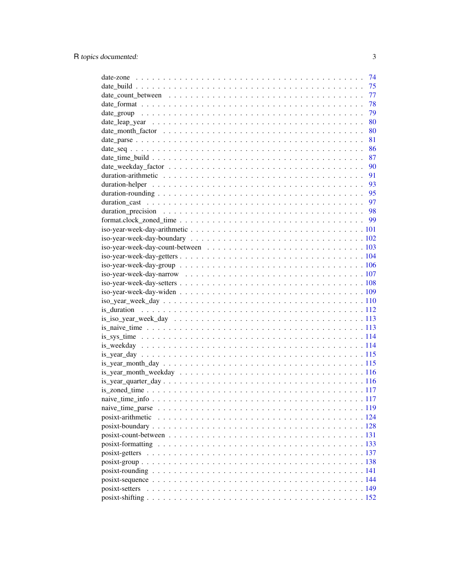|                   | 74 |
|-------------------|----|
|                   | 75 |
|                   | 77 |
|                   | 78 |
|                   | 79 |
|                   | 80 |
|                   | 80 |
|                   | 81 |
|                   |    |
|                   |    |
|                   |    |
|                   |    |
|                   |    |
|                   |    |
|                   |    |
|                   |    |
|                   |    |
|                   |    |
|                   |    |
|                   |    |
|                   |    |
|                   |    |
|                   |    |
|                   |    |
|                   |    |
|                   |    |
|                   |    |
|                   |    |
|                   |    |
|                   |    |
|                   |    |
|                   |    |
|                   |    |
|                   |    |
|                   |    |
|                   |    |
|                   |    |
|                   |    |
|                   |    |
| posixt-arithmetic |    |
|                   |    |
|                   |    |
|                   |    |
|                   |    |
|                   |    |
|                   |    |
|                   |    |
|                   |    |
|                   |    |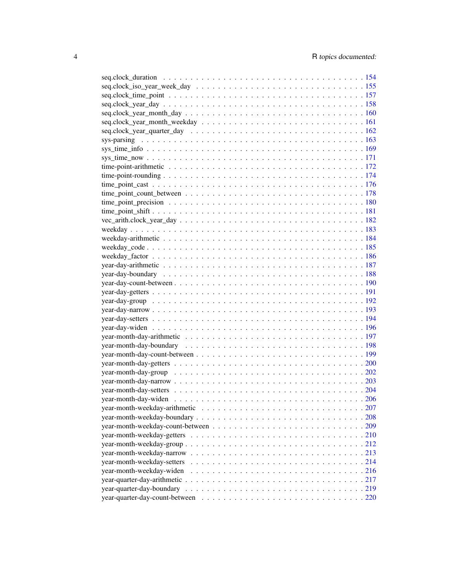| year-month-weekday-widen |  |
|--------------------------|--|
|                          |  |
|                          |  |
|                          |  |
|                          |  |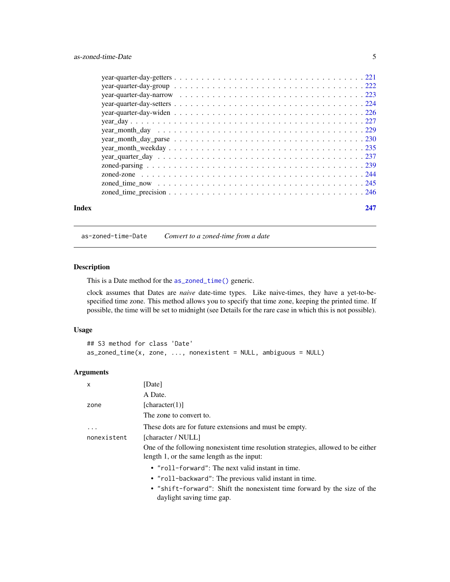<span id="page-4-0"></span>

|  |  |  |  |  |  |  |  |  |  |  |  |  |  |  | 247 |
|--|--|--|--|--|--|--|--|--|--|--|--|--|--|--|-----|
|  |  |  |  |  |  |  |  |  |  |  |  |  |  |  |     |
|  |  |  |  |  |  |  |  |  |  |  |  |  |  |  |     |
|  |  |  |  |  |  |  |  |  |  |  |  |  |  |  |     |
|  |  |  |  |  |  |  |  |  |  |  |  |  |  |  |     |
|  |  |  |  |  |  |  |  |  |  |  |  |  |  |  |     |
|  |  |  |  |  |  |  |  |  |  |  |  |  |  |  |     |
|  |  |  |  |  |  |  |  |  |  |  |  |  |  |  |     |
|  |  |  |  |  |  |  |  |  |  |  |  |  |  |  |     |
|  |  |  |  |  |  |  |  |  |  |  |  |  |  |  |     |
|  |  |  |  |  |  |  |  |  |  |  |  |  |  |  |     |
|  |  |  |  |  |  |  |  |  |  |  |  |  |  |  |     |
|  |  |  |  |  |  |  |  |  |  |  |  |  |  |  |     |
|  |  |  |  |  |  |  |  |  |  |  |  |  |  |  |     |
|  |  |  |  |  |  |  |  |  |  |  |  |  |  |  |     |
|  |  |  |  |  |  |  |  |  |  |  |  |  |  |  |     |

<span id="page-4-1"></span>as-zoned-time-Date *Convert to a zoned-time from a date*

# Description

This is a Date method for the [as\\_zoned\\_time\(\)](#page-24-1) generic.

clock assumes that Dates are *naive* date-time types. Like naive-times, they have a yet-to-bespecified time zone. This method allows you to specify that time zone, keeping the printed time. If possible, the time will be set to midnight (see Details for the rare case in which this is not possible).

# Usage

```
## S3 method for class 'Date'
as\_zoned\_time(x, zone, ..., nonexistence = NULL, ambiguous = NULL)
```
# Arguments

| $\mathsf{x}$ | [Date]                                                                                                                          |
|--------------|---------------------------------------------------------------------------------------------------------------------------------|
|              | A Date.                                                                                                                         |
| zone         | [character(1)]                                                                                                                  |
|              | The zone to convert to.                                                                                                         |
| $\ddotsc$    | These dots are for future extensions and must be empty.                                                                         |
| nonexistent  | [character / NULL]                                                                                                              |
|              | One of the following nonexistent time resolution strategies, allowed to be either<br>length 1, or the same length as the input: |
|              | • " $roll$ -forward": The next valid instant in time.                                                                           |
|              | • "roll-backward": The previous valid instant in time.                                                                          |
|              | • "shift-forward": Shift the nonexistent time forward by the size of the<br>daylight saving time gap.                           |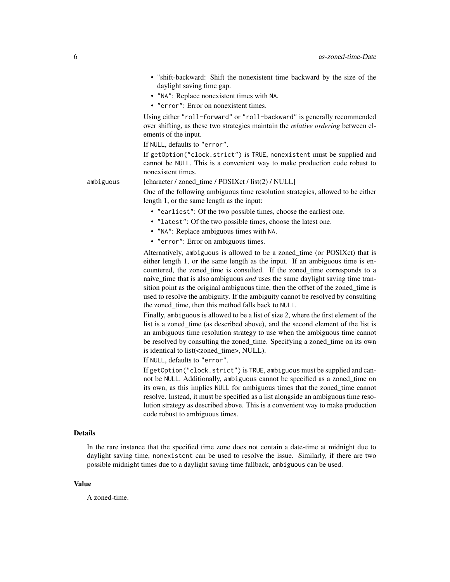- "shift-backward: Shift the nonexistent time backward by the size of the daylight saving time gap.
- "NA": Replace nonexistent times with NA.
- "error": Error on nonexistent times.

Using either "roll-forward" or "roll-backward" is generally recommended over shifting, as these two strategies maintain the *relative ordering* between elements of the input.

If NULL, defaults to "error".

If getOption("clock.strict") is TRUE, nonexistent must be supplied and cannot be NULL. This is a convenient way to make production code robust to nonexistent times.

ambiguous [character / zoned\_time / POSIXct / list(2) / NULL]

One of the following ambiguous time resolution strategies, allowed to be either length 1, or the same length as the input:

- "earliest": Of the two possible times, choose the earliest one.
- "latest": Of the two possible times, choose the latest one.
- "NA": Replace ambiguous times with NA.
- "error": Error on ambiguous times.

Alternatively, ambiguous is allowed to be a zoned\_time (or POSIXct) that is either length 1, or the same length as the input. If an ambiguous time is encountered, the zoned\_time is consulted. If the zoned\_time corresponds to a naive\_time that is also ambiguous *and* uses the same daylight saving time transition point as the original ambiguous time, then the offset of the zoned time is used to resolve the ambiguity. If the ambiguity cannot be resolved by consulting the zoned\_time, then this method falls back to NULL.

Finally, ambiguous is allowed to be a list of size 2, where the first element of the list is a zoned\_time (as described above), and the second element of the list is an ambiguous time resolution strategy to use when the ambiguous time cannot be resolved by consulting the zoned\_time. Specifying a zoned\_time on its own is identical to list(<zoned\_time>, NULL).

If NULL, defaults to "error".

If getOption("clock.strict") is TRUE, ambiguous must be supplied and cannot be NULL. Additionally, ambiguous cannot be specified as a zoned\_time on its own, as this implies NULL for ambiguous times that the zoned\_time cannot resolve. Instead, it must be specified as a list alongside an ambiguous time resolution strategy as described above. This is a convenient way to make production code robust to ambiguous times.

# Details

In the rare instance that the specified time zone does not contain a date-time at midnight due to daylight saving time, nonexistent can be used to resolve the issue. Similarly, if there are two possible midnight times due to a daylight saving time fallback, ambiguous can be used.

#### Value

A zoned-time.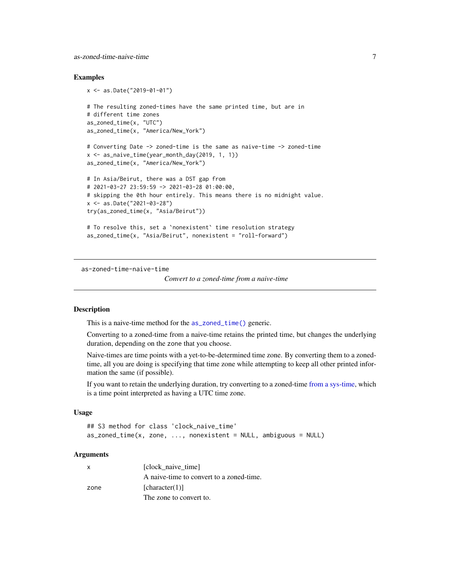<span id="page-6-0"></span>as-zoned-time-naive-time 7

#### Examples

```
x <- as.Date("2019-01-01")
# The resulting zoned-times have the same printed time, but are in
# different time zones
as_zoned_time(x, "UTC")
as_zoned_time(x, "America/New_York")
# Converting Date -> zoned-time is the same as naive-time -> zoned-time
x <- as_naive_time(year_month_day(2019, 1, 1))
as_zoned_time(x, "America/New_York")
# In Asia/Beirut, there was a DST gap from
# 2021-03-27 23:59:59 -> 2021-03-28 01:00:00,
# skipping the 0th hour entirely. This means there is no midnight value.
x <- as.Date("2021-03-28")
try(as_zoned_time(x, "Asia/Beirut"))
# To resolve this, set a `nonexistent` time resolution strategy
as_zoned_time(x, "Asia/Beirut", nonexistent = "roll-forward")
```
<span id="page-6-1"></span>as-zoned-time-naive-time

*Convert to a zoned-time from a naive-time*

# Description

This is a naive-time method for the [as\\_zoned\\_time\(\)](#page-24-1) generic.

Converting to a zoned-time from a naive-time retains the printed time, but changes the underlying duration, depending on the zone that you choose.

Naive-times are time points with a yet-to-be-determined time zone. By converting them to a zonedtime, all you are doing is specifying that time zone while attempting to keep all other printed information the same (if possible).

If you want to retain the underlying duration, try converting to a zoned-time [from a sys-time,](#page-11-1) which is a time point interpreted as having a UTC time zone.

# Usage

```
## S3 method for class 'clock_naive_time'
as\_zoned\_time(x, zone, ..., nonexistence = NULL, ambiguous = NULL)
```
# Arguments

| $\mathsf{x}$ | [clock naive time]                       |
|--------------|------------------------------------------|
|              | A naive-time to convert to a zoned-time. |
| zone         | [character(1)]                           |
|              | The zone to convert to.                  |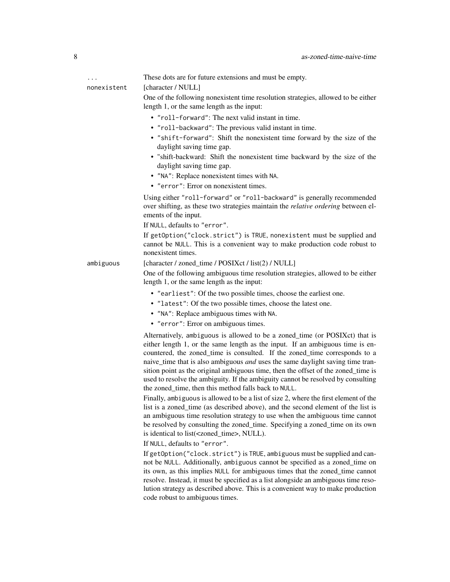... These dots are for future extensions and must be empty.

#### nonexistent [character / NULL]

One of the following nonexistent time resolution strategies, allowed to be either length 1, or the same length as the input:

- "roll-forward": The next valid instant in time.
- "roll-backward": The previous valid instant in time.
- "shift-forward": Shift the nonexistent time forward by the size of the daylight saving time gap.
- "shift-backward: Shift the nonexistent time backward by the size of the daylight saving time gap.
- "NA": Replace nonexistent times with NA.
- "error": Error on nonexistent times.

Using either "roll-forward" or "roll-backward" is generally recommended over shifting, as these two strategies maintain the *relative ordering* between elements of the input.

If NULL, defaults to "error".

If getOption("clock.strict") is TRUE, nonexistent must be supplied and cannot be NULL. This is a convenient way to make production code robust to nonexistent times.

ambiguous [character / zoned\_time / POSIXct / list(2) / NULL]

One of the following ambiguous time resolution strategies, allowed to be either length 1, or the same length as the input:

- "earliest": Of the two possible times, choose the earliest one.
- "latest": Of the two possible times, choose the latest one.
- "NA": Replace ambiguous times with NA.
- "error": Error on ambiguous times.

Alternatively, ambiguous is allowed to be a zoned\_time (or POSIXct) that is either length 1, or the same length as the input. If an ambiguous time is encountered, the zoned\_time is consulted. If the zoned\_time corresponds to a naive\_time that is also ambiguous *and* uses the same daylight saving time transition point as the original ambiguous time, then the offset of the zoned\_time is used to resolve the ambiguity. If the ambiguity cannot be resolved by consulting the zoned time, then this method falls back to NULL.

Finally, ambiguous is allowed to be a list of size 2, where the first element of the list is a zoned\_time (as described above), and the second element of the list is an ambiguous time resolution strategy to use when the ambiguous time cannot be resolved by consulting the zoned\_time. Specifying a zoned\_time on its own is identical to list(<zoned\_time>, NULL).

If NULL, defaults to "error".

If getOption("clock.strict") is TRUE, ambiguous must be supplied and cannot be NULL. Additionally, ambiguous cannot be specified as a zoned\_time on its own, as this implies NULL for ambiguous times that the zoned\_time cannot resolve. Instead, it must be specified as a list alongside an ambiguous time resolution strategy as described above. This is a convenient way to make production code robust to ambiguous times.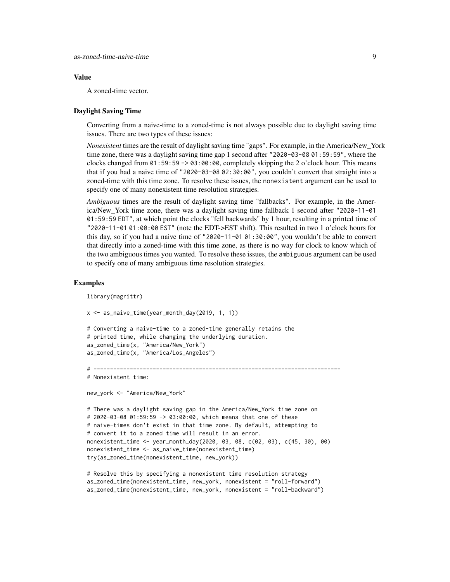#### Value

A zoned-time vector.

# Daylight Saving Time

Converting from a naive-time to a zoned-time is not always possible due to daylight saving time issues. There are two types of these issues:

*Nonexistent* times are the result of daylight saving time "gaps". For example, in the America/New\_York time zone, there was a daylight saving time gap 1 second after "2020-03-08 01:59:59", where the clocks changed from 01:59:59 -> 03:00:00, completely skipping the 2 o'clock hour. This means that if you had a naive time of "2020-03-08 02:30:00", you couldn't convert that straight into a zoned-time with this time zone. To resolve these issues, the nonexistent argument can be used to specify one of many nonexistent time resolution strategies.

*Ambiguous* times are the result of daylight saving time "fallbacks". For example, in the America/New\_York time zone, there was a daylight saving time fallback 1 second after "2020-11-01 01:59:59 EDT", at which point the clocks "fell backwards" by 1 hour, resulting in a printed time of "2020-11-01 01:00:00 EST" (note the EDT->EST shift). This resulted in two 1 o'clock hours for this day, so if you had a naive time of "2020-11-01 01:30:00", you wouldn't be able to convert that directly into a zoned-time with this time zone, as there is no way for clock to know which of the two ambiguous times you wanted. To resolve these issues, the ambiguous argument can be used to specify one of many ambiguous time resolution strategies.

```
library(magrittr)
```

```
x <- as_naive_time(year_month_day(2019, 1, 1))
# Converting a naive-time to a zoned-time generally retains the
# printed time, while changing the underlying duration.
as_zoned_time(x, "America/New_York")
as_zoned_time(x, "America/Los_Angeles")
# ---------------------------------------------------------------------------
# Nonexistent time:
new_york <- "America/New_York"
# There was a daylight saving gap in the America/New_York time zone on
```

```
# 2020-03-08 01:59:59 -> 03:00:00, which means that one of these
# naive-times don't exist in that time zone. By default, attempting to
# convert it to a zoned time will result in an error.
nonexistent_time <- year_month_day(2020, 03, 08, c(02, 03), c(45, 30), 00)
nonexistent_time <- as_naive_time(nonexistent_time)
try(as_zoned_time(nonexistent_time, new_york))
```

```
# Resolve this by specifying a nonexistent time resolution strategy
as_zoned_time(nonexistent_time, new_york, nonexistent = "roll-forward")
as_zoned_time(nonexistent_time, new_york, nonexistent = "roll-backward")
```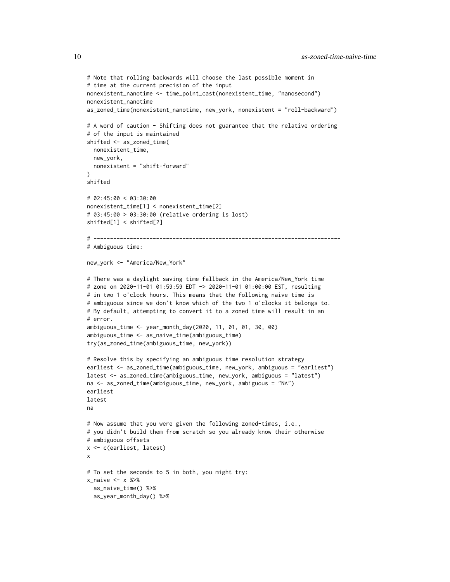```
# Note that rolling backwards will choose the last possible moment in
# time at the current precision of the input
nonexistent_nanotime <- time_point_cast(nonexistent_time, "nanosecond")
nonexistent_nanotime
as_zoned_time(nonexistent_nanotime, new_york, nonexistent = "roll-backward")
# A word of caution - Shifting does not guarantee that the relative ordering
# of the input is maintained
shifted <- as_zoned_time(
 nonexistent_time,
 new_york,
 nonexistent = "shift-forward"
)
shifted
# 02:45:00 < 03:30:00
nonexistent_time[1] < nonexistent_time[2]
# 03:45:00 > 03:30:00 (relative ordering is lost)
shifted[1] < shifted[2]
# ---------------------------------------------------------------------------
# Ambiguous time:
new_york <- "America/New_York"
# There was a daylight saving time fallback in the America/New_York time
# zone on 2020-11-01 01:59:59 EDT -> 2020-11-01 01:00:00 EST, resulting
# in two 1 o'clock hours. This means that the following naive time is
# ambiguous since we don't know which of the two 1 o'clocks it belongs to.
# By default, attempting to convert it to a zoned time will result in an
# error.
ambiguous_time <- year_month_day(2020, 11, 01, 01, 30, 00)
ambiguous_time <- as_naive_time(ambiguous_time)
try(as_zoned_time(ambiguous_time, new_york))
# Resolve this by specifying an ambiguous time resolution strategy
earliest <- as_zoned_time(ambiguous_time, new_york, ambiguous = "earliest")
latest <- as_zoned_time(ambiguous_time, new_york, ambiguous = "latest")
na <- as_zoned_time(ambiguous_time, new_york, ambiguous = "NA")
earliest
latest
na
# Now assume that you were given the following zoned-times, i.e.,
# you didn't build them from scratch so you already know their otherwise
# ambiguous offsets
x <- c(earliest, latest)
x
# To set the seconds to 5 in both, you might try:
x_naive <- x %>%
 as_naive_time() %>%
 as_year_month_day() %>%
```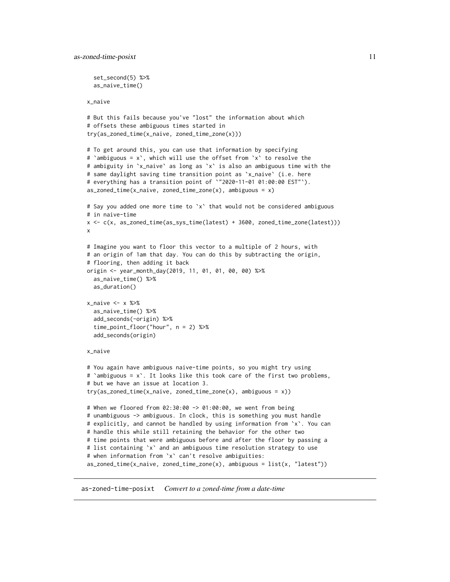```
set_second(5) %>%
 as_naive_time()
x_naive
# But this fails because you've "lost" the information about which
# offsets these ambiguous times started in
try(as_zoned_time(x_naive, zoned_time_zone(x)))
# To get around this, you can use that information by specifying
# `ambiguous = x`, which will use the offset from `x` to resolve the
# ambiguity in `x_naive` as long as `x` is also an ambiguous time with the
# same daylight saving time transition point as `x_naive` (i.e. here
# everything has a transition point of `"2020-11-01 01:00:00 EST"`).
as\_zoned\_time(x\_naive, zoned\_time\_zone(x), ambiguous = x)# Say you added one more time to 'x' that would not be considered ambiguous
# in naive-time
x <- c(x, as_zoned_time(as_sys_time(latest) + 3600, zoned_time_zone(latest)))
x
# Imagine you want to floor this vector to a multiple of 2 hours, with
# an origin of 1am that day. You can do this by subtracting the origin,
# flooring, then adding it back
origin <- year_month_day(2019, 11, 01, 01, 00, 00) %>%
 as_naive_time() %>%
 as_duration()
x_naive \leq - x \approx as_naive_time() %>%
 add_seconds(-origin) %>%
 time_point_floor("hour", n = 2) %>%
 add_seconds(origin)
x_naive
# You again have ambiguous naive-time points, so you might try using
# `ambiguous = x`. It looks like this took care of the first two problems,
# but we have an issue at location 3.
try(as_zoned_time(x_naive, zoned_time_zone(x), ambiguous = x))
# When we floored from 02:30:00 -> 01:00:00, we went from being
# unambiguous -> ambiguous. In clock, this is something you must handle
# explicitly, and cannot be handled by using information from `x`. You can
# handle this while still retaining the behavior for the other two
# time points that were ambiguous before and after the floor by passing a
# list containing `x` and an ambiguous time resolution strategy to use
# when information from `x` can't resolve ambiguities:
as\_zoned\_time(x\_naive, zoned\_time\_zone(x), ambiguous = list(x, "latest"))
```
<span id="page-10-1"></span>as-zoned-time-posixt *Convert to a zoned-time from a date-time*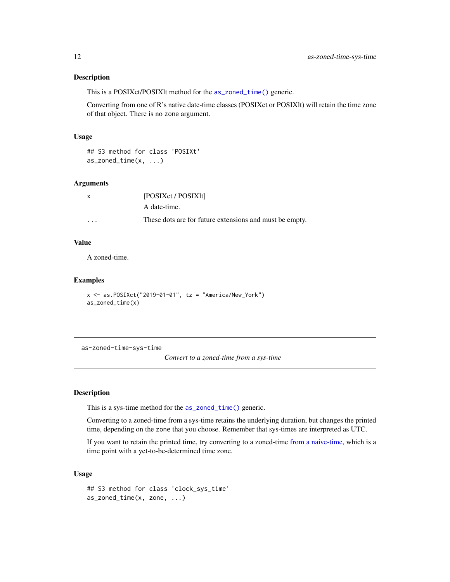# <span id="page-11-0"></span>Description

This is a POSIXct/POSIXlt method for the [as\\_zoned\\_time\(\)](#page-24-1) generic.

Converting from one of R's native date-time classes (POSIXct or POSIXlt) will retain the time zone of that object. There is no zone argument.

#### Usage

## S3 method for class 'POSIXt' as\_zoned\_time(x, ...)

### Arguments

| $\mathsf{x}$ | [POSIXct / POSIX]t]                                     |
|--------------|---------------------------------------------------------|
|              | A date-time.                                            |
| $\cdots$     | These dots are for future extensions and must be empty. |

# Value

A zoned-time.

#### Examples

```
x <- as.POSIXct("2019-01-01", tz = "America/New_York")
as_zoned_time(x)
```
<span id="page-11-1"></span>as-zoned-time-sys-time

*Convert to a zoned-time from a sys-time*

# Description

This is a sys-time method for the [as\\_zoned\\_time\(\)](#page-24-1) generic.

Converting to a zoned-time from a sys-time retains the underlying duration, but changes the printed time, depending on the zone that you choose. Remember that sys-times are interpreted as UTC.

If you want to retain the printed time, try converting to a zoned-time [from a naive-time,](#page-6-1) which is a time point with a yet-to-be-determined time zone.

# Usage

```
## S3 method for class 'clock_sys_time'
as_zoned_time(x, zone, ...)
```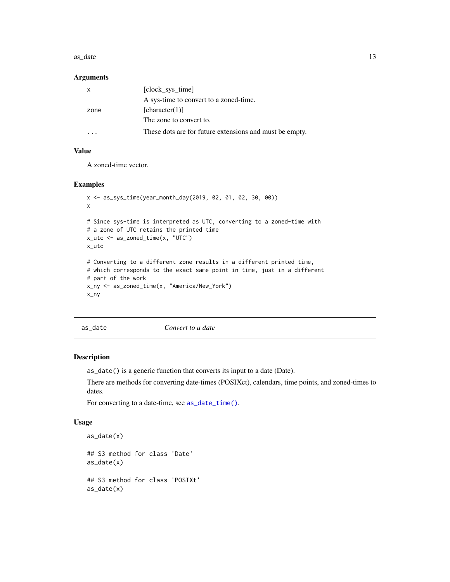#### <span id="page-12-0"></span> $\alpha$ s\_date  $\alpha$  13

# Arguments

|      | [clock_sys_time]                                        |
|------|---------------------------------------------------------|
|      | A sys-time to convert to a zoned-time.                  |
| zone | [character(1)]                                          |
|      | The zone to convert to.                                 |
|      | These dots are for future extensions and must be empty. |

# Value

A zoned-time vector.

# Examples

```
x <- as_sys_time(year_month_day(2019, 02, 01, 02, 30, 00))
x
# Since sys-time is interpreted as UTC, converting to a zoned-time with
# a zone of UTC retains the printed time
x_utc <- as_zoned_time(x, "UTC")
x_utc
# Converting to a different zone results in a different printed time,
# which corresponds to the exact same point in time, just in a different
# part of the work
x_ny <- as_zoned_time(x, "America/New_York")
x_ny
```
<span id="page-12-1"></span>as\_date *Convert to a date*

#### Description

as\_date() is a generic function that converts its input to a date (Date).

There are methods for converting date-times (POSIXct), calendars, time points, and zoned-times to dates.

For converting to a date-time, see [as\\_date\\_time\(\)](#page-13-1).

#### Usage

```
as_date(x)
## S3 method for class 'Date'
as_date(x)
## S3 method for class 'POSIXt'
as_date(x)
```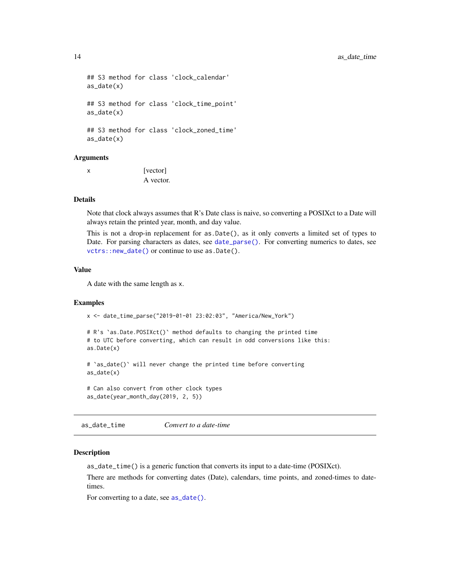```
## S3 method for class 'clock_calendar'
as_date(x)
## S3 method for class 'clock_time_point'
as_date(x)
## S3 method for class 'clock_zoned_time'
as_date(x)
```
# Arguments

x [vector] A vector.

# Details

Note that clock always assumes that R's Date class is naive, so converting a POSIXct to a Date will always retain the printed year, month, and day value.

This is not a drop-in replacement for as.Date(), as it only converts a limited set of types to Date. For parsing characters as dates, see [date\\_parse\(\)](#page-80-1). For converting numerics to dates, see [vctrs::new\\_date\(\)](#page-0-0) or continue to use as.Date().

## Value

A date with the same length as x.

#### Examples

x <- date\_time\_parse("2019-01-01 23:02:03", "America/New\_York")

# R's `as.Date.POSIXct()` method defaults to changing the printed time # to UTC before converting, which can result in odd conversions like this: as.Date(x)

# `as\_date()` will never change the printed time before converting as\_date(x)

# Can also convert from other clock types as\_date(year\_month\_day(2019, 2, 5))

<span id="page-13-1"></span>as\_date\_time *Convert to a date-time*

# Description

as\_date\_time() is a generic function that converts its input to a date-time (POSIXct).

There are methods for converting dates (Date), calendars, time points, and zoned-times to datetimes.

For converting to a date, see  $as\_date()$ .

<span id="page-13-0"></span>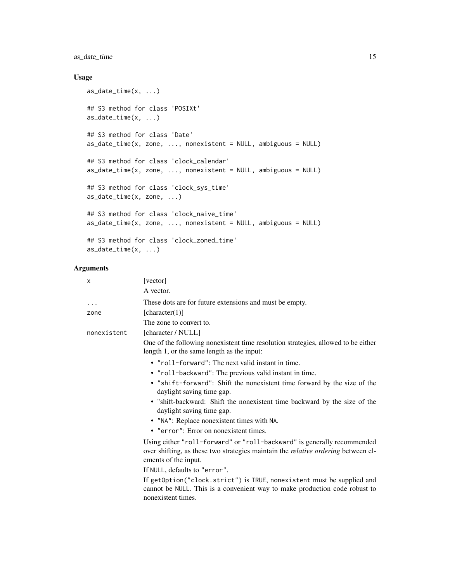# as\_date\_time 15

# Usage

```
as_date_time(x, ...)
## S3 method for class 'POSIXt'
as_date_time(x, ...)
## S3 method for class 'Date'
as\_date\_time(x, zone, ..., nonexistence = NULL, ambiguous = NULL)## S3 method for class 'clock_calendar'
as\_date\_time(x, zone, ..., nonexistence = NULL, ambiguous = NULL)## S3 method for class 'clock_sys_time'
as_date_time(x, zone, ...)
## S3 method for class 'clock_naive_time'
as_date_time(x, zone, ..., nonexistent = NULL, ambiguous = NULL)
## S3 method for class 'clock_zoned_time'
as_date_time(x, ...)
```
# Arguments

| X           | [vector]                                                                                                                                                                                    |
|-------------|---------------------------------------------------------------------------------------------------------------------------------------------------------------------------------------------|
|             | A vector.                                                                                                                                                                                   |
| $\cdots$    | These dots are for future extensions and must be empty.                                                                                                                                     |
| zone        | [character(1)]                                                                                                                                                                              |
|             | The zone to convert to.                                                                                                                                                                     |
| nonexistent | [character / NULL]                                                                                                                                                                          |
|             | One of the following nonexistent time resolution strategies, allowed to be either<br>length 1, or the same length as the input:                                                             |
|             | • "roll-forward": The next valid instant in time.                                                                                                                                           |
|             | • "roll-backward": The previous valid instant in time.                                                                                                                                      |
|             | • "shift-forward": Shift the nonexistent time forward by the size of the<br>daylight saving time gap.                                                                                       |
|             | • "shift-backward: Shift the nonexistent time backward by the size of the<br>daylight saving time gap.                                                                                      |
|             | • "NA": Replace nonexistent times with NA.                                                                                                                                                  |
|             | • "error": Error on nonexistent times.                                                                                                                                                      |
|             | Using either "roll-forward" or "roll-backward" is generally recommended<br>over shifting, as these two strategies maintain the <i>relative ordering</i> between el-<br>ements of the input. |
|             | If NULL, defaults to "error".                                                                                                                                                               |
|             | If getOption("clock.strict") is TRUE, nonexistent must be supplied and<br>cannot be NULL. This is a convenient way to make production code robust to<br>nonexistent times.                  |
|             |                                                                                                                                                                                             |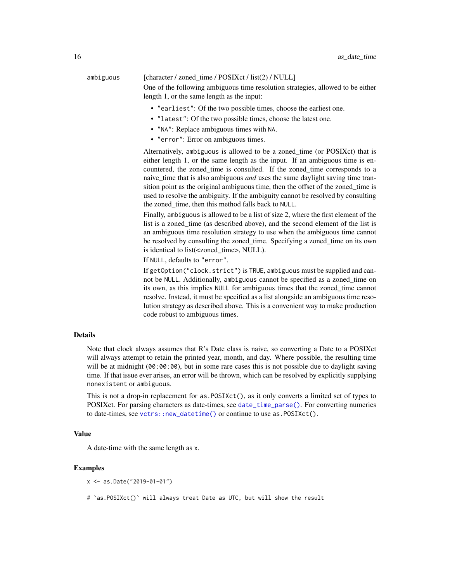# ambiguous [character / zoned\_time / POSIXct / list(2) / NULL]

One of the following ambiguous time resolution strategies, allowed to be either length 1, or the same length as the input:

- "earliest": Of the two possible times, choose the earliest one.
- "latest": Of the two possible times, choose the latest one.
- "NA": Replace ambiguous times with NA.
- "error": Error on ambiguous times.

Alternatively, ambiguous is allowed to be a zoned\_time (or POSIXct) that is either length 1, or the same length as the input. If an ambiguous time is encountered, the zoned\_time is consulted. If the zoned\_time corresponds to a naive\_time that is also ambiguous *and* uses the same daylight saving time transition point as the original ambiguous time, then the offset of the zoned time is used to resolve the ambiguity. If the ambiguity cannot be resolved by consulting the zoned\_time, then this method falls back to NULL.

Finally, ambiguous is allowed to be a list of size 2, where the first element of the list is a zoned\_time (as described above), and the second element of the list is an ambiguous time resolution strategy to use when the ambiguous time cannot be resolved by consulting the zoned\_time. Specifying a zoned\_time on its own is identical to list(<zoned\_time>, NULL).

If NULL, defaults to "error".

If getOption("clock.strict") is TRUE, ambiguous must be supplied and cannot be NULL. Additionally, ambiguous cannot be specified as a zoned\_time on its own, as this implies NULL for ambiguous times that the zoned\_time cannot resolve. Instead, it must be specified as a list alongside an ambiguous time resolution strategy as described above. This is a convenient way to make production code robust to ambiguous times.

# Details

Note that clock always assumes that R's Date class is naive, so converting a Date to a POSIXct will always attempt to retain the printed year, month, and day. Where possible, the resulting time will be at midnight (00:00:00), but in some rare cases this is not possible due to daylight saving time. If that issue ever arises, an error will be thrown, which can be resolved by explicitly supplying nonexistent or ambiguous.

This is not a drop-in replacement for as.POSIXct(), as it only converts a limited set of types to POSIXct. For parsing characters as date-times, see [date\\_time\\_parse\(\)](#page-64-1). For converting numerics to date-times, see [vctrs::new\\_datetime\(\)](#page-0-0) or continue to use as.POSIXct().

#### Value

A date-time with the same length as x.

#### Examples

x <- as.Date("2019-01-01")

# `as.POSIXct()` will always treat Date as UTC, but will show the result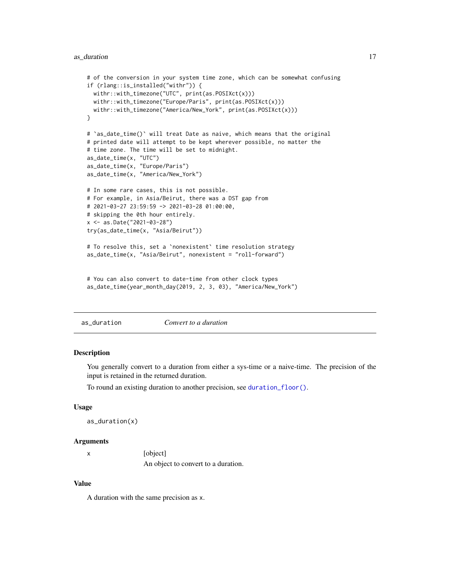# <span id="page-16-0"></span>as\_duration 17

```
# of the conversion in your system time zone, which can be somewhat confusing
if (rlang::is_installed("withr")) {
 withr::with_timezone("UTC", print(as.POSIXct(x)))
 withr::with_timezone("Europe/Paris", print(as.POSIXct(x)))
 withr::with_timezone("America/New_York", print(as.POSIXct(x)))
}
# `as_date_time()` will treat Date as naive, which means that the original
# printed date will attempt to be kept wherever possible, no matter the
# time zone. The time will be set to midnight.
as_date_time(x, "UTC")
as_date_time(x, "Europe/Paris")
as_date_time(x, "America/New_York")
# In some rare cases, this is not possible.
# For example, in Asia/Beirut, there was a DST gap from
# 2021-03-27 23:59:59 -> 2021-03-28 01:00:00,
# skipping the 0th hour entirely.
x <- as.Date("2021-03-28")
try(as_date_time(x, "Asia/Beirut"))
# To resolve this, set a `nonexistent` time resolution strategy
as_date_time(x, "Asia/Beirut", nonexistent = "roll-forward")
# You can also convert to date-time from other clock types
```

```
as_date_time(year_month_day(2019, 2, 3, 03), "America/New_York")
```
as\_duration *Convert to a duration*

#### Description

You generally convert to a duration from either a sys-time or a naive-time. The precision of the input is retained in the returned duration.

To round an existing duration to another precision, see [duration\\_floor\(\)](#page-94-1).

#### Usage

```
as_duration(x)
```
#### Arguments

| [object]                            |
|-------------------------------------|
| An object to convert to a duration. |

## Value

A duration with the same precision as x.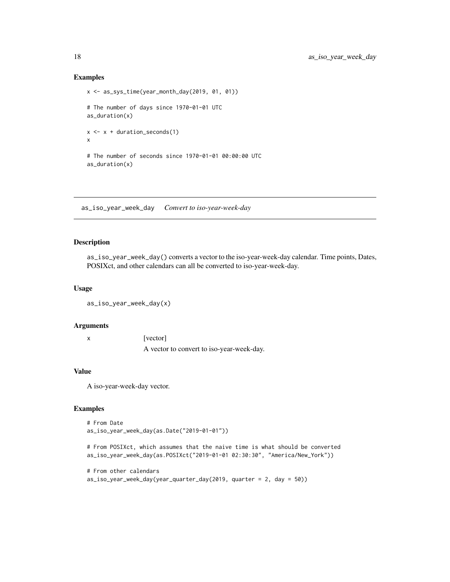## Examples

```
x <- as_sys_time(year_month_day(2019, 01, 01))
# The number of days since 1970-01-01 UTC
as_duration(x)
x \leftarrow x + duration\_seconds(1)x
# The number of seconds since 1970-01-01 00:00:00 UTC
as_duration(x)
```
as\_iso\_year\_week\_day *Convert to iso-year-week-day*

# Description

as\_iso\_year\_week\_day() converts a vector to the iso-year-week-day calendar. Time points, Dates, POSIXct, and other calendars can all be converted to iso-year-week-day.

#### Usage

```
as_iso_year_week_day(x)
```
#### Arguments

x [vector] A vector to convert to iso-year-week-day.

# Value

A iso-year-week-day vector.

# Examples

```
# From Date
as_iso_year_week_day(as.Date("2019-01-01"))
```
# From POSIXct, which assumes that the naive time is what should be converted as\_iso\_year\_week\_day(as.POSIXct("2019-01-01 02:30:30", "America/New\_York"))

```
# From other calendars
as_iso_year_week_day(year_quarter_day(2019, quarter = 2, day = 50))
```
<span id="page-17-0"></span>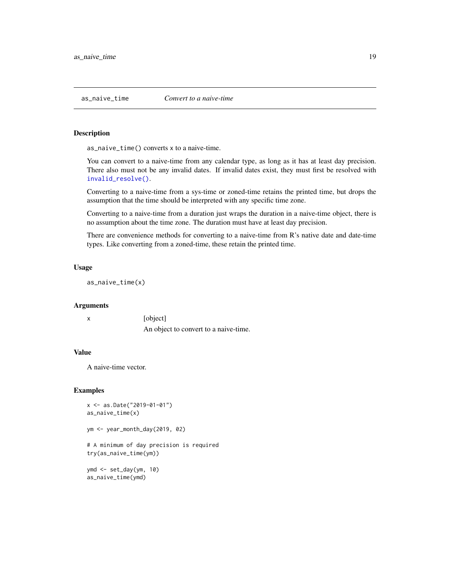<span id="page-18-0"></span>

# Description

as\_naive\_time() converts x to a naive-time.

You can convert to a naive-time from any calendar type, as long as it has at least day precision. There also must not be any invalid dates. If invalid dates exist, they must first be resolved with [invalid\\_resolve\(\)](#page-37-1).

Converting to a naive-time from a sys-time or zoned-time retains the printed time, but drops the assumption that the time should be interpreted with any specific time zone.

Converting to a naive-time from a duration just wraps the duration in a naive-time object, there is no assumption about the time zone. The duration must have at least day precision.

There are convenience methods for converting to a naive-time from R's native date and date-time types. Like converting from a zoned-time, these retain the printed time.

# Usage

as\_naive\_time(x)

#### Arguments

| [object]                              |
|---------------------------------------|
| An object to convert to a naive-time. |

# Value

A naive-time vector.

#### Examples

```
x <- as.Date("2019-01-01")
as_naive_time(x)
```

```
ym <- year_month_day(2019, 02)
```
# A minimum of day precision is required try(as\_naive\_time(ym))

ymd <- set\_day(ym, 10) as\_naive\_time(ymd)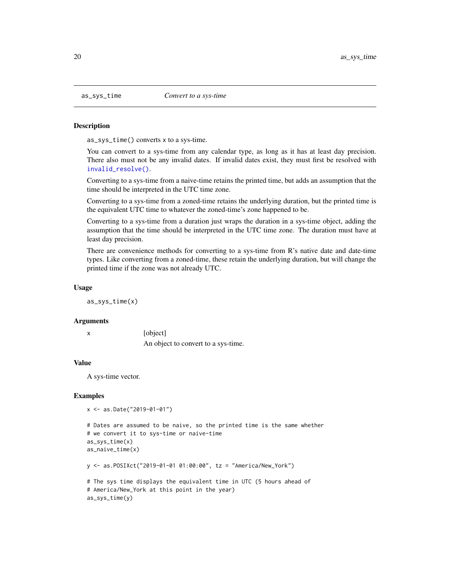#### **Description**

as\_sys\_time() converts x to a sys-time.

You can convert to a sys-time from any calendar type, as long as it has at least day precision. There also must not be any invalid dates. If invalid dates exist, they must first be resolved with [invalid\\_resolve\(\)](#page-37-1).

Converting to a sys-time from a naive-time retains the printed time, but adds an assumption that the time should be interpreted in the UTC time zone.

Converting to a sys-time from a zoned-time retains the underlying duration, but the printed time is the equivalent UTC time to whatever the zoned-time's zone happened to be.

Converting to a sys-time from a duration just wraps the duration in a sys-time object, adding the assumption that the time should be interpreted in the UTC time zone. The duration must have at least day precision.

There are convenience methods for converting to a sys-time from R's native date and date-time types. Like converting from a zoned-time, these retain the underlying duration, but will change the printed time if the zone was not already UTC.

#### Usage

as\_sys\_time(x)

#### Arguments

x [object] An object to convert to a sys-time.

# Value

A sys-time vector.

```
x <- as.Date("2019-01-01")
```

```
# Dates are assumed to be naive, so the printed time is the same whether
# we convert it to sys-time or naive-time
as_sys_time(x)
as_naive_time(x)
y <- as.POSIXct("2019-01-01 01:00:00", tz = "America/New_York")
```

```
# The sys time displays the equivalent time in UTC (5 hours ahead of
# America/New_York at this point in the year)
as_sys_time(y)
```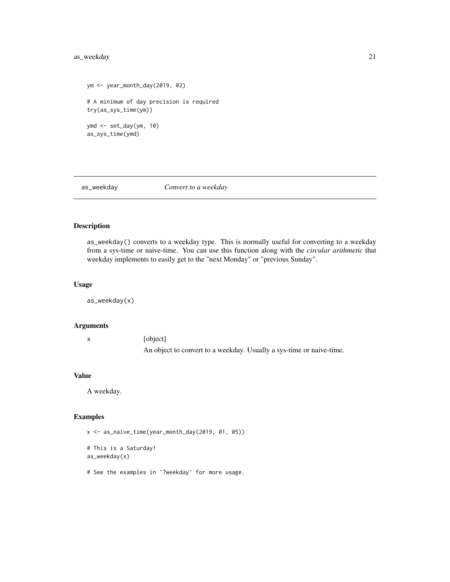# <span id="page-20-0"></span>as\_weekday 21

```
ym <- year_month_day(2019, 02)
# A minimum of day precision is required
try(as_sys_time(ym))
ymd <- set_day(ym, 10)
as_sys_time(ymd)
```
as\_weekday *Convert to a weekday*

# Description

as\_weekday() converts to a weekday type. This is normally useful for converting to a weekday from a sys-time or naive-time. You can use this function along with the *circular arithmetic* that weekday implements to easily get to the "next Monday" or "previous Sunday".

#### Usage

as\_weekday(x)

#### Arguments

x [object] An object to convert to a weekday. Usually a sys-time or naive-time.

# Value

A weekday.

# Examples

x <- as\_naive\_time(year\_month\_day(2019, 01, 05))

# This is a Saturday! as\_weekday(x)

# See the examples in `?weekday` for more usage.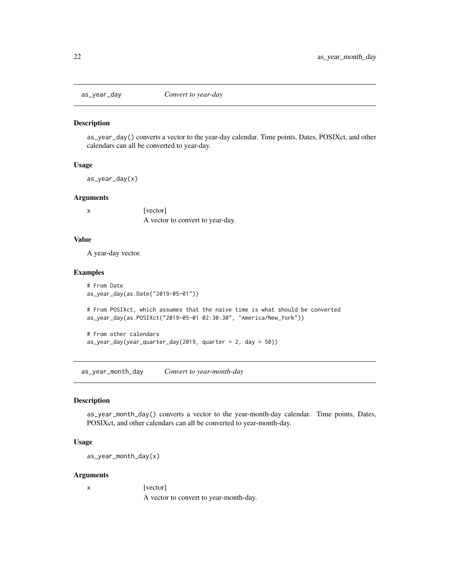<span id="page-21-0"></span>

#### Description

as\_year\_day() converts a vector to the year-day calendar. Time points, Dates, POSIXct, and other calendars can all be converted to year-day.

# Usage

as\_year\_day(x)

#### Arguments

x [vector]

A vector to convert to year-day.

# Value

A year-day vector.

#### Examples

```
# From Date
as_year_day(as.Date("2019-05-01"))
```
# From POSIXct, which assumes that the naive time is what should be converted as\_year\_day(as.POSIXct("2019-05-01 02:30:30", "America/New\_York"))

```
# From other calendars
as_year_day(year_quarter_day(2019, quarter = 2, day = 50))
```
as\_year\_month\_day *Convert to year-month-day*

# Description

as\_year\_month\_day() converts a vector to the year-month-day calendar. Time points, Dates, POSIXct, and other calendars can all be converted to year-month-day.

#### Usage

as\_year\_month\_day(x)

#### Arguments

x [vector]

A vector to convert to year-month-day.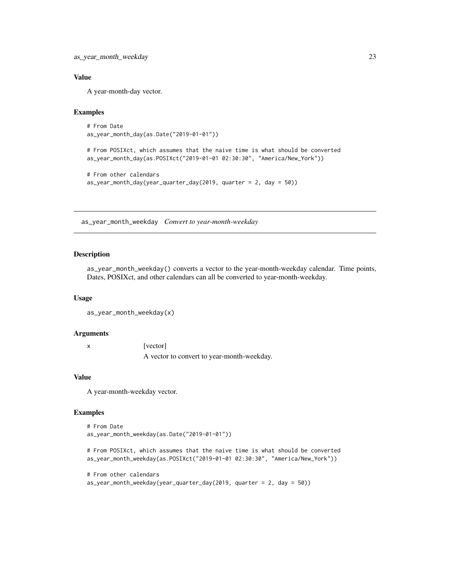# <span id="page-22-0"></span>Value

A year-month-day vector.

# Examples

```
# From Date
as_year_month_day(as.Date("2019-01-01"))
```
# From POSIXct, which assumes that the naive time is what should be converted as\_year\_month\_day(as.POSIXct("2019-01-01 02:30:30", "America/New\_York"))

```
# From other calendars
as_year_month_day(year_quarter_day(2019, quarter = 2, day = 50))
```
as\_year\_month\_weekday *Convert to year-month-weekday*

# Description

as\_year\_month\_weekday() converts a vector to the year-month-weekday calendar. Time points, Dates, POSIXct, and other calendars can all be converted to year-month-weekday.

#### Usage

```
as_year_month_weekday(x)
```
#### Arguments

x [vector] A vector to convert to year-month-weekday.

# Value

A year-month-weekday vector.

```
# From Date
as_year_month_weekday(as.Date("2019-01-01"))
# From POSIXct, which assumes that the naive time is what should be converted
as_year_month_weekday(as.POSIXct("2019-01-01 02:30:30", "America/New_York"))
# From other calendars
as_year_month_weekday(year_quarter_day(2019, quarter = 2, day = 50))
```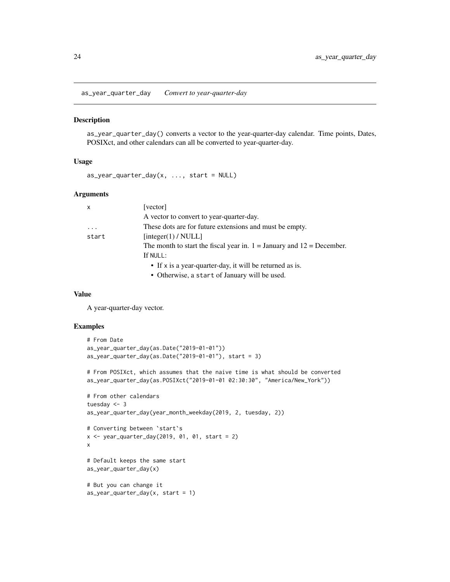<span id="page-23-0"></span>as\_year\_quarter\_day *Convert to year-quarter-day*

#### Description

as\_year\_quarter\_day() converts a vector to the year-quarter-day calendar. Time points, Dates, POSIXct, and other calendars can all be converted to year-quarter-day.

# Usage

 $as_year_quarter_day(x, ..., start = NULL)$ 

# Arguments

| $\mathsf{x}$ | [vector]                                                                  |
|--------------|---------------------------------------------------------------------------|
|              | A vector to convert to year-quarter-day.                                  |
| $\cdots$     | These dots are for future extensions and must be empty.                   |
| start        | [integer(1) / NULL]                                                       |
|              | The month to start the fiscal year in. $1 =$ January and $12 =$ December. |
|              | If NULL:                                                                  |
|              | • If x is a year-quarter-day, it will be returned as is.                  |
|              | • Otherwise, a start of January will be used.                             |

#### Value

A year-quarter-day vector.

```
# From Date
as_year_quarter_day(as.Date("2019-01-01"))
as\_year\_quarter\_day(as.Date("2019-01-01"), start = 3)
# From POSIXct, which assumes that the naive time is what should be converted
as_year_quarter_day(as.POSIXct("2019-01-01 02:30:30", "America/New_York"))
# From other calendars
tuesday <- 3
as_year_quarter_day(year_month_weekday(2019, 2, tuesday, 2))
# Converting between `start`s
x \leq -year\_quarter\_day(2019, 01, 01, start = 2)x
# Default keeps the same start
as_year_quarter_day(x)
# But you can change it
as_year_quarter_day(x, start = 1)
```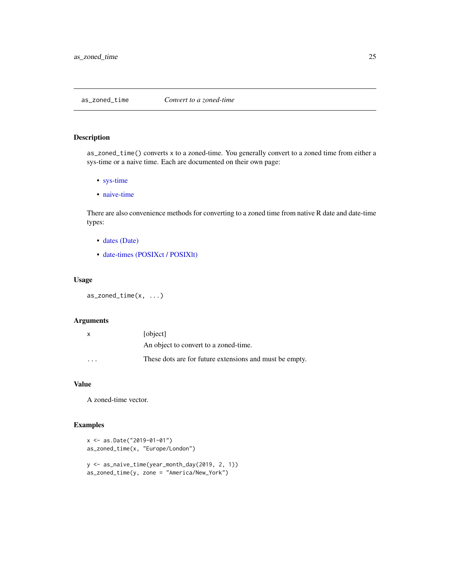<span id="page-24-1"></span><span id="page-24-0"></span>as\_zoned\_time *Convert to a zoned-time*

# Description

as\_zoned\_time() converts x to a zoned-time. You generally convert to a zoned time from either a sys-time or a naive time. Each are documented on their own page:

- [sys-time](#page-11-1)
- [naive-time](#page-6-1)

There are also convenience methods for converting to a zoned time from native R date and date-time types:

- [dates \(Date\)](#page-4-1)
- [date-times \(POSIXct / POSIXlt\)](#page-10-1)

# Usage

as\_zoned\_time(x, ...)

# Arguments

| $\mathsf{x}$            | [object]                                                |
|-------------------------|---------------------------------------------------------|
|                         | An object to convert to a zoned-time.                   |
| $\cdot$ $\cdot$ $\cdot$ | These dots are for future extensions and must be empty. |

# Value

A zoned-time vector.

```
x <- as.Date("2019-01-01")
as_zoned_time(x, "Europe/London")
y <- as_naive_time(year_month_day(2019, 2, 1))
as_zoned_time(y, zone = "America/New_York")
```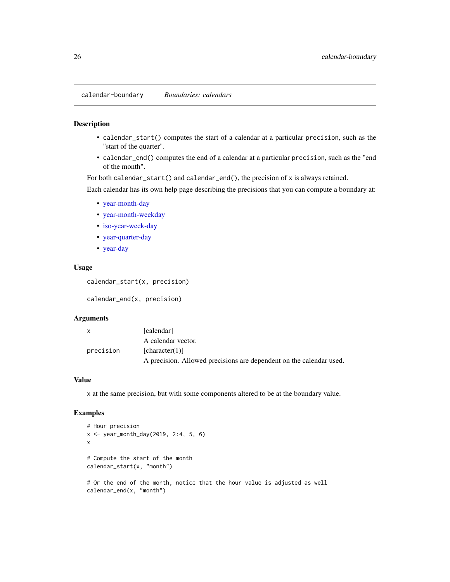<span id="page-25-0"></span>calendar-boundary *Boundaries: calendars*

### **Description**

- calendar\_start() computes the start of a calendar at a particular precision, such as the "start of the quarter".
- calendar\_end() computes the end of a calendar at a particular precision, such as the "end of the month".

For both calendar\_start() and calendar\_end(), the precision of x is always retained.

Each calendar has its own help page describing the precisions that you can compute a boundary at:

- [year-month-day](#page-197-1)
- [year-month-weekday](#page-207-1)
- [iso-year-week-day](#page-101-1)
- [year-quarter-day](#page-218-1)
- [year-day](#page-187-1)

# Usage

calendar\_start(x, precision)

calendar\_end(x, precision)

#### Arguments

| $\mathsf{x}$ | [calendar]                                                          |
|--------------|---------------------------------------------------------------------|
|              | A calendar vector.                                                  |
| precision    | [character(1)]                                                      |
|              | A precision. Allowed precisions are dependent on the calendar used. |

# Value

x at the same precision, but with some components altered to be at the boundary value.

```
# Hour precision
x <- year_month_day(2019, 2:4, 5, 6)
x
# Compute the start of the month
calendar_start(x, "month")
# Or the end of the month, notice that the hour value is adjusted as well
calendar_end(x, "month")
```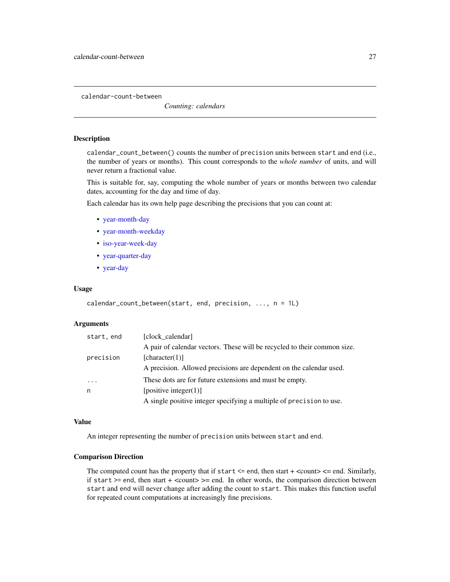<span id="page-26-0"></span>calendar-count-between

*Counting: calendars*

# Description

calendar\_count\_between() counts the number of precision units between start and end (i.e., the number of years or months). This count corresponds to the *whole number* of units, and will never return a fractional value.

This is suitable for, say, computing the whole number of years or months between two calendar dates, accounting for the day and time of day.

Each calendar has its own help page describing the precisions that you can count at:

- [year-month-day](#page-198-1)
- [year-month-weekday](#page-208-1)
- [iso-year-week-day](#page-102-1)
- [year-quarter-day](#page-219-1)
- [year-day](#page-189-1)

#### Usage

```
calendar_count_between(start, end, precision, ..., n = 1L)
```
# Arguments

| start, end | [clock_calendar]                                                         |
|------------|--------------------------------------------------------------------------|
|            | A pair of calendar vectors. These will be recycled to their common size. |
| precision  | [character(1)]                                                           |
|            | A precision. Allowed precisions are dependent on the calendar used.      |
| .          | These dots are for future extensions and must be empty.                  |
| n          | [positive integer(1)]                                                    |
|            | A single positive integer specifying a multiple of precision to use.     |

# Value

An integer representing the number of precision units between start and end.

## Comparison Direction

The computed count has the property that if start  $\leq$  end, then start  $+$   $\leq$  count $\geq$   $\leq$  end. Similarly, if start  $>=$  end, then start  $+$  <count $>=$  end. In other words, the comparison direction between start and end will never change after adding the count to start. This makes this function useful for repeated count computations at increasingly fine precisions.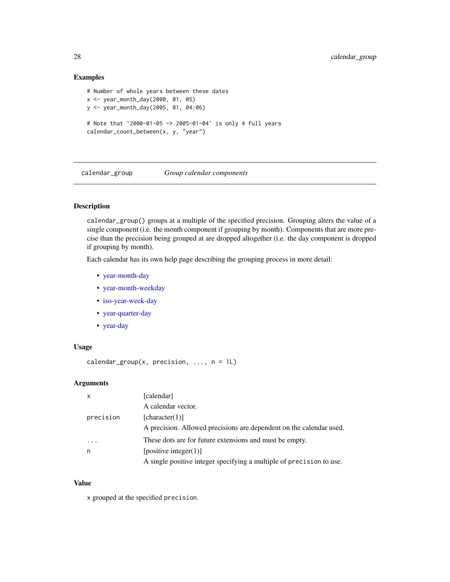# <span id="page-27-0"></span>Examples

```
# Number of whole years between these dates
x <- year_month_day(2000, 01, 05)
y <- year_month_day(2005, 01, 04:06)
# Note that `2000-01-05 -> 2005-01-04` is only 4 full years
calendar_count_between(x, y, "year")
```
calendar\_group *Group calendar components*

# Description

calendar\_group() groups at a multiple of the specified precision. Grouping alters the value of a single component (i.e. the month component if grouping by month). Components that are more precise than the precision being grouped at are dropped altogether (i.e. the day component is dropped if grouping by month).

Each calendar has its own help page describing the grouping process in more detail:

- [year-month-day](#page-201-1)
- [year-month-weekday](#page-211-1)
- [iso-year-week-day](#page-105-1)
- [year-quarter-day](#page-221-1)
- [year-day](#page-191-1)

# Usage

```
calendar_group(x, precision, \ldots, n = 1L)
```
# Arguments

| $\mathsf{x}$ | [calendar]                                                           |
|--------------|----------------------------------------------------------------------|
|              | A calendar vector.                                                   |
| precision    | [character(1)]                                                       |
|              | A precision. Allowed precisions are dependent on the calendar used.  |
| .            | These dots are for future extensions and must be empty.              |
| n            | [positive integer $(1)$ ]                                            |
|              | A single positive integer specifying a multiple of precision to use. |

### Value

x grouped at the specified precision.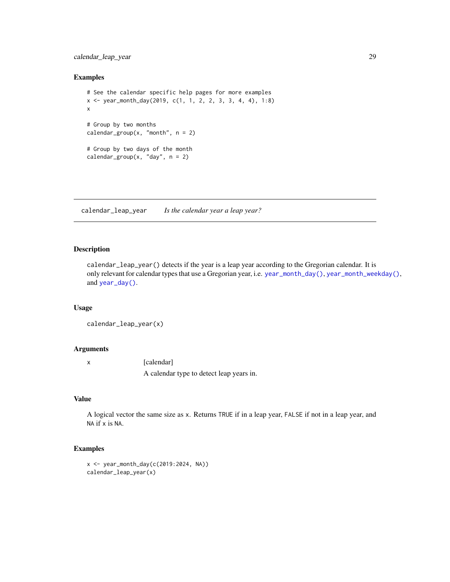# <span id="page-28-0"></span>calendar\_leap\_year 29

#### Examples

```
# See the calendar specific help pages for more examples
x <- year_month_day(2019, c(1, 1, 2, 2, 3, 3, 4, 4), 1:8)
x
# Group by two months
calendar_group(x, "month", n = 2)
# Group by two days of the month
calendar_group(x, "day", n = 2)
```
calendar\_leap\_year *Is the calendar year a leap year?*

# Description

calendar\_leap\_year() detects if the year is a leap year according to the Gregorian calendar. It is only relevant for calendar types that use a Gregorian year, i.e. [year\\_month\\_day\(\)](#page-228-1), [year\\_month\\_weekday\(\)](#page-234-1), and [year\\_day\(\)](#page-226-1).

#### Usage

```
calendar_leap_year(x)
```
#### Arguments

x [calendar] A calendar type to detect leap years in.

#### Value

A logical vector the same size as x. Returns TRUE if in a leap year, FALSE if not in a leap year, and NA if x is NA.

```
x <- year_month_day(c(2019:2024, NA))
calendar_leap_year(x)
```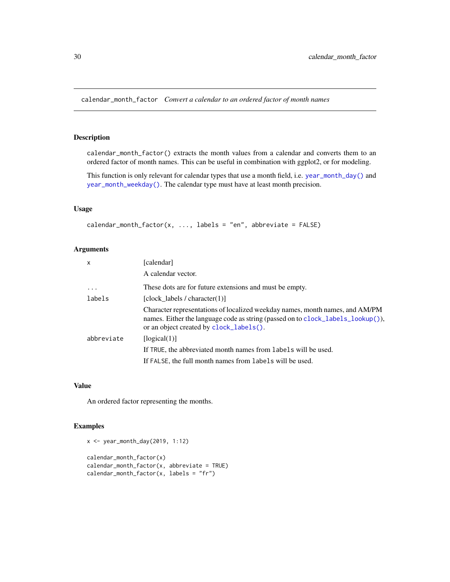<span id="page-29-0"></span>calendar\_month\_factor *Convert a calendar to an ordered factor of month names*

# Description

calendar\_month\_factor() extracts the month values from a calendar and converts them to an ordered factor of month names. This can be useful in combination with ggplot2, or for modeling.

This function is only relevant for calendar types that use a month field, i.e. [year\\_month\\_day\(\)](#page-228-1) and [year\\_month\\_weekday\(\)](#page-234-1). The calendar type must have at least month precision.

#### Usage

```
calendar_month_factor(x, ..., labels = "en", abbreviate = FALSE)
```
#### Arguments

| X          | [calendar]                                                                                                                                                                                                 |
|------------|------------------------------------------------------------------------------------------------------------------------------------------------------------------------------------------------------------|
|            | A calendar vector.                                                                                                                                                                                         |
| $\ddotsc$  | These dots are for future extensions and must be empty.                                                                                                                                                    |
| labels     | [clock labels / character $(1)$ ]                                                                                                                                                                          |
|            | Character representations of localized weekday names, month names, and AM/PM<br>names. Either the language code as string (passed on to clock_labels_lookup()),<br>or an object created by clock_labels(). |
| abbreviate | [logical(1)]                                                                                                                                                                                               |
|            | If TRUE, the abbreviated month names from labels will be used.                                                                                                                                             |
|            | If FALSE, the full month names from labels will be used.                                                                                                                                                   |

# Value

An ordered factor representing the months.

```
x <- year_month_day(2019, 1:12)
```

```
calendar_month_factor(x)
calendar_month_factor(x, abbreviate = TRUE)
calendar_month_factor(x, labels = "fr")
```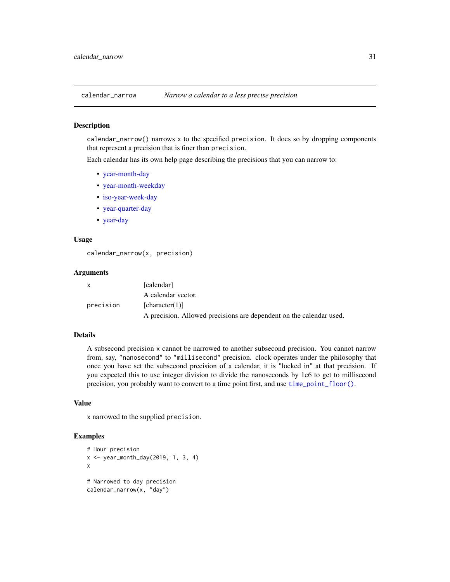<span id="page-30-0"></span>

# Description

calendar\_narrow() narrows x to the specified precision. It does so by dropping components that represent a precision that is finer than precision.

Each calendar has its own help page describing the precisions that you can narrow to:

- [year-month-day](#page-202-1)
- [year-month-weekday](#page-212-1)
- [iso-year-week-day](#page-106-1)
- [year-quarter-day](#page-222-1)
- [year-day](#page-192-1)

# Usage

calendar\_narrow(x, precision)

#### Arguments

| X         | [calendar]                                                          |
|-----------|---------------------------------------------------------------------|
|           | A calendar vector.                                                  |
| precision | [character(1)]                                                      |
|           | A precision. Allowed precisions are dependent on the calendar used. |

# Details

A subsecond precision x cannot be narrowed to another subsecond precision. You cannot narrow from, say, "nanosecond" to "millisecond" precision. clock operates under the philosophy that once you have set the subsecond precision of a calendar, it is "locked in" at that precision. If you expected this to use integer division to divide the nanoseconds by 1e6 to get to millisecond precision, you probably want to convert to a time point first, and use [time\\_point\\_floor\(\)](#page-173-1).

# Value

x narrowed to the supplied precision.

```
# Hour precision
x <- year_month_day(2019, 1, 3, 4)
x
# Narrowed to day precision
calendar_narrow(x, "day")
```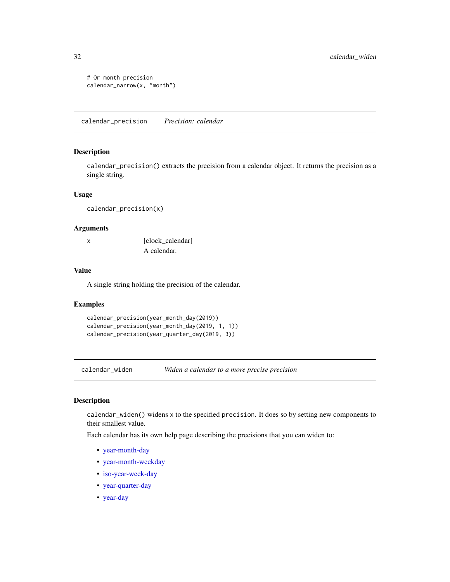```
# Or month precision
calendar_narrow(x, "month")
```
calendar\_precision *Precision: calendar*

# Description

calendar\_precision() extracts the precision from a calendar object. It returns the precision as a single string.

# Usage

```
calendar_precision(x)
```
#### Arguments

x [clock\_calendar] A calendar.

# Value

A single string holding the precision of the calendar.

#### Examples

```
calendar_precision(year_month_day(2019))
calendar_precision(year_month_day(2019, 1, 1))
calendar_precision(year_quarter_day(2019, 3))
```
calendar\_widen *Widen a calendar to a more precise precision*

# Description

calendar\_widen() widens x to the specified precision. It does so by setting new components to their smallest value.

Each calendar has its own help page describing the precisions that you can widen to:

- [year-month-day](#page-205-1)
- [year-month-weekday](#page-215-1)
- [iso-year-week-day](#page-108-1)
- [year-quarter-day](#page-225-1)
- [year-day](#page-195-1)

<span id="page-31-0"></span>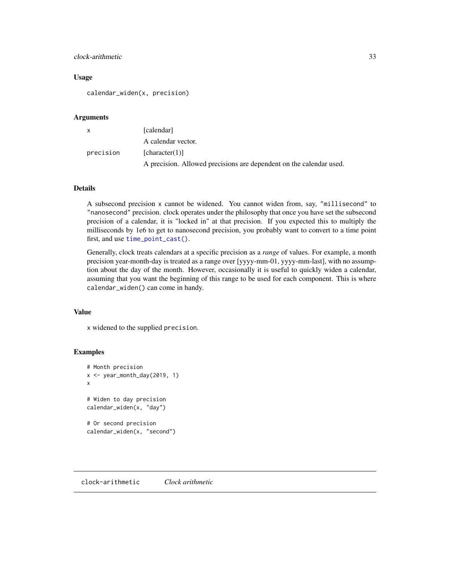# <span id="page-32-0"></span>clock-arithmetic 33

#### Usage

calendar\_widen(x, precision)

# Arguments

| $\mathsf{x}$ | [calendar]                                                          |
|--------------|---------------------------------------------------------------------|
|              | A calendar vector.                                                  |
| precision    | [character(1)]                                                      |
|              | A precision. Allowed precisions are dependent on the calendar used. |

## Details

A subsecond precision x cannot be widened. You cannot widen from, say, "millisecond" to "nanosecond" precision. clock operates under the philosophy that once you have set the subsecond precision of a calendar, it is "locked in" at that precision. If you expected this to multiply the milliseconds by 1e6 to get to nanosecond precision, you probably want to convert to a time point first, and use [time\\_point\\_cast\(\)](#page-175-1).

Generally, clock treats calendars at a specific precision as a *range* of values. For example, a month precision year-month-day is treated as a range over [yyyy-mm-01, yyyy-mm-last], with no assumption about the day of the month. However, occasionally it is useful to quickly widen a calendar, assuming that you want the beginning of this range to be used for each component. This is where calendar\_widen() can come in handy.

#### Value

x widened to the supplied precision.

```
# Month precision
x \leq -year_month_day(2019, 1)x
# Widen to day precision
calendar_widen(x, "day")
# Or second precision
calendar_widen(x, "second")
```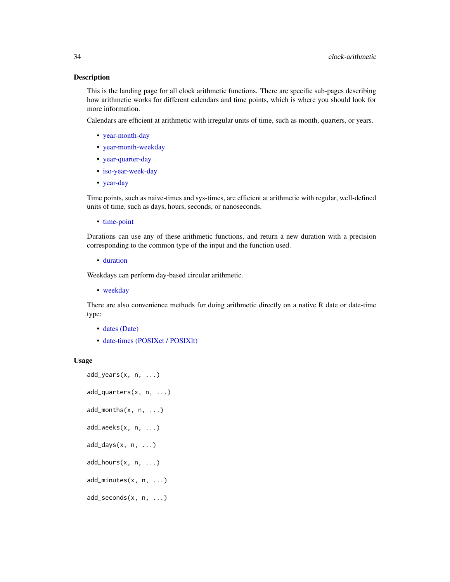#### Description

This is the landing page for all clock arithmetic functions. There are specific sub-pages describing how arithmetic works for different calendars and time points, which is where you should look for more information.

Calendars are efficient at arithmetic with irregular units of time, such as month, quarters, or years.

- [year-month-day](#page-196-1)
- [year-month-weekday](#page-206-1)
- [year-quarter-day](#page-216-1)
- [iso-year-week-day](#page-100-1)
- [year-day](#page-186-1)

Time points, such as naive-times and sys-times, are efficient at arithmetic with regular, well-defined units of time, such as days, hours, seconds, or nanoseconds.

• [time-point](#page-171-1)

Durations can use any of these arithmetic functions, and return a new duration with a precision corresponding to the common type of the input and the function used.

• [duration](#page-90-1)

Weekdays can perform day-based circular arithmetic.

• [weekday](#page-183-1)

There are also convenience methods for doing arithmetic directly on a native R date or date-time type:

- [dates \(Date\)](#page-46-1)
- [date-times \(POSIXct / POSIXlt\)](#page-123-1)

#### Usage

```
add_years(x, n, ...)
add_quarters(x, n, ...)
add_months(x, n, ...)
add_weeks(x, n, ...)
add\_days(x, n, ...)add\_hours(x, n, ...)add_minutes(x, n, ...)
add_seconds(x, n, ...)
```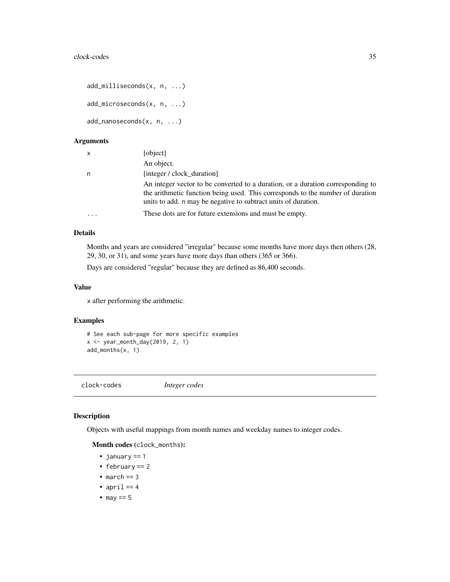```
add_milliseconds(x, n, ...)
add_microseconds(x, n, ...)
add_nanoseconds(x, n, ...)
```
# Arguments

| $\times$ | [object]                                                                                                                                                                                                                            |
|----------|-------------------------------------------------------------------------------------------------------------------------------------------------------------------------------------------------------------------------------------|
|          | An object.                                                                                                                                                                                                                          |
| n        | [integer / clock_duration]                                                                                                                                                                                                          |
|          | An integer vector to be converted to a duration, or a duration corresponding to<br>the arithmetic function being used. This corresponds to the number of duration<br>units to add. n may be negative to subtract units of duration. |
|          | These dots are for future extensions and must be empty.                                                                                                                                                                             |
|          |                                                                                                                                                                                                                                     |

### Details

Months and years are considered "irregular" because some months have more days then others (28, 29, 30, or 31), and some years have more days than others (365 or 366).

Days are considered "regular" because they are defined as 86,400 seconds.

# Value

x after performing the arithmetic.

# Examples

```
# See each sub-page for more specific examples
x <- year_month_day(2019, 2, 1)
add_months(x, 1)
```
clock-codes *Integer codes*

# Description

Objects with useful mappings from month names and weekday names to integer codes.

# Month codes (clock\_months):

- january == 1
- february == 2
- march  $== 3$
- april  $== 4$
- may  $== 5$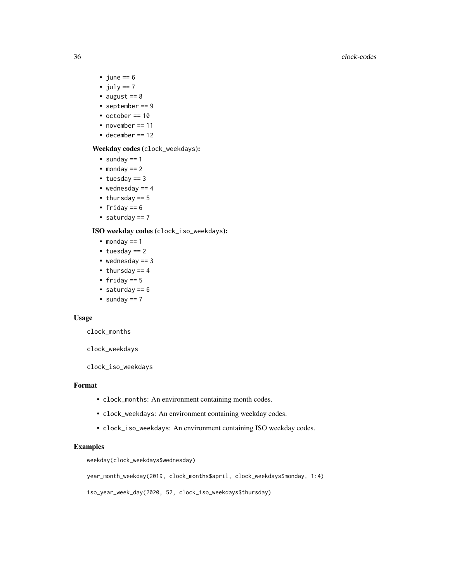#### 36 clock-codes

- june  $== 6$
- july  $== 7$
- august  $== 8$
- september == 9
- october == 10
- november == 11
- december == 12

# Weekday codes (clock\_weekdays):

- sunday  $== 1$
- monday  $== 2$
- $\cdot$  tuesday == 3
- wednesday  $== 4$
- thursday == 5
- friday  $== 6$
- saturday == 7

# ISO weekday codes (clock\_iso\_weekdays):

- monday  $== 1$
- tuesday == 2
- wednesday  $== 3$
- $\bullet$  thursday == 4
- friday == 5
- saturday  $== 6$
- sunday  $== 7$

# Usage

clock\_months

clock\_weekdays

clock\_iso\_weekdays

#### Format

- clock\_months: An environment containing month codes.
- clock\_weekdays: An environment containing weekday codes.
- clock\_iso\_weekdays: An environment containing ISO weekday codes.

# Examples

weekday(clock\_weekdays\$wednesday)

year\_month\_weekday(2019, clock\_months\$april, clock\_weekdays\$monday, 1:4)

iso\_year\_week\_day(2020, 52, clock\_iso\_weekdays\$thursday)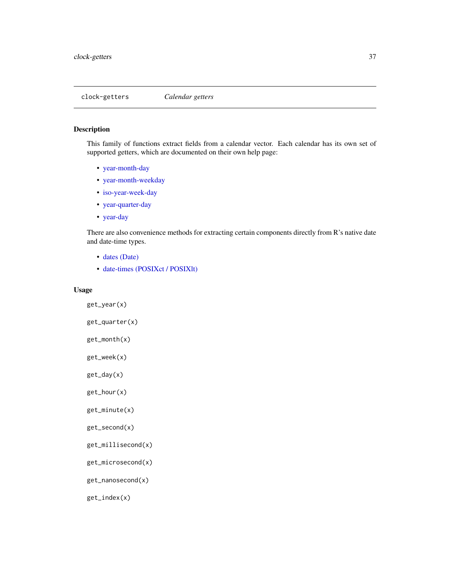<span id="page-36-0"></span>clock-getters *Calendar getters*

# Description

This family of functions extract fields from a calendar vector. Each calendar has its own set of supported getters, which are documented on their own help page:

- [year-month-day](#page-199-0)
- [year-month-weekday](#page-209-0)
- [iso-year-week-day](#page-103-0)
- [year-quarter-day](#page-220-0)
- [year-day](#page-190-0)

There are also convenience methods for extracting certain components directly from R's native date and date-time types.

- [dates \(Date\)](#page-55-0)
- [date-times \(POSIXct / POSIXlt\)](#page-136-0)

### Usage

```
get_year(x)
```

```
get_quarter(x)
```

```
get_month(x)
```
get\_week(x)

get\_day(x)

get\_hour(x)

```
get_minute(x)
```

```
get_second(x)
```

```
get_millisecond(x)
```

```
get_microsecond(x)
```
get\_nanosecond(x)

get\_index(x)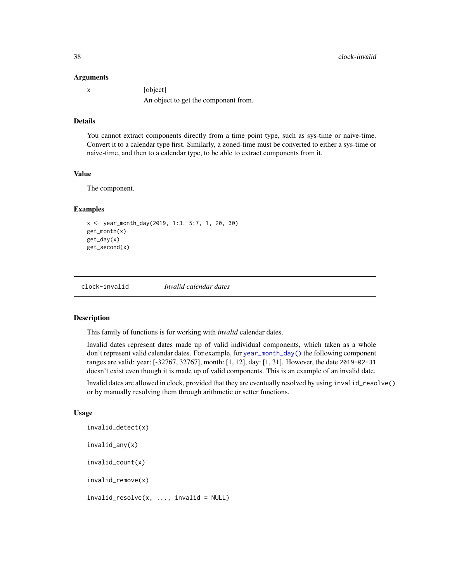#### Arguments

|  | [object]                             |
|--|--------------------------------------|
|  | An object to get the component from. |

## Details

You cannot extract components directly from a time point type, such as sys-time or naive-time. Convert it to a calendar type first. Similarly, a zoned-time must be converted to either a sys-time or naive-time, and then to a calendar type, to be able to extract components from it.

# Value

The component.

## Examples

```
x <- year_month_day(2019, 1:3, 5:7, 1, 20, 30)
get_month(x)
get_day(x)
get_second(x)
```
clock-invalid *Invalid calendar dates*

### <span id="page-37-0"></span>Description

This family of functions is for working with *invalid* calendar dates.

Invalid dates represent dates made up of valid individual components, which taken as a whole don't represent valid calendar dates. For example, for [year\\_month\\_day\(\)](#page-228-0) the following component ranges are valid: year: [-32767, 32767], month: [1, 12], day: [1, 31]. However, the date 2019-02-31 doesn't exist even though it is made up of valid components. This is an example of an invalid date.

Invalid dates are allowed in clock, provided that they are eventually resolved by using invalid\_resolve() or by manually resolving them through arithmetic or setter functions.

#### Usage

```
invalid_detect(x)
invalid_any(x)
invalid_count(x)
invalid_remove(x)
invald_resolve(x, ..., invalid = NULL)
```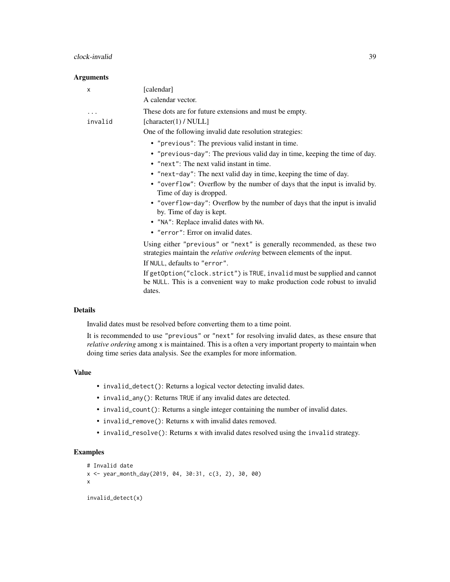#### clock-invalid 39

### Arguments

| Χ              | [calendar]                                                                                                                                                         |
|----------------|--------------------------------------------------------------------------------------------------------------------------------------------------------------------|
|                | A calendar vector.                                                                                                                                                 |
| .              | These dots are for future extensions and must be empty.                                                                                                            |
| invalid        | [character(1) / $NULL$ ]                                                                                                                                           |
|                | One of the following invalid date resolution strategies:                                                                                                           |
|                | • "previous": The previous valid instant in time.                                                                                                                  |
|                | • "previous-day": The previous valid day in time, keeping the time of day.                                                                                         |
|                | • "next": The next valid instant in time.                                                                                                                          |
|                | • "next-day": The next valid day in time, keeping the time of day.                                                                                                 |
|                | • "overflow": Overflow by the number of days that the input is invalid by.<br>Time of day is dropped.                                                              |
|                | • "overflow-day": Overflow by the number of days that the input is invalid<br>by. Time of day is kept.                                                             |
|                | • "NA": Replace invalid dates with NA.                                                                                                                             |
|                | • "error": Error on invalid dates.                                                                                                                                 |
|                | Using either "previous" or "next" is generally recommended, as these two<br>strategies maintain the <i>relative ordering</i> between elements of the input.        |
|                | If NULL, defaults to "error".                                                                                                                                      |
|                | If getOption("clock.strict") is TRUE, invalid must be supplied and cannot<br>be NULL. This is a convenient way to make production code robust to invalid<br>dates. |
| <b>Details</b> |                                                                                                                                                                    |

Invalid dates must be resolved before converting them to a time point.

It is recommended to use "previous" or "next" for resolving invalid dates, as these ensure that *relative ordering* among x is maintained. This is a often a very important property to maintain when doing time series data analysis. See the examples for more information.

### Value

- invalid\_detect(): Returns a logical vector detecting invalid dates.
- invalid\_any(): Returns TRUE if any invalid dates are detected.
- invalid\_count(): Returns a single integer containing the number of invalid dates.
- invalid\_remove(): Returns x with invalid dates removed.
- invalid\_resolve(): Returns x with invalid dates resolved using the invalid strategy.

# Examples

```
# Invalid date
x <- year_month_day(2019, 04, 30:31, c(3, 2), 30, 00)
x
invalid_detect(x)
```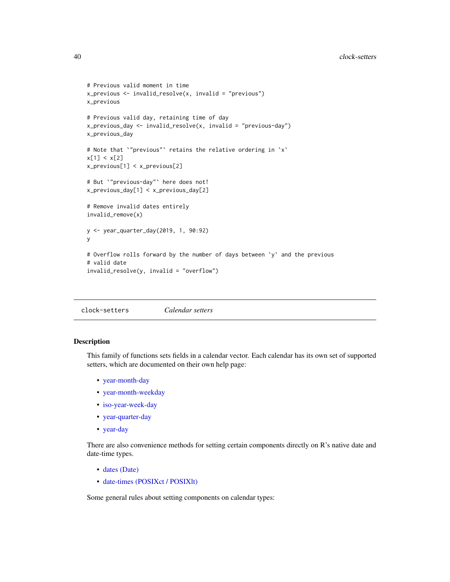```
# Previous valid moment in time
x\_previous \leftarrow invalid\_resolve(x, invalid = "previous")x_previous
# Previous valid day, retaining time of day
x_previous_day <- invalid_resolve(x, invalid = "previous-day")
x_previous_day
# Note that `"previous"` retains the relative ordering in `x`
x[1] < x[2]
x_previous[1] < x_previous[2]
# But `"previous-day"` here does not!
x_previous_day[1] < x_previous_day[2]
# Remove invalid dates entirely
invalid_remove(x)
y <- year_quarter_day(2019, 1, 90:92)
y
# Overflow rolls forward by the number of days between `y` and the previous
# valid date
invalid_resolve(y, invalid = "overflow")
```
<span id="page-39-0"></span>clock-setters *Calendar setters*

### Description

This family of functions sets fields in a calendar vector. Each calendar has its own set of supported setters, which are documented on their own help page:

- [year-month-day](#page-203-0)
- [year-month-weekday](#page-213-0)
- [iso-year-week-day](#page-107-0)
- [year-quarter-day](#page-223-0)
- [year-day](#page-193-0)

There are also convenience methods for setting certain components directly on R's native date and date-time types.

- [dates \(Date\)](#page-61-0)
- [date-times \(POSIXct / POSIXlt\)](#page-148-0)

Some general rules about setting components on calendar types: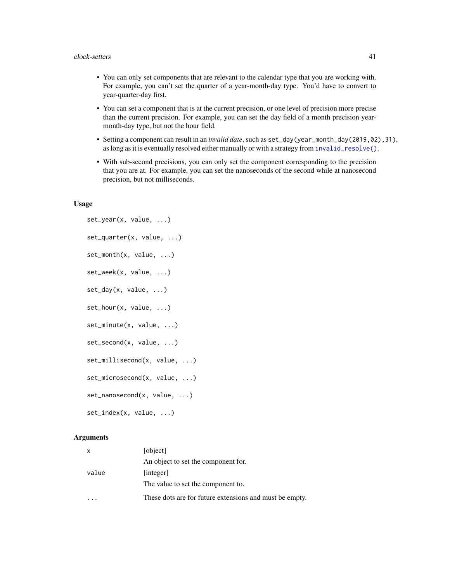- You can only set components that are relevant to the calendar type that you are working with. For example, you can't set the quarter of a year-month-day type. You'd have to convert to year-quarter-day first.
- You can set a component that is at the current precision, or one level of precision more precise than the current precision. For example, you can set the day field of a month precision yearmonth-day type, but not the hour field.
- Setting a component can result in an *invalid date*, such as set\_day(year\_month\_day(2019,02),31), as long as it is eventually resolved either manually or with a strategy from [invalid\\_resolve\(\)](#page-37-0).
- With sub-second precisions, you can only set the component corresponding to the precision that you are at. For example, you can set the nanoseconds of the second while at nanosecond precision, but not milliseconds.

#### Usage

```
set_year(x, value, ...)
set_quarter(x, value, ...)
set_month(x, value, ...)
set_week(x, value, ...)
set\_day(x, value, ...)set_hour(x, value, ...)
set_minute(x, value, ...)
set_second(x, value, ...)
set_millisecond(x, value, ...)
set_microsecond(x, value, ...)
set_nanosecond(x, value, ...)
set_index(x, value, ...)
```

| $\mathsf{x}$ | [object]                                                |
|--------------|---------------------------------------------------------|
|              | An object to set the component for.                     |
| value        | [integer]                                               |
|              | The value to set the component to.                      |
|              | These dots are for future extensions and must be empty. |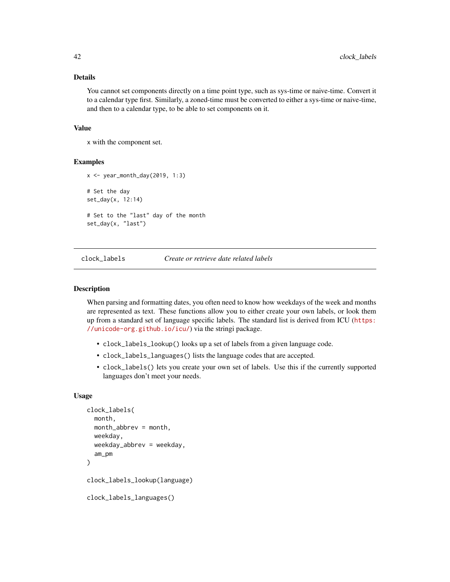## Details

You cannot set components directly on a time point type, such as sys-time or naive-time. Convert it to a calendar type first. Similarly, a zoned-time must be converted to either a sys-time or naive-time, and then to a calendar type, to be able to set components on it.

### Value

x with the component set.

# Examples

```
x <- year_month_day(2019, 1:3)
# Set the day
set_day(x, 12:14)
# Set to the "last" day of the month
set_day(x, "last")
```
<span id="page-41-1"></span>clock\_labels *Create or retrieve date related labels*

#### <span id="page-41-0"></span>**Description**

When parsing and formatting dates, you often need to know how weekdays of the week and months are represented as text. These functions allow you to either create your own labels, or look them up from a standard set of language specific labels. The standard list is derived from ICU ([https:](https://unicode-org.github.io/icu/) [//unicode-org.github.io/icu/](https://unicode-org.github.io/icu/)) via the stringi package.

- clock\_labels\_lookup() looks up a set of labels from a given language code.
- clock\_labels\_languages() lists the language codes that are accepted.
- clock\_labels() lets you create your own set of labels. Use this if the currently supported languages don't meet your needs.

#### Usage

```
clock_labels(
  month,
  month_abbrev = month,
  weekday,
  weekday_abbrev = weekday,
  am_pm
)
clock_labels_lookup(language)
clock_labels_languages()
```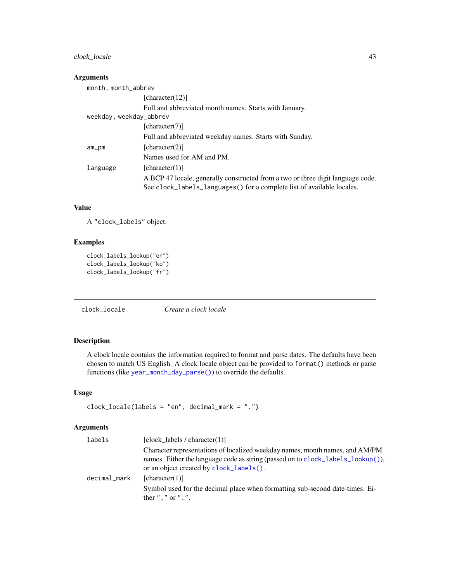# clock\_locale 43

## Arguments

| month, month_abbrev     |                                                                                 |
|-------------------------|---------------------------------------------------------------------------------|
|                         | [character(12)]                                                                 |
|                         | Full and abbreviated month names. Starts with January.                          |
| weekday, weekday_abbrev |                                                                                 |
|                         | [character(7)]                                                                  |
|                         | Full and abbreviated weekday names. Starts with Sunday.                         |
| $am\_pm$                | [character(2)]                                                                  |
|                         | Names used for AM and PM.                                                       |
| language                | [character(1)]                                                                  |
|                         | A BCP 47 locale, generally constructed from a two or three digit language code. |
|                         | See clock_labels_languages() for a complete list of available locales.          |

## Value

A "clock\_labels" object.

# Examples

```
clock_labels_lookup("en")
clock_labels_lookup("ko")
clock_labels_lookup("fr")
```
<span id="page-42-0"></span>clock\_locale *Create a clock locale*

# Description

A clock locale contains the information required to format and parse dates. The defaults have been chosen to match US English. A clock locale object can be provided to format() methods or parse functions (like [year\\_month\\_day\\_parse\(\)](#page-229-0)) to override the defaults.

# Usage

```
clock_locale(labels = "en", decimal_mark = ".")
```

| [clock labels / character $(1)$ ]                                                                                                                                                                          |
|------------------------------------------------------------------------------------------------------------------------------------------------------------------------------------------------------------|
| Character representations of localized weekday names, month names, and AM/PM<br>names. Either the language code as string (passed on to clock_labels_lookup()),<br>or an object created by clock_labels(). |
| [character(1)]                                                                                                                                                                                             |
| Symbol used for the decimal place when formatting sub-second date-times. Ei-<br>ther $"$ , " or " $\cdot$ ".                                                                                               |
|                                                                                                                                                                                                            |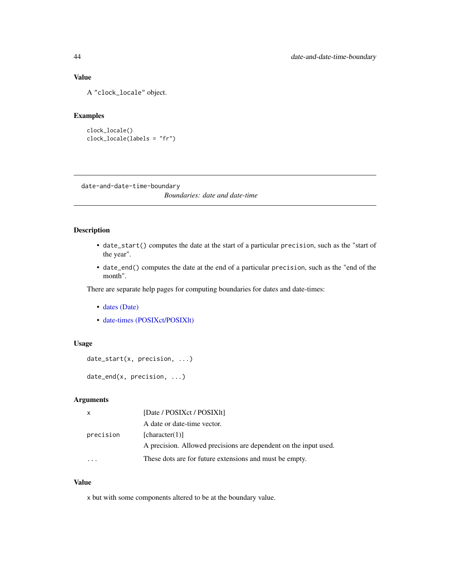# Value

A "clock\_locale" object.

#### Examples

```
clock_locale()
clock_locale(labels = "fr")
```
date-and-date-time-boundary

*Boundaries: date and date-time*

# <span id="page-43-0"></span>Description

- date\_start() computes the date at the start of a particular precision, such as the "start of the year".
- date\_end() computes the date at the end of a particular precision, such as the "end of the month".

There are separate help pages for computing boundaries for dates and date-times:

- [dates \(Date\)](#page-48-0)
- [date-times \(POSIXct/POSIXlt\)](#page-127-0)

# Usage

```
date_start(x, precision, ...)
```
date\_end(x, precision, ...)

# Arguments

| $\mathsf{X}$ | [Date / POSIXct / POSIXIt]                                       |
|--------------|------------------------------------------------------------------|
|              | A date or date-time vector.                                      |
| precision    | [character(1)]                                                   |
|              | A precision. Allowed precisions are dependent on the input used. |
|              | These dots are for future extensions and must be empty.          |

#### Value

x but with some components altered to be at the boundary value.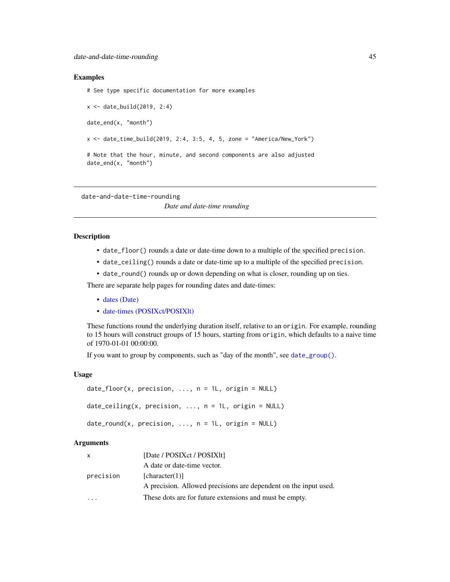#### Examples

# See type specific documentation for more examples

x <- date\_build(2019, 2:4) date\_end(x, "month") x <- date\_time\_build(2019, 2:4, 3:5, 4, 5, zone = "America/New\_York") # Note that the hour, minute, and second components are also adjusted date\_end(x, "month")

<span id="page-44-0"></span>date-and-date-time-rounding

*Date and date-time rounding*

### <span id="page-44-1"></span>Description

- date\_floor() rounds a date or date-time down to a multiple of the specified precision.
- date\_ceiling() rounds a date or date-time up to a multiple of the specified precision.
- date\_round() rounds up or down depending on what is closer, rounding up on ties.

There are separate help pages for rounding dates and date-times:

- [dates \(Date\)](#page-57-0)
- [date-times \(POSIXct/POSIXlt\)](#page-140-0)

These functions round the underlying duration itself, relative to an origin. For example, rounding to 15 hours will construct groups of 15 hours, starting from origin, which defaults to a naive time of 1970-01-01 00:00:00.

If you want to group by components, such as "day of the month", see [date\\_group\(\)](#page-78-0).

### Usage

```
date_floor(x, precision, ..., n = 1L, origin = NULL)date\_ceiling(x, precision, ..., n = 1L, origin = NULL)date\_round(x, precision, ..., n = 1L, origin = NULL)
```

| $\mathsf{x}$ | [Date / POSIXct / POSIX1t]                                       |
|--------------|------------------------------------------------------------------|
|              | A date or date-time vector.                                      |
| precision    | [character(1)]                                                   |
|              | A precision. Allowed precisions are dependent on the input used. |
|              | These dots are for future extensions and must be empty.          |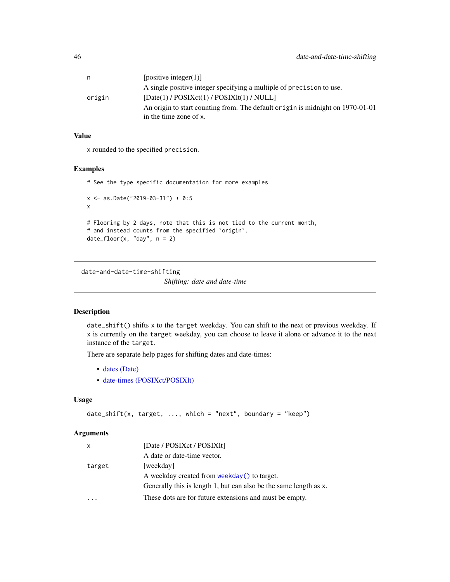| n      | [positive integer(1)]                                                                                    |
|--------|----------------------------------------------------------------------------------------------------------|
|        | A single positive integer specifying a multiple of precision to use.                                     |
| origin | $[Date(1) / POSIXct(1) / POSIXIt(1) / NULL]$                                                             |
|        | An origin to start counting from. The default origin is midnight on 1970-01-01<br>in the time zone of x. |
|        |                                                                                                          |

### Value

x rounded to the specified precision.

### Examples

```
# See the type specific documentation for more examples
x <- as.Date("2019-03-31") + 0:5
x
# Flooring by 2 days, note that this is not tied to the current month,
# and instead counts from the specified `origin`.
date_floor(x, "day", n = 2)
```
date-and-date-time-shifting

*Shifting: date and date-time*

### Description

date\_shift() shifts x to the target weekday. You can shift to the next or previous weekday. If x is currently on the target weekday, you can choose to leave it alone or advance it to the next instance of the target.

There are separate help pages for shifting dates and date-times:

- [dates \(Date\)](#page-63-0)
- [date-times \(POSIXct/POSIXlt\)](#page-151-0)

#### Usage

```
date_shift(x, target, \dots, which = "next", boundary = "keep")
```

| X      | [Date / POSIXct / POSIX1t]                                        |
|--------|-------------------------------------------------------------------|
|        | A date or date-time vector.                                       |
| target | [weekday]                                                         |
|        | A weekday created from weekday() to target.                       |
|        | Generally this is length 1, but can also be the same length as x. |
|        | These dots are for future extensions and must be empty.           |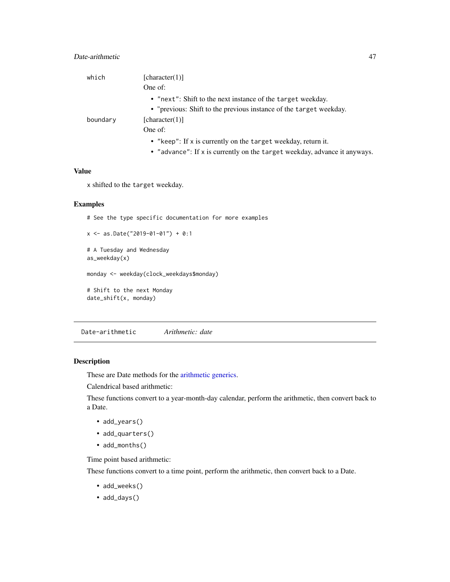# Date-arithmetic 47

| which    | [character(1)]                                                     |
|----------|--------------------------------------------------------------------|
|          | One of:                                                            |
|          | • "next": Shift to the next instance of the target weekday.        |
|          | • "previous: Shift to the previous instance of the target weekday. |
| boundary | [character(1)]                                                     |
|          | One of:                                                            |
|          | • "keep": If x is currently on the target weekday, return it.      |

• "advance": If x is currently on the target weekday, advance it anyways.

# Value

x shifted to the target weekday.

### Examples

# See the type specific documentation for more examples

```
x <- as.Date("2019-01-01") + 0:1
```

```
# A Tuesday and Wednesday
as_weekday(x)
```
monday <- weekday(clock\_weekdays\$monday)

# Shift to the next Monday date\_shift(x, monday)

Date-arithmetic *Arithmetic: date*

## Description

These are Date methods for the [arithmetic generics.](#page-32-0)

Calendrical based arithmetic:

These functions convert to a year-month-day calendar, perform the arithmetic, then convert back to a Date.

- add\_years()
- add\_quarters()
- add\_months()

Time point based arithmetic:

These functions convert to a time point, perform the arithmetic, then convert back to a Date.

- add\_weeks()
- add\_days()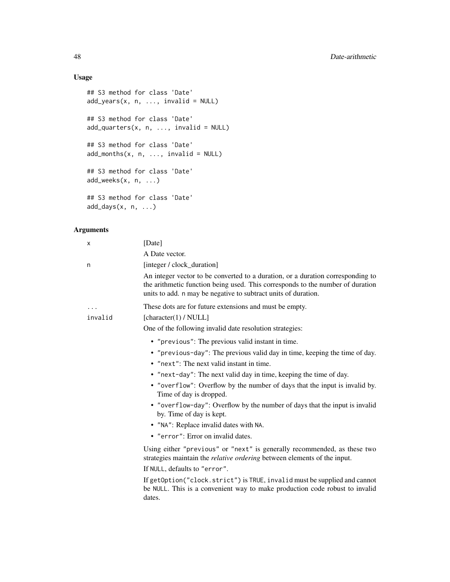# Usage

```
## S3 method for class 'Date'
add\_years(x, n, ..., invalid = NULL)## S3 method for class 'Date'
add_quarters(x, n, ..., invalid = NULL)
## S3 method for class 'Date'
add\_months(x, n, ..., invalid = NULL)## S3 method for class 'Date'
add_weeks(x, n, ...)
## S3 method for class 'Date'
add\_days(x, n, ...)
```

| х       | [Date]                                                                                                                                                                                                                              |
|---------|-------------------------------------------------------------------------------------------------------------------------------------------------------------------------------------------------------------------------------------|
|         | A Date vector.                                                                                                                                                                                                                      |
| n       | [integer / clock_duration]                                                                                                                                                                                                          |
|         | An integer vector to be converted to a duration, or a duration corresponding to<br>the arithmetic function being used. This corresponds to the number of duration<br>units to add. n may be negative to subtract units of duration. |
|         | These dots are for future extensions and must be empty.                                                                                                                                                                             |
| invalid | [character(1) / $NULL$ ]                                                                                                                                                                                                            |
|         | One of the following invalid date resolution strategies:                                                                                                                                                                            |
|         | • "previous": The previous valid instant in time.                                                                                                                                                                                   |
|         | • "previous-day": The previous valid day in time, keeping the time of day.                                                                                                                                                          |
|         | • "next": The next valid instant in time.                                                                                                                                                                                           |
|         | • "next-day": The next valid day in time, keeping the time of day.                                                                                                                                                                  |
|         | • "overflow": Overflow by the number of days that the input is invalid by.<br>Time of day is dropped.                                                                                                                               |
|         | • "overflow-day": Overflow by the number of days that the input is invalid<br>by. Time of day is kept.                                                                                                                              |
|         | • "NA": Replace invalid dates with NA.                                                                                                                                                                                              |
|         | • "error": Error on invalid dates.                                                                                                                                                                                                  |
|         | Using either "previous" or "next" is generally recommended, as these two<br>strategies maintain the <i>relative ordering</i> between elements of the input.                                                                         |
|         | If NULL, defaults to "error".                                                                                                                                                                                                       |
|         | If getOption("clock.strict") is TRUE, invalid must be supplied and cannot<br>be NULL. This is a convenient way to make production code robust to invalid<br>dates.                                                                  |
|         |                                                                                                                                                                                                                                     |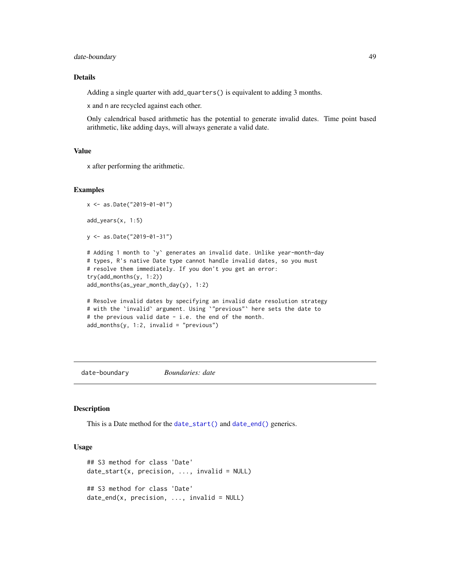date-boundary **49** 

### Details

Adding a single quarter with add\_quarters() is equivalent to adding 3 months.

x and n are recycled against each other.

Only calendrical based arithmetic has the potential to generate invalid dates. Time point based arithmetic, like adding days, will always generate a valid date.

# Value

x after performing the arithmetic.

#### Examples

```
x <- as.Date("2019-01-01")
add_years(x, 1:5)
y <- as.Date("2019-01-31")
# Adding 1 month to `y` generates an invalid date. Unlike year-month-day
# types, R's native Date type cannot handle invalid dates, so you must
# resolve them immediately. If you don't you get an error:
try(add_months(y, 1:2))
add_months(as_year_month_day(y), 1:2)
# Resolve invalid dates by specifying an invalid date resolution strategy
# with the `invalid` argument. Using `"previous"` here sets the date to
# the previous valid date - i.e. the end of the month.
add\_months(y, 1:2, invalid = "previous")
```
<span id="page-48-0"></span>date-boundary *Boundaries: date*

### Description

This is a Date method for the [date\\_start\(\)](#page-43-0) and [date\\_end\(\)](#page-43-0) generics.

### Usage

```
## S3 method for class 'Date'
date\_start(x, precision, ..., invalid = NULL)## S3 method for class 'Date'
date\_end(x, precision, ..., invalid = NULL)
```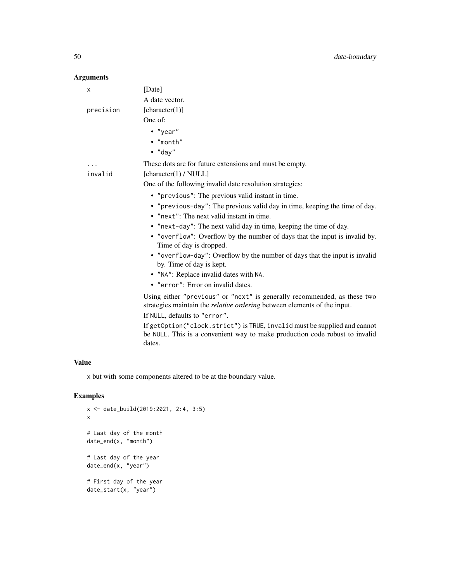# Arguments

| x         | [Date]                                                                                                                                                             |
|-----------|--------------------------------------------------------------------------------------------------------------------------------------------------------------------|
|           | A date vector.                                                                                                                                                     |
| precision | [character(1)]                                                                                                                                                     |
|           | One of:                                                                                                                                                            |
|           | $\bullet$ "year"                                                                                                                                                   |
|           | $\cdot$ "month"                                                                                                                                                    |
|           | $\bullet$ "day"                                                                                                                                                    |
|           | These dots are for future extensions and must be empty.                                                                                                            |
| invalid   | [character(1) / $NULL]$                                                                                                                                            |
|           | One of the following invalid date resolution strategies:                                                                                                           |
|           | • "previous": The previous valid instant in time.                                                                                                                  |
|           | • "previous-day": The previous valid day in time, keeping the time of day.                                                                                         |
|           | • "next": The next valid instant in time.                                                                                                                          |
|           | • "next-day": The next valid day in time, keeping the time of day.                                                                                                 |
|           | • "overflow": Overflow by the number of days that the input is invalid by.<br>Time of day is dropped.                                                              |
|           | • "overflow-day": Overflow by the number of days that the input is invalid<br>by. Time of day is kept.                                                             |
|           | • "NA": Replace invalid dates with NA.                                                                                                                             |
|           | • "error": Error on invalid dates.                                                                                                                                 |
|           | Using either "previous" or "next" is generally recommended, as these two<br>strategies maintain the <i>relative ordering</i> between elements of the input.        |
|           | If NULL, defaults to "error".                                                                                                                                      |
|           | If getOption("clock.strict") is TRUE, invalid must be supplied and cannot<br>be NULL. This is a convenient way to make production code robust to invalid<br>dates. |

# Value

x but with some components altered to be at the boundary value.

# Examples

```
x <- date_build(2019:2021, 2:4, 3:5)
x
# Last day of the month
date_end(x, "month")
# Last day of the year
date_end(x, "year")
# First day of the year
date_start(x, "year")
```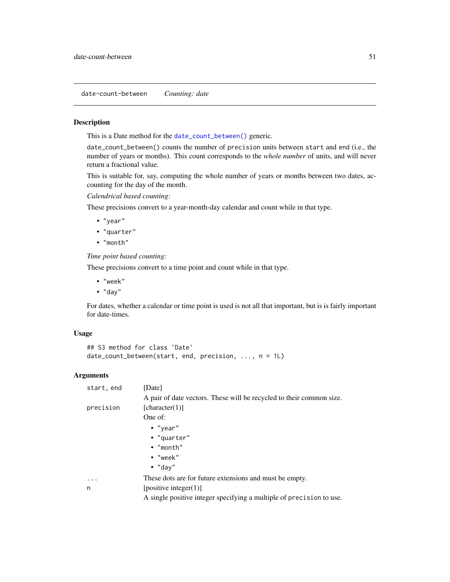date-count-between *Counting: date*

### Description

This is a Date method for the [date\\_count\\_between\(\)](#page-76-0) generic.

date\_count\_between() counts the number of precision units between start and end (i.e., the number of years or months). This count corresponds to the *whole number* of units, and will never return a fractional value.

This is suitable for, say, computing the whole number of years or months between two dates, accounting for the day of the month.

*Calendrical based counting:*

These precisions convert to a year-month-day calendar and count while in that type.

- "year"
- "quarter"
- "month"

*Time point based counting:*

These precisions convert to a time point and count while in that type.

- "week"
- "day"

For dates, whether a calendar or time point is used is not all that important, but is is fairly important for date-times.

#### Usage

```
## S3 method for class 'Date'
date_count_between(start, end, precision, ..., n = 1L)
```

| start, end        | [Date]                                                               |
|-------------------|----------------------------------------------------------------------|
|                   | A pair of date vectors. These will be recycled to their common size. |
| precision         | [character(1)]                                                       |
|                   | One of:                                                              |
|                   | $\bullet$ "year"                                                     |
|                   | • "quarter"                                                          |
|                   | $\bullet$ "month"                                                    |
|                   | $\bullet$ "week"                                                     |
|                   | $\bullet$ "dav"                                                      |
| $\cdot\cdot\cdot$ | These dots are for future extensions and must be empty.              |
| n                 | [positive integer(1)]                                                |
|                   | A single positive integer specifying a multiple of precision to use. |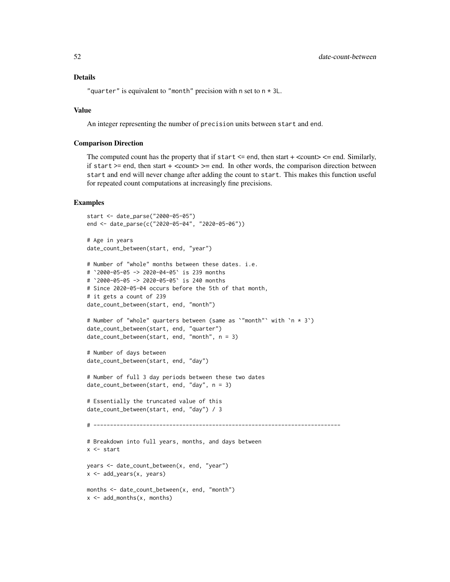"quarter" is equivalent to "month" precision with n set to  $n \times 3L$ .

#### Value

An integer representing the number of precision units between start and end.

#### Comparison Direction

The computed count has the property that if start  $\leq$  end, then start  $+$   $\leq$  count $\geq$   $\leq$  end. Similarly, if start  $>=$  end, then start  $+$  <count $>=$  end. In other words, the comparison direction between start and end will never change after adding the count to start. This makes this function useful for repeated count computations at increasingly fine precisions.

#### Examples

```
start <- date_parse("2000-05-05")
end <- date_parse(c("2020-05-04", "2020-05-06"))
# Age in years
date_count_between(start, end, "year")
# Number of "whole" months between these dates. i.e.
# `2000-05-05 -> 2020-04-05` is 239 months
# `2000-05-05 -> 2020-05-05` is 240 months
# Since 2020-05-04 occurs before the 5th of that month,
# it gets a count of 239
date_count_between(start, end, "month")
# Number of "whole" quarters between (same as `"month"` with `n * 3`)
date_count_between(start, end, "quarter")
date_count_between(start, end, "month", n = 3)
# Number of days between
date_count_between(start, end, "day")
# Number of full 3 day periods between these two dates
date_count_between(start, end, "day", n = 3)
# Essentially the truncated value of this
date_count_between(start, end, "day") / 3
# ---------------------------------------------------------------------------
# Breakdown into full years, months, and days between
x <- start
years <- date_count_between(x, end, "year")
x <- add_years(x, years)
months <- date_count_between(x, end, "month")
x \leq - add_months(x, months)
```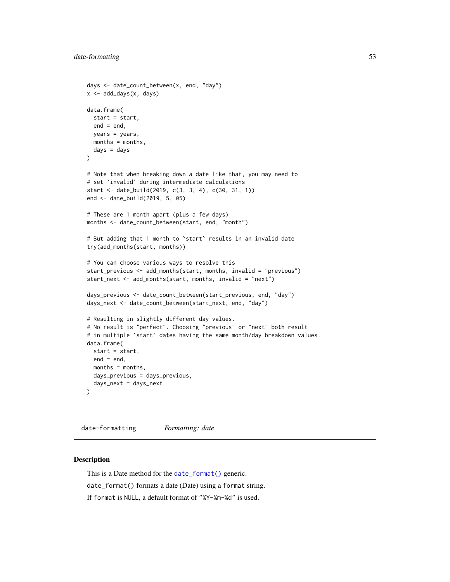```
days <- date_count_between(x, end, "day")
x <- add_days(x, days)
data.frame(
 start = start,
 end = end,
 years = years,
 months = months,
  days = days)
# Note that when breaking down a date like that, you may need to
# set `invalid` during intermediate calculations
start <- date_build(2019, c(3, 3, 4), c(30, 31, 1))
end <- date_build(2019, 5, 05)
# These are 1 month apart (plus a few days)
months <- date_count_between(start, end, "month")
# But adding that 1 month to `start` results in an invalid date
try(add_months(start, months))
# You can choose various ways to resolve this
start_previous <- add_months(start, months, invalid = "previous")
start_next <- add_months(start, months, invalid = "next")
days_previous <- date_count_between(start_previous, end, "day")
days_next <- date_count_between(start_next, end, "day")
# Resulting in slightly different day values.
# No result is "perfect". Choosing "previous" or "next" both result
# in multiple 'start' dates having the same month/day breakdown values.
data.frame(
  start = start,
  end = end.
  months = months,
  days_previous = days_previous,
  days_next = days_next
\lambda
```
date-formatting *Formatting: date*

### Description

This is a Date method for the [date\\_format\(\)](#page-77-0) generic.

date\_format() formats a date (Date) using a format string.

If format is NULL, a default format of "%Y-%m-%d" is used.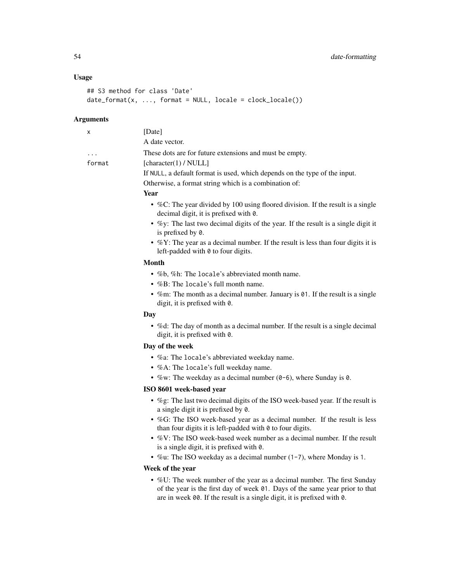### Usage

```
## S3 method for class 'Date'
date_format(x, ..., format = NULL, locale = clock_locale())
```
#### **Arguments**

| [Date]                                                                                                                     |
|----------------------------------------------------------------------------------------------------------------------------|
| A date vector.                                                                                                             |
| These dots are for future extensions and must be empty.                                                                    |
| [character(1) / NULL]                                                                                                      |
| If NULL, a default format is used, which depends on the type of the input.                                                 |
| Otherwise, a format string which is a combination of:                                                                      |
| <b>Year</b>                                                                                                                |
| • %C: The year divided by 100 using floored division. If the result is a single<br>decimal digit, it is prefixed with 0.   |
| • $\%$ y: The last two decimal digits of the year. If the result is a single digit it<br>is prefixed by 0.                 |
| • $\%$ Y: The year as a decimal number. If the result is less than four digits it is<br>left-padded with 0 to four digits. |
| <b>Month</b>                                                                                                               |
| • $\%$ b, $\%$ h: The locale's abbreviated month name.                                                                     |
| • $%B$ : The locale's full month name.                                                                                     |
| • %m: The month as a decimal number. January is $01$ . If the result is a single<br>digit, it is prefixed with 0.          |
| Day                                                                                                                        |
| • % of the day of month as a decimal number. If the result is a single decimal<br>digit, it is prefixed with 0.            |
| Day of the week                                                                                                            |
|                                                                                                                            |

- %a: The locale's abbreviated weekday name.
- %A: The locale's full weekday name.
- %w: The weekday as a decimal number (0-6), where Sunday is 0.

### ISO 8601 week-based year

- %g: The last two decimal digits of the ISO week-based year. If the result is a single digit it is prefixed by 0.
- %G: The ISO week-based year as a decimal number. If the result is less than four digits it is left-padded with  $\theta$  to four digits.
- %V: The ISO week-based week number as a decimal number. If the result is a single digit, it is prefixed with 0.
- %u: The ISO weekday as a decimal number (1-7), where Monday is 1.

# Week of the year

• %U: The week number of the year as a decimal number. The first Sunday of the year is the first day of week 01. Days of the same year prior to that are in week 00. If the result is a single digit, it is prefixed with 0.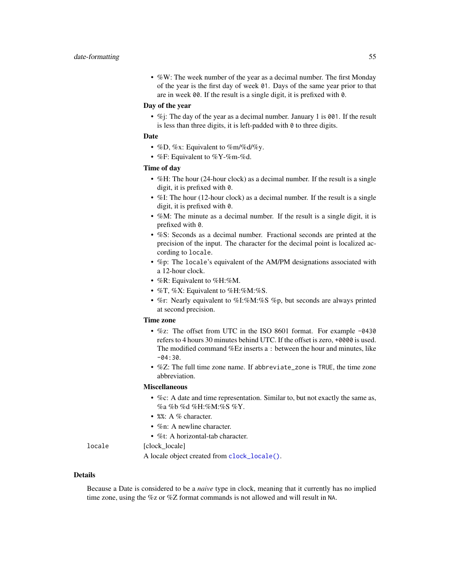• %W: The week number of the year as a decimal number. The first Monday of the year is the first day of week 01. Days of the same year prior to that are in week 00. If the result is a single digit, it is prefixed with 0.

### Day of the year

• %j: The day of the year as a decimal number. January 1 is 001. If the result is less than three digits, it is left-padded with  $\theta$  to three digits.

### Date

- %D, %x: Equivalent to %m/%d/%y.
- $%F:$  Equivalent to  $%Y$ - $%m$ - $%d$ .

## Time of day

- %H: The hour (24-hour clock) as a decimal number. If the result is a single digit, it is prefixed with 0.
- %I: The hour (12-hour clock) as a decimal number. If the result is a single digit, it is prefixed with 0.
- %M: The minute as a decimal number. If the result is a single digit, it is prefixed with 0.
- %S: Seconds as a decimal number. Fractional seconds are printed at the precision of the input. The character for the decimal point is localized according to locale.
- %p: The locale's equivalent of the AM/PM designations associated with a 12-hour clock.
- %R: Equivalent to %H:%M.
- %T, %X: Equivalent to %H:%M:%S.
- %r: Nearly equivalent to %I:%M:%S %p, but seconds are always printed at second precision.

### Time zone

- %z: The offset from UTC in the ISO 8601 format. For example -0430 refers to 4 hours 30 minutes behind UTC. If the offset is zero, +0000 is used. The modified command %Ez inserts a : between the hour and minutes, like  $-04:30.$
- %Z: The full time zone name. If abbreviate\_zone is TRUE, the time zone abbreviation.

#### Miscellaneous

- %c: A date and time representation. Similar to, but not exactly the same as, %a %b %d %H:%M:%S %Y.
- %%: A % character.
- %n: A newline character.
- %t: A horizontal-tab character.

locale [clock\_locale]

A locale object created from [clock\\_locale\(\)](#page-42-0).

#### Details

Because a Date is considered to be a *naive* type in clock, meaning that it currently has no implied time zone, using the %z or %Z format commands is not allowed and will result in NA.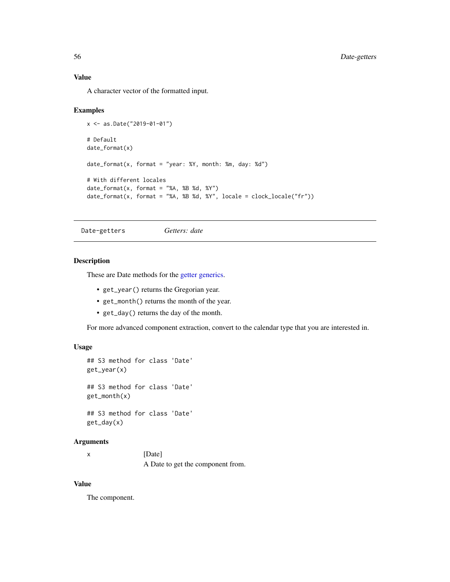### Value

A character vector of the formatted input.

### Examples

```
x <- as.Date("2019-01-01")
# Default
date_format(x)
date_format(x, format = "year: %Y, month: %m, day: %d")
# With different locales
date_format(x, format = "XA, XB Xd, XY")date_format(x, format = "%A, %B %d, %Y", locale = clock_locale("fr"))
```
<span id="page-55-0"></span>Date-getters *Getters: date*

## Description

These are Date methods for the [getter generics.](#page-36-0)

- get\_year() returns the Gregorian year.
- get\_month() returns the month of the year.
- get\_day() returns the day of the month.

For more advanced component extraction, convert to the calendar type that you are interested in.

# Usage

```
## S3 method for class 'Date'
get_year(x)
## S3 method for class 'Date'
get_month(x)
## S3 method for class 'Date'
get_day(x)
```
#### Arguments

| [Date]                            |
|-----------------------------------|
| A Date to get the component from. |

# Value

The component.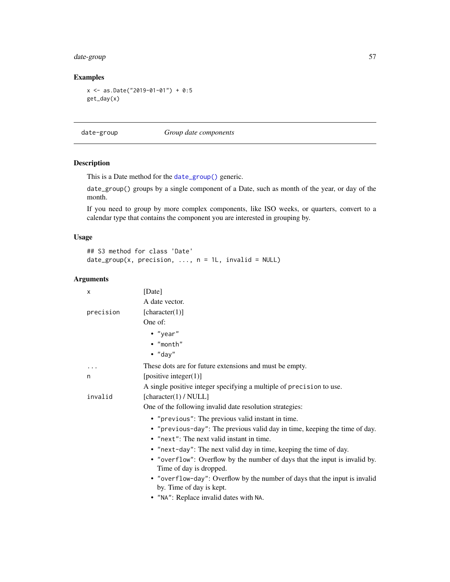# date-group 57

# Examples

```
x <- as.Date("2019-01-01") + 0:5
get_day(x)
```
date-group *Group date components*

# Description

This is a Date method for the [date\\_group\(\)](#page-78-0) generic.

date\_group() groups by a single component of a Date, such as month of the year, or day of the month.

If you need to group by more complex components, like ISO weeks, or quarters, convert to a calendar type that contains the component you are interested in grouping by.

# Usage

```
## S3 method for class 'Date'
date\_group(x, precision, ..., n = 1L, invalid = NULL)
```

| x         | [Date]                                                                                                 |
|-----------|--------------------------------------------------------------------------------------------------------|
|           | A date vector.                                                                                         |
| precision | [character(1)]                                                                                         |
|           | One of:                                                                                                |
|           | $\bullet$ "year"                                                                                       |
|           | • "month"                                                                                              |
|           | $\bullet$ "day"                                                                                        |
| .         | These dots are for future extensions and must be empty.                                                |
| n         | [positive integer(1)]                                                                                  |
|           | A single positive integer specifying a multiple of precision to use.                                   |
| invalid   | [character(1) / $NULL]$                                                                                |
|           | One of the following invalid date resolution strategies:                                               |
|           | • "previous": The previous valid instant in time.                                                      |
|           | • "previous-day": The previous valid day in time, keeping the time of day.                             |
|           | • "next": The next valid instant in time.                                                              |
|           | • "next-day": The next valid day in time, keeping the time of day.                                     |
|           | • "overflow": Overflow by the number of days that the input is invalid by.<br>Time of day is dropped.  |
|           | • "overflow-day": Overflow by the number of days that the input is invalid<br>by. Time of day is kept. |
|           | • "NA": Replace invalid dates with NA.                                                                 |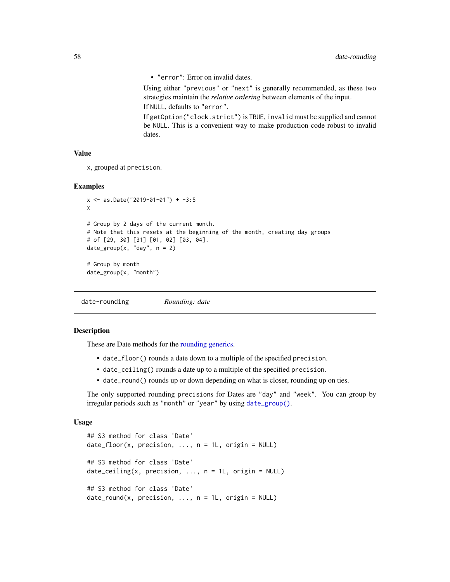• "error": Error on invalid dates.

Using either "previous" or "next" is generally recommended, as these two strategies maintain the *relative ordering* between elements of the input. If NULL, defaults to "error".

If getOption("clock.strict") is TRUE, invalid must be supplied and cannot be NULL. This is a convenient way to make production code robust to invalid dates.

## Value

```
x, grouped at precision.
```
### Examples

```
x <- as.Date("2019-01-01") + -3:5
x
# Group by 2 days of the current month.
# Note that this resets at the beginning of the month, creating day groups
# of [29, 30] [31] [01, 02] [03, 04].
date_group(x, "day", n = 2)
# Group by month
date_group(x, "month")
```
<span id="page-57-0"></span>date-rounding *Rounding: date*

### Description

These are Date methods for the [rounding generics.](#page-44-0)

- date\_floor() rounds a date down to a multiple of the specified precision.
- date\_ceiling() rounds a date up to a multiple of the specified precision.
- date\_round() rounds up or down depending on what is closer, rounding up on ties.

The only supported rounding precisions for Dates are "day" and "week". You can group by irregular periods such as "month" or "year" by using [date\\_group\(\)](#page-78-0).

#### Usage

```
## S3 method for class 'Date'
date_floor(x, precision, ..., n = 1L, origin = NULL)
## S3 method for class 'Date'
date\_ceiling(x, precision, ..., n = 1L, origin = NULL)## S3 method for class 'Date'
date\_round(x, precision, ..., n = 1L, origin = NULL)
```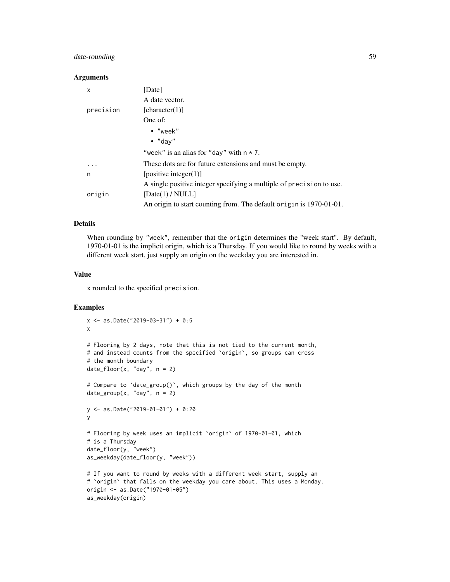# date-rounding 59

#### **Arguments**

| x         | [Date]                                                               |
|-----------|----------------------------------------------------------------------|
|           | A date vector.                                                       |
| precision | [character(1)]                                                       |
|           | One of:                                                              |
|           | $\cdot$ "week"                                                       |
|           | $\bullet$ "day"                                                      |
|           | "week" is an alias for "day" with $n \times 7$ .                     |
| $\cdots$  | These dots are for future extensions and must be empty.              |
| n         | [positive integer(1)]                                                |
|           | A single positive integer specifying a multiple of precision to use. |
| origin    | [Date(1) / NULL]                                                     |
|           | An origin to start counting from. The default origin is 1970-01-01.  |

# Details

When rounding by "week", remember that the origin determines the "week start". By default, 1970-01-01 is the implicit origin, which is a Thursday. If you would like to round by weeks with a different week start, just supply an origin on the weekday you are interested in.

### Value

x rounded to the specified precision.

### Examples

```
x <- as.Date("2019-03-31") + 0:5
x
# Flooring by 2 days, note that this is not tied to the current month,
# and instead counts from the specified `origin`, so groups can cross
# the month boundary
date_floor(x, "day", n = 2)# Compare to `date_group()`, which groups by the day of the month
date\_group(x, "day", n = 2)y <- as.Date("2019-01-01") + 0:20
y
# Flooring by week uses an implicit `origin` of 1970-01-01, which
# is a Thursday
date_floor(y, "week")
as_weekday(date_floor(y, "week"))
# If you want to round by weeks with a different week start, supply an
# `origin` that falls on the weekday you care about. This uses a Monday.
origin <- as.Date("1970-01-05")
```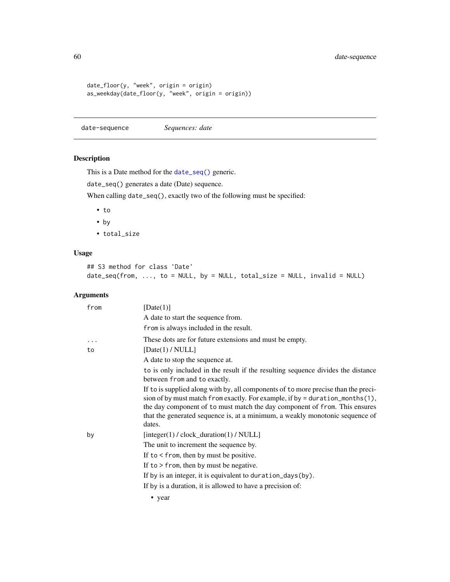```
date_floor(y, "week", origin = origin)
as_weekday(date_floor(y, "week", origin = origin))
```
date-sequence *Sequences: date*

# Description

This is a Date method for the [date\\_seq\(\)](#page-85-0) generic.

date\_seq() generates a date (Date) sequence.

When calling date\_seq(), exactly two of the following must be specified:

- to
- by
- total\_size

### Usage

## S3 method for class 'Date'  $date\_seq(from, ..., to = NULL, by = NULL, total\_size = NULL, invalid = NULL)$ 

| from | [Date(1)]                                                                                                                                                                                                                                                                                                                                      |
|------|------------------------------------------------------------------------------------------------------------------------------------------------------------------------------------------------------------------------------------------------------------------------------------------------------------------------------------------------|
|      | A date to start the sequence from.                                                                                                                                                                                                                                                                                                             |
|      | from is always included in the result.                                                                                                                                                                                                                                                                                                         |
| .    | These dots are for future extensions and must be empty.                                                                                                                                                                                                                                                                                        |
| to   | [Date(1) / NULL]                                                                                                                                                                                                                                                                                                                               |
|      | A date to stop the sequence at.                                                                                                                                                                                                                                                                                                                |
|      | to is only included in the result if the resulting sequence divides the distance<br>between from and to exactly.                                                                                                                                                                                                                               |
|      | If to is supplied along with by, all components of to more precise than the preci-<br>sion of by must match from exactly. For example, if by = duration_months $(1)$ ,<br>the day component of to must match the day component of from. This ensures<br>that the generated sequence is, at a minimum, a weakly monotonic sequence of<br>dates. |
| by   | $[integer(1) / clock\_duration(1) / NULL]$                                                                                                                                                                                                                                                                                                     |
|      | The unit to increment the sequence by.                                                                                                                                                                                                                                                                                                         |
|      | If to $\le$ from, then by must be positive.                                                                                                                                                                                                                                                                                                    |
|      | If to $>$ from, then by must be negative.                                                                                                                                                                                                                                                                                                      |
|      | If by is an integer, it is equivalent to duration_days(by).                                                                                                                                                                                                                                                                                    |
|      | If by is a duration, it is allowed to have a precision of:                                                                                                                                                                                                                                                                                     |
|      | • year                                                                                                                                                                                                                                                                                                                                         |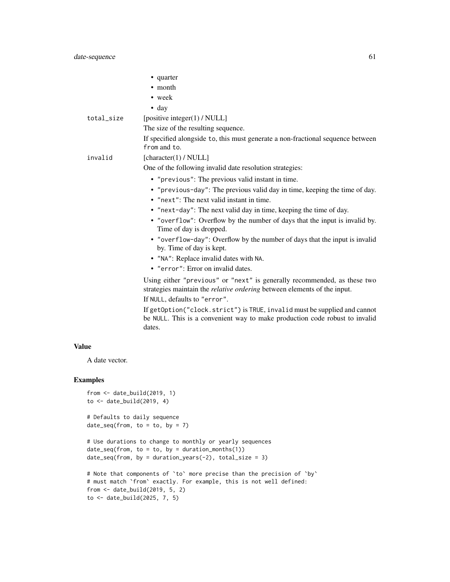|                                                                 | • quarter                                                                                                                                                                             |
|-----------------------------------------------------------------|---------------------------------------------------------------------------------------------------------------------------------------------------------------------------------------|
|                                                                 | • month                                                                                                                                                                               |
|                                                                 | • week                                                                                                                                                                                |
|                                                                 | $\bullet$ day                                                                                                                                                                         |
| total_size                                                      | [positive integer(1) / NULL]                                                                                                                                                          |
|                                                                 | The size of the resulting sequence.                                                                                                                                                   |
|                                                                 | If specified alongside to, this must generate a non-fractional sequence between<br>from and to.                                                                                       |
| invalid                                                         | [character(1) / NULL]                                                                                                                                                                 |
|                                                                 | One of the following invalid date resolution strategies:                                                                                                                              |
|                                                                 | • "previous": The previous valid instant in time.                                                                                                                                     |
|                                                                 | • "previous-day": The previous valid day in time, keeping the time of day.<br>• "next": The next valid instant in time.                                                               |
|                                                                 | • "next-day": The next valid day in time, keeping the time of day.                                                                                                                    |
|                                                                 | • "overflow": Overflow by the number of days that the input is invalid by.<br>Time of day is dropped.                                                                                 |
|                                                                 | • "overflow-day": Overflow by the number of days that the input is invalid<br>by. Time of day is kept.                                                                                |
|                                                                 | • "NA": Replace invalid dates with NA.                                                                                                                                                |
|                                                                 | • "error": Error on invalid dates.                                                                                                                                                    |
|                                                                 | Using either "previous" or "next" is generally recommended, as these two<br>strategies maintain the relative ordering between elements of the input.<br>If NULL, defaults to "error". |
|                                                                 | If getOption("clock.strict") is TRUE, invalid must be supplied and cannot<br>be NULL. This is a convenient way to make production code robust to invalid<br>dates.                    |
| <b>Value</b>                                                    |                                                                                                                                                                                       |
| A date vector.                                                  |                                                                                                                                                                                       |
| <b>Examples</b>                                                 |                                                                                                                                                                                       |
| from $\leq$ date_build(2019, 1)<br>to $\le$ date_build(2019, 4) |                                                                                                                                                                                       |

```
# Defaults to daily sequence
date\_seq(from, to = to, by = 7)
```

```
# Use durations to change to monthly or yearly sequences
date\_seq(from, to = to, by = duration\_months(1))date\_seq(from, by = duration\_years(-2), total\_size = 3)
```

```
# Note that components of `to` more precise than the precision of `by`
# must match `from` exactly. For example, this is not well defined:
from <- date_build(2019, 5, 2)
to \le date_build(2025, 7, 5)
```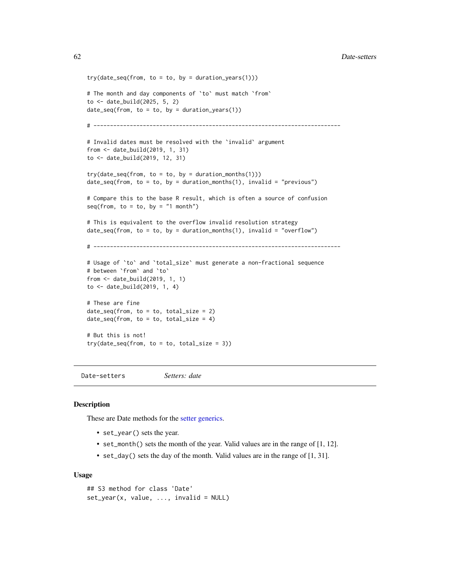```
try(data\_seq(from, to = to, by = duration\_years(1)))# The month and day components of `to` must match `from`
to <- date_build(2025, 5, 2)
date\_seq(from, to = to, by = duration\_years(1))# ---------------------------------------------------------------------------
# Invalid dates must be resolved with the 'invalid' argument
from <- date_build(2019, 1, 31)
to <- date_build(2019, 12, 31)
try(data\_seq(from, to = to, by = duration\_months(1)))date\_seq(from, to = to, by = duration\_months(1), invalid = "previous")# Compare this to the base R result, which is often a source of confusion
seq(from, to = to, by = "1 month")# This is equivalent to the overflow invalid resolution strategy
date\_seq(from, to = to, by = duration\_months(1), invalid = "overflow")# ---------------------------------------------------------------------------
# Usage of `to` and `total_size` must generate a non-fractional sequence
# between `from` and `to`
from <- date_build(2019, 1, 1)
to <- date_build(2019, 1, 4)
# These are fine
date_seq(from, to = to, total_size = 2)
date\_seq(from, to = to, total\_size = 4)# But this is not!
try(date_seq(from, to = to, total_size = 3))
```
<span id="page-61-0"></span>Date-setters *Setters: date*

### **Description**

These are Date methods for the [setter generics.](#page-39-0)

- set\_year() sets the year.
- set\_month() sets the month of the year. Valid values are in the range of [1, 12].
- set\_day() sets the day of the month. Valid values are in the range of [1, 31].

#### Usage

```
## S3 method for class 'Date'
set\_year(x, value, ..., invalid = NULL)
```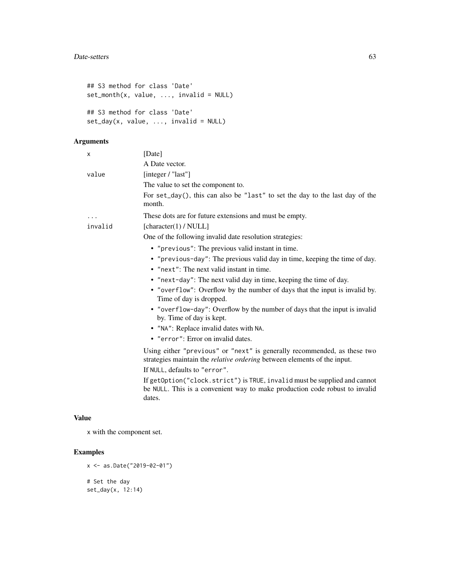```
## S3 method for class 'Date'
set\_month(x, value, ..., invalid = NULL)## S3 method for class 'Date'
set_day(x, value, ..., invalid = NULL)
```
# Arguments

| X       | [Date]                                                                                                                                                                                       |
|---------|----------------------------------------------------------------------------------------------------------------------------------------------------------------------------------------------|
|         | A Date vector.                                                                                                                                                                               |
| value   | [integer / "last"]                                                                                                                                                                           |
|         | The value to set the component to.                                                                                                                                                           |
|         | For set_day(), this can also be "last" to set the day to the last day of the<br>month.                                                                                                       |
| .       | These dots are for future extensions and must be empty.                                                                                                                                      |
| invalid | [character(1) / $NULL]$                                                                                                                                                                      |
|         | One of the following invalid date resolution strategies:                                                                                                                                     |
|         | • "previous": The previous valid instant in time.                                                                                                                                            |
|         | • "previous-day": The previous valid day in time, keeping the time of day.                                                                                                                   |
|         | • "next": The next valid instant in time.                                                                                                                                                    |
|         | • "next-day": The next valid day in time, keeping the time of day.                                                                                                                           |
|         | • "overflow": Overflow by the number of days that the input is invalid by.<br>Time of day is dropped.                                                                                        |
|         | • "overflow-day": Overflow by the number of days that the input is invalid<br>by. Time of day is kept.                                                                                       |
|         | • "NA": Replace invalid dates with NA.                                                                                                                                                       |
|         | • "error": Error on invalid dates.                                                                                                                                                           |
|         | Using either "previous" or "next" is generally recommended, as these two<br>strategies maintain the <i>relative ordering</i> between elements of the input.<br>If NULL, defaults to "error". |
|         | If getOption("clock.strict") is TRUE, invalid must be supplied and cannot<br>be NULL. This is a convenient way to make production code robust to invalid<br>dates.                           |

# Value

x with the component set.

# Examples

```
x <- as.Date("2019-02-01")
# Set the day
set_day(x, 12:14)
```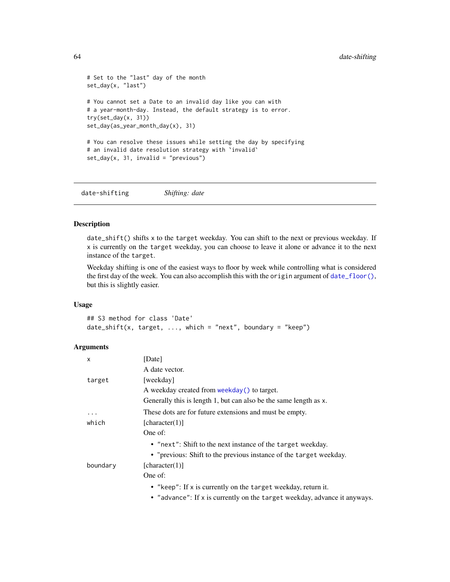```
# Set to the "last" day of the month
set_day(x, "last")
# You cannot set a Date to an invalid day like you can with
# a year-month-day. Instead, the default strategy is to error.
try(set_day(x, 31))
set_day(as_year_month_day(x), 31)
# You can resolve these issues while setting the day by specifying
# an invalid date resolution strategy with 'invalid'
set\_day(x, 31, invalid = "previous")
```
<span id="page-63-0"></span>date-shifting *Shifting: date*

# Description

date\_shift() shifts x to the target weekday. You can shift to the next or previous weekday. If x is currently on the target weekday, you can choose to leave it alone or advance it to the next instance of the target.

Weekday shifting is one of the easiest ways to floor by week while controlling what is considered the first day of the week. You can also accomplish this with the origin argument of [date\\_floor\(\)](#page-44-1), but this is slightly easier.

#### Usage

## S3 method for class 'Date' date\_shift(x, target,  $\dots$ , which = "next", boundary = "keep")

| x        | [Date]                                                                    |
|----------|---------------------------------------------------------------------------|
|          | A date vector.                                                            |
| target   | [weekday]                                                                 |
|          | A weekday created from weekday () to target.                              |
|          | Generally this is length 1, but can also be the same length as x.         |
| $\ddots$ | These dots are for future extensions and must be empty.                   |
| which    | [character(1)]                                                            |
|          | One of:                                                                   |
|          | • "next": Shift to the next instance of the target weekday.               |
|          | • "previous: Shift to the previous instance of the target weekday.        |
| boundary | [character(1)]                                                            |
|          | One of:                                                                   |
|          | • "keep": If x is currently on the target weekday, return it.             |
|          | • "advance": If x is currently on the target weekday, advance it anyways. |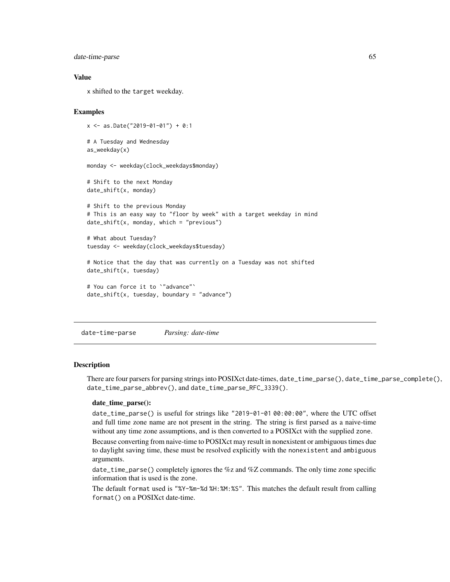date-time-parse 65

### Value

x shifted to the target weekday.

#### Examples

```
x <- as.Date("2019-01-01") + 0:1
# A Tuesday and Wednesday
as_weekday(x)
monday <- weekday(clock_weekdays$monday)
# Shift to the next Monday
date_shift(x, monday)
# Shift to the previous Monday
# This is an easy way to "floor by week" with a target weekday in mind
date_shift(x, monday, which = "previous")
# What about Tuesday?
tuesday <- weekday(clock_weekdays$tuesday)
# Notice that the day that was currently on a Tuesday was not shifted
date_shift(x, tuesday)
# You can force it to `"advance"`
date_shift(x, tuesday, boundary = "advance")
```
date-time-parse *Parsing: date-time*

#### **Description**

There are four parsers for parsing strings into POSIXct date-times, date\_time\_parse(), date\_time\_parse\_complete(), date\_time\_parse\_abbrev(), and date\_time\_parse\_RFC\_3339().

### date\_time\_parse():

date\_time\_parse() is useful for strings like "2019-01-01 00:00:00", where the UTC offset and full time zone name are not present in the string. The string is first parsed as a naive-time without any time zone assumptions, and is then converted to a POSIXct with the supplied zone.

Because converting from naive-time to POSIXct may result in nonexistent or ambiguous times due to daylight saving time, these must be resolved explicitly with the nonexistent and ambiguous arguments.

date\_time\_parse() completely ignores the %z and %Z commands. The only time zone specific information that is used is the zone.

The default format used is "%Y-%m-%d %H:%M:%S". This matches the default result from calling format() on a POSIXct date-time.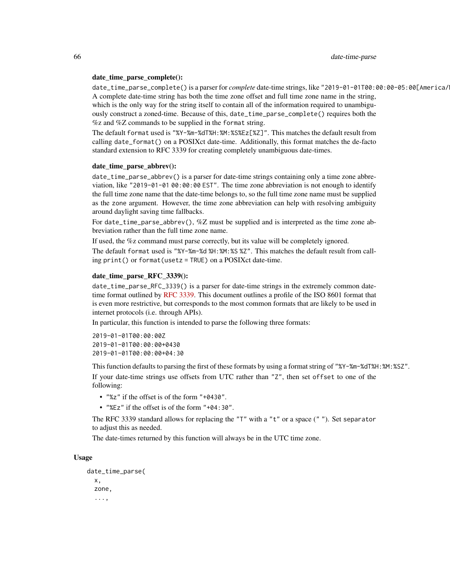#### date\_time\_parse\_complete():

date\_time\_parse\_complete() is a parser for *complete* date-time strings, like "2019-01-01T00:00:00-05:00[America/ A complete date-time string has both the time zone offset and full time zone name in the string, which is the only way for the string itself to contain all of the information required to unambiguously construct a zoned-time. Because of this, date\_time\_parse\_complete() requires both the %z and %Z commands to be supplied in the format string.

The default format used is "%Y-%m-%dT%H:%M:%S%Ez[%Z]". This matches the default result from calling date\_format() on a POSIXct date-time. Additionally, this format matches the de-facto standard extension to RFC 3339 for creating completely unambiguous date-times.

#### date\_time\_parse\_abbrev():

date\_time\_parse\_abbrev() is a parser for date-time strings containing only a time zone abbreviation, like "2019-01-01 00:00:00 EST". The time zone abbreviation is not enough to identify the full time zone name that the date-time belongs to, so the full time zone name must be supplied as the zone argument. However, the time zone abbreviation can help with resolving ambiguity around daylight saving time fallbacks.

For date\_time\_parse\_abbrev(), %Z must be supplied and is interpreted as the time zone abbreviation rather than the full time zone name.

If used, the %z command must parse correctly, but its value will be completely ignored.

The default format used is "%Y-%m-%d %H:%M:%S %Z". This matches the default result from calling print() or format(usetz = TRUE) on a POSIXct date-time.

### date\_time\_parse\_RFC\_3339():

date\_time\_parse\_RFC\_3339() is a parser for date-time strings in the extremely common datetime format outlined by [RFC 3339.](https://datatracker.ietf.org/doc/html/rfc3339) This document outlines a profile of the ISO 8601 format that is even more restrictive, but corresponds to the most common formats that are likely to be used in internet protocols (i.e. through APIs).

In particular, this function is intended to parse the following three formats:

2019-01-01T00:00:00Z 2019-01-01T00:00:00+0430 2019-01-01T00:00:00+04:30

This function defaults to parsing the first of these formats by using a format string of "%Y-%m-%dT%H:%M:%SZ". If your date-time strings use offsets from UTC rather than "Z", then set offset to one of the following:

- "%z" if the offset is of the form "+0430".
- "%Ez" if the offset is of the form "+04:30".

The RFC 3339 standard allows for replacing the "T" with a "t" or a space (" "). Set separator to adjust this as needed.

The date-times returned by this function will always be in the UTC time zone.

#### Usage

```
date_time_parse(
  x,
  zone,
  ...,
```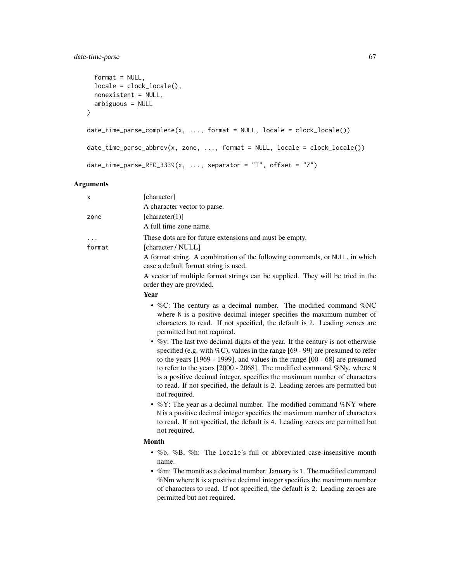# date-time-parse 67

```
format = NULL,locale = clock_locale(),
 nonexistent = NULL,
 ambiguous = NULL
\mathcal{L}date_time\_parse\_complete(x, ..., format = NULL, locale = clock\_ locale())date_time_parse_abbrev(x, zone, ..., format = NULL, locale = clock_locale())
date_time_parse_RFC_3339(x, ..., separator = "T", offset = "Z")
```

| х      | [character]                                                                                                                                                                                                                                                                                                                                                                                                                                                                                                            |
|--------|------------------------------------------------------------------------------------------------------------------------------------------------------------------------------------------------------------------------------------------------------------------------------------------------------------------------------------------------------------------------------------------------------------------------------------------------------------------------------------------------------------------------|
|        | A character vector to parse.                                                                                                                                                                                                                                                                                                                                                                                                                                                                                           |
| zone   | [character(1)]                                                                                                                                                                                                                                                                                                                                                                                                                                                                                                         |
|        | A full time zone name.                                                                                                                                                                                                                                                                                                                                                                                                                                                                                                 |
|        | These dots are for future extensions and must be empty.                                                                                                                                                                                                                                                                                                                                                                                                                                                                |
| format | [character / NULL]                                                                                                                                                                                                                                                                                                                                                                                                                                                                                                     |
|        | A format string. A combination of the following commands, or NULL, in which<br>case a default format string is used.                                                                                                                                                                                                                                                                                                                                                                                                   |
|        | A vector of multiple format strings can be supplied. They will be tried in the<br>order they are provided.                                                                                                                                                                                                                                                                                                                                                                                                             |
|        | <b>Year</b>                                                                                                                                                                                                                                                                                                                                                                                                                                                                                                            |
|        | • %C: The century as a decimal number. The modified command %NC<br>where N is a positive decimal integer specifies the maximum number of<br>characters to read. If not specified, the default is 2. Leading zeroes are<br>permitted but not required.                                                                                                                                                                                                                                                                  |
|        | • $\%$ y: The last two decimal digits of the year. If the century is not otherwise<br>specified (e.g. with $\%C$ ), values in the range [69 - 99] are presumed to refer<br>to the years $[1969 - 1999]$ , and values in the range $[00 - 68]$ are presumed<br>to refer to the years $[2000 - 2068]$ . The modified command %Ny, where N<br>is a positive decimal integer, specifies the maximum number of characters<br>to read. If not specified, the default is 2. Leading zeroes are permitted but<br>not required. |
|        | • $\%$ Y: The year as a decimal number. The modified command $\%$ NY where<br>N is a positive decimal integer specifies the maximum number of characters<br>to read. If not specified, the default is 4. Leading zeroes are permitted but<br>not required.                                                                                                                                                                                                                                                             |
|        | <b>Month</b>                                                                                                                                                                                                                                                                                                                                                                                                                                                                                                           |
|        | • %b, %B, %h: The locale's full or abbreviated case-insensitive month<br>name.<br>• %m: The month as a decimal number. January is 1. The modified command                                                                                                                                                                                                                                                                                                                                                              |
|        | %Nm where N is a positive decimal integer specifies the maximum number<br>of characters to read. If not specified, the default is 2. Leading zeroes are<br>permitted but not required.                                                                                                                                                                                                                                                                                                                                 |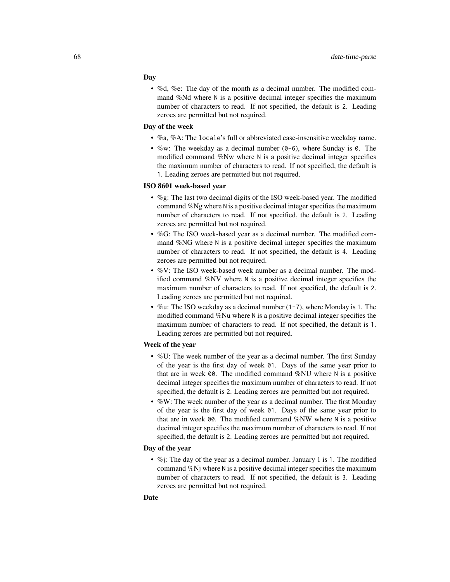#### Day

• %d, %e: The day of the month as a decimal number. The modified command %Nd where N is a positive decimal integer specifies the maximum number of characters to read. If not specified, the default is 2. Leading zeroes are permitted but not required.

#### Day of the week

- %a, %A: The locale's full or abbreviated case-insensitive weekday name.
- %w: The weekday as a decimal number  $(0-6)$ , where Sunday is 0. The modified command %Nw where N is a positive decimal integer specifies the maximum number of characters to read. If not specified, the default is 1. Leading zeroes are permitted but not required.

### ISO 8601 week-based year

- %g: The last two decimal digits of the ISO week-based year. The modified command %Ng where N is a positive decimal integer specifies the maximum number of characters to read. If not specified, the default is 2. Leading zeroes are permitted but not required.
- %G: The ISO week-based year as a decimal number. The modified command %NG where N is a positive decimal integer specifies the maximum number of characters to read. If not specified, the default is 4. Leading zeroes are permitted but not required.
- %V: The ISO week-based week number as a decimal number. The modified command %NV where N is a positive decimal integer specifies the maximum number of characters to read. If not specified, the default is 2. Leading zeroes are permitted but not required.
- %u: The ISO weekday as a decimal number  $(1-7)$ , where Monday is 1. The modified command %Nu where N is a positive decimal integer specifies the maximum number of characters to read. If not specified, the default is 1. Leading zeroes are permitted but not required.

### Week of the year

- %U: The week number of the year as a decimal number. The first Sunday of the year is the first day of week 01. Days of the same year prior to that are in week 00. The modified command %NU where N is a positive decimal integer specifies the maximum number of characters to read. If not specified, the default is 2. Leading zeroes are permitted but not required.
- %W: The week number of the year as a decimal number. The first Monday of the year is the first day of week 01. Days of the same year prior to that are in week 00. The modified command %NW where N is a positive decimal integer specifies the maximum number of characters to read. If not specified, the default is 2. Leading zeroes are permitted but not required.

# Day of the year

• %*i*: The day of the year as a decimal number. January 1 is 1. The modified command %Nj where N is a positive decimal integer specifies the maximum number of characters to read. If not specified, the default is 3. Leading zeroes are permitted but not required.

## Date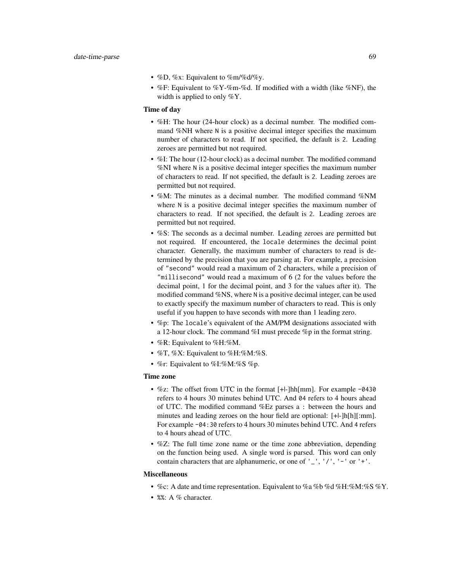- %D, %x: Equivalent to %m/%d/%y.
- %F: Equivalent to %Y-%m-%d. If modified with a width (like %NF), the width is applied to only %Y.

### Time of day

- %H: The hour (24-hour clock) as a decimal number. The modified command %NH where N is a positive decimal integer specifies the maximum number of characters to read. If not specified, the default is 2. Leading zeroes are permitted but not required.
- %I: The hour (12-hour clock) as a decimal number. The modified command %NI where N is a positive decimal integer specifies the maximum number of characters to read. If not specified, the default is 2. Leading zeroes are permitted but not required.
- %M: The minutes as a decimal number. The modified command %NM where N is a positive decimal integer specifies the maximum number of characters to read. If not specified, the default is 2. Leading zeroes are permitted but not required.
- %S: The seconds as a decimal number. Leading zeroes are permitted but not required. If encountered, the locale determines the decimal point character. Generally, the maximum number of characters to read is determined by the precision that you are parsing at. For example, a precision of "second" would read a maximum of 2 characters, while a precision of "millisecond" would read a maximum of 6 (2 for the values before the decimal point, 1 for the decimal point, and 3 for the values after it). The modified command %NS, where N is a positive decimal integer, can be used to exactly specify the maximum number of characters to read. This is only useful if you happen to have seconds with more than 1 leading zero.
- %p: The locale's equivalent of the AM/PM designations associated with a 12-hour clock. The command %I must precede %p in the format string.
- %R: Equivalent to %H:%M.
- $\%$ T,  $\%$ X: Equivalent to  $\%$ H: $\%$ M: $\%$ S.
- %r: Equivalent to %I:%M:%S %p.

# Time zone

- $\%$ z: The offset from UTC in the format [+l-]hh[mm]. For example -0430 refers to 4 hours 30 minutes behind UTC. And 04 refers to 4 hours ahead of UTC. The modified command %Ez parses a : between the hours and minutes and leading zeroes on the hour field are optional: [+|-]h[h][:mm]. For example -04:30 refers to 4 hours 30 minutes behind UTC. And 4 refers to 4 hours ahead of UTC.
- %Z: The full time zone name or the time zone abbreviation, depending on the function being used. A single word is parsed. This word can only contain characters that are alphanumeric, or one of  $'$   $\Box$ ,  $'/$ ,  $'$  -  $'$  or  $'$  + $'$ .

#### Miscellaneous

- %c: A date and time representation. Equivalent to %a %b %d %H:%M:%S %Y.
- %%: A % character.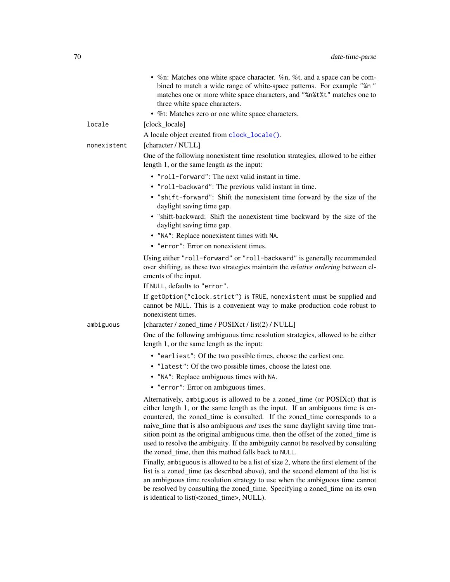|             | • %n: Matches one white space character. %n, %t, and a space can be com-<br>bined to match a wide range of white-space patterns. For example "%n"<br>matches one or more white space characters, and "%n%t%t" matches one to<br>three white space characters.                                                                                                                                                                                                                                                                                                                                                                                                |
|-------------|--------------------------------------------------------------------------------------------------------------------------------------------------------------------------------------------------------------------------------------------------------------------------------------------------------------------------------------------------------------------------------------------------------------------------------------------------------------------------------------------------------------------------------------------------------------------------------------------------------------------------------------------------------------|
|             | • %t: Matches zero or one white space characters.                                                                                                                                                                                                                                                                                                                                                                                                                                                                                                                                                                                                            |
| locale      | [clock_locale]                                                                                                                                                                                                                                                                                                                                                                                                                                                                                                                                                                                                                                               |
|             | A locale object created from clock_locale().                                                                                                                                                                                                                                                                                                                                                                                                                                                                                                                                                                                                                 |
| nonexistent | [character / NULL]<br>One of the following nonexistent time resolution strategies, allowed to be either<br>length 1, or the same length as the input:                                                                                                                                                                                                                                                                                                                                                                                                                                                                                                        |
|             | • "roll-forward": The next valid instant in time.                                                                                                                                                                                                                                                                                                                                                                                                                                                                                                                                                                                                            |
|             | • "roll-backward": The previous valid instant in time.                                                                                                                                                                                                                                                                                                                                                                                                                                                                                                                                                                                                       |
|             | • "shift-forward": Shift the nonexistent time forward by the size of the<br>daylight saving time gap.                                                                                                                                                                                                                                                                                                                                                                                                                                                                                                                                                        |
|             | · "shift-backward: Shift the nonexistent time backward by the size of the<br>daylight saving time gap.                                                                                                                                                                                                                                                                                                                                                                                                                                                                                                                                                       |
|             | • "NA": Replace nonexistent times with NA.                                                                                                                                                                                                                                                                                                                                                                                                                                                                                                                                                                                                                   |
|             | • "error": Error on nonexistent times.                                                                                                                                                                                                                                                                                                                                                                                                                                                                                                                                                                                                                       |
|             | Using either "roll-forward" or "roll-backward" is generally recommended<br>over shifting, as these two strategies maintain the relative ordering between el-<br>ements of the input.                                                                                                                                                                                                                                                                                                                                                                                                                                                                         |
|             | If NULL, defaults to "error".                                                                                                                                                                                                                                                                                                                                                                                                                                                                                                                                                                                                                                |
|             | If getOption("clock.strict") is TRUE, nonexistent must be supplied and<br>cannot be NULL. This is a convenient way to make production code robust to<br>nonexistent times.                                                                                                                                                                                                                                                                                                                                                                                                                                                                                   |
| ambiguous   | [character / zoned_time / POSIXct / list(2) / NULL]                                                                                                                                                                                                                                                                                                                                                                                                                                                                                                                                                                                                          |
|             | One of the following ambiguous time resolution strategies, allowed to be either<br>length 1, or the same length as the input:                                                                                                                                                                                                                                                                                                                                                                                                                                                                                                                                |
|             | • "earliest": Of the two possible times, choose the earliest one.                                                                                                                                                                                                                                                                                                                                                                                                                                                                                                                                                                                            |
|             | • "latest": Of the two possible times, choose the latest one.                                                                                                                                                                                                                                                                                                                                                                                                                                                                                                                                                                                                |
|             | • "NA": Replace ambiguous times with NA.                                                                                                                                                                                                                                                                                                                                                                                                                                                                                                                                                                                                                     |
|             | • "error": Error on ambiguous times.                                                                                                                                                                                                                                                                                                                                                                                                                                                                                                                                                                                                                         |
|             | Alternatively, ambiguous is allowed to be a zoned_time (or POSIXct) that is<br>either length 1, or the same length as the input. If an ambiguous time is en-<br>countered, the zoned_time is consulted. If the zoned_time corresponds to a<br>naive_time that is also ambiguous <i>and</i> uses the same daylight saving time tran-<br>sition point as the original ambiguous time, then the offset of the zoned_time is<br>used to resolve the ambiguity. If the ambiguity cannot be resolved by consulting<br>the zoned_time, then this method falls back to NULL.<br>Finally, ambiguous is allowed to be a list of size 2, where the first element of the |

list is a zoned\_time (as described above), and the second element of the list is an ambiguous time resolution strategy to use when the ambiguous time cannot be resolved by consulting the zoned\_time. Specifying a zoned\_time on its own is identical to list(<zoned\_time>, NULL).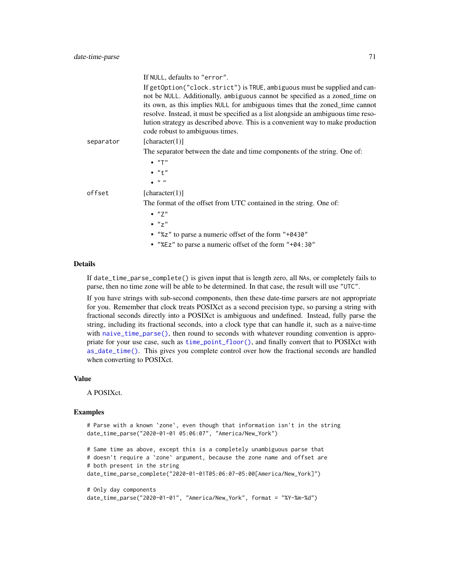|           | If NULL, defaults to "error".                                                                                                                                                                                                                                                                                                  |
|-----------|--------------------------------------------------------------------------------------------------------------------------------------------------------------------------------------------------------------------------------------------------------------------------------------------------------------------------------|
|           | If getOption("clock.strict") is TRUE, ambiguous must be supplied and can-<br>not be NULL. Additionally, ambiguous cannot be specified as a zoned_time on<br>its own, as this implies NULL for ambiguous times that the zoned_time cannot<br>resolve. Instead, it must be specified as a list alongside an ambiguous time reso- |
|           | lution strategy as described above. This is a convenient way to make production<br>code robust to ambiguous times.                                                                                                                                                                                                             |
| separator | [character(1)]                                                                                                                                                                                                                                                                                                                 |
|           | The separator between the date and time components of the string. One of:<br>$\bullet$ "T"<br>$\bullet$ " $\uparrow$ "<br>$\mathbf{n}$                                                                                                                                                                                         |
| offset    | [character(1)]                                                                                                                                                                                                                                                                                                                 |
|           | The format of the offset from UTC contained in the string. One of:<br>$\bullet$ "7"<br>$\bullet$ " $7$ "<br>• "%z" to parse a numeric offset of the form "+0430"<br>• "%Ez" to parse a numeric offset of the form "+04:30"                                                                                                     |
|           |                                                                                                                                                                                                                                                                                                                                |

### Details

If date\_time\_parse\_complete() is given input that is length zero, all NAs, or completely fails to parse, then no time zone will be able to be determined. In that case, the result will use "UTC".

If you have strings with sub-second components, then these date-time parsers are not appropriate for you. Remember that clock treats POSIXct as a second precision type, so parsing a string with fractional seconds directly into a POSIXct is ambiguous and undefined. Instead, fully parse the string, including its fractional seconds, into a clock type that can handle it, such as a naive-time with [naive\\_time\\_parse\(\)](#page-118-0), then round to seconds with whatever rounding convention is appropriate for your use case, such as [time\\_point\\_floor\(\)](#page-173-0), and finally convert that to POSIXct with [as\\_date\\_time\(\)](#page-13-0). This gives you complete control over how the fractional seconds are handled when converting to POSIXct.

#### Value

A POSIXct.

#### Examples

```
# Parse with a known `zone`, even though that information isn't in the string
date_time_parse("2020-01-01 05:06:07", "America/New_York")
# Same time as above, except this is a completely unambiguous parse that
# doesn't require a `zone` argument, because the zone name and offset are
# both present in the string
date_time_parse_complete("2020-01-01T05:06:07-05:00[America/New_York]")
# Only day components
date_time_parse("2020-01-01", "America/New_York", format = "%Y-%m-%d")
```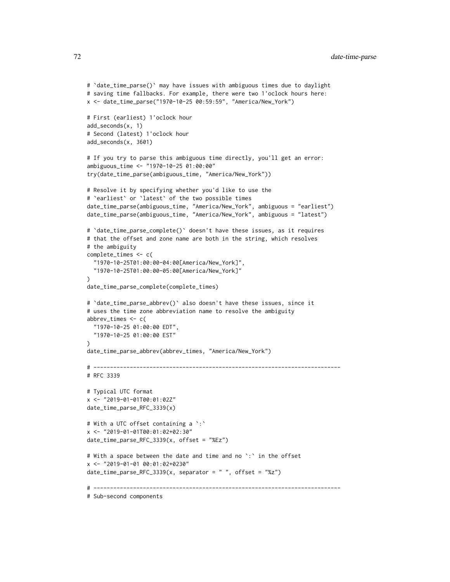```
# `date_time_parse()` may have issues with ambiguous times due to daylight
# saving time fallbacks. For example, there were two 1'oclock hours here:
x <- date_time_parse("1970-10-25 00:59:59", "America/New_York")
# First (earliest) 1'oclock hour
add_seconds(x, 1)
# Second (latest) 1'oclock hour
add_seconds(x, 3601)
# If you try to parse this ambiguous time directly, you'll get an error:
ambiguous_time <- "1970-10-25 01:00:00"
try(date_time_parse(ambiguous_time, "America/New_York"))
# Resolve it by specifying whether you'd like to use the
# `earliest` or `latest` of the two possible times
date_time_parse(ambiguous_time, "America/New_York", ambiguous = "earliest")
date_time_parse(ambiguous_time, "America/New_York", ambiguous = "latest")
# `date_time_parse_complete()` doesn't have these issues, as it requires
# that the offset and zone name are both in the string, which resolves
# the ambiguity
complete_times <- c(
  "1970-10-25T01:00:00-04:00[America/New_York]",
  "1970-10-25T01:00:00-05:00[America/New_York]"
)
date_time_parse_complete(complete_times)
# `date_time_parse_abbrev()` also doesn't have these issues, since it
# uses the time zone abbreviation name to resolve the ambiguity
abbrev_times <- c(
  "1970-10-25 01:00:00 EDT",
  "1970-10-25 01:00:00 EST"
\lambdadate_time_parse_abbrev(abbrev_times, "America/New_York")
# ---------------------------------------------------------------------------
# RFC 3339
# Typical UTC format
x <- "2019-01-01T00:01:02Z"
date_time_parse_RFC_3339(x)
# With a UTC offset containing a `:`
x <- "2019-01-01T00:01:02+02:30"
date_time_parse_RFC_3339(x, offset = "%Ez")
# With a space between the date and time and no `: ` in the offset
x <- "2019-01-01 00:01:02+0230"
date_time_parse_RFC_3339(x, separator = ", offset = "z")
# ---------------------------------------------------------------------------
```
# Sub-second components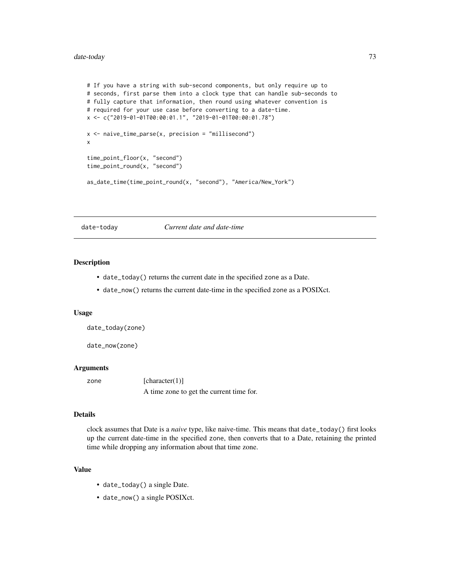# date-today 73

```
# If you have a string with sub-second components, but only require up to
# seconds, first parse them into a clock type that can handle sub-seconds to
# fully capture that information, then round using whatever convention is
# required for your use case before converting to a date-time.
x <- c("2019-01-01T00:00:01.1", "2019-01-01T00:00:01.78")
x \le naive_time_parse(x, precision = "millisecond")
x
time_point_floor(x, "second")
time_point_round(x, "second")
as_date_time(time_point_round(x, "second"), "America/New_York")
```
date-today *Current date and date-time*

# Description

- date\_today() returns the current date in the specified zone as a Date.
- date\_now() returns the current date-time in the specified zone as a POSIXct.

#### Usage

```
date_today(zone)
```

```
date_now(zone)
```
#### Arguments

zone [character(1)] A time zone to get the current time for.

#### Details

clock assumes that Date is a *naive* type, like naive-time. This means that date\_today() first looks up the current date-time in the specified zone, then converts that to a Date, retaining the printed time while dropping any information about that time zone.

# Value

- date\_today() a single Date.
- date\_now() a single POSIXct.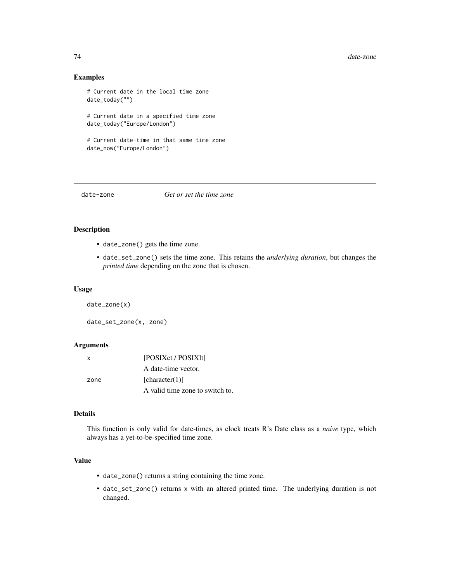## Examples

```
# Current date in the local time zone
date_today("")
# Current date in a specified time zone
date_today("Europe/London")
# Current date-time in that same time zone
date_now("Europe/London")
```
# date-zone *Get or set the time zone*

## Description

- date\_zone() gets the time zone.
- date\_set\_zone() sets the time zone. This retains the *underlying duration*, but changes the *printed time* depending on the zone that is chosen.

#### Usage

```
date_zone(x)
```
date\_set\_zone(x, zone)

#### Arguments

| x    | [POSIXct / POSIX]t]             |
|------|---------------------------------|
|      | A date-time vector.             |
| zone | [character(1)]                  |
|      | A valid time zone to switch to. |

# Details

This function is only valid for date-times, as clock treats R's Date class as a *naive* type, which always has a yet-to-be-specified time zone.

# Value

- date\_zone() returns a string containing the time zone.
- date\_set\_zone() returns x with an altered printed time. The underlying duration is not changed.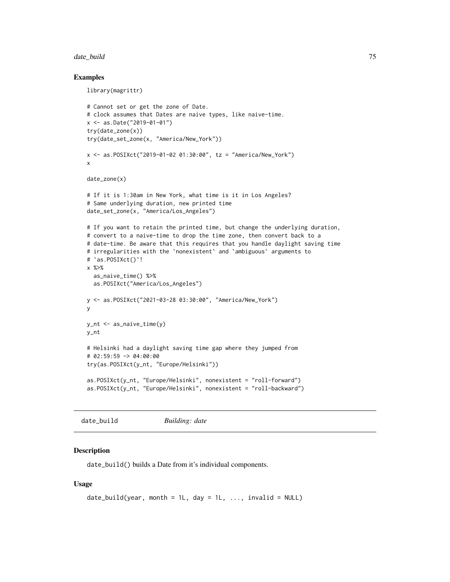#### date\_build 75

## Examples

```
library(magrittr)
# Cannot set or get the zone of Date.
# clock assumes that Dates are naive types, like naive-time.
x <- as.Date("2019-01-01")
try(date_zone(x))
try(date_set_zone(x, "America/New_York"))
x <- as.POSIXct("2019-01-02 01:30:00", tz = "America/New_York")
x
date_zone(x)
# If it is 1:30am in New York, what time is it in Los Angeles?
# Same underlying duration, new printed time
date_set_zone(x, "America/Los_Angeles")
# If you want to retain the printed time, but change the underlying duration,
# convert to a naive-time to drop the time zone, then convert back to a
# date-time. Be aware that this requires that you handle daylight saving time
# irregularities with the `nonexistent` and `ambiguous` arguments to
# `as.POSIXct()`!
x %>%
  as_naive_time() %>%
  as.POSIXct("America/Los_Angeles")
y <- as.POSIXct("2021-03-28 03:30:00", "America/New_York")
y
y_nt <- as_naive_time(y)
y_nt
# Helsinki had a daylight saving time gap where they jumped from
# 02:59:59 -> 04:00:00
try(as.POSIXct(y_nt, "Europe/Helsinki"))
as.POSIXct(y_nt, "Europe/Helsinki", nonexistent = "roll-forward")
as.POSIXct(y_nt, "Europe/Helsinki", nonexistent = "roll-backward")
```
date\_build *Building: date*

## Description

date\_build() builds a Date from it's individual components.

```
date_build(year, month = 1L, day = 1L, ..., invalid = NULL)
```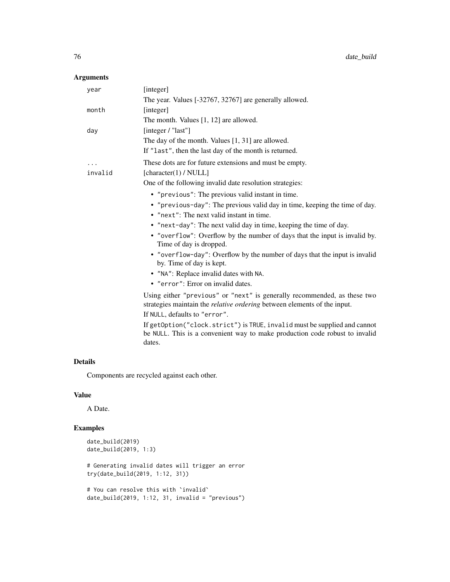| year     | [integer]                                                                                                                                                          |
|----------|--------------------------------------------------------------------------------------------------------------------------------------------------------------------|
|          | The year. Values [-32767, 32767] are generally allowed.                                                                                                            |
| month    | [integer]                                                                                                                                                          |
|          | The month. Values [1, 12] are allowed.                                                                                                                             |
| day      | [integer $/$ "last"]                                                                                                                                               |
|          | The day of the month. Values $[1, 31]$ are allowed.                                                                                                                |
|          | If "last", then the last day of the month is returned.                                                                                                             |
| $\cdots$ | These dots are for future extensions and must be empty.                                                                                                            |
| invalid  | [character(1) / $NULL]$                                                                                                                                            |
|          | One of the following invalid date resolution strategies:                                                                                                           |
|          | • "previous": The previous valid instant in time.                                                                                                                  |
|          | • "previous-day": The previous valid day in time, keeping the time of day.                                                                                         |
|          | • "next": The next valid instant in time.                                                                                                                          |
|          | • "next-day": The next valid day in time, keeping the time of day.                                                                                                 |
|          | • "overflow": Overflow by the number of days that the input is invalid by.<br>Time of day is dropped.                                                              |
|          | • "overflow-day": Overflow by the number of days that the input is invalid<br>by. Time of day is kept.                                                             |
|          | • "NA": Replace invalid dates with NA.                                                                                                                             |
|          | • "error": Error on invalid dates.                                                                                                                                 |
|          | Using either "previous" or "next" is generally recommended, as these two<br>strategies maintain the <i>relative ordering</i> between elements of the input.        |
|          | If NULL, defaults to "error".                                                                                                                                      |
|          | If getOption("clock.strict") is TRUE, invalid must be supplied and cannot<br>be NULL. This is a convenient way to make production code robust to invalid<br>dates. |

# Details

Components are recycled against each other.

# Value

A Date.

```
date_build(2019)
date_build(2019, 1:3)
# Generating invalid dates will trigger an error
try(date_build(2019, 1:12, 31))
# You can resolve this with `invalid`
date_buid(2019, 1:12, 31, invalid = "previous")
```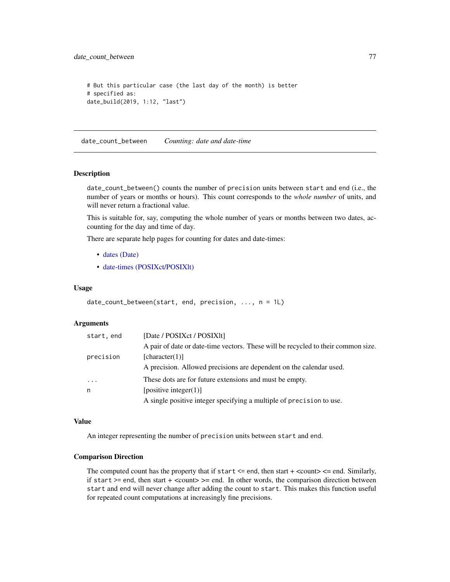date\_count\_between 77

```
# But this particular case (the last day of the month) is better
# specified as:
date_build(2019, 1:12, "last")
```
date\_count\_between *Counting: date and date-time*

#### Description

date\_count\_between() counts the number of precision units between start and end (i.e., the number of years or months or hours). This count corresponds to the *whole number* of units, and will never return a fractional value.

This is suitable for, say, computing the whole number of years or months between two dates, accounting for the day and time of day.

There are separate help pages for counting for dates and date-times:

- [dates \(Date\)](#page-50-0)
- [date-times \(POSIXct/POSIXlt\)](#page-130-0)

#### Usage

```
date_count_between(start, end, precision, ..., n = 1L)
```
#### Arguments

| start, end | [Date / POSIXct / POSIX1t]                                                        |
|------------|-----------------------------------------------------------------------------------|
|            | A pair of date or date-time vectors. These will be recycled to their common size. |
| precision  | [character(1)]                                                                    |
|            | A precision. Allowed precisions are dependent on the calendar used.               |
| .          | These dots are for future extensions and must be empty.                           |
| n          | [positive integer(1)]                                                             |
|            | A single positive integer specifying a multiple of precision to use.              |

### Value

An integer representing the number of precision units between start and end.

#### Comparison Direction

The computed count has the property that if start  $\leq$  end, then start  $+$   $\leq$  count $\geq$   $\leq$  end. Similarly, if start  $>=$  end, then start  $+$  <count $>=$  end. In other words, the comparison direction between start and end will never change after adding the count to start. This makes this function useful for repeated count computations at increasingly fine precisions.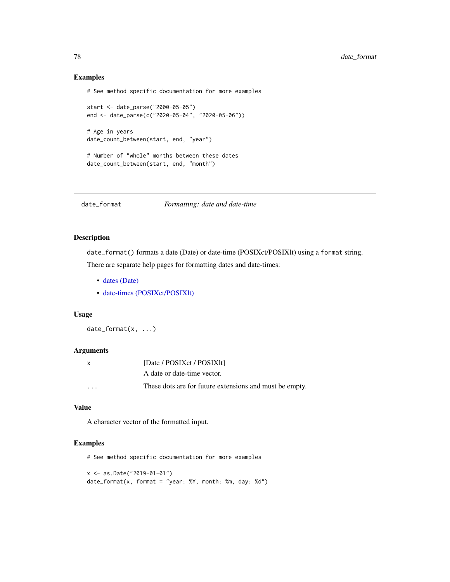## Examples

# See method specific documentation for more examples

```
start <- date_parse("2000-05-05")
end <- date_parse(c("2020-05-04", "2020-05-06"))
```

```
# Age in years
date_count_between(start, end, "year")
```

```
# Number of "whole" months between these dates
date_count_between(start, end, "month")
```
date\_format *Formatting: date and date-time*

# Description

date\_format() formats a date (Date) or date-time (POSIXct/POSIXlt) using a format string. There are separate help pages for formatting dates and date-times:

- [dates \(Date\)](#page-52-0)
- [date-times \(POSIXct/POSIXlt\)](#page-132-0)

# Usage

date\_format(x, ...)

#### Arguments

| X       | [Date / POSIXct / POSIX1t]                              |
|---------|---------------------------------------------------------|
|         | A date or date-time vector.                             |
| $\cdot$ | These dots are for future extensions and must be empty. |

# Value

A character vector of the formatted input.

## Examples

# See method specific documentation for more examples

```
x <- as.Date("2019-01-01")
date_format(x, format = "year: %Y, month: %m, day: %d")
```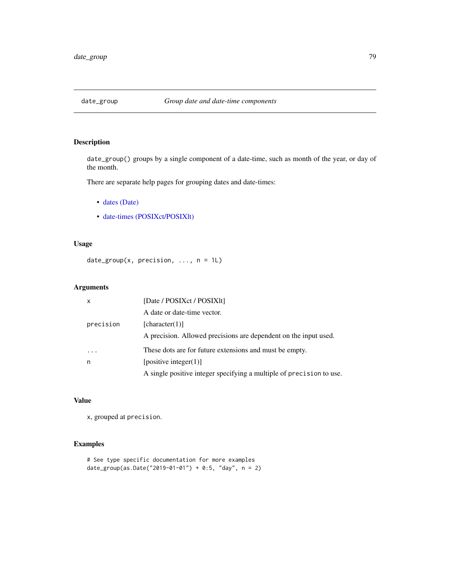# Description

date\_group() groups by a single component of a date-time, such as month of the year, or day of the month.

There are separate help pages for grouping dates and date-times:

- [dates \(Date\)](#page-56-0)
- [date-times \(POSIXct/POSIXlt\)](#page-137-0)

# Usage

```
date_group(x, precision, ..., n = 1L)
```
# Arguments

| $\mathsf{x}$ | [Date / POSIXct / POSIXIt]                                           |
|--------------|----------------------------------------------------------------------|
|              | A date or date-time vector.                                          |
| precision    | [character(1)]                                                       |
|              | A precision. Allowed precisions are dependent on the input used.     |
|              | These dots are for future extensions and must be empty.              |
| n            | [positive integer(1)]                                                |
|              | A single positive integer specifying a multiple of precision to use. |

# Value

x, grouped at precision.

```
# See type specific documentation for more examples
date_group(as.Date("2019-01-01") + 0:5, "day", n = 2)
```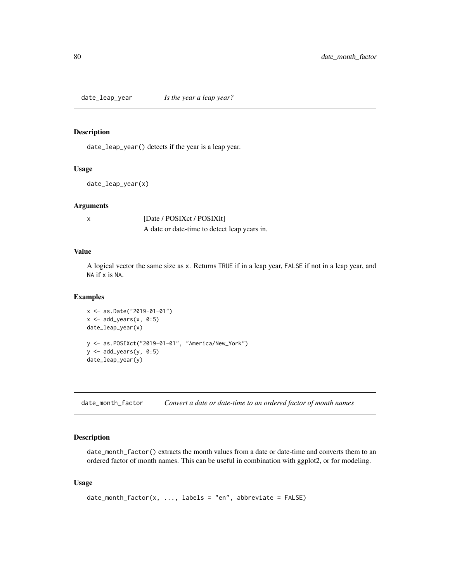date\_leap\_year *Is the year a leap year?*

#### Description

date\_leap\_year() detects if the year is a leap year.

# Usage

date\_leap\_year(x)

# Arguments

x [Date / POSIXct / POSIXlt] A date or date-time to detect leap years in.

## Value

A logical vector the same size as x. Returns TRUE if in a leap year, FALSE if not in a leap year, and NA if x is NA.

#### Examples

```
x <- as.Date("2019-01-01")
x \leftarrow add\_years(x, 0:5)date_leap_year(x)
y <- as.POSIXct("2019-01-01", "America/New_York")
y <- add_years(y, 0:5)
date_leap_year(y)
```
date\_month\_factor *Convert a date or date-time to an ordered factor of month names*

# Description

date\_month\_factor() extracts the month values from a date or date-time and converts them to an ordered factor of month names. This can be useful in combination with ggplot2, or for modeling.

```
date\_month_factor(x, ..., labels = "en", abbreviate = FALSE)
```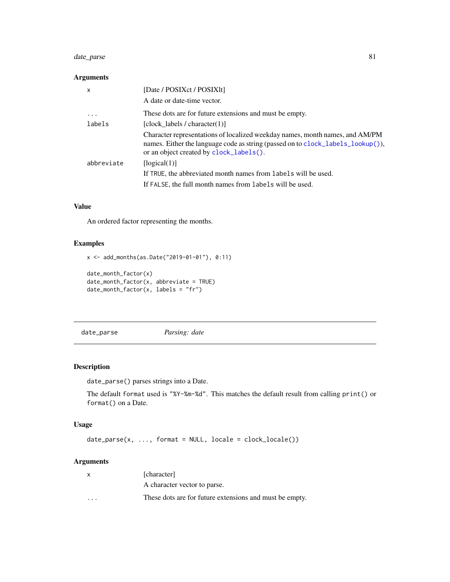# date\_parse 81

## Arguments

| $\mathsf{x}$ | [Date / POSIXct / POSIX1t]                                                                                                                                                                                 |
|--------------|------------------------------------------------------------------------------------------------------------------------------------------------------------------------------------------------------------|
|              | A date or date-time vector.                                                                                                                                                                                |
| $\ddotsc$    | These dots are for future extensions and must be empty.                                                                                                                                                    |
| labels       | [clock labels / character $(1)$ ]                                                                                                                                                                          |
|              | Character representations of localized weekday names, month names, and AM/PM<br>names. Either the language code as string (passed on to clock_labels_lookup()),<br>or an object created by clock_labels(). |
| abbreviate   | [logical(1)]                                                                                                                                                                                               |
|              | If TRUE, the abbreviated month names from labels will be used.                                                                                                                                             |
|              | If FALSE, the full month names from labels will be used.                                                                                                                                                   |

# Value

An ordered factor representing the months.

## Examples

```
x <- add_months(as.Date("2019-01-01"), 0:11)
date_month_factor(x)
date_month_factor(x, abbreviate = TRUE)
date_month_factor(x, labels = "fr")
```
<span id="page-80-0"></span>date\_parse *Parsing: date*

# Description

date\_parse() parses strings into a Date.

The default format used is "%Y-%m-%d". This matches the default result from calling print() or format() on a Date.

# Usage

date\_parse(x, ..., format = NULL, locale = clock\_locale())

# Arguments

| X                       | [character]                                             |
|-------------------------|---------------------------------------------------------|
|                         | A character vector to parse.                            |
| $\cdot$ $\cdot$ $\cdot$ | These dots are for future extensions and must be empty. |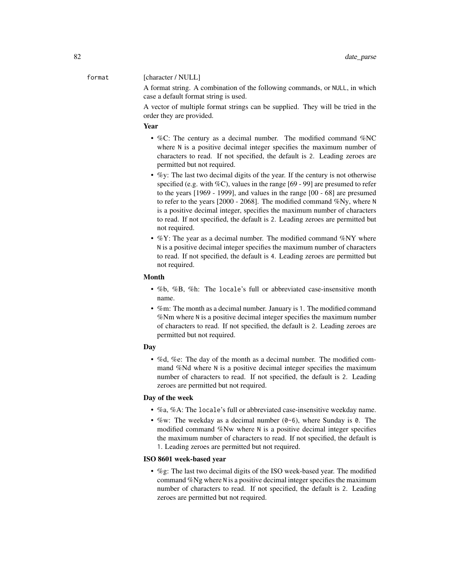# format [character / NULL]

A format string. A combination of the following commands, or NULL, in which case a default format string is used.

A vector of multiple format strings can be supplied. They will be tried in the order they are provided.

## Year

- %C: The century as a decimal number. The modified command %NC where N is a positive decimal integer specifies the maximum number of characters to read. If not specified, the default is 2. Leading zeroes are permitted but not required.
- $\%$ y: The last two decimal digits of the year. If the century is not otherwise specified (e.g. with  $\%C$ ), values in the range [69 - 99] are presumed to refer to the years [1969 - 1999], and values in the range [00 - 68] are presumed to refer to the years [2000 - 2068]. The modified command %Ny, where N is a positive decimal integer, specifies the maximum number of characters to read. If not specified, the default is 2. Leading zeroes are permitted but not required.
- %Y: The year as a decimal number. The modified command %NY where N is a positive decimal integer specifies the maximum number of characters to read. If not specified, the default is 4. Leading zeroes are permitted but not required.

#### Month

- %b, %B, %h: The locale's full or abbreviated case-insensitive month name.
- %m: The month as a decimal number. January is 1. The modified command %Nm where N is a positive decimal integer specifies the maximum number of characters to read. If not specified, the default is 2. Leading zeroes are permitted but not required.

#### Day

• %d, %e: The day of the month as a decimal number. The modified command %Nd where N is a positive decimal integer specifies the maximum number of characters to read. If not specified, the default is 2. Leading zeroes are permitted but not required.

#### Day of the week

- %a, %A: The locale's full or abbreviated case-insensitive weekday name.
- %w: The weekday as a decimal number  $(0-6)$ , where Sunday is 0. The modified command %Nw where N is a positive decimal integer specifies the maximum number of characters to read. If not specified, the default is 1. Leading zeroes are permitted but not required.

# ISO 8601 week-based year

• %g: The last two decimal digits of the ISO week-based year. The modified command %Ng where N is a positive decimal integer specifies the maximum number of characters to read. If not specified, the default is 2. Leading zeroes are permitted but not required.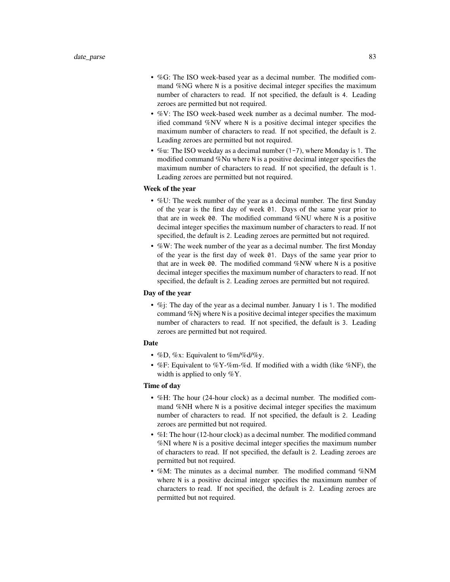- %G: The ISO week-based year as a decimal number. The modified command %NG where N is a positive decimal integer specifies the maximum number of characters to read. If not specified, the default is 4. Leading zeroes are permitted but not required.
- %V: The ISO week-based week number as a decimal number. The modified command %NV where N is a positive decimal integer specifies the maximum number of characters to read. If not specified, the default is 2. Leading zeroes are permitted but not required.
- %u: The ISO weekday as a decimal number (1-7), where Monday is 1. The modified command %Nu where N is a positive decimal integer specifies the maximum number of characters to read. If not specified, the default is 1. Leading zeroes are permitted but not required.

## Week of the year

- %U: The week number of the year as a decimal number. The first Sunday of the year is the first day of week 01. Days of the same year prior to that are in week 00. The modified command %NU where N is a positive decimal integer specifies the maximum number of characters to read. If not specified, the default is 2. Leading zeroes are permitted but not required.
- %W: The week number of the year as a decimal number. The first Monday of the year is the first day of week 01. Days of the same year prior to that are in week 00. The modified command %NW where N is a positive decimal integer specifies the maximum number of characters to read. If not specified, the default is 2. Leading zeroes are permitted but not required.

#### Day of the year

• %j: The day of the year as a decimal number. January 1 is 1. The modified command %Nj where N is a positive decimal integer specifies the maximum number of characters to read. If not specified, the default is 3. Leading zeroes are permitted but not required.

## Date

- %D, %x: Equivalent to %m/%d/%y.
- %F: Equivalent to %Y-%m-%d. If modified with a width (like %NF), the width is applied to only %Y.

# Time of day

- %H: The hour (24-hour clock) as a decimal number. The modified command %NH where N is a positive decimal integer specifies the maximum number of characters to read. If not specified, the default is 2. Leading zeroes are permitted but not required.
- %I: The hour (12-hour clock) as a decimal number. The modified command %NI where N is a positive decimal integer specifies the maximum number of characters to read. If not specified, the default is 2. Leading zeroes are permitted but not required.
- %M: The minutes as a decimal number. The modified command %NM where N is a positive decimal integer specifies the maximum number of characters to read. If not specified, the default is 2. Leading zeroes are permitted but not required.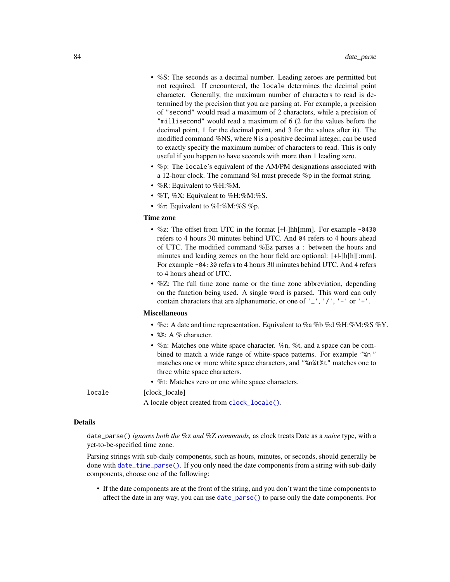- %S: The seconds as a decimal number. Leading zeroes are permitted but not required. If encountered, the locale determines the decimal point character. Generally, the maximum number of characters to read is determined by the precision that you are parsing at. For example, a precision of "second" would read a maximum of 2 characters, while a precision of "millisecond" would read a maximum of 6 (2 for the values before the decimal point, 1 for the decimal point, and 3 for the values after it). The modified command %NS, where N is a positive decimal integer, can be used to exactly specify the maximum number of characters to read. This is only useful if you happen to have seconds with more than 1 leading zero.
- %p: The locale's equivalent of the AM/PM designations associated with a 12-hour clock. The command %I must precede %p in the format string.
- %R: Equivalent to %H:%M.
- $\%$ T,  $\%$ X: Equivalent to  $\%$ H: $\%$ M: $\%$ S.
- %r: Equivalent to %I:%M:%S %p.

## Time zone

- %z: The offset from UTC in the format [+|-]hh[mm]. For example -0430 refers to 4 hours 30 minutes behind UTC. And 04 refers to 4 hours ahead of UTC. The modified command %Ez parses a : between the hours and minutes and leading zeroes on the hour field are optional: [+|-]h[h][:mm]. For example -04:30 refers to 4 hours 30 minutes behind UTC. And 4 refers to 4 hours ahead of UTC.
- %Z: The full time zone name or the time zone abbreviation, depending on the function being used. A single word is parsed. This word can only contain characters that are alphanumeric, or one of  $'$   $'$ ,  $'$ / $'$ ,  $'$  -  $'$  or  $'$  + $'$ .

#### Miscellaneous

- %c: A date and time representation. Equivalent to %a %b %d %H:%M:%S %Y.
- %%: A % character.
- %n: Matches one white space character. %n, %t, and a space can be combined to match a wide range of white-space patterns. For example "%n " matches one or more white space characters, and "%n%t%t" matches one to three white space characters.
- %t: Matches zero or one white space characters.

locale [clock\_locale]

A locale object created from [clock\\_locale\(\)](#page-42-0).

#### Details

date\_parse() *ignores both the* %z *and* %Z *commands,* as clock treats Date as a *naive* type, with a yet-to-be-specified time zone.

Parsing strings with sub-daily components, such as hours, minutes, or seconds, should generally be done with [date\\_time\\_parse\(\)](#page-64-0). If you only need the date components from a string with sub-daily components, choose one of the following:

• If the date components are at the front of the string, and you don't want the time components to affect the date in any way, you can use [date\\_parse\(\)](#page-80-0) to parse only the date components. For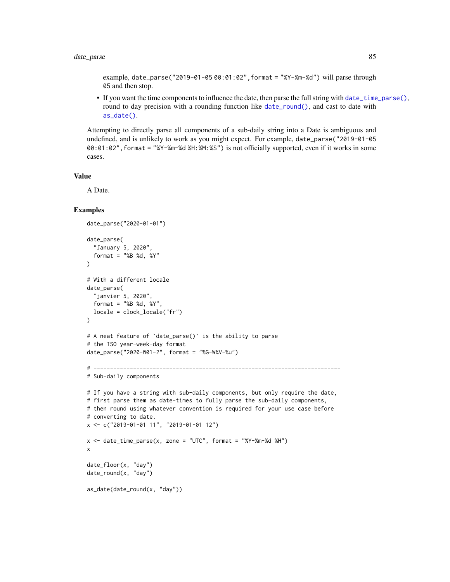# date\_parse 85

example, date\_parse("2019-01-05 00:01:02",format = "%Y-%m-%d") will parse through 05 and then stop.

• If you want the time components to influence the date, then parse the full string with [date\\_time\\_parse\(\)](#page-64-0), round to day precision with a rounding function like [date\\_round\(\)](#page-44-0), and cast to date with [as\\_date\(\)](#page-12-0).

Attempting to directly parse all components of a sub-daily string into a Date is ambiguous and undefined, and is unlikely to work as you might expect. For example, date\_parse("2019-01-05 00:01:02",format = "%Y-%m-%d %H:%M:%S") is not officially supported, even if it works in some cases.

#### Value

A Date.

```
date_parse("2020-01-01")
date_parse(
  "January 5, 2020",
  format = "&B %d, %Y"
)
# With a different locale
date_parse(
  "janvier 5, 2020",
  format = "%B %d, %Y",
  locale = clock_locale("fr")
\mathcal{L}# A neat feature of `date_parse()` is the ability to parse
# the ISO year-week-day format
date_parse("2020-W01-2", format = "%G-W%V-%u")
# ---------------------------------------------------------------------------
# Sub-daily components
# If you have a string with sub-daily components, but only require the date,
# first parse them as date-times to fully parse the sub-daily components,
# then round using whatever convention is required for your use case before
# converting to date.
x <- c("2019-01-01 11", "2019-01-01 12")
x \le - date_time_parse(x, zone = "UTC", format = "%Y-%m-%d %H")
x
date_floor(x, "day")
date_round(x, "day")
as_date(date_round(x, "day"))
```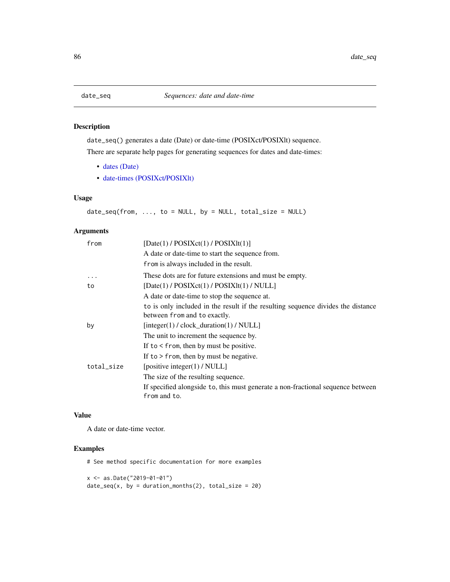# Description

date\_seq() generates a date (Date) or date-time (POSIXct/POSIXlt) sequence. There are separate help pages for generating sequences for dates and date-times:

- [dates \(Date\)](#page-59-0)
- [date-times \(POSIXct/POSIXlt\)](#page-143-0)

# Usage

 $date\_seq(from, ..., to = NULL, by = NULL, total\_size = NULL)$ 

# Arguments

| from       | [Date(1) / POSIXct(1) / POSIXIt(1)]                                              |
|------------|----------------------------------------------------------------------------------|
|            | A date or date-time to start the sequence from.                                  |
|            | from is always included in the result.                                           |
| .          | These dots are for future extensions and must be empty.                          |
| to         | $[Date(1) / POSIXct(1) / POSIXIt(1) / NULL]$                                     |
|            | A date or date-time to stop the sequence at.                                     |
|            | to is only included in the result if the resulting sequence divides the distance |
|            | between from and to exactly.                                                     |
| by         | $[integer(1) / clock\_duration(1) / NULL]$                                       |
|            | The unit to increment the sequence by.                                           |
|            | If to $\le$ from, then by must be positive.                                      |
|            | If to $>$ from, then by must be negative.                                        |
| total_size | [positive integer(1) / NULL]                                                     |
|            | The size of the resulting sequence.                                              |
|            | If specified alongside to, this must generate a non-fractional sequence between  |
|            | from and to.                                                                     |
|            |                                                                                  |

## Value

A date or date-time vector.

# Examples

# See method specific documentation for more examples

x <- as.Date("2019-01-01")  $date\_seq(x, by = duration\_months(2), total\_size = 20)$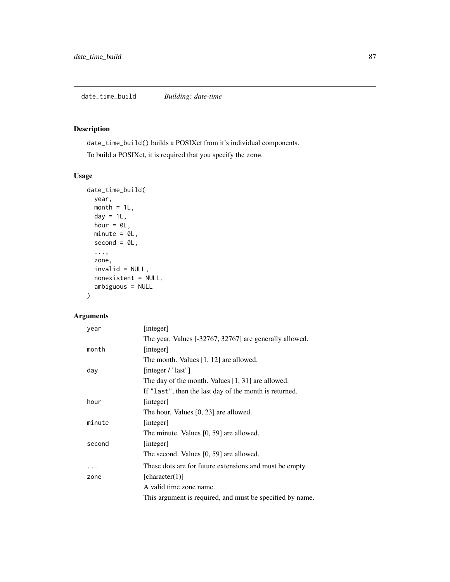# Description

date\_time\_build() builds a POSIXct from it's individual components. To build a POSIXct, it is required that you specify the zone.

# Usage

```
date_time_build(
 year,
 month = 1L,
 day = 1L,
 hour = OL,
 minute = 0L,second = 0L,...,
 zone,
  invalid = NULL,
 nonexistent = NULL,
  ambiguous = NULL
\mathcal{E}
```
# Arguments

| year   | [integer]                                                 |
|--------|-----------------------------------------------------------|
|        | The year. Values [-32767, 32767] are generally allowed.   |
| month  | [integer]                                                 |
|        | The month. Values [1, 12] are allowed.                    |
| day    | [integer / "last"]                                        |
|        | The day of the month. Values $[1, 31]$ are allowed.       |
|        | If "last", then the last day of the month is returned.    |
| hour   | [integer]                                                 |
|        | The hour. Values [0, 23] are allowed.                     |
| minute | [integer]                                                 |
|        | The minute. Values [0, 59] are allowed.                   |
| second | [integer]                                                 |
|        | The second. Values [0, 59] are allowed.                   |
| .      | These dots are for future extensions and must be empty.   |
| zone   | [character(1)]                                            |
|        | A valid time zone name.                                   |
|        | This argument is required, and must be specified by name. |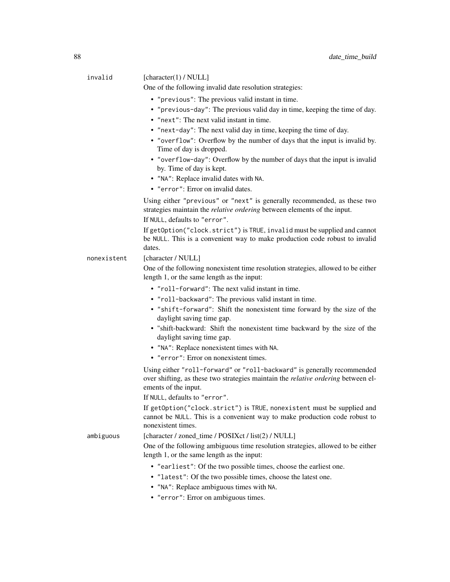| invalid     | [character(1) / $NULL]$<br>One of the following invalid date resolution strategies:                                                                                                         |
|-------------|---------------------------------------------------------------------------------------------------------------------------------------------------------------------------------------------|
|             |                                                                                                                                                                                             |
|             | • "previous": The previous valid instant in time.                                                                                                                                           |
|             | • "previous-day": The previous valid day in time, keeping the time of day.<br>• "next": The next valid instant in time.                                                                     |
|             | • "next-day": The next valid day in time, keeping the time of day.                                                                                                                          |
|             | • "overflow": Overflow by the number of days that the input is invalid by.<br>Time of day is dropped.                                                                                       |
|             | • "overflow-day": Overflow by the number of days that the input is invalid<br>by. Time of day is kept.                                                                                      |
|             | • "NA": Replace invalid dates with NA.                                                                                                                                                      |
|             | • "error": Error on invalid dates.                                                                                                                                                          |
|             | Using either "previous" or "next" is generally recommended, as these two<br>strategies maintain the <i>relative ordering</i> between elements of the input.                                 |
|             | If NULL, defaults to "error".                                                                                                                                                               |
|             | If getOption("clock.strict") is TRUE, invalid must be supplied and cannot<br>be NULL. This is a convenient way to make production code robust to invalid<br>dates.                          |
| nonexistent | [character / NULL]                                                                                                                                                                          |
|             | One of the following nonexistent time resolution strategies, allowed to be either<br>length 1, or the same length as the input:                                                             |
|             | • "roll-forward": The next valid instant in time.                                                                                                                                           |
|             | • "roll-backward": The previous valid instant in time.                                                                                                                                      |
|             | • "shift-forward": Shift the nonexistent time forward by the size of the<br>daylight saving time gap.                                                                                       |
|             | · "shift-backward: Shift the nonexistent time backward by the size of the<br>daylight saving time gap.                                                                                      |
|             | • "NA": Replace nonexistent times with NA.                                                                                                                                                  |
|             | • "error": Error on nonexistent times.                                                                                                                                                      |
|             | Using either "roll-forward" or "roll-backward" is generally recommended<br>over shifting, as these two strategies maintain the <i>relative ordering</i> between el-<br>ements of the input. |
|             | If NULL, defaults to "error".                                                                                                                                                               |
|             | If getOption("clock.strict") is TRUE, nonexistent must be supplied and<br>cannot be NULL. This is a convenient way to make production code robust to<br>nonexistent times.                  |
| ambiguous   | [character / zoned_time / POSIXct / list(2) / NULL]                                                                                                                                         |
|             | One of the following ambiguous time resolution strategies, allowed to be either<br>length 1, or the same length as the input:                                                               |
|             | • "earliest": Of the two possible times, choose the earliest one.<br>• "latest": Of the two possible times, choose the latest one.                                                          |

- "NA": Replace ambiguous times with NA.
- "error": Error on ambiguous times.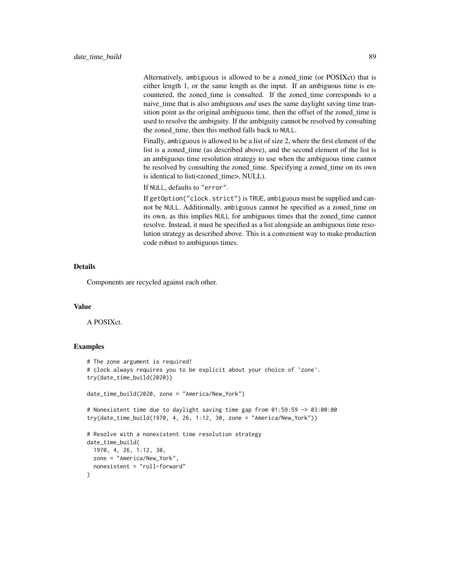Alternatively, ambiguous is allowed to be a zoned\_time (or POSIXct) that is either length 1, or the same length as the input. If an ambiguous time is encountered, the zoned\_time is consulted. If the zoned\_time corresponds to a naive\_time that is also ambiguous *and* uses the same daylight saving time transition point as the original ambiguous time, then the offset of the zoned time is used to resolve the ambiguity. If the ambiguity cannot be resolved by consulting the zoned time, then this method falls back to NULL.

Finally, ambiguous is allowed to be a list of size 2, where the first element of the list is a zoned\_time (as described above), and the second element of the list is an ambiguous time resolution strategy to use when the ambiguous time cannot be resolved by consulting the zoned\_time. Specifying a zoned\_time on its own is identical to list(<zoned\_time>, NULL).

If NULL, defaults to "error".

If getOption("clock.strict") is TRUE, ambiguous must be supplied and cannot be NULL. Additionally, ambiguous cannot be specified as a zoned\_time on its own, as this implies NULL for ambiguous times that the zoned\_time cannot resolve. Instead, it must be specified as a list alongside an ambiguous time resolution strategy as described above. This is a convenient way to make production code robust to ambiguous times.

#### Details

Components are recycled against each other.

# Value

A POSIXct.

```
# The zone argument is required!
# clock always requires you to be explicit about your choice of `zone`.
try(date_time_build(2020))
date_time_build(2020, zone = "America/New_York")
# Nonexistent time due to daylight saving time gap from 01:59:59 -> 03:00:00
try(date_time_build(1970, 4, 26, 1:12, 30, zone = "America/New_York"))
# Resolve with a nonexistent time resolution strategy
date_time_build(
 1970, 4, 26, 1:12, 30,
 zone = "America/New_York",
 nonexistent = "roll-forward"
)
```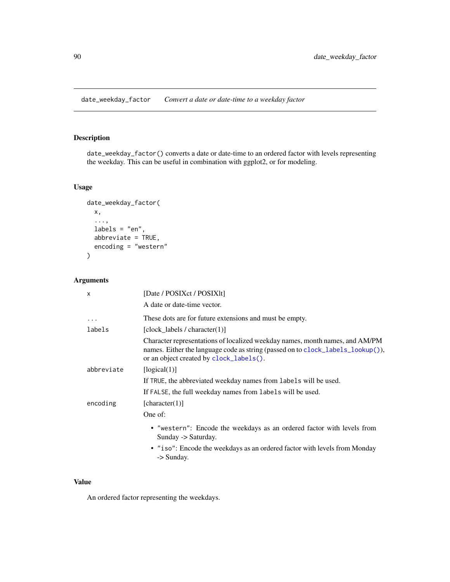date\_weekday\_factor *Convert a date or date-time to a weekday factor*

# Description

date\_weekday\_factor() converts a date or date-time to an ordered factor with levels representing the weekday. This can be useful in combination with ggplot2, or for modeling.

# Usage

```
date_weekday_factor(
  x,
  ...,
  labels = "en",
  abbreviate = TRUE,
  encoding = "western"
)
```
# Arguments

| [Date / POSIXct / POSIXlt]                                                                                                                                                                                 |
|------------------------------------------------------------------------------------------------------------------------------------------------------------------------------------------------------------|
| A date or date-time vector.                                                                                                                                                                                |
| These dots are for future extensions and must be empty.                                                                                                                                                    |
| [clock_labels / character(1)]                                                                                                                                                                              |
| Character representations of localized weekday names, month names, and AM/PM<br>names. Either the language code as string (passed on to clock_labels_lookup()),<br>or an object created by clock_labels(). |
| [logical(1)]                                                                                                                                                                                               |
| If TRUE, the abbreviated weekday names from labels will be used.                                                                                                                                           |
| If FALSE, the full weekday names from labels will be used.                                                                                                                                                 |
| [character(1)]                                                                                                                                                                                             |
| One of:                                                                                                                                                                                                    |
| • "western": Encode the weekdays as an ordered factor with levels from<br>Sunday -> Saturday.<br>• "iso": Encode the weekdays as an ordered factor with levels from Monday<br>-> Sunday.                   |
|                                                                                                                                                                                                            |

# Value

An ordered factor representing the weekdays.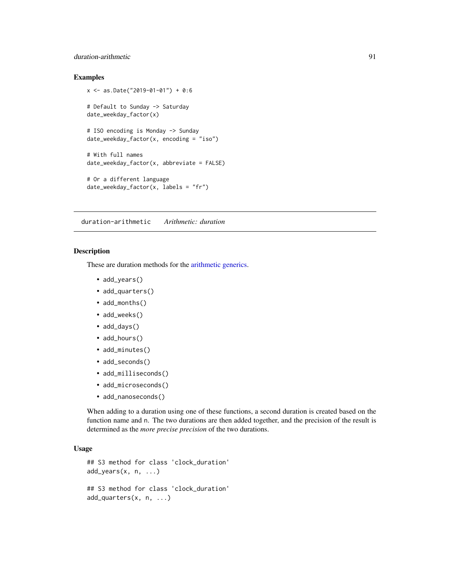# duration-arithmetic 91

## Examples

```
x <- as.Date("2019-01-01") + 0:6
# Default to Sunday -> Saturday
date_weekday_factor(x)
# ISO encoding is Monday -> Sunday
date_weekday_factor(x, encoding = "iso")
# With full names
date_weekday_factor(x, abbreviate = FALSE)
# Or a different language
date\_weekday_factor(x, labels = "fr")
```
duration-arithmetic *Arithmetic: duration*

## Description

These are duration methods for the [arithmetic generics.](#page-32-0)

- add\_years()
- add\_quarters()
- add\_months()
- add\_weeks()
- add\_days()
- add\_hours()
- add\_minutes()
- add\_seconds()
- add\_milliseconds()
- add\_microseconds()
- add\_nanoseconds()

When adding to a duration using one of these functions, a second duration is created based on the function name and n. The two durations are then added together, and the precision of the result is determined as the *more precise precision* of the two durations.

```
## S3 method for class 'clock_duration'
add\_years(x, n, ...)## S3 method for class 'clock_duration'
add_quarters(x, n, ...)
```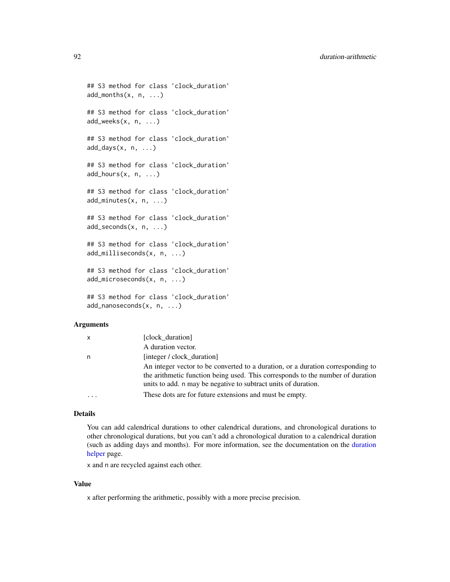```
## S3 method for class 'clock_duration'
add\_months(x, n, ...)## S3 method for class 'clock_duration'
add_weeks(x, n, ...)
## S3 method for class 'clock_duration'
add\_days(x, n, ...)## S3 method for class 'clock_duration'
add\_hours(x, n, ...)## S3 method for class 'clock_duration'
add_minutes(x, n, ...)
## S3 method for class 'clock_duration'
add_seconds(x, n, ...)
## S3 method for class 'clock_duration'
add_milliseconds(x, n, ...)
## S3 method for class 'clock_duration'
add_microseconds(x, n, ...)
## S3 method for class 'clock duration'
add_nanoseconds(x, n, ...)
```

| X | [clock duration]                                                                                                                                                                                                                    |
|---|-------------------------------------------------------------------------------------------------------------------------------------------------------------------------------------------------------------------------------------|
|   | A duration vector.                                                                                                                                                                                                                  |
| n | [integer / clock duration]                                                                                                                                                                                                          |
|   | An integer vector to be converted to a duration, or a duration corresponding to<br>the arithmetic function being used. This corresponds to the number of duration<br>units to add. n may be negative to subtract units of duration. |
|   | These dots are for future extensions and must be empty.                                                                                                                                                                             |

## Details

You can add calendrical durations to other calendrical durations, and chronological durations to other chronological durations, but you can't add a chronological duration to a calendrical duration (such as adding days and months). For more information, see the documentation on the [duration](#page-92-0) [helper](#page-92-0) page.

x and n are recycled against each other.

#### Value

x after performing the arithmetic, possibly with a more precise precision.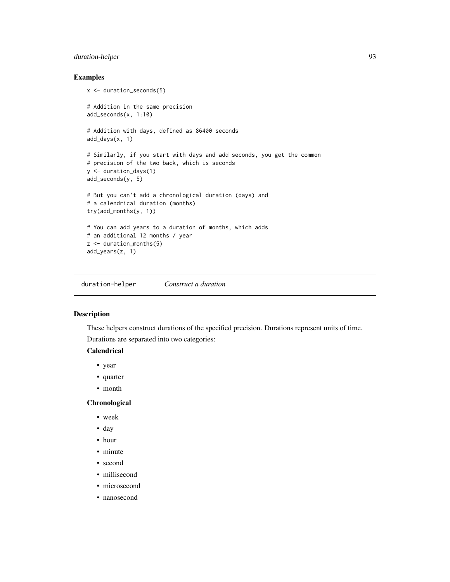# duration-helper 93

# Examples

```
x <- duration_seconds(5)
# Addition in the same precision
add_seconds(x, 1:10)
# Addition with days, defined as 86400 seconds
add_days(x, 1)
# Similarly, if you start with days and add seconds, you get the common
# precision of the two back, which is seconds
y <- duration_days(1)
add_seconds(y, 5)
# But you can't add a chronological duration (days) and
# a calendrical duration (months)
try(add_months(y, 1))
# You can add years to a duration of months, which adds
# an additional 12 months / year
z <- duration_months(5)
add_years(z, 1)
```
<span id="page-92-0"></span>duration-helper *Construct a duration*

## Description

These helpers construct durations of the specified precision. Durations represent units of time.

Durations are separated into two categories:

# **Calendrical**

- year
- quarter
- month

#### **Chronological**

- week
- day
- hour
- minute
- second
- millisecond
- microsecond
- nanosecond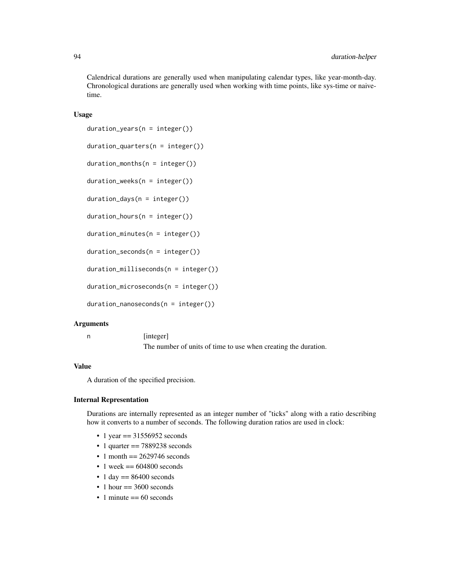Calendrical durations are generally used when manipulating calendar types, like year-month-day. Chronological durations are generally used when working with time points, like sys-time or naivetime.

#### Usage

```
duration\_years(n = integer())
```

```
duration_quarters(n = integer())
```
 $duration_m onths(n = integer())$ 

duration\_weeks(n = integer())

 $duration\_days(n = integer())$ 

```
duration_hours(n = integer())
```

```
duration_minutes(n = integer())
```
 $duration\_seconds(n = integer())$ 

duration\_milliseconds(n = integer())

duration\_microseconds(n = integer())

 $duration\_nanoseconds(n = integer())$ 

#### Arguments

n [integer]

The number of units of time to use when creating the duration.

#### Value

A duration of the specified precision.

## Internal Representation

Durations are internally represented as an integer number of "ticks" along with a ratio describing how it converts to a number of seconds. The following duration ratios are used in clock:

- 1 year  $=$  31556952 seconds
- $\cdot$  1 quarter = 7889238 seconds
- $\cdot$  1 month = 2629746 seconds
- $\cdot$  1 week == 604800 seconds
- $\cdot$  1 day =  $86400$  seconds
- $\cdot$  1 hour  $== 3600$  seconds
- 1 minute  $== 60$  seconds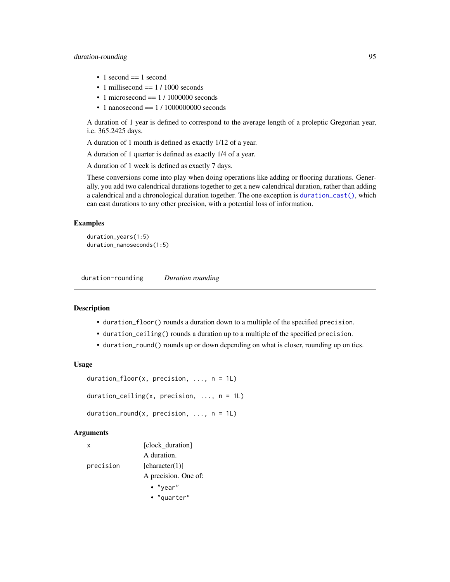# duration-rounding 95

- $\bullet$  1 second  $== 1$  second
- 1 millisecond  $== 1 / 1000$  seconds
- 1 microsecond  $=$  1/1000000 seconds
- 1 nanosecond  $== 1 / 1000000000$  seconds

A duration of 1 year is defined to correspond to the average length of a proleptic Gregorian year, i.e. 365.2425 days.

A duration of 1 month is defined as exactly 1/12 of a year.

A duration of 1 quarter is defined as exactly 1/4 of a year.

A duration of 1 week is defined as exactly 7 days.

These conversions come into play when doing operations like adding or flooring durations. Generally, you add two calendrical durations together to get a new calendrical duration, rather than adding a calendrical and a chronological duration together. The one exception is [duration\\_cast\(\)](#page-96-0), which can cast durations to any other precision, with a potential loss of information.

#### Examples

```
duration_years(1:5)
duration_nanoseconds(1:5)
```
duration-rounding *Duration rounding*

#### <span id="page-94-0"></span>**Description**

- duration\_floor() rounds a duration down to a multiple of the specified precision.
- duration\_ceiling() rounds a duration up to a multiple of the specified precision.
- duration\_round() rounds up or down depending on what is closer, rounding up on ties.

#### Usage

```
duration_floor(x, precision, ..., n = 1L)
```
duration\_ceiling(x, precision,  $\ldots$ , n = 1L)

duration\_round(x, precision,  $\ldots$ , n = 1L)

#### Arguments

| x         | [clock duration]     |
|-----------|----------------------|
|           | A duration.          |
| precision | [character(1)]       |
|           | A precision. One of: |
|           | $\bullet$ "year"     |

• "quarter"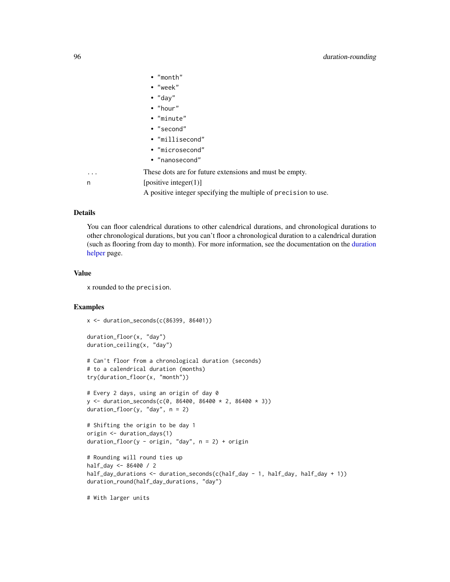|   | $\bullet$ "month"                                               |
|---|-----------------------------------------------------------------|
|   | $\cdot$ "week"                                                  |
|   | $\bullet$ "day"                                                 |
|   | $\bullet$ "hour"                                                |
|   | • "minute"                                                      |
|   | • "second"                                                      |
|   | • "millisecond"                                                 |
|   | • "microsecond"                                                 |
|   | • "nanosecond"                                                  |
| . | These dots are for future extensions and must be empty.         |
| n | [positive integer(1)]                                           |
|   | A positive integer specifying the multiple of precision to use. |

## Details

You can floor calendrical durations to other calendrical durations, and chronological durations to other chronological durations, but you can't floor a chronological duration to a calendrical duration (such as flooring from day to month). For more information, see the documentation on the [duration](#page-92-0) [helper](#page-92-0) page.

#### Value

x rounded to the precision.

# Examples

```
x <- duration_seconds(c(86399, 86401))
```

```
duration_floor(x, "day")
duration_ceiling(x, "day")
```

```
# Can't floor from a chronological duration (seconds)
# to a calendrical duration (months)
try(duration_floor(x, "month"))
```

```
# Every 2 days, using an origin of day 0
y \le - duration_seconds(c(0, 86400, 86400 * 2, 86400 * 3))
duration_floor(y, "day", n = 2)
```

```
# Shifting the origin to be day 1
origin <- duration_days(1)
duration_floor(y - origin, "day", n = 2) + origin
```

```
# Rounding will round ties up
half_day <- 86400 / 2
half_day_durations <- duration_seconds(c(half_day - 1, half_day, half_day + 1))
duration_round(half_day_durations, "day")
```
# With larger units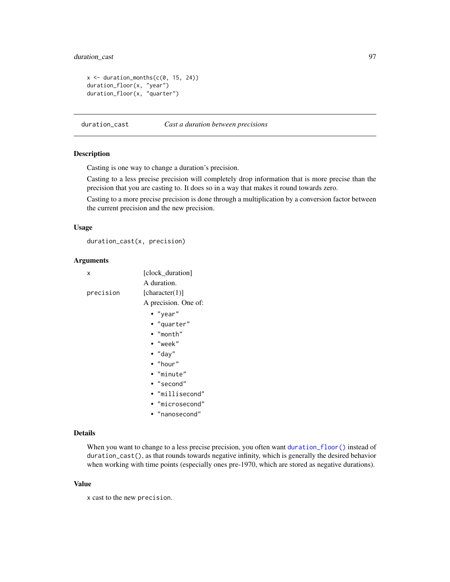# duration\_cast 97

```
x \le duration_months(c(0, 15, 24))
duration_floor(x, "year")
duration_floor(x, "quarter")
```
<span id="page-96-0"></span>duration\_cast *Cast a duration between precisions*

## Description

Casting is one way to change a duration's precision.

Casting to a less precise precision will completely drop information that is more precise than the precision that you are casting to. It does so in a way that makes it round towards zero.

Casting to a more precise precision is done through a multiplication by a conversion factor between the current precision and the new precision.

#### Usage

duration\_cast(x, precision)

#### Arguments

| x         | [clock_duration]     |
|-----------|----------------------|
|           | A duration.          |
| precision | [character(1)]       |
|           | A precision. One of: |
|           | • "year"             |
|           | • "quarter"          |
|           | $\bullet$ "month"    |
|           | • "week"             |
|           | $\bullet$ "day"      |
|           | $\bullet$ "hour"     |
|           | • "minute"           |
|           | $\cdot$ "second"     |
|           | • "millisecond"      |
|           | • "microsecond"      |
|           | • "nanosecond"       |

# Details

When you want to change to a less precise precision, you often want [duration\\_floor\(\)](#page-94-0) instead of duration\_cast(), as that rounds towards negative infinity, which is generally the desired behavior when working with time points (especially ones pre-1970, which are stored as negative durations).

## Value

x cast to the new precision.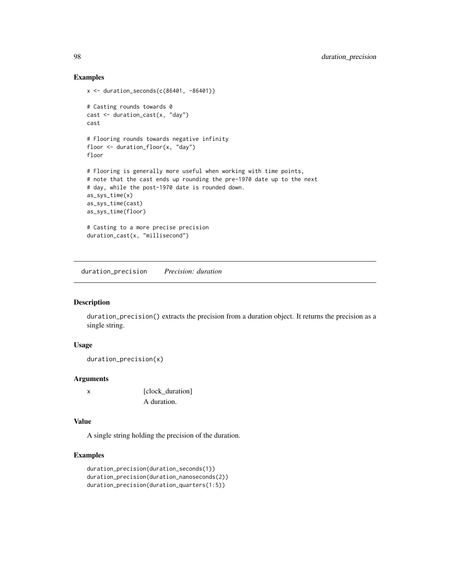## Examples

```
x \leftarrow duration_seconds(c(86401, -86401))
# Casting rounds towards 0
cast <- duration_cast(x, "day")
cast
# Flooring rounds towards negative infinity
floor <- duration_floor(x, "day")
floor
# Flooring is generally more useful when working with time points,
# note that the cast ends up rounding the pre-1970 date up to the next
# day, while the post-1970 date is rounded down.
as_sys_time(x)
as_sys_time(cast)
as_sys_time(floor)
# Casting to a more precise precision
duration_cast(x, "millisecond")
```
duration\_precision *Precision: duration*

# Description

duration\_precision() extracts the precision from a duration object. It returns the precision as a single string.

## Usage

```
duration_precision(x)
```
#### Arguments

```
x [clock_duration]
            A duration.
```
# Value

A single string holding the precision of the duration.

```
duration_precision(duration_seconds(1))
duration_precision(duration_nanoseconds(2))
duration_precision(duration_quarters(1:5))
```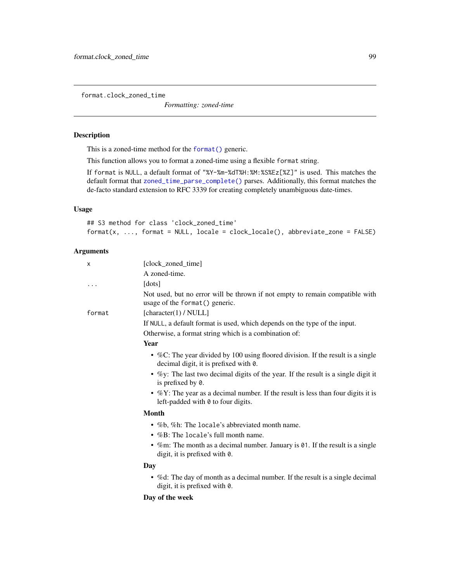format.clock\_zoned\_time

*Formatting: zoned-time*

# Description

This is a zoned-time method for the [format\(\)](#page-0-0) generic.

This function allows you to format a zoned-time using a flexible format string.

If format is NULL, a default format of "%Y-%m-%dT%H:%M:%S%Ez[%Z]" is used. This matches the default format that [zoned\\_time\\_parse\\_complete\(\)](#page-238-0) parses. Additionally, this format matches the de-facto standard extension to RFC 3339 for creating completely unambiguous date-times.

# Usage

```
## S3 method for class 'clock_zoned_time'
format(x, ..., format = NULL, locale = clock\_ locale(), abbreviate_zone = FALSE)
```
# Arguments

| X        | [clock_zoned_time]                                                                                                         |
|----------|----------------------------------------------------------------------------------------------------------------------------|
|          | A zoned-time.                                                                                                              |
| $\cdots$ | [dots]                                                                                                                     |
|          | Not used, but no error will be thrown if not empty to remain compatible with<br>usage of the format () generic.            |
| format   | [character(1) / NULL]                                                                                                      |
|          | If NULL, a default format is used, which depends on the type of the input.                                                 |
|          | Otherwise, a format string which is a combination of:                                                                      |
|          | <b>Year</b>                                                                                                                |
|          | • %C: The year divided by 100 using floored division. If the result is a single<br>decimal digit, it is prefixed with 0.   |
|          | • %y: The last two decimal digits of the year. If the result is a single digit it<br>is prefixed by 0.                     |
|          | • $\%$ Y: The year as a decimal number. If the result is less than four digits it is<br>left-padded with 0 to four digits. |
|          | <b>Month</b>                                                                                                               |
|          | • %b, %h: The locale's abbreviated month name.                                                                             |
|          | $\bullet$ %B: The locale's full month name.                                                                                |
|          | • %m: The month as a decimal number. January is $\theta$ 1. If the result is a single<br>digit, it is prefixed with 0.     |
|          | Day                                                                                                                        |
|          | • % of the day of month as a decimal number. If the result is a single decimal<br>digit, it is prefixed with 0.            |
|          | Day of the week                                                                                                            |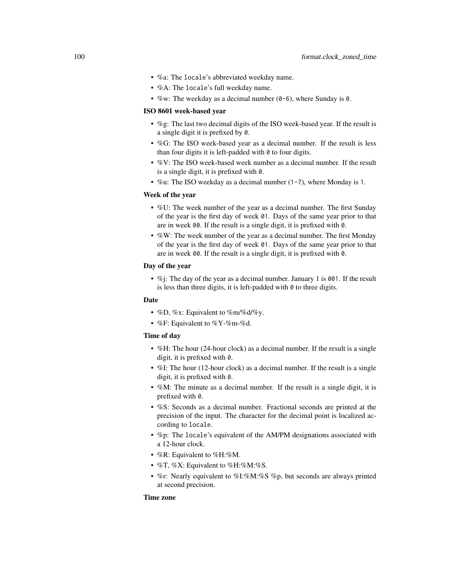- %a: The locale's abbreviated weekday name.
- %A: The locale's full weekday name.
- %w: The weekday as a decimal number  $(0-6)$ , where Sunday is 0.

#### ISO 8601 week-based year

- %g: The last two decimal digits of the ISO week-based year. If the result is a single digit it is prefixed by 0.
- %G: The ISO week-based year as a decimal number. If the result is less than four digits it is left-padded with  $\theta$  to four digits.
- %V: The ISO week-based week number as a decimal number. If the result is a single digit, it is prefixed with 0.
- %u: The ISO weekday as a decimal number (1-7), where Monday is 1.

# Week of the year

- %U: The week number of the year as a decimal number. The first Sunday of the year is the first day of week 01. Days of the same year prior to that are in week 00. If the result is a single digit, it is prefixed with 0.
- %W: The week number of the year as a decimal number. The first Monday of the year is the first day of week 01. Days of the same year prior to that are in week 00. If the result is a single digit, it is prefixed with 0.

# Day of the year

• %j: The day of the year as a decimal number. January 1 is 001. If the result is less than three digits, it is left-padded with  $\theta$  to three digits.

#### Date

- %D, %x: Equivalent to %m/%d/%y.
- %F: Equivalent to %Y-%m-%d.

#### Time of day

- %H: The hour (24-hour clock) as a decimal number. If the result is a single digit, it is prefixed with 0.
- %I: The hour (12-hour clock) as a decimal number. If the result is a single digit, it is prefixed with 0.
- %M: The minute as a decimal number. If the result is a single digit, it is prefixed with 0.
- %S: Seconds as a decimal number. Fractional seconds are printed at the precision of the input. The character for the decimal point is localized according to locale.
- %p: The locale's equivalent of the AM/PM designations associated with a 12-hour clock.
- %R: Equivalent to %H:%M.
- %T, %X: Equivalent to %H:%M:%S.
- %r: Nearly equivalent to %I:%M:%S %p, but seconds are always printed at second precision.

## Time zone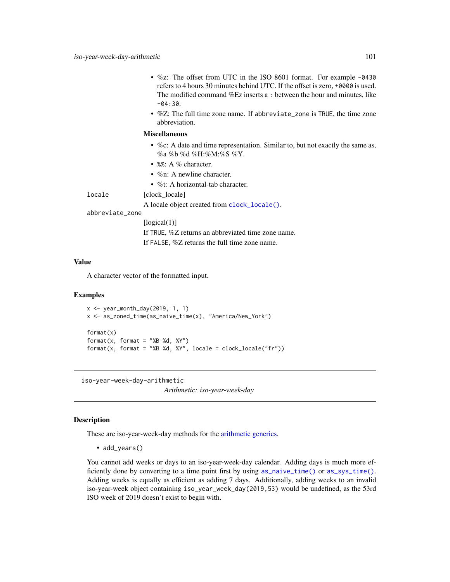- %z: The offset from UTC in the ISO 8601 format. For example -0430 refers to 4 hours 30 minutes behind UTC. If the offset is zero, +0000 is used. The modified command %Ez inserts a : between the hour and minutes, like  $-04.30$
- %Z: The full time zone name. If abbreviate\_zone is TRUE, the time zone abbreviation.

#### Miscellaneous

- %c: A date and time representation. Similar to, but not exactly the same as, %a %b %d %H:%M:%S %Y.
- %%: A % character.
- %n: A newline character.
- %t: A horizontal-tab character.

locale [clock locale]

A locale object created from [clock\\_locale\(\)](#page-42-0).

#### abbreviate\_zone

[logical(1)] If TRUE, %Z returns an abbreviated time zone name. If FALSE, %Z returns the full time zone name.

### Value

A character vector of the formatted input.

#### Examples

```
x \leq - year_month_day(2019, 1, 1)
x <- as_zoned_time(as_naive_time(x), "America/New_York")
format(x)
format(x, format = "&B %d, %Y")format(x, format = "&B %d, %Y", locale = clock\_ locale("fr"))
```
iso-year-week-day-arithmetic

*Arithmetic: iso-year-week-day*

## Description

These are iso-year-week-day methods for the [arithmetic generics.](#page-32-0)

• add\_years()

You cannot add weeks or days to an iso-year-week-day calendar. Adding days is much more efficiently done by converting to a time point first by using [as\\_naive\\_time\(\)](#page-18-0) or [as\\_sys\\_time\(\)](#page-19-0). Adding weeks is equally as efficient as adding 7 days. Additionally, adding weeks to an invalid iso-year-week object containing iso\_year\_week\_day(2019,53) would be undefined, as the 53rd ISO week of 2019 doesn't exist to begin with.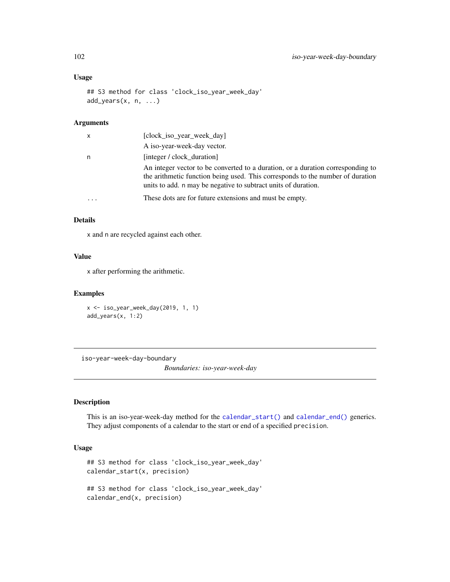# Usage

```
## S3 method for class 'clock_iso_year_week_day'
add_years(x, n, ...)
```
# Arguments

| x | [clock_iso_year_week_day]                                                                                                                                                                                                           |
|---|-------------------------------------------------------------------------------------------------------------------------------------------------------------------------------------------------------------------------------------|
|   | A iso-year-week-day vector.                                                                                                                                                                                                         |
| n | [integer / clock duration]                                                                                                                                                                                                          |
|   | An integer vector to be converted to a duration, or a duration corresponding to<br>the arithmetic function being used. This corresponds to the number of duration<br>units to add. n may be negative to subtract units of duration. |
| . | These dots are for future extensions and must be empty.                                                                                                                                                                             |

#### Details

x and n are recycled against each other.

# Value

x after performing the arithmetic.

# Examples

```
x <- iso_year_week_day(2019, 1, 1)
add_years(x, 1:2)
```
iso-year-week-day-boundary

*Boundaries: iso-year-week-day*

# Description

This is an iso-year-week-day method for the [calendar\\_start\(\)](#page-25-0) and [calendar\\_end\(\)](#page-25-0) generics. They adjust components of a calendar to the start or end of a specified precision.

```
## S3 method for class 'clock_iso_year_week_day'
calendar_start(x, precision)
## S3 method for class 'clock_iso_year_week_day'
calendar_end(x, precision)
```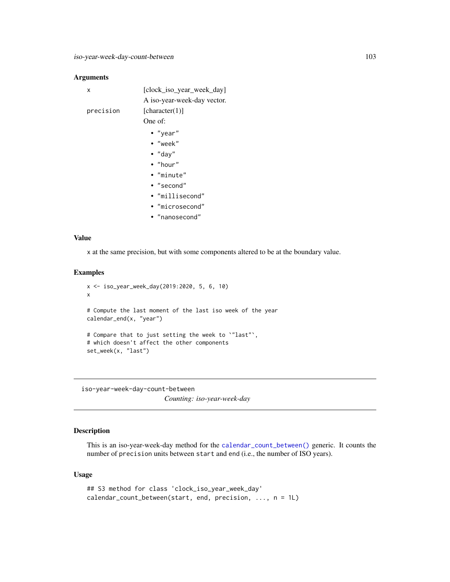| x         | [clock_iso_year_week_day]   |
|-----------|-----------------------------|
|           | A iso-year-week-day vector. |
| precision | [character(1)]              |
|           | One of:                     |
|           | $\bullet$ "year"            |
|           | • "week"                    |
|           | $\bullet$ "day"             |
|           | $\bullet$ "hour"            |
|           | • "minute"                  |
|           | $\bullet$ "second"          |
|           | • "millisecond"             |
|           | • "microsecond"             |
|           | • "nanosecond"              |

## Value

x at the same precision, but with some components altered to be at the boundary value.

## Examples

```
x <- iso_year_week_day(2019:2020, 5, 6, 10)
x
# Compute the last moment of the last iso week of the year
calendar_end(x, "year")
# Compare that to just setting the week to `"last"`,
# which doesn't affect the other components
set_week(x, "last")
```
iso-year-week-day-count-between *Counting: iso-year-week-day*

# Description

This is an iso-year-week-day method for the [calendar\\_count\\_between\(\)](#page-26-0) generic. It counts the number of precision units between start and end (i.e., the number of ISO years).

```
## S3 method for class 'clock_iso_year_week_day'
calendar_count_between(start, end, precision, ..., n = 1L)
```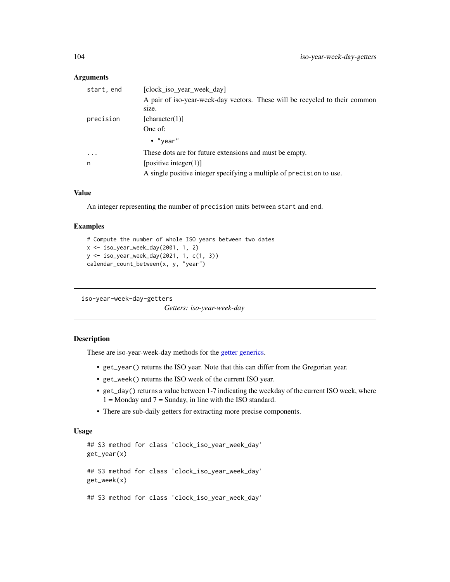| start, end | [clock_iso_year_week_day]                                                   |  |
|------------|-----------------------------------------------------------------------------|--|
|            | A pair of iso-year-week-day vectors. These will be recycled to their common |  |
|            | size.                                                                       |  |
| precision  | [character(1)]                                                              |  |
|            | One of:                                                                     |  |
|            | $\bullet$ "year"                                                            |  |
| $\ddotsc$  | These dots are for future extensions and must be empty.                     |  |
| n          | [positive integer $(1)$ ]                                                   |  |
|            | A single positive integer specifying a multiple of precision to use.        |  |
|            |                                                                             |  |

# Value

An integer representing the number of precision units between start and end.

#### Examples

```
# Compute the number of whole ISO years between two dates
x <- iso_year_week_day(2001, 1, 2)
y <- iso_year_week_day(2021, 1, c(1, 3))
calendar_count_between(x, y, "year")
```
iso-year-week-day-getters

*Getters: iso-year-week-day*

# Description

These are iso-year-week-day methods for the [getter generics.](#page-36-0)

- get\_year() returns the ISO year. Note that this can differ from the Gregorian year.
- get\_week() returns the ISO week of the current ISO year.
- get\_day() returns a value between 1-7 indicating the weekday of the current ISO week, where  $1 =$  Monday and  $7 =$  Sunday, in line with the ISO standard.
- There are sub-daily getters for extracting more precise components.

```
## S3 method for class 'clock_iso_year_week_day'
get_year(x)
## S3 method for class 'clock_iso_year_week_day'
get_week(x)
## S3 method for class 'clock_iso_year_week_day'
```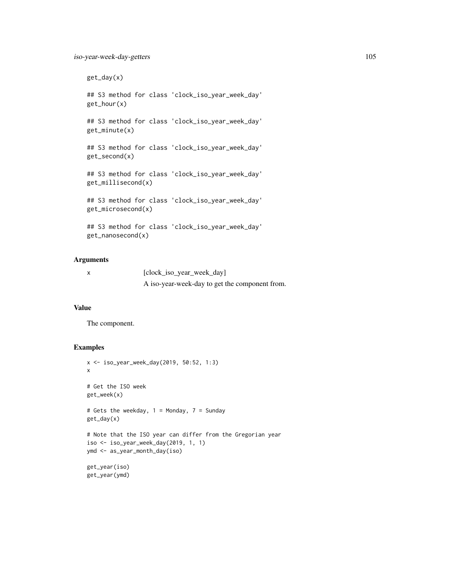```
get_day(x)
## S3 method for class 'clock_iso_year_week_day'
get_hour(x)
## S3 method for class 'clock_iso_year_week_day'
get_minute(x)
## S3 method for class 'clock_iso_year_week_day'
get_second(x)
## S3 method for class 'clock_iso_year_week_day'
get_millisecond(x)
## S3 method for class 'clock_iso_year_week_day'
get_microsecond(x)
## S3 method for class 'clock_iso_year_week_day'
get_nanosecond(x)
```
x [clock\_iso\_year\_week\_day] A iso-year-week-day to get the component from.

# Value

The component.

```
x <- iso_year_week_day(2019, 50:52, 1:3)
x
# Get the ISO week
get_week(x)
# Gets the weekday, 1 = Monday, 7 = Sunday
get_day(x)
# Note that the ISO year can differ from the Gregorian year
iso <- iso_year_week_day(2019, 1, 1)
ymd <- as_year_month_day(iso)
get_year(iso)
get_year(ymd)
```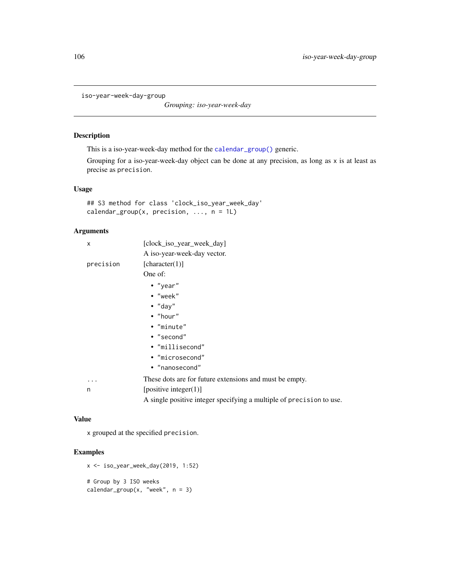iso-year-week-day-group

*Grouping: iso-year-week-day*

## Description

This is a iso-year-week-day method for the [calendar\\_group\(\)](#page-27-0) generic.

Grouping for a iso-year-week-day object can be done at any precision, as long as x is at least as precise as precision.

## Usage

```
## S3 method for class 'clock_iso_year_week_day'
calendar_group(x, precision, \dots, n = 1L)
```
# Arguments

| X         | [clock_iso_year_week_day]                                            |
|-----------|----------------------------------------------------------------------|
|           | A iso-year-week-day vector.                                          |
| precision | [character(1)]                                                       |
|           | One of:                                                              |
|           | $\cdot$ "year"                                                       |
|           | $\bullet$ "week"                                                     |
|           | $\bullet$ "day"                                                      |
|           | $\bullet$ "hour"                                                     |
|           | • "minute"                                                           |
|           | $\bullet$ "second"                                                   |
|           | • "millisecond"                                                      |
|           | • "microsecond"                                                      |
|           | • "nanosecond"                                                       |
| .         | These dots are for future extensions and must be empty.              |
| n         | [positive integer $(1)$ ]                                            |
|           | A single positive integer specifying a multiple of precision to use. |

#### Value

x grouped at the specified precision.

```
x <- iso_year_week_day(2019, 1:52)
# Group by 3 ISO weeks
calendar_group(x, "week", n = 3)
```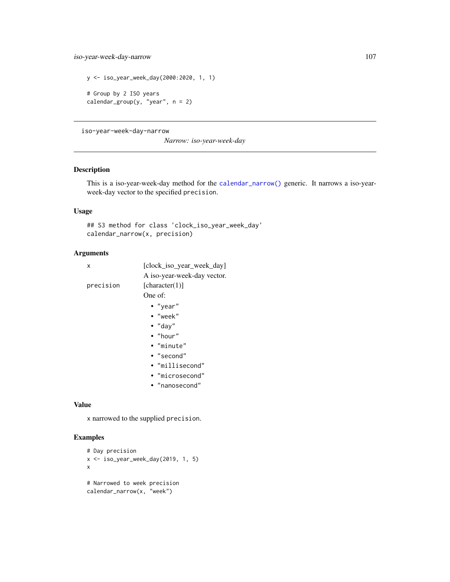```
y <- iso_year_week_day(2000:2020, 1, 1)
# Group by 2 ISO years
calendar_group(y, "year", n = 2)
```
iso-year-week-day-narrow

*Narrow: iso-year-week-day*

# Description

This is a iso-year-week-day method for the [calendar\\_narrow\(\)](#page-30-0) generic. It narrows a iso-yearweek-day vector to the specified precision.

# Usage

## S3 method for class 'clock\_iso\_year\_week\_day' calendar\_narrow(x, precision)

# Arguments

| x         | [clock_iso_year_week_day]   |
|-----------|-----------------------------|
|           | A iso-year-week-day vector. |
| precision | [character(1)]              |
|           | One of:                     |
|           | $\bullet$ "year"            |
|           | $\bullet$ "week"            |
|           | $\bullet$ "day"             |
|           | $\bullet$ "hour"            |
|           | • "minute"                  |
|           | $\bullet$ "second"          |
|           | • "millisecond"             |
|           | • "microsecond"             |
|           | • "nanosecond"              |

# Value

x narrowed to the supplied precision.

```
# Day precision
x <- iso_year_week_day(2019, 1, 5)
x
# Narrowed to week precision
calendar_narrow(x, "week")
```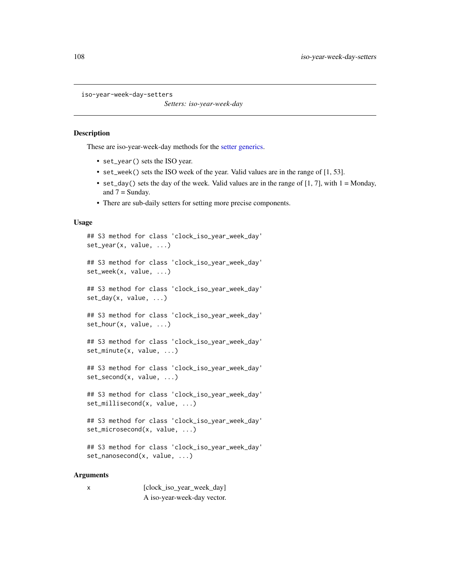```
iso-year-week-day-setters
```
*Setters: iso-year-week-day*

## **Description**

These are iso-year-week-day methods for the [setter generics.](#page-39-0)

- set\_year() sets the ISO year.
- set\_week() sets the ISO week of the year. Valid values are in the range of [1, 53].
- set\_day() sets the day of the week. Valid values are in the range of  $[1, 7]$ , with  $1 =$  Monday, and  $7 =$  Sunday.
- There are sub-daily setters for setting more precise components.

## Usage

```
## S3 method for class 'clock_iso_year_week_day'
set_year(x, value, ...)
## S3 method for class 'clock_iso_year_week_day'
set_week(x, value, ...)
## S3 method for class 'clock_iso_year_week_day'
set_day(x, value, ...)
## S3 method for class 'clock_iso_year_week_day'
set_hour(x, value, ...)
## S3 method for class 'clock_iso_year_week_day'
set_minute(x, value, ...)
## S3 method for class 'clock_iso_year_week_day'
set_second(x, value, ...)
## S3 method for class 'clock_iso_year_week_day'
set_millisecond(x, value, ...)
## S3 method for class 'clock_iso_year_week_day'
set_microsecond(x, value, ...)
## S3 method for class 'clock_iso_year_week_day'
```
set\_nanosecond(x, value, ...)

### Arguments

| X | [clock_iso_year_week_day]   |
|---|-----------------------------|
|   | A iso-year-week-day vector. |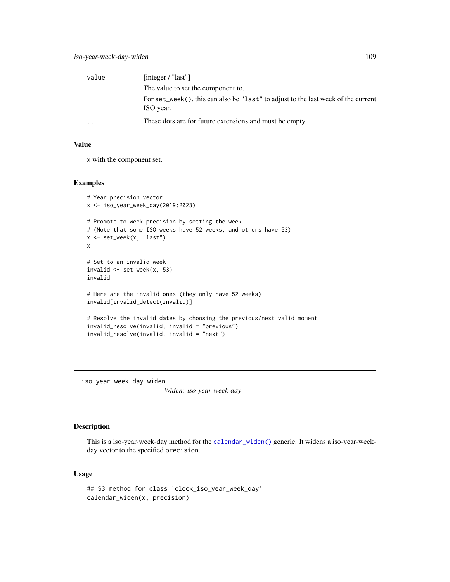| value    | [integer / " $last"$ ]                                                                         |
|----------|------------------------------------------------------------------------------------------------|
|          | The value to set the component to.                                                             |
|          | For set_week(), this can also be "last" to adjust to the last week of the current<br>ISO year. |
| $\cdots$ | These dots are for future extensions and must be empty.                                        |

## Value

x with the component set.

## Examples

```
# Year precision vector
x <- iso_year_week_day(2019:2023)
# Promote to week precision by setting the week
# (Note that some ISO weeks have 52 weeks, and others have 53)
x <- set_week(x, "last")
x
# Set to an invalid week
invalid \leq set_week(x, 53)
invalid
# Here are the invalid ones (they only have 52 weeks)
invalid[invalid_detect(invalid)]
# Resolve the invalid dates by choosing the previous/next valid moment
invalid_resolve(invalid, invalid = "previous")
invalid_resolve(invalid, invalid = "next")
```
iso-year-week-day-widen

*Widen: iso-year-week-day*

## Description

This is a iso-year-week-day method for the [calendar\\_widen\(\)](#page-31-0) generic. It widens a iso-year-weekday vector to the specified precision.

#### Usage

```
## S3 method for class 'clock_iso_year_week_day'
calendar_widen(x, precision)
```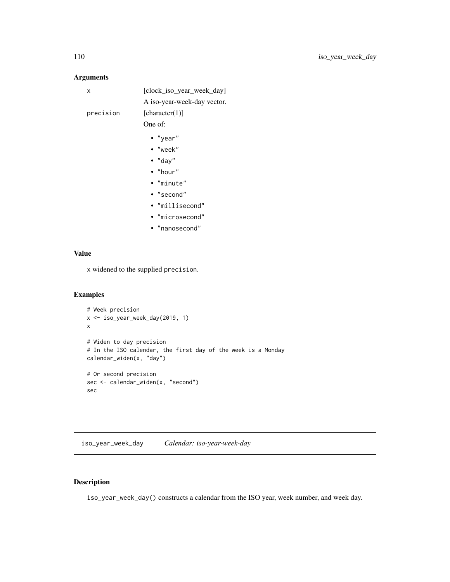## Arguments

| x         | [clock_iso_year_week_day]   |
|-----------|-----------------------------|
|           | A iso-year-week-day vector. |
| precision | [character(1)]              |
|           | One of:                     |
|           | • "year"                    |
|           | $\bullet$ "week"            |
|           | $\bullet$ "day"             |
|           | $\bullet$ "hour"            |
|           | • "minute"                  |
|           | • "second"                  |
|           | • "millisecond"             |
|           | · "microsecond"             |
|           | • "nanosecond"              |
|           |                             |

## Value

x widened to the supplied precision.

## Examples

```
# Week precision
x <- iso_year_week_day(2019, 1)
x
# Widen to day precision
# In the ISO calendar, the first day of the week is a Monday
calendar_widen(x, "day")
# Or second precision
sec <- calendar_widen(x, "second")
sec
```
iso\_year\_week\_day *Calendar: iso-year-week-day*

# Description

iso\_year\_week\_day() constructs a calendar from the ISO year, week number, and week day.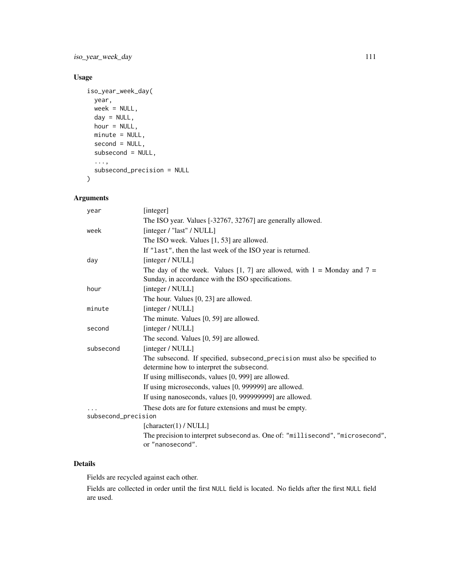iso\_year\_week\_day 111

# Usage

```
iso_year_week_day(
 year,
 week = NULL,day = NULL,
 hour = NULL,
 minute = NULL,
  second = NULL,
  subsecond = NULL,
  ...,
  subsecond_precision = NULL
\mathcal{L}
```
# Arguments

| year                | [integer]                                                                                                               |
|---------------------|-------------------------------------------------------------------------------------------------------------------------|
|                     | The ISO year. Values [-32767, 32767] are generally allowed.                                                             |
| week                | [integer / "last" / NULL]                                                                                               |
|                     | The ISO week. Values [1, 53] are allowed.                                                                               |
|                     | If "last", then the last week of the ISO year is returned.                                                              |
| day                 | [integer / NULL]                                                                                                        |
|                     | The day of the week. Values [1, 7] are allowed, with $1 =$ Monday and $7 =$                                             |
|                     | Sunday, in accordance with the ISO specifications.                                                                      |
| hour                | [integer / NULL]                                                                                                        |
|                     | The hour. Values [0, 23] are allowed.                                                                                   |
| minute              | [integer / NULL]                                                                                                        |
|                     | The minute. Values [0, 59] are allowed.                                                                                 |
| second              | [integer / NULL]                                                                                                        |
|                     | The second. Values [0, 59] are allowed.                                                                                 |
| subsecond           | [integer / NULL]                                                                                                        |
|                     | The subsecond. If specified, subsecond_precision must also be specified to<br>determine how to interpret the subsecond. |
|                     | If using milliseconds, values [0, 999] are allowed.                                                                     |
|                     | If using microseconds, values [0, 999999] are allowed.                                                                  |
|                     | If using nanoseconds, values [0, 999999999] are allowed.                                                                |
|                     | These dots are for future extensions and must be empty.                                                                 |
| subsecond_precision |                                                                                                                         |
|                     | [character(1) / NULL]                                                                                                   |
|                     | The precision to interpret subsecond as. One of: "millisecond", "microsecond",<br>or "nanosecond".                      |
|                     |                                                                                                                         |

## Details

Fields are recycled against each other.

Fields are collected in order until the first NULL field is located. No fields after the first NULL field are used.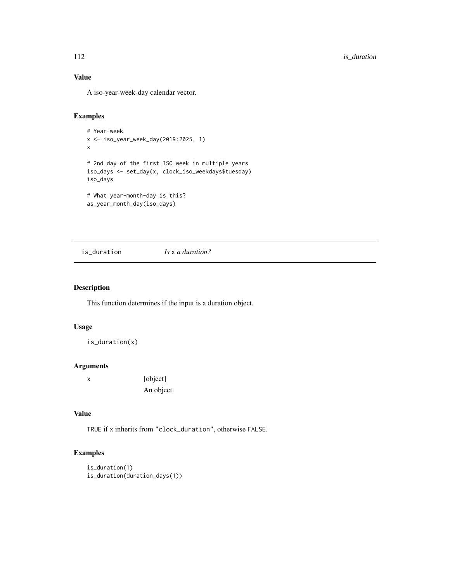# Value

A iso-year-week-day calendar vector.

#### Examples

```
# Year-week
x <- iso_year_week_day(2019:2025, 1)
x
# 2nd day of the first ISO week in multiple years
iso_days <- set_day(x, clock_iso_weekdays$tuesday)
iso_days
# What year-month-day is this?
```

```
as_year_month_day(iso_days)
```
is\_duration *Is* x *a duration?*

## Description

This function determines if the input is a duration object.

## Usage

is\_duration(x)

## Arguments

x [object] An object.

## Value

TRUE if x inherits from "clock\_duration", otherwise FALSE.

```
is_duration(1)
is_duration(duration_days(1))
```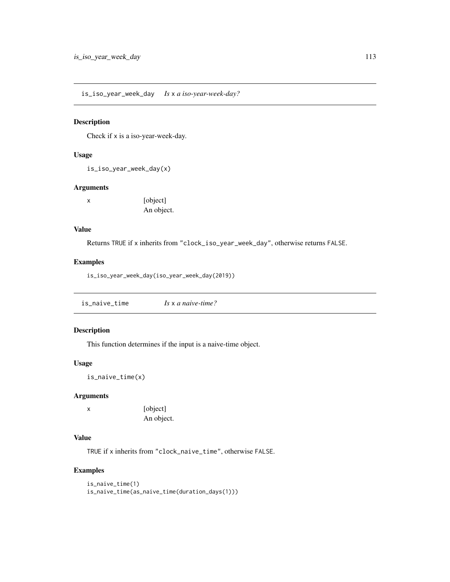is\_iso\_year\_week\_day *Is* x *a iso-year-week-day?*

## Description

Check if x is a iso-year-week-day.

#### Usage

is\_iso\_year\_week\_day(x)

#### Arguments

| х | [object]   |
|---|------------|
|   | An object. |

## Value

Returns TRUE if x inherits from "clock\_iso\_year\_week\_day", otherwise returns FALSE.

## Examples

is\_iso\_year\_week\_day(iso\_year\_week\_day(2019))

| is_naive_time | Is $\times$ a naive-time? |  |
|---------------|---------------------------|--|
|               |                           |  |

## Description

This function determines if the input is a naive-time object.

## Usage

is\_naive\_time(x)

#### Arguments

x [object] An object.

# Value

TRUE if x inherits from "clock\_naive\_time", otherwise FALSE.

```
is_naive_time(1)
is_naive_time(as_naive_time(duration_days(1)))
```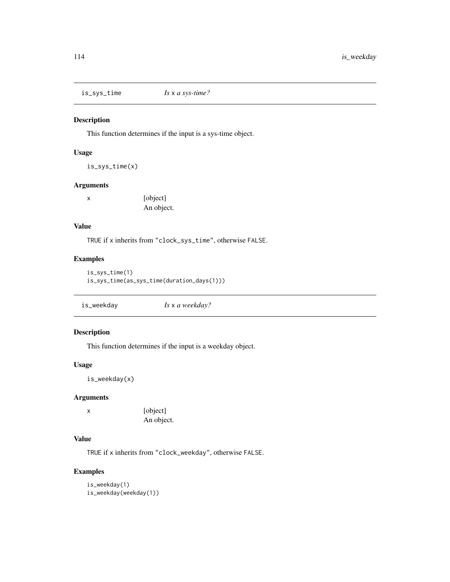is\_sys\_time *Is* x *a sys-time?*

## Description

This function determines if the input is a sys-time object.

## Usage

is\_sys\_time(x)

## Arguments

x [object] An object.

# Value

TRUE if x inherits from "clock\_sys\_time", otherwise FALSE.

# Examples

```
is_sys_time(1)
is_sys_time(as_sys_time(duration_days(1)))
```

| is_weekday | Is x a weekday? |  |
|------------|-----------------|--|
|------------|-----------------|--|

# Description

This function determines if the input is a weekday object.

## Usage

is\_weekday(x)

## Arguments

x [object] An object.

# Value

TRUE if x inherits from "clock\_weekday", otherwise FALSE.

```
is_weekday(1)
is_weekday(weekday(1))
```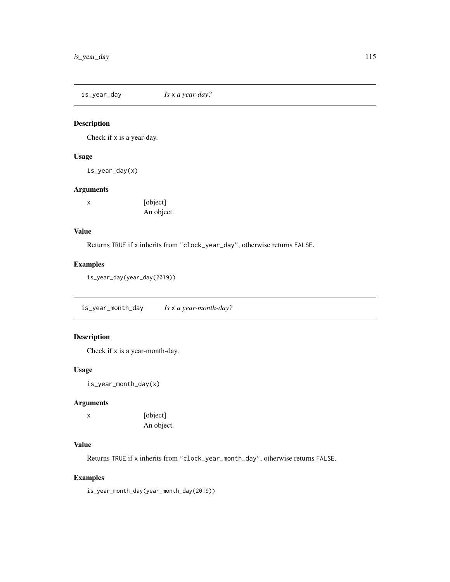is\_year\_day *Is* x *a year-day?*

## Description

Check if x is a year-day.

## Usage

is\_year\_day(x)

# Arguments

x [object] An object.

## Value

Returns TRUE if x inherits from "clock\_year\_day", otherwise returns FALSE.

## Examples

is\_year\_day(year\_day(2019))

is\_year\_month\_day *Is* x *a year-month-day?*

## Description

Check if x is a year-month-day.

#### Usage

is\_year\_month\_day(x)

## Arguments

x [object] An object.

# Value

Returns TRUE if x inherits from "clock\_year\_month\_day", otherwise returns FALSE.

## Examples

is\_year\_month\_day(year\_month\_day(2019))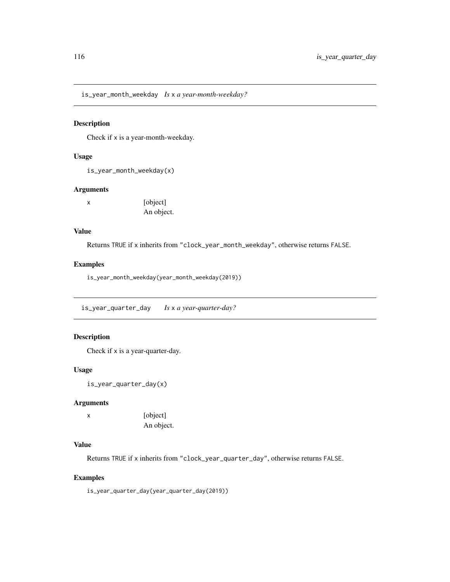is\_year\_month\_weekday *Is* x *a year-month-weekday?*

#### Description

Check if x is a year-month-weekday.

## Usage

is\_year\_month\_weekday(x)

## Arguments

| х | [object]   |
|---|------------|
|   | An object. |

## Value

Returns TRUE if x inherits from "clock\_year\_month\_weekday", otherwise returns FALSE.

## Examples

is\_year\_month\_weekday(year\_month\_weekday(2019))

is\_year\_quarter\_day *Is* x *a year-quarter-day?*

## Description

Check if x is a year-quarter-day.

#### Usage

```
is_year_quarter_day(x)
```
## Arguments

x [object] An object.

## Value

Returns TRUE if x inherits from "clock\_year\_quarter\_day", otherwise returns FALSE.

## Examples

is\_year\_quarter\_day(year\_quarter\_day(2019))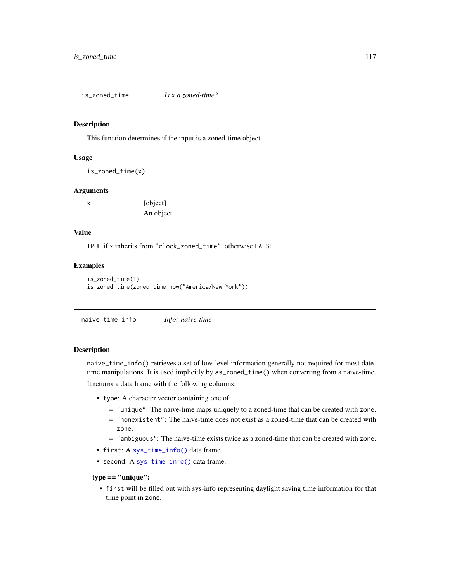is\_zoned\_time *Is* x *a zoned-time?*

#### Description

This function determines if the input is a zoned-time object.

## Usage

is\_zoned\_time(x)

#### Arguments

x [object] An object.

#### Value

TRUE if x inherits from "clock\_zoned\_time", otherwise FALSE.

#### Examples

```
is_zoned_time(1)
is_zoned_time(zoned_time_now("America/New_York"))
```
naive\_time\_info *Info: naive-time*

#### Description

naive\_time\_info() retrieves a set of low-level information generally not required for most datetime manipulations. It is used implicitly by as\_zoned\_time() when converting from a naive-time.

It returns a data frame with the following columns:

- type: A character vector containing one of:
	- "unique": The naive-time maps uniquely to a zoned-time that can be created with zone.
	- "nonexistent": The naive-time does not exist as a zoned-time that can be created with zone.
	- "ambiguous": The naive-time exists twice as a zoned-time that can be created with zone.
- first: A [sys\\_time\\_info\(\)](#page-168-0) data frame.
- second: A [sys\\_time\\_info\(\)](#page-168-0) data frame.

#### type == "unique":

• first will be filled out with sys-info representing daylight saving time information for that time point in zone.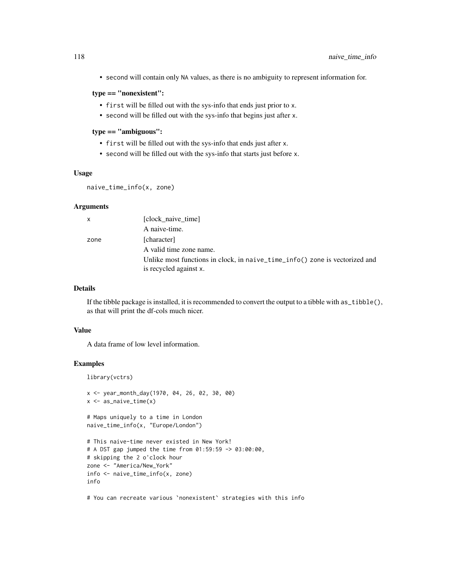• second will contain only NA values, as there is no ambiguity to represent information for.

# type == "nonexistent":

- first will be filled out with the sys-info that ends just prior to x.
- second will be filled out with the sys-info that begins just after x.

#### type == "ambiguous":

- first will be filled out with the sys-info that ends just after x.
- second will be filled out with the sys-info that starts just before x.

# Usage

```
naive_time_info(x, zone)
```
## Arguments

| $\mathsf{x}$ | [clock_naive_time]                                                                                    |
|--------------|-------------------------------------------------------------------------------------------------------|
|              | A naive-time.                                                                                         |
| zone         | [character]                                                                                           |
|              | A valid time zone name.                                                                               |
|              | Unlike most functions in clock, in naive_time_info() zone is vectorized and<br>is recycled against x. |

## Details

If the tibble package is installed, it is recommended to convert the output to a tibble with  $as\_tibble(),$ as that will print the df-cols much nicer.

## Value

A data frame of low level information.

## Examples

library(vctrs)

```
x <- year_month_day(1970, 04, 26, 02, 30, 00)
x \leq - as_naive_time(x)
# Maps uniquely to a time in London
naive_time_info(x, "Europe/London")
# This naive-time never existed in New York!
# A DST gap jumped the time from 01:59:59 -> 03:00:00,
# skipping the 2 o'clock hour
zone <- "America/New_York"
info <- naive_time_info(x, zone)
info
```
# You can recreate various `nonexistent` strategies with this info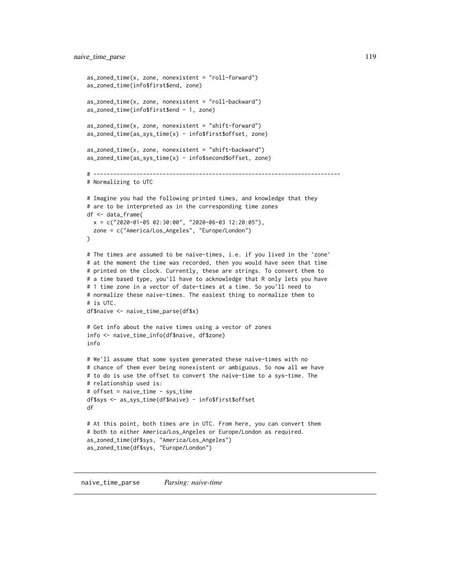```
as_zoned_time(x, zone, nonexistent = "roll-forward")
as_zoned_time(info$first$end, zone)
as_zoned_time(x, zone, nonexistent = "roll-backward")
as_zoned_time(info$first$end - 1, zone)
as_zoned_time(x, zone, nonexistent = "shift-forward")
as_zoned_time(as_sys_time(x) - info$first$offset, zone)
as_zoned_time(x, zone, nonexistent = "shift-backward")
as_zoned_time(as_sys_time(x) - info$second$offset, zone)
# ---------------------------------------------------------------------------
# Normalizing to UTC
# Imagine you had the following printed times, and knowledge that they
# are to be interpreted as in the corresponding time zones
df <- data_frame(
  x = c("2020-01-05 02:30:00", "2020-06-03 12:20:05"),zone = c("America/Los_Angeles", "Europe/London")
\mathcal{L}# The times are assumed to be naive-times, i.e. if you lived in the `zone`
# at the moment the time was recorded, then you would have seen that time
# printed on the clock. Currently, these are strings. To convert them to
# a time based type, you'll have to acknowledge that R only lets you have
# 1 time zone in a vector of date-times at a time. So you'll need to
# normalize these naive-times. The easiest thing to normalize them to
# is UTC.
df$naive <- naive_time_parse(df$x)
# Get info about the naive times using a vector of zones
info <- naive_time_info(df$naive, df$zone)
info
# We'll assume that some system generated these naive-times with no
# chance of them ever being nonexistent or ambiguous. So now all we have
# to do is use the offset to convert the naive-time to a sys-time. The
# relationship used is:
# offset = naive_time - sys_time
df$sys <- as_sys_time(df$naive) - info$first$offset
df
# At this point, both times are in UTC. From here, you can convert them
# both to either America/Los_Angeles or Europe/London as required.
as_zoned_time(df$sys, "America/Los_Angeles")
as_zoned_time(df$sys, "Europe/London")
```
naive\_time\_parse *Parsing: naive-time*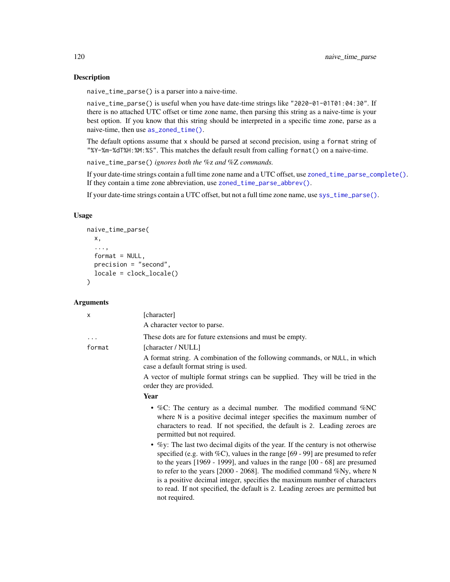## **Description**

naive\_time\_parse() is a parser into a naive-time.

naive\_time\_parse() is useful when you have date-time strings like "2020-01-01T01:04:30". If there is no attached UTC offset or time zone name, then parsing this string as a naive-time is your best option. If you know that this string should be interpreted in a specific time zone, parse as a naive-time, then use [as\\_zoned\\_time\(\)](#page-24-0).

The default options assume that x should be parsed at second precision, using a format string of "%Y-%m-%dT%H:%M:%S". This matches the default result from calling format() on a naive-time.

naive\_time\_parse() *ignores both the* %z *and* %Z *commands.*

not required.

If your date-time strings contain a full time zone name and a UTC offset, use [zoned\\_time\\_parse\\_complete\(\)](#page-238-0). If they contain a time zone abbreviation, use [zoned\\_time\\_parse\\_abbrev\(\)](#page-238-0).

If your date-time strings contain a UTC offset, but not a full time zone name, use [sys\\_time\\_parse\(\)](#page-162-0).

## Usage

```
naive_time_parse(
 x,
  ...,
  format = NULL,precision = "second",
 locale = clock_locale()
\lambda
```
#### Arguments

| x        | [character]                                                                                                                                                                                                                                                                                                                                                                                                          |
|----------|----------------------------------------------------------------------------------------------------------------------------------------------------------------------------------------------------------------------------------------------------------------------------------------------------------------------------------------------------------------------------------------------------------------------|
|          | A character vector to parse.                                                                                                                                                                                                                                                                                                                                                                                         |
| $\cdots$ | These dots are for future extensions and must be empty.                                                                                                                                                                                                                                                                                                                                                              |
| format   | [character / NULL]                                                                                                                                                                                                                                                                                                                                                                                                   |
|          | A format string. A combination of the following commands, or NULL, in which<br>case a default format string is used.                                                                                                                                                                                                                                                                                                 |
|          | A vector of multiple format strings can be supplied. They will be tried in the<br>order they are provided.                                                                                                                                                                                                                                                                                                           |
|          | Year                                                                                                                                                                                                                                                                                                                                                                                                                 |
|          | • %C: The century as a decimal number. The modified command % $NC$<br>where N is a positive decimal integer specifies the maximum number of<br>characters to read. If not specified, the default is 2. Leading zeroes are<br>permitted but not required.                                                                                                                                                             |
|          | • $\%$ y: The last two decimal digits of the year. If the century is not otherwise<br>specified (e.g. with $\%C$ ), values in the range [69 - 99] are presumed to refer<br>to the years $[1969 - 1999]$ , and values in the range $[00 - 68]$ are presumed<br>to refer to the years $[2000 - 2068]$ . The modified command %Ny, where N<br>is a positive decimal integer, specifies the maximum number of characters |

to read. If not specified, the default is 2. Leading zeroes are permitted but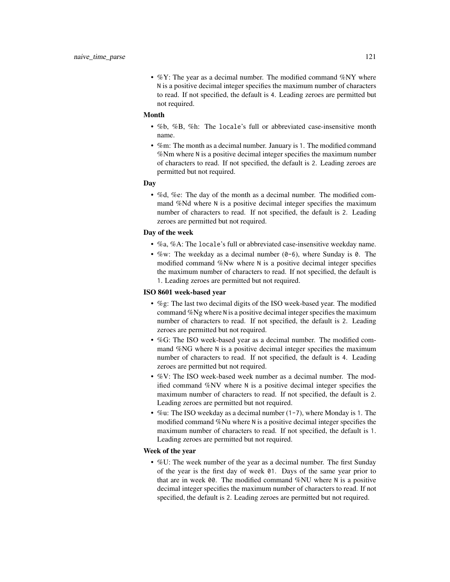•  $\%$ Y: The year as a decimal number. The modified command  $\%$ NY where N is a positive decimal integer specifies the maximum number of characters to read. If not specified, the default is 4. Leading zeroes are permitted but not required.

#### Month

- %b, %B, %h: The locale's full or abbreviated case-insensitive month name.
- %m: The month as a decimal number. January is 1. The modified command %Nm where N is a positive decimal integer specifies the maximum number of characters to read. If not specified, the default is 2. Leading zeroes are permitted but not required.

#### Day

• %d, %e: The day of the month as a decimal number. The modified command %Nd where N is a positive decimal integer specifies the maximum number of characters to read. If not specified, the default is 2. Leading zeroes are permitted but not required.

#### Day of the week

- %a, %A: The locale's full or abbreviated case-insensitive weekday name.
- %w: The weekday as a decimal number (0-6), where Sunday is 0. The modified command %Nw where N is a positive decimal integer specifies the maximum number of characters to read. If not specified, the default is 1. Leading zeroes are permitted but not required.

#### ISO 8601 week-based year

- %g: The last two decimal digits of the ISO week-based year. The modified command %Ng where N is a positive decimal integer specifies the maximum number of characters to read. If not specified, the default is 2. Leading zeroes are permitted but not required.
- %G: The ISO week-based year as a decimal number. The modified command %NG where N is a positive decimal integer specifies the maximum number of characters to read. If not specified, the default is 4. Leading zeroes are permitted but not required.
- %V: The ISO week-based week number as a decimal number. The modified command %NV where N is a positive decimal integer specifies the maximum number of characters to read. If not specified, the default is 2. Leading zeroes are permitted but not required.
- %u: The ISO weekday as a decimal number (1-7), where Monday is 1. The modified command %Nu where N is a positive decimal integer specifies the maximum number of characters to read. If not specified, the default is 1. Leading zeroes are permitted but not required.

#### Week of the year

• %U: The week number of the year as a decimal number. The first Sunday of the year is the first day of week 01. Days of the same year prior to that are in week 00. The modified command %NU where N is a positive decimal integer specifies the maximum number of characters to read. If not specified, the default is 2. Leading zeroes are permitted but not required.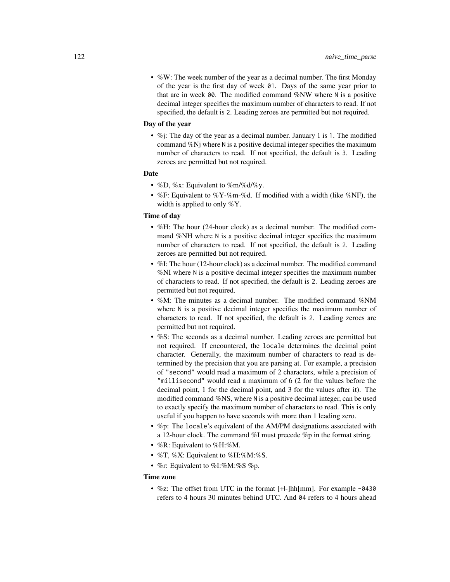• %W: The week number of the year as a decimal number. The first Monday of the year is the first day of week 01. Days of the same year prior to that are in week 00. The modified command %NW where N is a positive decimal integer specifies the maximum number of characters to read. If not specified, the default is 2. Leading zeroes are permitted but not required.

#### Day of the year

• %; The day of the year as a decimal number. January 1 is 1. The modified command %Nj where N is a positive decimal integer specifies the maximum number of characters to read. If not specified, the default is 3. Leading zeroes are permitted but not required.

## Date

- %D, %x: Equivalent to %m/%d/%y.
- %F: Equivalent to %Y-%m-%d. If modified with a width (like %NF), the width is applied to only %Y.

#### Time of day

- %H: The hour (24-hour clock) as a decimal number. The modified command %NH where N is a positive decimal integer specifies the maximum number of characters to read. If not specified, the default is 2. Leading zeroes are permitted but not required.
- %I: The hour (12-hour clock) as a decimal number. The modified command %NI where N is a positive decimal integer specifies the maximum number of characters to read. If not specified, the default is 2. Leading zeroes are permitted but not required.
- %M: The minutes as a decimal number. The modified command %NM where N is a positive decimal integer specifies the maximum number of characters to read. If not specified, the default is 2. Leading zeroes are permitted but not required.
- %S: The seconds as a decimal number. Leading zeroes are permitted but not required. If encountered, the locale determines the decimal point character. Generally, the maximum number of characters to read is determined by the precision that you are parsing at. For example, a precision of "second" would read a maximum of 2 characters, while a precision of "millisecond" would read a maximum of 6 (2 for the values before the decimal point, 1 for the decimal point, and 3 for the values after it). The modified command %NS, where N is a positive decimal integer, can be used to exactly specify the maximum number of characters to read. This is only useful if you happen to have seconds with more than 1 leading zero.
- %p: The locale's equivalent of the AM/PM designations associated with a 12-hour clock. The command %I must precede %p in the format string.
- %R: Equivalent to %H:%M.
- $\%$ T,  $\%$ X: Equivalent to  $\%$ H: $\%$ M: $\%$ S.
- %r: Equivalent to %I:%M:%S %p.

#### Time zone

• %z: The offset from UTC in the format [+|-]hh[mm]. For example -0430 refers to 4 hours 30 minutes behind UTC. And 04 refers to 4 hours ahead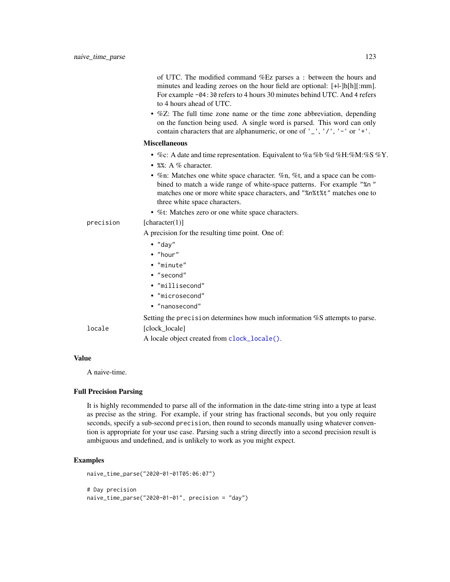| of UTC. The modified command %Ez parses a : between the hours and            |
|------------------------------------------------------------------------------|
| minutes and leading zeroes on the hour field are optional: [+ -]h[h][:mm].   |
| For example $-04$ : 30 refers to 4 hours 30 minutes behind UTC. And 4 refers |
| to 4 hours ahead of UTC.                                                     |

• %Z: The full time zone name or the time zone abbreviation, depending on the function being used. A single word is parsed. This word can only contain characters that are alphanumeric, or one of  $'$ ,  $'$ ,  $'$ ,  $'$ ,  $'$  -  $'$  or  $'$ + $'$ .

#### Miscellaneous

- %c: A date and time representation. Equivalent to %a %b %d %H:%M:%S %Y.
- %%: A % character.
- %n: Matches one white space character. %n, %t, and a space can be combined to match a wide range of white-space patterns. For example "%n " matches one or more white space characters, and "%n%t%t" matches one to three white space characters.
- %t: Matches zero or one white space characters.

#### precision [character(1)]

A precision for the resulting time point. One of:

- "day"
- "hour"
- "minute"
- "second"
- "millisecond"
- "microsecond"
- "nanosecond"

Setting the precision determines how much information %S attempts to parse.

## locale [clock\_locale]

A locale object created from [clock\\_locale\(\)](#page-42-0).

#### Value

A naive-time.

## Full Precision Parsing

It is highly recommended to parse all of the information in the date-time string into a type at least as precise as the string. For example, if your string has fractional seconds, but you only require seconds, specify a sub-second precision, then round to seconds manually using whatever convention is appropriate for your use case. Parsing such a string directly into a second precision result is ambiguous and undefined, and is unlikely to work as you might expect.

```
naive_time_parse("2020-01-01T05:06:07")
# Day precision
naive_time_parse("2020-01-01", precision = "day")
```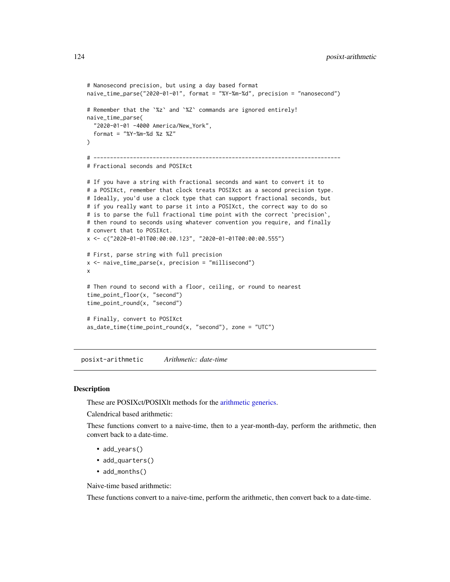```
# Nanosecond precision, but using a day based format
naive_time_parse("2020-01-01", format = "%Y-%m-%d", precision = "nanosecond")
# Remember that the `%z` and `%Z` commands are ignored entirely!
naive_time_parse(
 "2020-01-01 -4000 America/New_York",
 format = "%Y-%m-%d %z %Z"
\mathcal{L}# ---------------------------------------------------------------------------
# Fractional seconds and POSIXct
# If you have a string with fractional seconds and want to convert it to
# a POSIXct, remember that clock treats POSIXct as a second precision type.
# Ideally, you'd use a clock type that can support fractional seconds, but
# if you really want to parse it into a POSIXct, the correct way to do so
# is to parse the full fractional time point with the correct 'precision',
# then round to seconds using whatever convention you require, and finally
# convert that to POSIXct.
x <- c("2020-01-01T00:00:00.123", "2020-01-01T00:00:00.555")
# First, parse string with full precision
x <- naive_time_parse(x, precision = "millisecond")
x
# Then round to second with a floor, ceiling, or round to nearest
time_point_floor(x, "second")
time_point_round(x, "second")
# Finally, convert to POSIXct
as_date_time(time_point_round(x, "second"), zone = "UTC")
```
posixt-arithmetic *Arithmetic: date-time*

#### **Description**

These are POSIXct/POSIXlt methods for the [arithmetic generics.](#page-32-0)

Calendrical based arithmetic:

These functions convert to a naive-time, then to a year-month-day, perform the arithmetic, then convert back to a date-time.

- add\_years()
- add\_quarters()
- add\_months()

Naive-time based arithmetic:

These functions convert to a naive-time, perform the arithmetic, then convert back to a date-time.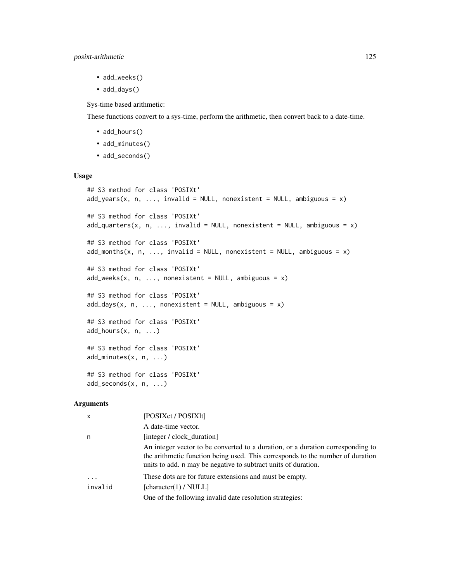- add\_weeks()
- add\_days()

Sys-time based arithmetic:

These functions convert to a sys-time, perform the arithmetic, then convert back to a date-time.

- add\_hours()
- add\_minutes()
- add\_seconds()

#### Usage

```
## S3 method for class 'POSIXt'
add\_years(x, n, ..., invalid = NULL, nonexistent = NULL, ambiguous = x)## S3 method for class 'POSIXt'
add\_quarters(x, n, ..., invalid = NULL, nonexistent = NULL, ambiguous = x)## S3 method for class 'POSIXt'
add\_months(x, n, ..., invalid = NULL, nonexistence = NULL, ambiguous = x)## S3 method for class 'POSIXt'
add\_weeks(x, n, ..., nonexistence = NULL, ambiguous = x)## S3 method for class 'POSIXt'
add\_days(x, n, \ldots, nonexistence = NULL, ambiguous = x)## S3 method for class 'POSIXt'
add_hours(x, n, ...)
## S3 method for class 'POSIXt'
add_minutes(x, n, ...)
## S3 method for class 'POSIXt'
add\_seconds(x, n, ...)
```
#### Arguments

| $\mathsf{x}$ | [POSIXct / POSIX]t]                                                                                                                                                                                                                 |
|--------------|-------------------------------------------------------------------------------------------------------------------------------------------------------------------------------------------------------------------------------------|
|              | A date-time vector.                                                                                                                                                                                                                 |
| n            | [integer / clock duration]                                                                                                                                                                                                          |
|              | An integer vector to be converted to a duration, or a duration corresponding to<br>the arithmetic function being used. This corresponds to the number of duration<br>units to add. n may be negative to subtract units of duration. |
| $\ddotsc$    | These dots are for future extensions and must be empty.                                                                                                                                                                             |
| invalid      | [character(1) / NULL]                                                                                                                                                                                                               |
|              | One of the following invalid date resolution strategies:                                                                                                                                                                            |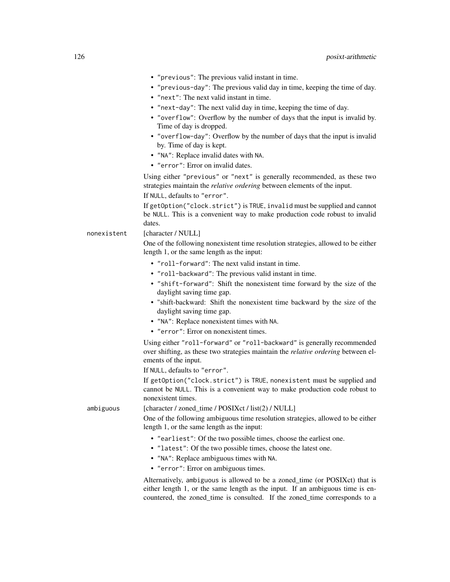- "previous": The previous valid instant in time.
- "previous-day": The previous valid day in time, keeping the time of day.
- "next": The next valid instant in time.
- "next-day": The next valid day in time, keeping the time of day.
- "overflow": Overflow by the number of days that the input is invalid by. Time of day is dropped.
- "overflow-day": Overflow by the number of days that the input is invalid by. Time of day is kept.
- "NA": Replace invalid dates with NA.
- "error": Error on invalid dates.

Using either "previous" or "next" is generally recommended, as these two strategies maintain the *relative ordering* between elements of the input. If NULL, defaults to "error".

If getOption("clock.strict") is TRUE, invalid must be supplied and cannot be NULL. This is a convenient way to make production code robust to invalid dates.

nonexistent [character / NULL]

One of the following nonexistent time resolution strategies, allowed to be either length 1, or the same length as the input:

- "roll-forward": The next valid instant in time.
- "roll-backward": The previous valid instant in time.
- "shift-forward": Shift the nonexistent time forward by the size of the daylight saving time gap.
- "shift-backward: Shift the nonexistent time backward by the size of the daylight saving time gap.
- "NA": Replace nonexistent times with NA.
- "error": Error on nonexistent times.

Using either "roll-forward" or "roll-backward" is generally recommended over shifting, as these two strategies maintain the *relative ordering* between elements of the input.

If NULL, defaults to "error".

If getOption("clock.strict") is TRUE, nonexistent must be supplied and cannot be NULL. This is a convenient way to make production code robust to nonexistent times.

ambiguous [character / zoned\_time / POSIXct / list(2) / NULL]

One of the following ambiguous time resolution strategies, allowed to be either length 1, or the same length as the input:

- "earliest": Of the two possible times, choose the earliest one.
- "latest": Of the two possible times, choose the latest one.
- "NA": Replace ambiguous times with NA.
- "error": Error on ambiguous times.

Alternatively, ambiguous is allowed to be a zoned\_time (or POSIXct) that is either length 1, or the same length as the input. If an ambiguous time is encountered, the zoned\_time is consulted. If the zoned\_time corresponds to a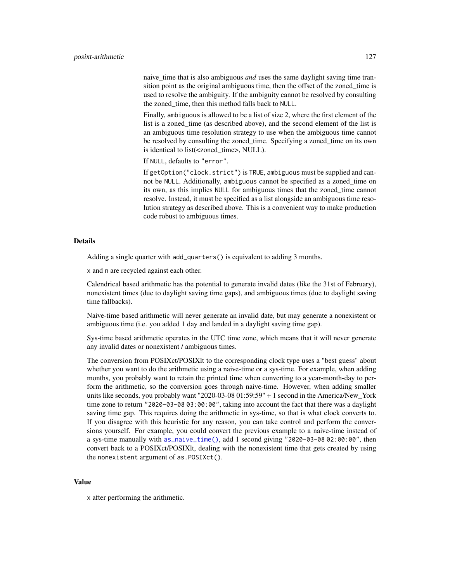naive\_time that is also ambiguous *and* uses the same daylight saving time transition point as the original ambiguous time, then the offset of the zoned time is used to resolve the ambiguity. If the ambiguity cannot be resolved by consulting the zoned time, then this method falls back to NULL.

Finally, ambiguous is allowed to be a list of size 2, where the first element of the list is a zoned\_time (as described above), and the second element of the list is an ambiguous time resolution strategy to use when the ambiguous time cannot be resolved by consulting the zoned\_time. Specifying a zoned\_time on its own is identical to list(<zoned\_time>, NULL).

If NULL, defaults to "error".

If getOption("clock.strict") is TRUE, ambiguous must be supplied and cannot be NULL. Additionally, ambiguous cannot be specified as a zoned\_time on its own, as this implies NULL for ambiguous times that the zoned\_time cannot resolve. Instead, it must be specified as a list alongside an ambiguous time resolution strategy as described above. This is a convenient way to make production code robust to ambiguous times.

#### Details

Adding a single quarter with add\_quarters() is equivalent to adding 3 months.

x and n are recycled against each other.

Calendrical based arithmetic has the potential to generate invalid dates (like the 31st of February), nonexistent times (due to daylight saving time gaps), and ambiguous times (due to daylight saving time fallbacks).

Naive-time based arithmetic will never generate an invalid date, but may generate a nonexistent or ambiguous time (i.e. you added 1 day and landed in a daylight saving time gap).

Sys-time based arithmetic operates in the UTC time zone, which means that it will never generate any invalid dates or nonexistent / ambiguous times.

The conversion from POSIXct/POSIXlt to the corresponding clock type uses a "best guess" about whether you want to do the arithmetic using a naive-time or a sys-time. For example, when adding months, you probably want to retain the printed time when converting to a year-month-day to perform the arithmetic, so the conversion goes through naive-time. However, when adding smaller units like seconds, you probably want "2020-03-08 01:59:59" + 1 second in the America/New\_York time zone to return "2020-03-08 03:00:00", taking into account the fact that there was a daylight saving time gap. This requires doing the arithmetic in sys-time, so that is what clock converts to. If you disagree with this heuristic for any reason, you can take control and perform the conversions yourself. For example, you could convert the previous example to a naive-time instead of a sys-time manually with [as\\_naive\\_time\(\)](#page-18-0), add 1 second giving "2020-03-08 02:00:00", then convert back to a POSIXct/POSIXlt, dealing with the nonexistent time that gets created by using the nonexistent argument of as.POSIXct().

#### Value

x after performing the arithmetic.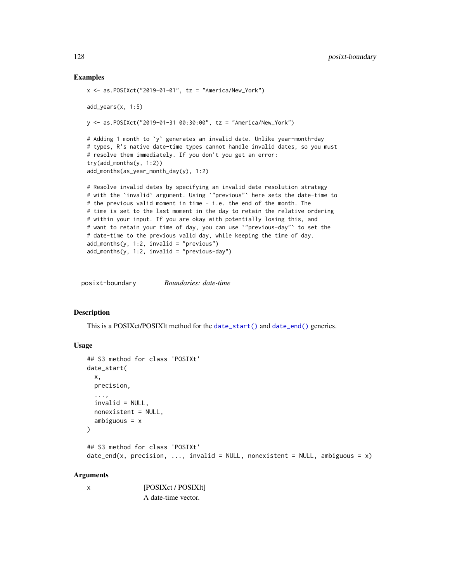## Examples

```
x \le - as.POSIXct("2019-01-01", tz = "America/New_York")
add_years(x, 1:5)
y <- as.POSIXct("2019-01-31 00:30:00", tz = "America/New_York")
# Adding 1 month to `y` generates an invalid date. Unlike year-month-day
# types, R's native date-time types cannot handle invalid dates, so you must
# resolve them immediately. If you don't you get an error:
try(add_months(y, 1:2))
add_months(as_year_month_day(y), 1:2)
# Resolve invalid dates by specifying an invalid date resolution strategy
# with the `invalid` argument. Using `"previous"` here sets the date-time to
# the previous valid moment in time - i.e. the end of the month. The
# time is set to the last moment in the day to retain the relative ordering
# within your input. If you are okay with potentially losing this, and
# want to retain your time of day, you can use `"previous-day"` to set the
# date-time to the previous valid day, while keeping the time of day.
add_months(y, 1:2, invalid = "previous")
add\_months(y, 1:2, invalid = "previous-day")
```
posixt-boundary *Boundaries: date-time*

#### **Description**

This is a POSIXct/POSIXlt method for the [date\\_start\(\)](#page-43-0) and [date\\_end\(\)](#page-43-0) generics.

#### Usage

```
## S3 method for class 'POSIXt'
date_start(
 x,
 precision,
  ...,
  invalid = NULL,
 nonexistent = NULL,
  ambiguous = x\lambda## S3 method for class 'POSIXt'
date_end(x, precision, ..., invalid = NULL, nonexistent = NULL, ambiguous = x)
```
## Arguments

| [POSIXct / POSIX]t] |
|---------------------|
| A date-time vector. |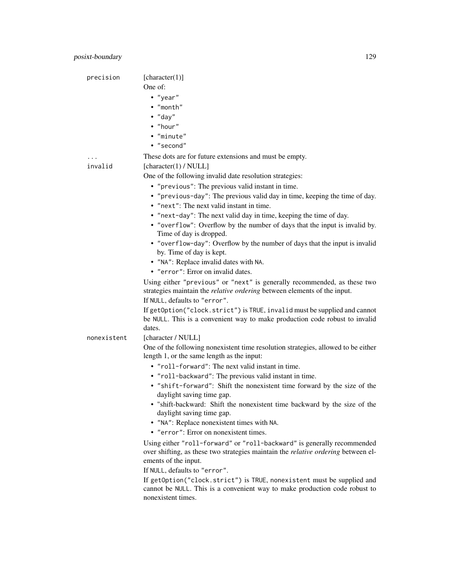| precision   | [character(1)]                                                                    |
|-------------|-----------------------------------------------------------------------------------|
|             | One of:                                                                           |
|             | • "year"                                                                          |
|             | • "month"                                                                         |
|             | $\bullet$ "day"                                                                   |
|             | • "hour"                                                                          |
|             | · "minute"                                                                        |
|             | • "second"                                                                        |
|             | These dots are for future extensions and must be empty.                           |
| invalid     | [character(1) / NULL]                                                             |
|             | One of the following invalid date resolution strategies:                          |
|             | • "previous": The previous valid instant in time.                                 |
|             | • "previous-day": The previous valid day in time, keeping the time of day.        |
|             | • "next": The next valid instant in time.                                         |
|             | • "next-day": The next valid day in time, keeping the time of day.                |
|             | • "overflow": Overflow by the number of days that the input is invalid by.        |
|             | Time of day is dropped.                                                           |
|             | • "overflow-day": Overflow by the number of days that the input is invalid        |
|             | by. Time of day is kept.                                                          |
|             | • "NA": Replace invalid dates with NA.                                            |
|             | • "error": Error on invalid dates.                                                |
|             | Using either "previous" or "next" is generally recommended, as these two          |
|             | strategies maintain the <i>relative ordering</i> between elements of the input.   |
|             | If NULL, defaults to "error".                                                     |
|             | If getOption("clock.strict") is TRUE, invalid must be supplied and cannot         |
|             | be NULL. This is a convenient way to make production code robust to invalid       |
|             | dates.                                                                            |
| nonexistent | [character / NULL]                                                                |
|             | One of the following nonexistent time resolution strategies, allowed to be either |
|             | length 1, or the same length as the input:                                        |
|             | • "roll-forward": The next valid instant in time.                                 |
|             | • "roll-backward": The previous valid instant in time.                            |
|             | • "shift-forward": Shift the nonexistent time forward by the size of the          |
|             | daylight saving time gap.                                                         |
|             | "shift-backward: Shift the nonexistent time backward by the size of the           |
|             | daylight saving time gap.                                                         |
|             | • "NA": Replace nonexistent times with NA.                                        |
|             | • "error": Error on nonexistent times.                                            |
|             | Using either "roll-forward" or "roll-backward" is generally recommended           |
|             | over shifting, as these two strategies maintain the relative ordering between el- |
|             | ements of the input.                                                              |
|             | If NULL, defaults to "error".                                                     |
|             | If getOption("clock.strict") is TRUE, nonexistent must be supplied and            |
|             | cannot be NULL. This is a convenient way to make production code robust to        |
|             | nonexistent times.                                                                |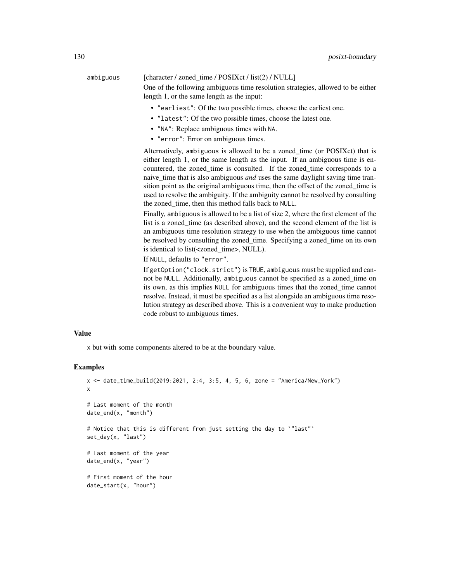# ambiguous [character / zoned\_time / POSIXct / list(2) / NULL]

One of the following ambiguous time resolution strategies, allowed to be either length 1, or the same length as the input:

- "earliest": Of the two possible times, choose the earliest one.
- "latest": Of the two possible times, choose the latest one.
- "NA": Replace ambiguous times with NA.
- "error": Error on ambiguous times.

Alternatively, ambiguous is allowed to be a zoned\_time (or POSIXct) that is either length 1, or the same length as the input. If an ambiguous time is encountered, the zoned time is consulted. If the zoned time corresponds to a naive\_time that is also ambiguous *and* uses the same daylight saving time transition point as the original ambiguous time, then the offset of the zoned\_time is used to resolve the ambiguity. If the ambiguity cannot be resolved by consulting the zoned time, then this method falls back to NULL.

Finally, ambiguous is allowed to be a list of size 2, where the first element of the list is a zoned\_time (as described above), and the second element of the list is an ambiguous time resolution strategy to use when the ambiguous time cannot be resolved by consulting the zoned\_time. Specifying a zoned\_time on its own is identical to list(<zoned\_time>, NULL).

If NULL, defaults to "error".

If getOption("clock.strict") is TRUE, ambiguous must be supplied and cannot be NULL. Additionally, ambiguous cannot be specified as a zoned\_time on its own, as this implies NULL for ambiguous times that the zoned\_time cannot resolve. Instead, it must be specified as a list alongside an ambiguous time resolution strategy as described above. This is a convenient way to make production code robust to ambiguous times.

#### Value

x but with some components altered to be at the boundary value.

```
x <- date_time_build(2019:2021, 2:4, 3:5, 4, 5, 6, zone = "America/New_York")
x
# Last moment of the month
date_end(x, "month")
# Notice that this is different from just setting the day to `"last"`
set_day(x, "last")
# Last moment of the year
date_end(x, "year")
# First moment of the hour
date_start(x, "hour")
```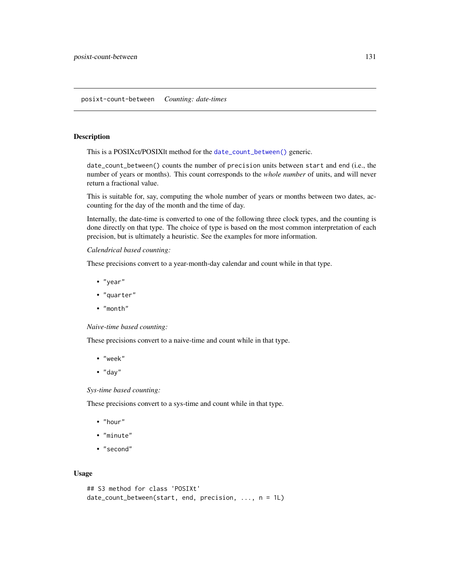#### posixt-count-between *Counting: date-times*

#### Description

This is a POSIXct/POSIXlt method for the [date\\_count\\_between\(\)](#page-76-0) generic.

date\_count\_between() counts the number of precision units between start and end (i.e., the number of years or months). This count corresponds to the *whole number* of units, and will never return a fractional value.

This is suitable for, say, computing the whole number of years or months between two dates, accounting for the day of the month and the time of day.

Internally, the date-time is converted to one of the following three clock types, and the counting is done directly on that type. The choice of type is based on the most common interpretation of each precision, but is ultimately a heuristic. See the examples for more information.

#### *Calendrical based counting:*

These precisions convert to a year-month-day calendar and count while in that type.

- "year"
- "quarter"
- "month"

#### *Naive-time based counting:*

These precisions convert to a naive-time and count while in that type.

- "week"
- $\bullet$  "day"

#### *Sys-time based counting:*

These precisions convert to a sys-time and count while in that type.

- "hour"
- "minute"
- "second"

#### Usage

```
## S3 method for class 'POSIXt'
date_count_between(start, end, precision, ..., n = 1L)
```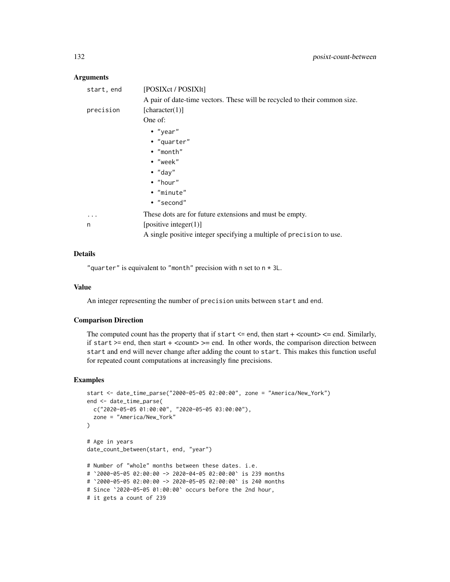#### **Arguments**

| start, end | [POSIXct / POSIX]t]                                                       |
|------------|---------------------------------------------------------------------------|
|            | A pair of date-time vectors. These will be recycled to their common size. |
| precision  | [character(1)]                                                            |
|            | One of:                                                                   |
|            | $\bullet$ "year"                                                          |
|            | • "quarter"                                                               |
|            | • "month"                                                                 |
|            | $\bullet$ "week"                                                          |
|            | $\bullet$ "day"                                                           |
|            | $\bullet$ "hour"                                                          |
|            | • "minute"                                                                |
|            | • "second"                                                                |
| .          | These dots are for future extensions and must be empty.                   |
| n          | [positive integer(1)]                                                     |
|            | A single positive integer specifying a multiple of precision to use.      |

## Details

"quarter" is equivalent to "month" precision with n set to  $n \times 3L$ .

### Value

An integer representing the number of precision units between start and end.

#### Comparison Direction

The computed count has the property that if start  $\leq$  end, then start  $+$   $\leq$  count $\geq$   $\leq$  end. Similarly, if start  $>=$  end, then start  $+$  <count $>=$  end. In other words, the comparison direction between start and end will never change after adding the count to start. This makes this function useful for repeated count computations at increasingly fine precisions.

```
start <- date_time_parse("2000-05-05 02:00:00", zone = "America/New_York")
end <- date_time_parse(
  c("2020-05-05 01:00:00", "2020-05-05 03:00:00"),
  zone = "America/New_York"
\mathcal{L}# Age in years
date_count_between(start, end, "year")
# Number of "whole" months between these dates. i.e.
# `2000-05-05 02:00:00 -> 2020-04-05 02:00:00` is 239 months
# `2000-05-05 02:00:00 -> 2020-05-05 02:00:00` is 240 months
# Since `2020-05-05 01:00:00` occurs before the 2nd hour,
# it gets a count of 239
```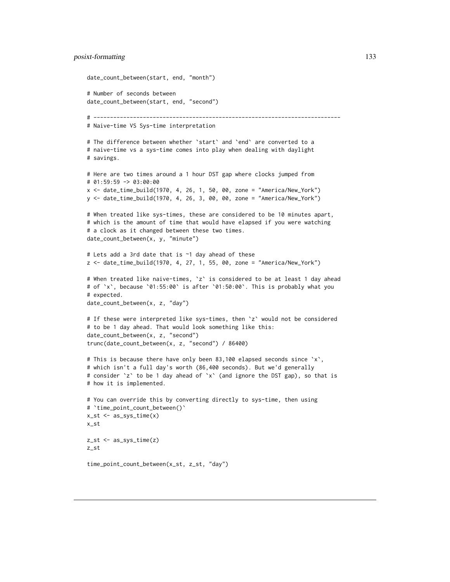#### posixt-formatting 133

```
date_count_between(start, end, "month")
# Number of seconds between
date_count_between(start, end, "second")
# ---------------------------------------------------------------------------
# Naive-time VS Sys-time interpretation
# The difference between whether `start` and `end` are converted to a
# naive-time vs a sys-time comes into play when dealing with daylight
# savings.
# Here are two times around a 1 hour DST gap where clocks jumped from
# 01:59:59 -> 03:00:00
x <- date_time_build(1970, 4, 26, 1, 50, 00, zone = "America/New_York")
y <- date_time_build(1970, 4, 26, 3, 00, 00, zone = "America/New_York")
# When treated like sys-times, these are considered to be 10 minutes apart,
# which is the amount of time that would have elapsed if you were watching
# a clock as it changed between these two times.
date_count_between(x, y, "minute")
# Lets add a 3rd date that is ~1 day ahead of these
z <- date_time_build(1970, 4, 27, 1, 55, 00, zone = "America/New_York")
# When treated like naive-times, `z` is considered to be at least 1 day ahead
# of `x`, because `01:55:00` is after `01:50:00`. This is probably what you
# expected.
date_count_between(x, z, "day")
# If these were interpreted like sys-times, then `z` would not be considered
# to be 1 day ahead. That would look something like this:
date_count_between(x, z, "second")
trunc(date_count_between(x, z, "second") / 86400)
# This is because there have only been 83,100 elapsed seconds since `x`,
# which isn't a full day's worth (86,400 seconds). But we'd generally
# consider `z` to be 1 day ahead of `x` (and ignore the DST gap), so that is
# how it is implemented.
# You can override this by converting directly to sys-time, then using
# `time_point_count_between()`
x_st <- as_sys_time(x)
x_st
z_st <- as_sys_time(z)
z_st
time_point_count_between(x_st, z_st, "day")
```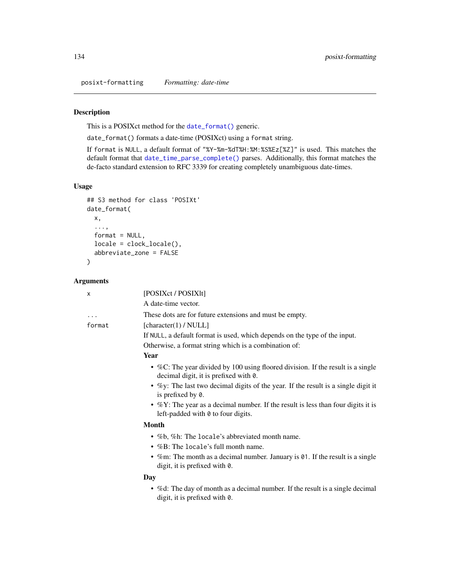posixt-formatting *Formatting: date-time*

## Description

This is a POSIXct method for the [date\\_format\(\)](#page-77-0) generic.

date\_format() formats a date-time (POSIXct) using a format string.

If format is NULL, a default format of "%Y-%m-%dT%H:%M:%S%Ez[%Z]" is used. This matches the default format that [date\\_time\\_parse\\_complete\(\)](#page-64-0) parses. Additionally, this format matches the de-facto standard extension to RFC 3339 for creating completely unambiguous date-times.

## Usage

```
## S3 method for class 'POSIXt'
date_format(
 x,
  ...,
 format = NULL,locale = clock_locale(),
 abbreviate_zone = FALSE
)
```
#### Arguments

| X      | [POSIXct / POSIX]t]                                                                                                            |
|--------|--------------------------------------------------------------------------------------------------------------------------------|
|        | A date-time vector.                                                                                                            |
| .      | These dots are for future extensions and must be empty.                                                                        |
| format | [character(1) / NULL]                                                                                                          |
|        | If NULL, a default format is used, which depends on the type of the input.                                                     |
|        | Otherwise, a format string which is a combination of:                                                                          |
|        | <b>Year</b>                                                                                                                    |
|        | • %C: The year divided by 100 using floored division. If the result is a single<br>decimal digit, it is prefixed with 0.       |
|        | • %y: The last two decimal digits of the year. If the result is a single digit it<br>is prefixed by 0.                         |
|        | • $\%$ Y: The year as a decimal number. If the result is less than four digits it is<br>left-padded with 0 to four digits.     |
|        | <b>Month</b>                                                                                                                   |
|        | • %b, %h: The locale's abbreviated month name.                                                                                 |
|        | • %B: The locale's full month name.                                                                                            |
|        | • %m: The month as a decimal number. January is $\theta$ 1. If the result is a single<br>digit, it is prefixed with $\theta$ . |
|        | Day                                                                                                                            |
|        | • % of the day of month as a decimal number. If the result is a single decimal<br>digit, it is prefixed with 0.                |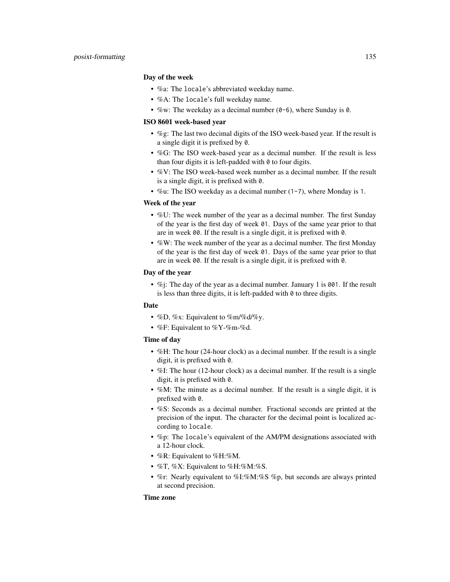#### Day of the week

- %a: The locale's abbreviated weekday name.
- %A: The locale's full weekday name.
- %w: The weekday as a decimal number  $(0-6)$ , where Sunday is 0.

## ISO 8601 week-based year

- %g: The last two decimal digits of the ISO week-based year. If the result is a single digit it is prefixed by 0.
- %G: The ISO week-based year as a decimal number. If the result is less than four digits it is left-padded with  $0$  to four digits.
- %V: The ISO week-based week number as a decimal number. If the result is a single digit, it is prefixed with 0.
- %u: The ISO weekday as a decimal number (1-7), where Monday is 1.

#### Week of the year

- %U: The week number of the year as a decimal number. The first Sunday of the year is the first day of week 01. Days of the same year prior to that are in week 00. If the result is a single digit, it is prefixed with 0.
- %W: The week number of the year as a decimal number. The first Monday of the year is the first day of week 01. Days of the same year prior to that are in week 00. If the result is a single digit, it is prefixed with 0.

## Day of the year

• %; The day of the year as a decimal number. January 1 is 001. If the result is less than three digits, it is left-padded with 0 to three digits.

#### Date

- %D, %x: Equivalent to %m/%d/%y.
- %F: Equivalent to %Y-%m-%d.

## Time of day

- %H: The hour (24-hour clock) as a decimal number. If the result is a single digit, it is prefixed with 0.
- %I: The hour (12-hour clock) as a decimal number. If the result is a single digit, it is prefixed with 0.
- %M: The minute as a decimal number. If the result is a single digit, it is prefixed with 0.
- %S: Seconds as a decimal number. Fractional seconds are printed at the precision of the input. The character for the decimal point is localized according to locale.
- %p: The locale's equivalent of the AM/PM designations associated with a 12-hour clock.
- %R: Equivalent to %H:%M.
- %T, %X: Equivalent to %H:%M:%S.
- %r: Nearly equivalent to %I:%M:%S %p, but seconds are always printed at second precision.

#### Time zone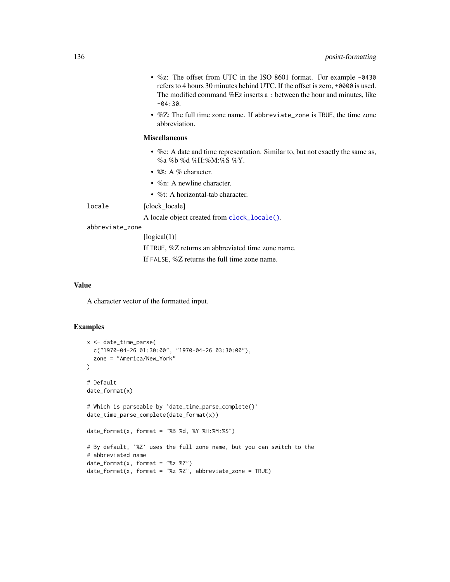- %z: The offset from UTC in the ISO 8601 format. For example -0430 refers to 4 hours 30 minutes behind UTC. If the offset is zero, +0000 is used. The modified command %Ez inserts a : between the hour and minutes, like  $-04:30.$
- %Z: The full time zone name. If abbreviate\_zone is TRUE, the time zone abbreviation.

#### Miscellaneous

- %c: A date and time representation. Similar to, but not exactly the same as, %a %b %d %H:%M:%S %Y.
- %%: A % character.
- %n: A newline character.
- %t: A horizontal-tab character.

locale [clock\_locale]

A locale object created from [clock\\_locale\(\)](#page-42-0).

## abbreviate\_zone

[logical(1)] If TRUE, %Z returns an abbreviated time zone name. If FALSE, %Z returns the full time zone name.

#### Value

A character vector of the formatted input.

```
x <- date_time_parse(
  c("1970-04-26 01:30:00", "1970-04-26 03:30:00"),
  zone = "America/New_York"
\lambda# Default
date_format(x)
# Which is parseable by `date_time_parse_complete()`
date_time_parse_complete(date_format(x))
date_format(x, format = "%B %d, %Y %H:%M:%S")
# By default, `%Z` uses the full zone name, but you can switch to the
# abbreviated name
date_format(x, format = "%z %Z")
date_format(x, format = "%z %Z", abbreviate_zone = TRUE)
```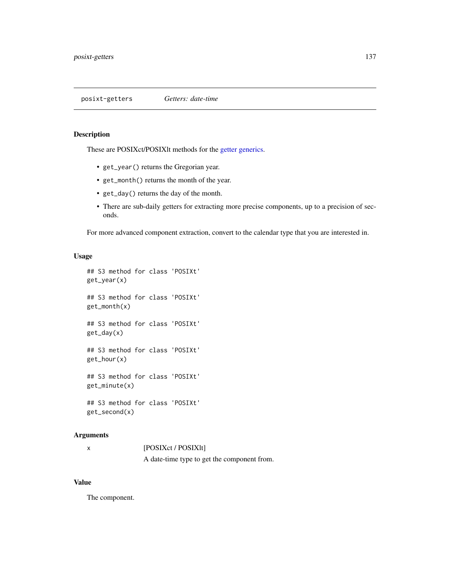## Description

These are POSIXct/POSIXlt methods for the [getter generics.](#page-36-0)

- get\_year() returns the Gregorian year.
- get\_month() returns the month of the year.
- get\_day() returns the day of the month.
- There are sub-daily getters for extracting more precise components, up to a precision of seconds.

For more advanced component extraction, convert to the calendar type that you are interested in.

## Usage

```
## S3 method for class 'POSIXt'
get_year(x)
## S3 method for class 'POSIXt'
get_month(x)
## S3 method for class 'POSIXt'
get_day(x)
## S3 method for class 'POSIXt'
get_hour(x)
## S3 method for class 'POSIXt'
get_minute(x)
## S3 method for class 'POSIXt'
get_second(x)
```
## Arguments

| [POSIXct / POSIX]t]                         |
|---------------------------------------------|
| A date-time type to get the component from. |

## Value

The component.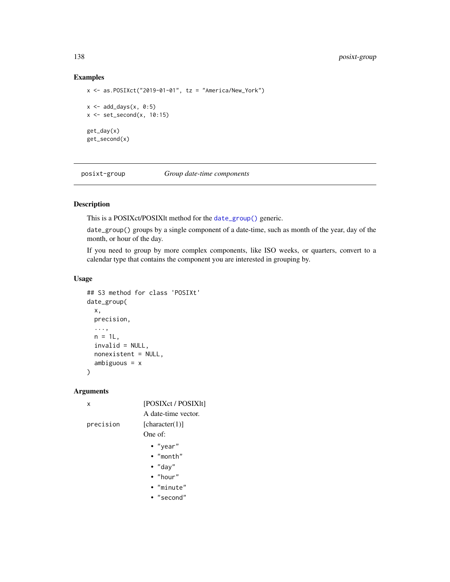# Examples

```
x \le - as.POSIXct("2019-01-01", tz = "America/New_York")
x \le - add_days(x, 0:5)
x \leftarrow set\_second(x, 10:15)get_day(x)
get_second(x)
```
posixt-group *Group date-time components*

# Description

This is a POSIXct/POSIXlt method for the [date\\_group\(\)](#page-78-0) generic.

date\_group() groups by a single component of a date-time, such as month of the year, day of the month, or hour of the day.

If you need to group by more complex components, like ISO weeks, or quarters, convert to a calendar type that contains the component you are interested in grouping by.

# Usage

```
## S3 method for class 'POSIXt'
date_group(
  x,
 precision,
  ...,
 n = 1L,
  invalid = NULL,
 nonexistent = NULL,
  ambiguous = x
)
```
#### Arguments

| x         | [POSIXct / POSIX]t] |
|-----------|---------------------|
|           | A date-time vector. |
| precision | [character(1)]      |
|           | One of:             |
|           | $\bullet$ "year"    |
|           | $\bullet$ "month"   |
|           | $\bullet$ "day"     |
|           | $\bullet$ "hour"    |
|           | $\bullet$ "minute"  |
|           | $\bullet$ "second"  |
|           |                     |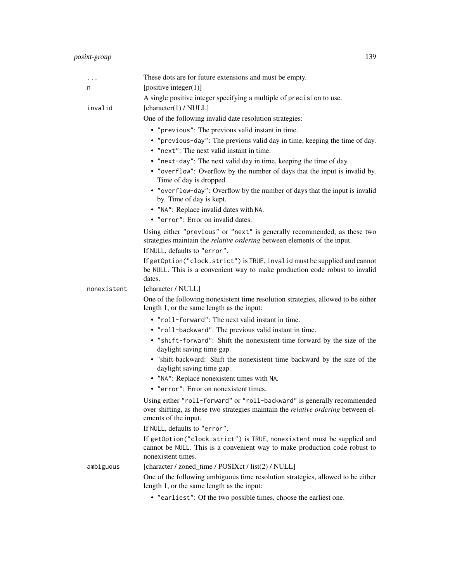# posixt-group 139

| $\cdots$    | These dots are for future extensions and must be empty.                                                                                                                                     |
|-------------|---------------------------------------------------------------------------------------------------------------------------------------------------------------------------------------------|
| n           | [positive integer $(1)$ ]                                                                                                                                                                   |
|             | A single positive integer specifying a multiple of precision to use.                                                                                                                        |
| invalid     | [character(1) / NULL]                                                                                                                                                                       |
|             | One of the following invalid date resolution strategies:                                                                                                                                    |
|             | • "previous": The previous valid instant in time.                                                                                                                                           |
|             | • "previous-day": The previous valid day in time, keeping the time of day.                                                                                                                  |
|             | • "next": The next valid instant in time.                                                                                                                                                   |
|             | • "next-day": The next valid day in time, keeping the time of day.                                                                                                                          |
|             | • "overflow": Overflow by the number of days that the input is invalid by.<br>Time of day is dropped.                                                                                       |
|             | • "overflow-day": Overflow by the number of days that the input is invalid<br>by. Time of day is kept.                                                                                      |
|             | • "NA": Replace invalid dates with NA.                                                                                                                                                      |
|             | • "error": Error on invalid dates.                                                                                                                                                          |
|             | Using either "previous" or "next" is generally recommended, as these two<br>strategies maintain the <i>relative ordering</i> between elements of the input.                                 |
|             | If NULL, defaults to "error".                                                                                                                                                               |
|             | If getOption("clock.strict") is TRUE, invalid must be supplied and cannot<br>be NULL. This is a convenient way to make production code robust to invalid<br>dates.                          |
| nonexistent | [character / NULL]                                                                                                                                                                          |
|             | One of the following nonexistent time resolution strategies, allowed to be either<br>length 1, or the same length as the input:                                                             |
|             | • "roll-forward": The next valid instant in time.                                                                                                                                           |
|             | • "roll-backward": The previous valid instant in time.                                                                                                                                      |
|             | • "shift-forward": Shift the nonexistent time forward by the size of the<br>daylight saving time gap.                                                                                       |
|             | · "shift-backward: Shift the nonexistent time backward by the size of the<br>daylight saving time gap.                                                                                      |
|             | • "NA": Replace nonexistent times with NA.                                                                                                                                                  |
|             | • "error": Error on nonexistent times.                                                                                                                                                      |
|             | Using either "roll-forward" or "roll-backward" is generally recommended<br>over shifting, as these two strategies maintain the <i>relative ordering</i> between el-<br>ements of the input. |
|             | If NULL, defaults to "error".                                                                                                                                                               |
|             | If getOption("clock.strict") is TRUE, nonexistent must be supplied and<br>cannot be NULL. This is a convenient way to make production code robust to<br>nonexistent times.                  |
| ambiguous   | [character / zoned_time / POSIXct / list(2) / NULL]                                                                                                                                         |
|             | One of the following ambiguous time resolution strategies, allowed to be either<br>length 1, or the same length as the input:                                                               |
|             | • "earliest": Of the two possible times, choose the earliest one.                                                                                                                           |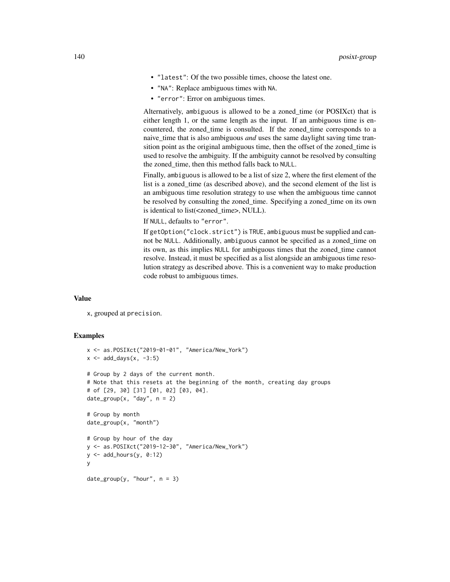- "latest": Of the two possible times, choose the latest one.
- "NA": Replace ambiguous times with NA.
- "error": Error on ambiguous times.

Alternatively, ambiguous is allowed to be a zoned\_time (or POSIXct) that is either length 1, or the same length as the input. If an ambiguous time is encountered, the zoned\_time is consulted. If the zoned\_time corresponds to a naive\_time that is also ambiguous *and* uses the same daylight saving time transition point as the original ambiguous time, then the offset of the zoned\_time is used to resolve the ambiguity. If the ambiguity cannot be resolved by consulting the zoned\_time, then this method falls back to NULL.

Finally, ambiguous is allowed to be a list of size 2, where the first element of the list is a zoned time (as described above), and the second element of the list is an ambiguous time resolution strategy to use when the ambiguous time cannot be resolved by consulting the zoned\_time. Specifying a zoned\_time on its own is identical to list(<zoned\_time>, NULL).

If NULL, defaults to "error".

If getOption("clock.strict") is TRUE, ambiguous must be supplied and cannot be NULL. Additionally, ambiguous cannot be specified as a zoned\_time on its own, as this implies NULL for ambiguous times that the zoned\_time cannot resolve. Instead, it must be specified as a list alongside an ambiguous time resolution strategy as described above. This is a convenient way to make production code robust to ambiguous times.

#### Value

x, grouped at precision.

```
x <- as.POSIXct("2019-01-01", "America/New_York")
x \le - add_days(x, -3:5)# Group by 2 days of the current month.
# Note that this resets at the beginning of the month, creating day groups
# of [29, 30] [31] [01, 02] [03, 04].
date\_group(x, "day", n = 2)# Group by month
date_group(x, "month")
# Group by hour of the day
y <- as.POSIXct("2019-12-30", "America/New_York")
y \le - add_hours(y, 0:12)
y
date\_group(y, "hour", n = 3)
```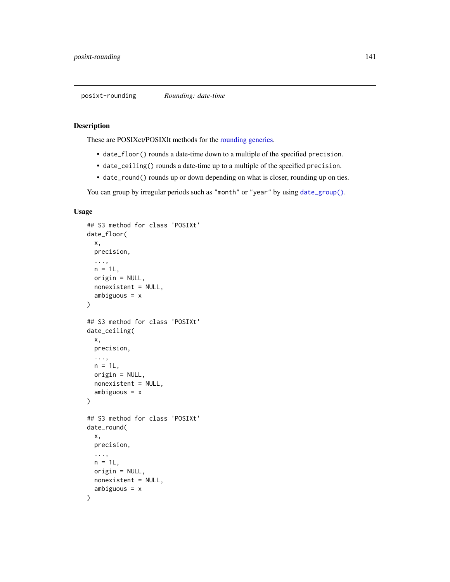## Description

These are POSIXct/POSIXlt methods for the [rounding generics.](#page-44-0)

- date\_floor() rounds a date-time down to a multiple of the specified precision.
- date\_ceiling() rounds a date-time up to a multiple of the specified precision.
- date\_round() rounds up or down depending on what is closer, rounding up on ties.

You can group by irregular periods such as "month" or "year" by using [date\\_group\(\)](#page-78-0).

#### Usage

```
## S3 method for class 'POSIXt'
date_floor(
 x,
 precision,
  ...,
 n = 1L,
 origin = NULL,
 nonexistent = NULL,
  ambiguous = x
)
## S3 method for class 'POSIXt'
date_ceiling(
 x,
 precision,
  ...,
 n = 1L,origin = NULL,
 nonexistent = NULL,
  ambiguous = x
)
## S3 method for class 'POSIXt'
date_round(
 x,
 precision,
  ...,
 n = 1L,
 origin = NULL,
 nonexistent = NULL,
  ambiguous = x)
```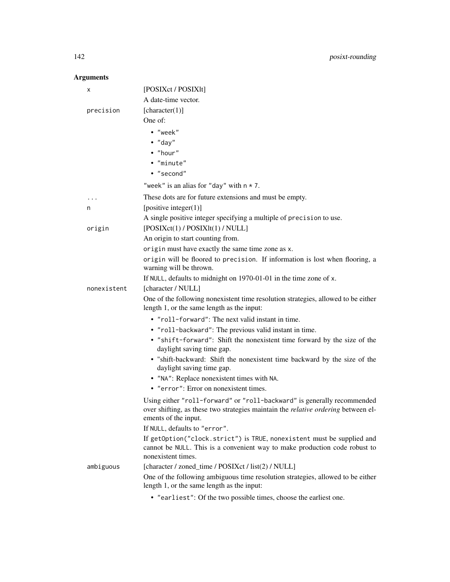# Arguments

| x           | [POSIXct / POSIX]t]                                                                                                                                                                         |
|-------------|---------------------------------------------------------------------------------------------------------------------------------------------------------------------------------------------|
|             | A date-time vector.                                                                                                                                                                         |
| precision   | [character(1)]                                                                                                                                                                              |
|             | One of:                                                                                                                                                                                     |
|             | · "week"                                                                                                                                                                                    |
|             | $\bullet$ "day"                                                                                                                                                                             |
|             | • "hour"                                                                                                                                                                                    |
|             | · "minute"                                                                                                                                                                                  |
|             | • "second"                                                                                                                                                                                  |
|             | "week" is an alias for "day" with $n \times 7$ .                                                                                                                                            |
|             | These dots are for future extensions and must be empty.                                                                                                                                     |
| n           | [positive integer $(1)$ ]                                                                                                                                                                   |
|             | A single positive integer specifying a multiple of precision to use.                                                                                                                        |
| origin      | [POSIXct(1)/POSIXlt(1)/NULL]                                                                                                                                                                |
|             | An origin to start counting from.                                                                                                                                                           |
|             | origin must have exactly the same time zone as x.                                                                                                                                           |
|             | origin will be floored to precision. If information is lost when flooring, a<br>warning will be thrown.                                                                                     |
|             | If NULL, defaults to midnight on 1970-01-01 in the time zone of x.                                                                                                                          |
| nonexistent | [character / NULL]                                                                                                                                                                          |
|             | One of the following nonexistent time resolution strategies, allowed to be either<br>length 1, or the same length as the input:                                                             |
|             | • "roll-forward": The next valid instant in time.                                                                                                                                           |
|             | • "roll-backward": The previous valid instant in time.                                                                                                                                      |
|             | • "shift-forward": Shift the nonexistent time forward by the size of the<br>daylight saving time gap.                                                                                       |
|             | · "shift-backward: Shift the nonexistent time backward by the size of the<br>daylight saving time gap.                                                                                      |
|             | • "NA": Replace nonexistent times with NA.                                                                                                                                                  |
|             | • "error": Error on nonexistent times.                                                                                                                                                      |
|             | Using either "roll-forward" or "roll-backward" is generally recommended<br>over shifting, as these two strategies maintain the <i>relative ordering</i> between el-<br>ements of the input. |
|             | If NULL, defaults to "error".                                                                                                                                                               |
|             | If getOption("clock.strict") is TRUE, nonexistent must be supplied and<br>cannot be NULL. This is a convenient way to make production code robust to<br>nonexistent times.                  |
| ambiguous   | [character / zoned_time / POSIXct / list(2) / NULL]                                                                                                                                         |
|             | One of the following ambiguous time resolution strategies, allowed to be either<br>length 1, or the same length as the input:                                                               |
|             |                                                                                                                                                                                             |

• "earliest": Of the two possible times, choose the earliest one.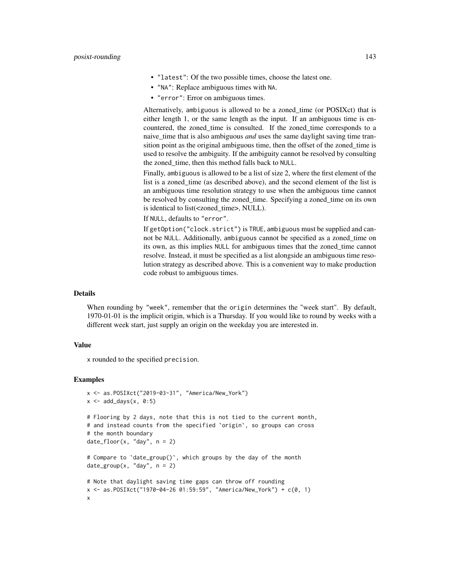- "latest": Of the two possible times, choose the latest one.
- "NA": Replace ambiguous times with NA.
- "error": Error on ambiguous times.

Alternatively, ambiguous is allowed to be a zoned\_time (or POSIXct) that is either length 1, or the same length as the input. If an ambiguous time is encountered, the zoned\_time is consulted. If the zoned\_time corresponds to a naive\_time that is also ambiguous *and* uses the same daylight saving time transition point as the original ambiguous time, then the offset of the zoned\_time is used to resolve the ambiguity. If the ambiguity cannot be resolved by consulting the zoned\_time, then this method falls back to NULL.

Finally, ambiguous is allowed to be a list of size 2, where the first element of the list is a zoned\_time (as described above), and the second element of the list is an ambiguous time resolution strategy to use when the ambiguous time cannot be resolved by consulting the zoned\_time. Specifying a zoned\_time on its own is identical to list(<zoned\_time>, NULL).

If NULL, defaults to "error".

If getOption("clock.strict") is TRUE, ambiguous must be supplied and cannot be NULL. Additionally, ambiguous cannot be specified as a zoned\_time on its own, as this implies NULL for ambiguous times that the zoned\_time cannot resolve. Instead, it must be specified as a list alongside an ambiguous time resolution strategy as described above. This is a convenient way to make production code robust to ambiguous times.

#### Details

When rounding by "week", remember that the origin determines the "week start". By default, 1970-01-01 is the implicit origin, which is a Thursday. If you would like to round by weeks with a different week start, just supply an origin on the weekday you are interested in.

#### Value

x rounded to the specified precision.

```
x <- as.POSIXct("2019-03-31", "America/New_York")
x \le - add_days(x, 0:5)# Flooring by 2 days, note that this is not tied to the current month,
# and instead counts from the specified `origin`, so groups can cross
# the month boundary
date_floor(x, "day", n = 2)# Compare to `date_group()`, which groups by the day of the month
date\_group(x, "day", n = 2)# Note that daylight saving time gaps can throw off rounding
x <- as.POSIXct("1970-04-26 01:59:59", "America/New_York") + c(0, 1)
x
```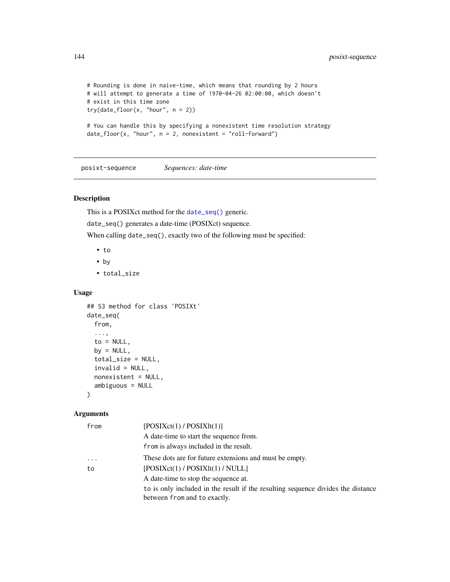```
# Rounding is done in naive-time, which means that rounding by 2 hours
# will attempt to generate a time of 1970-04-26 02:00:00, which doesn't
# exist in this time zone
try(data_floor(x, "hour", n = 2))# You can handle this by specifying a nonexistent time resolution strategy
date_floor(x, "hour", n = 2, nonexistent = "roll-forward")
```
posixt-sequence *Sequences: date-time*

## Description

This is a POSIXct method for the [date\\_seq\(\)](#page-85-0) generic.

date\_seq() generates a date-time (POSIXct) sequence.

When calling date\_seq(), exactly two of the following must be specified:

- to
- by
- total\_size

#### Usage

```
## S3 method for class 'POSIXt'
date_seq(
  from,
  ...,
  to = NULL,by = NULL,
  total_size = NULL,
  invalid = NULL,
  nonexistent = NULL,
  ambiguous = NULL
)
```
# Arguments

| from      | [POSIXct(1)/POSIXlt(1)]                                                          |
|-----------|----------------------------------------------------------------------------------|
|           | A date-time to start the sequence from.                                          |
|           | from is always included in the result.                                           |
| $\ddotsc$ | These dots are for future extensions and must be empty.                          |
| to        | [POSIXct(1)/POSIXIt(1)/NULL]                                                     |
|           | A date-time to stop the sequence at.                                             |
|           | to is only included in the result if the resulting sequence divides the distance |
|           | between from and to exactly.                                                     |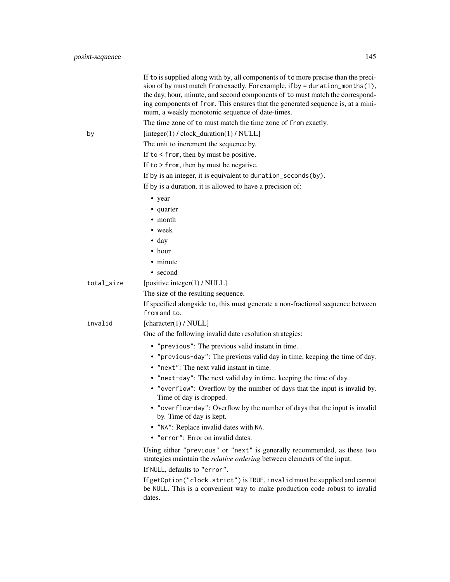|            | If to is supplied along with by, all components of to more precise than the preci-<br>sion of by must match from exactly. For example, if by = duration_months(1),<br>the day, hour, minute, and second components of to must match the correspond-<br>ing components of from. This ensures that the generated sequence is, at a mini-<br>mum, a weakly monotonic sequence of date-times.<br>The time zone of to must match the time zone of from exactly. |
|------------|------------------------------------------------------------------------------------------------------------------------------------------------------------------------------------------------------------------------------------------------------------------------------------------------------------------------------------------------------------------------------------------------------------------------------------------------------------|
| by         | [integer(1) / clock_duration(1) / NULL]                                                                                                                                                                                                                                                                                                                                                                                                                    |
|            | The unit to increment the sequence by.                                                                                                                                                                                                                                                                                                                                                                                                                     |
|            | If to $\le$ from, then by must be positive.                                                                                                                                                                                                                                                                                                                                                                                                                |
|            | If to $>$ from, then by must be negative.                                                                                                                                                                                                                                                                                                                                                                                                                  |
|            | If by is an integer, it is equivalent to duration_seconds(by).                                                                                                                                                                                                                                                                                                                                                                                             |
|            | If by is a duration, it is allowed to have a precision of:                                                                                                                                                                                                                                                                                                                                                                                                 |
|            | • year                                                                                                                                                                                                                                                                                                                                                                                                                                                     |
|            | • quarter                                                                                                                                                                                                                                                                                                                                                                                                                                                  |
|            | • month                                                                                                                                                                                                                                                                                                                                                                                                                                                    |
|            | • week                                                                                                                                                                                                                                                                                                                                                                                                                                                     |
|            | $\bullet$ day                                                                                                                                                                                                                                                                                                                                                                                                                                              |
|            | • hour                                                                                                                                                                                                                                                                                                                                                                                                                                                     |
|            | • minute                                                                                                                                                                                                                                                                                                                                                                                                                                                   |
|            | • second                                                                                                                                                                                                                                                                                                                                                                                                                                                   |
| total_size | [positive integer(1) / NULL]                                                                                                                                                                                                                                                                                                                                                                                                                               |
|            | The size of the resulting sequence.                                                                                                                                                                                                                                                                                                                                                                                                                        |
|            | If specified alongside to, this must generate a non-fractional sequence between<br>from and to.                                                                                                                                                                                                                                                                                                                                                            |
| invalid    | [character(1) / NULL]                                                                                                                                                                                                                                                                                                                                                                                                                                      |
|            | One of the following invalid date resolution strategies:                                                                                                                                                                                                                                                                                                                                                                                                   |
|            | • "previous": The previous valid instant in time.                                                                                                                                                                                                                                                                                                                                                                                                          |
|            | • "previous-day": The previous valid day in time, keeping the time of day.<br>• "next": The next valid instant in time.                                                                                                                                                                                                                                                                                                                                    |
|            | • "next-day": The next valid day in time, keeping the time of day.                                                                                                                                                                                                                                                                                                                                                                                         |
|            | • "overflow": Overflow by the number of days that the input is invalid by.<br>Time of day is dropped.                                                                                                                                                                                                                                                                                                                                                      |
|            | • "overflow-day": Overflow by the number of days that the input is invalid<br>by. Time of day is kept.                                                                                                                                                                                                                                                                                                                                                     |
|            | • "NA": Replace invalid dates with NA.                                                                                                                                                                                                                                                                                                                                                                                                                     |
|            | • "error": Error on invalid dates.                                                                                                                                                                                                                                                                                                                                                                                                                         |
|            | Using either "previous" or "next" is generally recommended, as these two<br>strategies maintain the <i>relative ordering</i> between elements of the input.<br>If NULL, defaults to "error".                                                                                                                                                                                                                                                               |
|            | If getOption("clock.strict") is TRUE, invalid must be supplied and cannot<br>be NULL. This is a convenient way to make production code robust to invalid<br>dates.                                                                                                                                                                                                                                                                                         |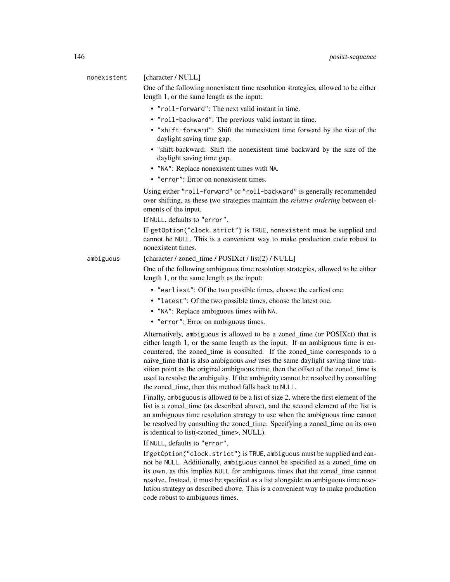## nonexistent [character / NULL]

One of the following nonexistent time resolution strategies, allowed to be either length 1, or the same length as the input:

- "roll-forward": The next valid instant in time.
- "roll-backward": The previous valid instant in time.
- "shift-forward": Shift the nonexistent time forward by the size of the daylight saving time gap.
- "shift-backward: Shift the nonexistent time backward by the size of the daylight saving time gap.
- "NA": Replace nonexistent times with NA.
- "error": Error on nonexistent times.

Using either "roll-forward" or "roll-backward" is generally recommended over shifting, as these two strategies maintain the *relative ordering* between elements of the input.

If NULL, defaults to "error".

If getOption("clock.strict") is TRUE, nonexistent must be supplied and cannot be NULL. This is a convenient way to make production code robust to nonexistent times.

ambiguous [character / zoned\_time / POSIXct / list(2) / NULL]

One of the following ambiguous time resolution strategies, allowed to be either length 1, or the same length as the input:

- "earliest": Of the two possible times, choose the earliest one.
- "latest": Of the two possible times, choose the latest one.
- "NA": Replace ambiguous times with NA.
- "error": Error on ambiguous times.

Alternatively, ambiguous is allowed to be a zoned\_time (or POSIXct) that is either length 1, or the same length as the input. If an ambiguous time is encountered, the zoned\_time is consulted. If the zoned\_time corresponds to a naive\_time that is also ambiguous *and* uses the same daylight saving time transition point as the original ambiguous time, then the offset of the zoned time is used to resolve the ambiguity. If the ambiguity cannot be resolved by consulting the zoned\_time, then this method falls back to NULL.

Finally, ambiguous is allowed to be a list of size 2, where the first element of the list is a zoned\_time (as described above), and the second element of the list is an ambiguous time resolution strategy to use when the ambiguous time cannot be resolved by consulting the zoned\_time. Specifying a zoned\_time on its own is identical to list(<zoned\_time>, NULL).

If NULL, defaults to "error".

If getOption("clock.strict") is TRUE, ambiguous must be supplied and cannot be NULL. Additionally, ambiguous cannot be specified as a zoned\_time on its own, as this implies NULL for ambiguous times that the zoned\_time cannot resolve. Instead, it must be specified as a list alongside an ambiguous time resolution strategy as described above. This is a convenient way to make production code robust to ambiguous times.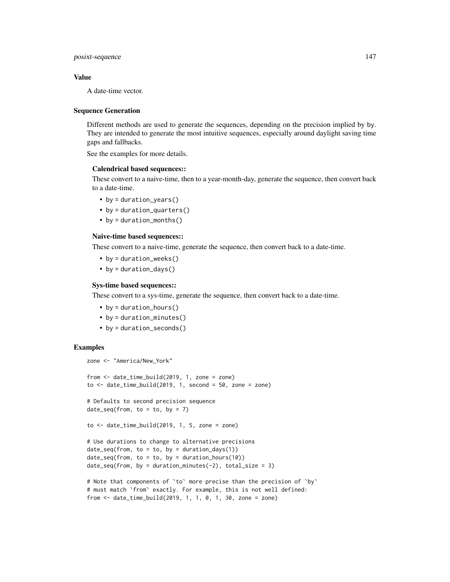posixt-sequence 147

## Value

A date-time vector.

#### Sequence Generation

Different methods are used to generate the sequences, depending on the precision implied by by. They are intended to generate the most intuitive sequences, especially around daylight saving time gaps and fallbacks.

See the examples for more details.

## Calendrical based sequences::

These convert to a naive-time, then to a year-month-day, generate the sequence, then convert back to a date-time.

- by = duration\_years()
- by = duration\_quarters()
- by = duration\_months()

#### Naive-time based sequences::

These convert to a naive-time, generate the sequence, then convert back to a date-time.

- by = duration\_weeks()
- by = duration\_days()

#### Sys-time based sequences::

These convert to a sys-time, generate the sequence, then convert back to a date-time.

- by = duration\_hours()
- by = duration\_minutes()
- by = duration\_seconds()

```
zone <- "America/New_York"
from <- date_time_build(2019, 1, zone = zone)
to \le date_time_build(2019, 1, second = 50, zone = zone)
# Defaults to second precision sequence
date_seq(from, to = to, by = 7)
to \le date_time_build(2019, 1, 5, zone = zone)
# Use durations to change to alternative precisions
date\_seq(from, to = to, by = duration\_days(1))date\_seq(from, to = to, by = duration\_hours(10))date\_seq(from, by = duration\_minutes(-2), total\_size = 3)
```

```
# Note that components of 'to' more precise than the precision of 'by'
# must match `from` exactly. For example, this is not well defined:
from <- date_time_build(2019, 1, 1, 0, 1, 30, zone = zone)
```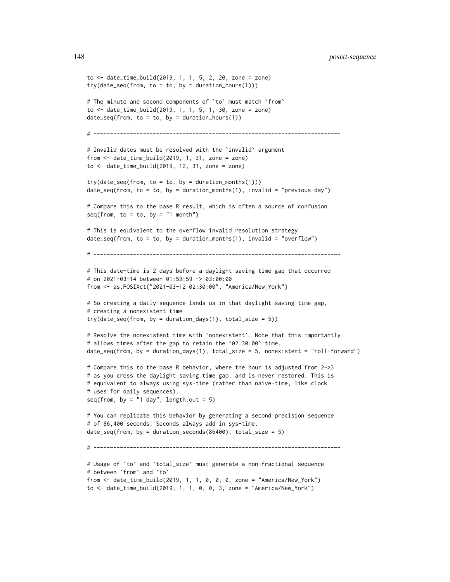148 posixt-sequence

```
to <- date_time_build(2019, 1, 1, 5, 2, 20, zone = zone)
try(data\_seq(from, to = to, by = duration\_hours(1)))# The minute and second components of `to` must match `from`
to <- date_time_build(2019, 1, 1, 5, 1, 30, zone = zone)
date\_seq(from, to = to, by = duration\_hours(1))# ---------------------------------------------------------------------------
# Invalid dates must be resolved with the `invalid` argument
from <- date_time_build(2019, 1, 31, zone = zone)
to < - date_time_build(2019, 12, 31, zone = zone)
try(data\_seq(from, to = to, by = duration\_months(1)))date\_seq(from, to = to, by = duration_months(1), invalid = "previous-day")# Compare this to the base R result, which is often a source of confusion
seq(from, to = to, by = "1 month")
# This is equivalent to the overflow invalid resolution strategy
date\_seq(from, to = to, by = duration\_months(1), invalid = "overflow")# ---------------------------------------------------------------------------
# This date-time is 2 days before a daylight saving time gap that occurred
# on 2021-03-14 between 01:59:59 -> 03:00:00
from <- as.POSIXct("2021-03-12 02:30:00", "America/New_York")
# So creating a daily sequence lands us in that daylight saving time gap,
# creating a nonexistent time
try(data\_seq(from, by = duration\_days(1), total\_size = 5))
# Resolve the nonexistent time with `nonexistent`. Note that this importantly
# allows times after the gap to retain the `02:30:00` time.
date_seq(from, by = duration_days(1), total_size = 5, nonexistent = "roll-forward")
# Compare this to the base R behavior, where the hour is adjusted from 2->3
# as you cross the daylight saving time gap, and is never restored. This is
# equivalent to always using sys-time (rather than naive-time, like clock
# uses for daily sequences).
seq(from, by = "1 day", length.out = 5)
# You can replicate this behavior by generating a second precision sequence
# of 86,400 seconds. Seconds always add in sys-time.
date_seq(from, by = duration_seconds(86400), total_size = 5)
# ---------------------------------------------------------------------------
# Usage of `to` and `total_size` must generate a non-fractional sequence
# between `from` and `to`
from <- date_time_build(2019, 1, 1, 0, 0, 0, zone = "America/New_York")
```
to <- date\_time\_build(2019, 1, 1, 0, 0, 3, zone = "America/New\_York")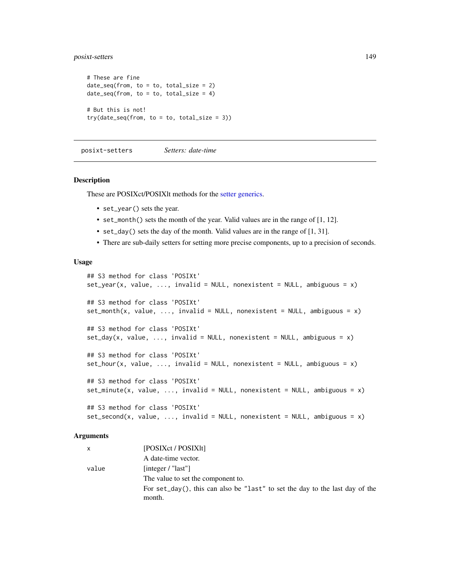## posixt-setters 149

```
# These are fine
date\_seq(from, to = to, total\_size = 2)date\_seq(from, to = to, total\_size = 4)# But this is not!
try(data\_seq(from, to = to, total\_size = 3))
```
posixt-setters *Setters: date-time*

#### Description

These are POSIXct/POSIXlt methods for the [setter generics.](#page-39-0)

- set\_year() sets the year.
- set\_month() sets the month of the year. Valid values are in the range of [1, 12].
- set\_day() sets the day of the month. Valid values are in the range of [1, 31].
- There are sub-daily setters for setting more precise components, up to a precision of seconds.

#### Usage

```
## S3 method for class 'POSIXt'
set\_year(x, value, ..., invalid = NULL, nonexistence = NULL, ambiguous = x)## S3 method for class 'POSIXt'
set_month(x, value, ..., invalid = NULL, nonexistent = NULL, ambiguous = x)
## S3 method for class 'POSIXt'
set\_day(x, value, ..., invalid = NULL, nonexistent = NULL, ambiguous = x)## S3 method for class 'POSIXt'
set\_hour(x, value, ..., invalid = NULL, nonexistence = NULL, ambiguous = x)## S3 method for class 'POSIXt'
set\_minute(x, value, ..., invalid = NULL, nonexistence = NULL, ambiguous = x)## S3 method for class 'POSIXt'
set\_second(x, value, ..., invalid = NULL, nonexistence = NULL, ambiguous = x)
```
#### Arguments

| x     | [POSIXct / POSIX]t]                                                          |
|-------|------------------------------------------------------------------------------|
|       | A date-time vector.                                                          |
| value | [integer / "last"]                                                           |
|       | The value to set the component to.                                           |
|       | For set_day(), this can also be "last" to set the day to the last day of the |
|       | month.                                                                       |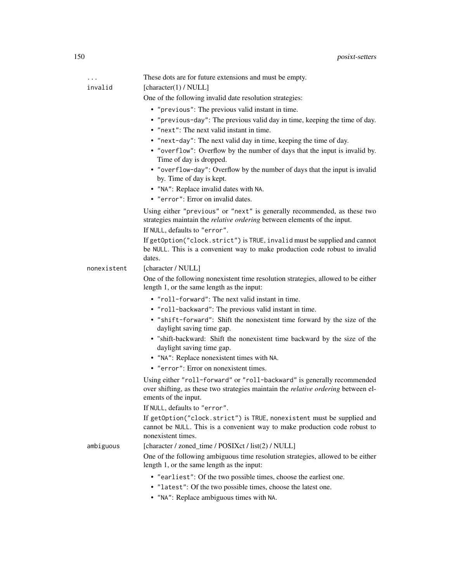| .           | These dots are for future extensions and must be empty.                                                                                                                                                                      |
|-------------|------------------------------------------------------------------------------------------------------------------------------------------------------------------------------------------------------------------------------|
| invalid     | [character(1) / $NULL]$                                                                                                                                                                                                      |
|             | One of the following invalid date resolution strategies:                                                                                                                                                                     |
|             | • "previous": The previous valid instant in time.                                                                                                                                                                            |
|             | • "previous-day": The previous valid day in time, keeping the time of day.                                                                                                                                                   |
|             | • "next": The next valid instant in time.                                                                                                                                                                                    |
|             | • "next-day": The next valid day in time, keeping the time of day.                                                                                                                                                           |
|             | • "overflow": Overflow by the number of days that the input is invalid by.<br>Time of day is dropped.                                                                                                                        |
|             | • "overflow-day": Overflow by the number of days that the input is invalid<br>by. Time of day is kept.                                                                                                                       |
|             | • "NA": Replace invalid dates with NA.                                                                                                                                                                                       |
|             | • "error": Error on invalid dates.                                                                                                                                                                                           |
|             | Using either "previous" or "next" is generally recommended, as these two<br>strategies maintain the <i>relative ordering</i> between elements of the input.                                                                  |
|             | If NULL, defaults to "error".                                                                                                                                                                                                |
|             | If getOption("clock.strict") is TRUE, invalid must be supplied and cannot<br>be NULL. This is a convenient way to make production code robust to invalid<br>dates.                                                           |
| nonexistent | [character / NULL]                                                                                                                                                                                                           |
|             | One of the following nonexistent time resolution strategies, allowed to be either<br>length 1, or the same length as the input:                                                                                              |
|             | • "roll-forward": The next valid instant in time.                                                                                                                                                                            |
|             | • "roll-backward": The previous valid instant in time.                                                                                                                                                                       |
|             | • "shift-forward": Shift the nonexistent time forward by the size of the<br>daylight saving time gap.                                                                                                                        |
|             | · "shift-backward: Shift the nonexistent time backward by the size of the<br>daylight saving time gap.                                                                                                                       |
|             | • "NA": Replace nonexistent times with NA.<br>• "error": Error on nonexistent times.                                                                                                                                         |
|             | Using either "roll-forward" or "roll-backward" is generally recommended<br>over shifting, as these two strategies maintain the <i>relative ordering</i> between el-<br>ements of the input.<br>If NULL, defaults to "error". |
|             |                                                                                                                                                                                                                              |
|             | If getOption("clock.strict") is TRUE, nonexistent must be supplied and<br>cannot be NULL. This is a convenient way to make production code robust to<br>nonexistent times.                                                   |
| ambiguous   | [character / zoned_time / POSIXct / list(2) / NULL]                                                                                                                                                                          |
|             | One of the following ambiguous time resolution strategies, allowed to be either<br>length 1, or the same length as the input:                                                                                                |
|             | • "earliest": Of the two possible times, choose the earliest one.                                                                                                                                                            |
|             | • "latest": Of the two possible times, choose the latest one.                                                                                                                                                                |

• "NA": Replace ambiguous times with NA.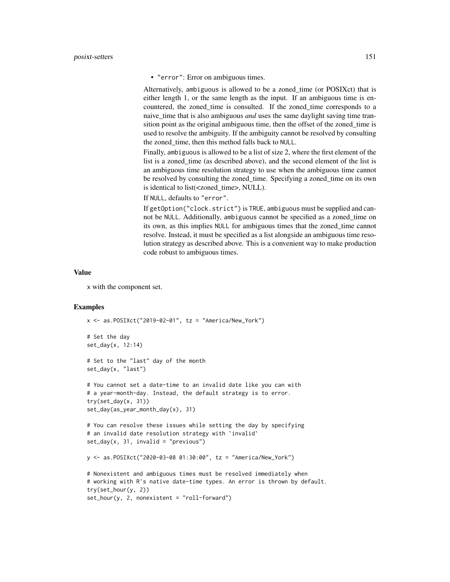• "error": Error on ambiguous times.

Alternatively, ambiguous is allowed to be a zoned\_time (or POSIXct) that is either length 1, or the same length as the input. If an ambiguous time is encountered, the zoned time is consulted. If the zoned time corresponds to a naive\_time that is also ambiguous *and* uses the same daylight saving time transition point as the original ambiguous time, then the offset of the zoned\_time is used to resolve the ambiguity. If the ambiguity cannot be resolved by consulting the zoned\_time, then this method falls back to NULL.

Finally, ambiguous is allowed to be a list of size 2, where the first element of the list is a zoned\_time (as described above), and the second element of the list is an ambiguous time resolution strategy to use when the ambiguous time cannot be resolved by consulting the zoned\_time. Specifying a zoned\_time on its own is identical to list(<zoned\_time>, NULL).

If NULL, defaults to "error".

If getOption("clock.strict") is TRUE, ambiguous must be supplied and cannot be NULL. Additionally, ambiguous cannot be specified as a zoned\_time on its own, as this implies NULL for ambiguous times that the zoned\_time cannot resolve. Instead, it must be specified as a list alongside an ambiguous time resolution strategy as described above. This is a convenient way to make production code robust to ambiguous times.

#### Value

x with the component set.

```
x <- as.POSIXct("2019-02-01", tz = "America/New_York")
# Set the day
set_day(x, 12:14)
# Set to the "last" day of the month
set_day(x, "last")
# You cannot set a date-time to an invalid date like you can with
# a year-month-day. Instead, the default strategy is to error.
try(set_day(x, 31))
set_day(as_year_month_day(x), 31)
# You can resolve these issues while setting the day by specifying
# an invalid date resolution strategy with `invalid`
set_{day}(x, 31, invalid = "previous")y <- as.POSIXct("2020-03-08 01:30:00", tz = "America/New_York")
# Nonexistent and ambiguous times must be resolved immediately when
# working with R's native date-time types. An error is thrown by default.
try(set_hour(y, 2))
set_hour(y, 2, nonexistent = "roll-forward")
```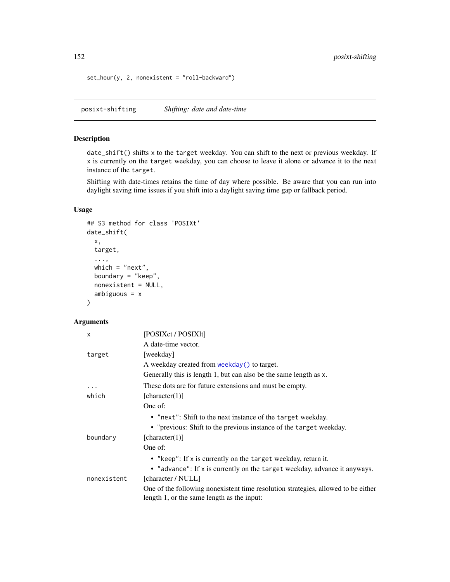set\_hour(y, 2, nonexistent = "roll-backward")

posixt-shifting *Shifting: date and date-time*

## Description

date\_shift() shifts x to the target weekday. You can shift to the next or previous weekday. If x is currently on the target weekday, you can choose to leave it alone or advance it to the next instance of the target.

Shifting with date-times retains the time of day where possible. Be aware that you can run into daylight saving time issues if you shift into a daylight saving time gap or fallback period.

## Usage

```
## S3 method for class 'POSIXt'
date_shift(
 x,
  target,
  ...,
 which = "next",
 boundary = "keep",
 nonexistent = NULL,
  ambiguous = x
)
```
#### Arguments

| X           | [POSIXct / POSIX1t]                                                                                                             |
|-------------|---------------------------------------------------------------------------------------------------------------------------------|
|             | A date-time vector.                                                                                                             |
| target      | [weekday]                                                                                                                       |
|             | A weekday created from weekday () to target.                                                                                    |
|             | Generally this is length 1, but can also be the same length as x.                                                               |
| $\ddotsc$   | These dots are for future extensions and must be empty.                                                                         |
| which       | [character(1)]                                                                                                                  |
|             | One of:                                                                                                                         |
|             | • "next": Shift to the next instance of the target weekday.                                                                     |
|             | • "previous: Shift to the previous instance of the target weekday.                                                              |
| boundary    | [character(1)]                                                                                                                  |
|             | One of:                                                                                                                         |
|             | • "keep": If x is currently on the target weekday, return it.                                                                   |
|             | • "advance": If x is currently on the target weekday, advance it anyways.                                                       |
| nonexistent | [character / NULL]                                                                                                              |
|             | One of the following nonexistent time resolution strategies, allowed to be either<br>length 1, or the same length as the input: |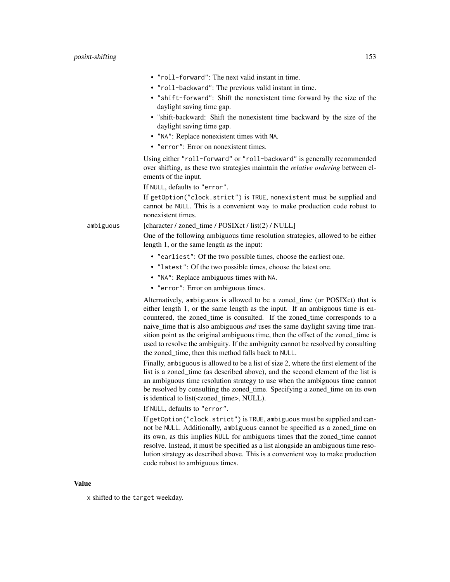- "roll-forward": The next valid instant in time.
- "roll-backward": The previous valid instant in time.
- "shift-forward": Shift the nonexistent time forward by the size of the daylight saving time gap.
- "shift-backward: Shift the nonexistent time backward by the size of the daylight saving time gap.
- "NA": Replace nonexistent times with NA.
- "error": Error on nonexistent times.

Using either "roll-forward" or "roll-backward" is generally recommended over shifting, as these two strategies maintain the *relative ordering* between elements of the input.

If NULL, defaults to "error".

If getOption("clock.strict") is TRUE, nonexistent must be supplied and cannot be NULL. This is a convenient way to make production code robust to nonexistent times.

## ambiguous [character / zoned\_time / POSIXct / list(2) / NULL]

One of the following ambiguous time resolution strategies, allowed to be either length 1, or the same length as the input:

- "earliest": Of the two possible times, choose the earliest one.
- "latest": Of the two possible times, choose the latest one.
- "NA": Replace ambiguous times with NA.
- "error": Error on ambiguous times.

Alternatively, ambiguous is allowed to be a zoned\_time (or POSIXct) that is either length 1, or the same length as the input. If an ambiguous time is encountered, the zoned\_time is consulted. If the zoned\_time corresponds to a naive\_time that is also ambiguous *and* uses the same daylight saving time transition point as the original ambiguous time, then the offset of the zoned\_time is used to resolve the ambiguity. If the ambiguity cannot be resolved by consulting the zoned time, then this method falls back to NULL.

Finally, ambiguous is allowed to be a list of size 2, where the first element of the list is a zoned\_time (as described above), and the second element of the list is an ambiguous time resolution strategy to use when the ambiguous time cannot be resolved by consulting the zoned\_time. Specifying a zoned\_time on its own is identical to list(<zoned\_time>, NULL).

If NULL, defaults to "error".

If getOption("clock.strict") is TRUE, ambiguous must be supplied and cannot be NULL. Additionally, ambiguous cannot be specified as a zoned\_time on its own, as this implies NULL for ambiguous times that the zoned\_time cannot resolve. Instead, it must be specified as a list alongside an ambiguous time resolution strategy as described above. This is a convenient way to make production code robust to ambiguous times.

### Value

x shifted to the target weekday.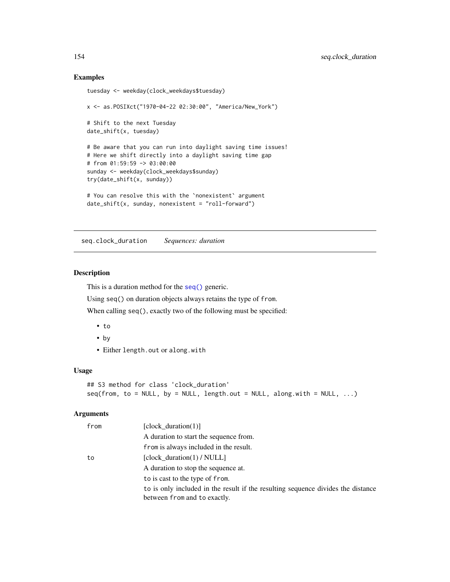### Examples

```
tuesday <- weekday(clock_weekdays$tuesday)
x <- as.POSIXct("1970-04-22 02:30:00", "America/New_York")
# Shift to the next Tuesday
date_shift(x, tuesday)
# Be aware that you can run into daylight saving time issues!
# Here we shift directly into a daylight saving time gap
# from 01:59:59 -> 03:00:00
sunday <- weekday(clock_weekdays$sunday)
try(date_shift(x, sunday))
# You can resolve this with the `nonexistent` argument
date\_shift(x, sunday, nonexistence = "roll-forward")
```
seq.clock\_duration *Sequences: duration*

## Description

This is a duration method for the [seq\(\)](#page-0-0) generic.

Using seq() on duration objects always retains the type of from.

When calling seq(), exactly two of the following must be specified:

- to
- by
- Either length.out or along.with

#### Usage

```
## S3 method for class 'clock_duration'
seq(from, to = NULL, by = NULL, length.out = NULL, along with = NULL, ...)
```
## Arguments

| from | [clock duration $(1)$ ]                                                          |
|------|----------------------------------------------------------------------------------|
|      | A duration to start the sequence from.                                           |
|      | from is always included in the result.                                           |
| to   | [clock_duration(1) / NULL]                                                       |
|      | A duration to stop the sequence at.                                              |
|      | to is cast to the type of from.                                                  |
|      | to is only included in the result if the resulting sequence divides the distance |
|      | between from and to exactly.                                                     |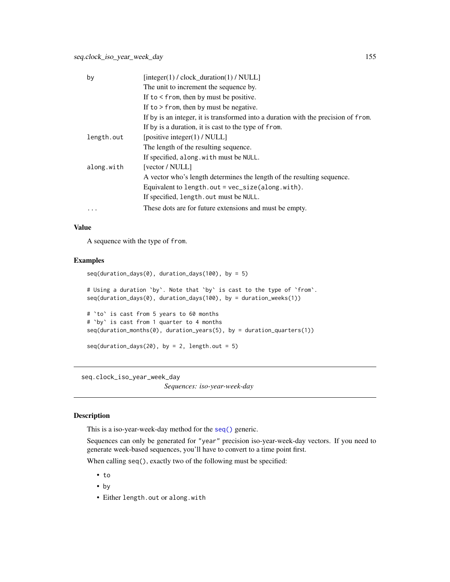| by         | $[integer(1) / clock_duration(1) / NULL]$                                          |
|------------|------------------------------------------------------------------------------------|
|            | The unit to increment the sequence by.                                             |
|            | If to $\le$ from, then by must be positive.                                        |
|            | If to $>$ from, then by must be negative.                                          |
|            | If by is an integer, it is transformed into a duration with the precision of from. |
|            | If by is a duration, it is cast to the type of from.                               |
| length.out | [positive integer(1) / NULL]                                                       |
|            | The length of the resulting sequence.                                              |
|            | If specified, along with must be NULL.                                             |
| along.with | [vector / NULL]                                                                    |
|            | A vector who's length determines the length of the resulting sequence.             |
|            | Equivalent to length.out = $vec_size$ (along.with).                                |
|            | If specified, length.out must be NULL.                                             |
|            | These dots are for future extensions and must be empty.                            |

## Value

A sequence with the type of from.

## Examples

```
seq(duration_days(0), duration_days(100), by = 5)# Using a duration `by`. Note that `by` is cast to the type of `from`.
seq(duration_days(0), duration_days(100), by = duration_weeks(1))
# `to` is cast from 5 years to 60 months
# `by` is cast from 1 quarter to 4 months
seq(duration_months(0), duration_years(5), by = duration_quarters(1))
seq(duration_days(20), by = 2, length.out = 5)
```
seq.clock\_iso\_year\_week\_day

*Sequences: iso-year-week-day*

## Description

This is a iso-year-week-day method for the [seq\(\)](#page-0-0) generic.

Sequences can only be generated for "year" precision iso-year-week-day vectors. If you need to generate week-based sequences, you'll have to convert to a time point first.

When calling seq(), exactly two of the following must be specified:

- to
- by
- Either length.out or along.with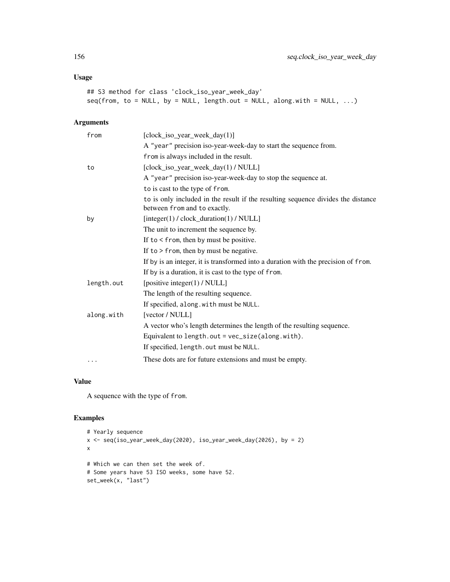## Usage

```
## S3 method for class 'clock_iso_year_week_day'
seq(from, to = NULL, by = NULL, length.out = NULL, along with = NULL, ...)
```
## Arguments

| from       | [clock_iso_year_week_day(1)]                                                                                     |
|------------|------------------------------------------------------------------------------------------------------------------|
|            | A "year" precision iso-year-week-day to start the sequence from.                                                 |
|            | from is always included in the result.                                                                           |
| to         | [clock_iso_year_week_day(1)/NULL]                                                                                |
|            | A "year" precision iso-year-week-day to stop the sequence at.                                                    |
|            | to is cast to the type of from.                                                                                  |
|            | to is only included in the result if the resulting sequence divides the distance<br>between from and to exactly. |
| by         | $[integer(1) / clock\_duration(1) / NULL]$                                                                       |
|            | The unit to increment the sequence by.                                                                           |
|            | If to $\le$ from, then by must be positive.                                                                      |
|            | If to $>$ from, then by must be negative.                                                                        |
|            | If by is an integer, it is transformed into a duration with the precision of from.                               |
|            | If by is a duration, it is cast to the type of from.                                                             |
| length.out | [positive integer(1) / NULL]                                                                                     |
|            | The length of the resulting sequence.                                                                            |
|            | If specified, along.with must be NULL.                                                                           |
| along.with | [vector / NULL]                                                                                                  |
|            | A vector who's length determines the length of the resulting sequence.                                           |
|            | Equivalent to length.out = vec_size(along.with).                                                                 |
|            | If specified, length.out must be NULL.                                                                           |
| .          | These dots are for future extensions and must be empty.                                                          |

## Value

A sequence with the type of from.

```
# Yearly sequence
x <- seq(iso_year_week_day(2020), iso_year_week_day(2026), by = 2)
x
# Which we can then set the week of.
# Some years have 53 ISO weeks, some have 52.
set_week(x, "last")
```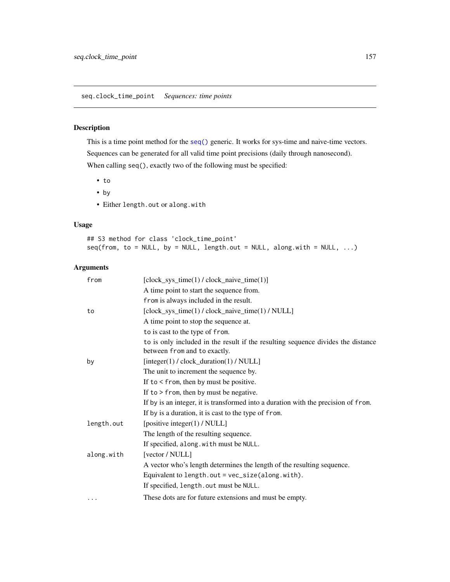## Description

This is a time point method for the [seq\(\)](#page-0-0) generic. It works for sys-time and naive-time vectors. Sequences can be generated for all valid time point precisions (daily through nanosecond). When calling seq(), exactly two of the following must be specified:

- to
- by
- Either length.out or along.with

## Usage

## S3 method for class 'clock\_time\_point'  $seq(from, to = NULL, by = NULL, length.out = NULL, along with = NULL, ...)$ 

## Arguments

| from       | $[clock\_sys_time(1) / clock\_naive_time(1)]$                                                                    |
|------------|------------------------------------------------------------------------------------------------------------------|
|            | A time point to start the sequence from.                                                                         |
|            | from is always included in the result.                                                                           |
| to         | [clock_sys_time(1) / clock_naive_time(1) / NULL]                                                                 |
|            | A time point to stop the sequence at.                                                                            |
|            | to is cast to the type of from.                                                                                  |
|            | to is only included in the result if the resulting sequence divides the distance<br>between from and to exactly. |
| by         | $[integer(1) / clock\_duration(1) / NULL]$                                                                       |
|            | The unit to increment the sequence by.                                                                           |
|            | If to $\le$ from, then by must be positive.                                                                      |
|            | If to $>$ from, then by must be negative.                                                                        |
|            | If by is an integer, it is transformed into a duration with the precision of from.                               |
|            | If by is a duration, it is cast to the type of from.                                                             |
| length.out | [positive integer(1) / NULL]                                                                                     |
|            | The length of the resulting sequence.                                                                            |
|            | If specified, along.with must be NULL.                                                                           |
| along.with | [vector / NULL]                                                                                                  |
|            | A vector who's length determines the length of the resulting sequence.                                           |
|            | Equivalent to length.out = $vec_size$ (along.with).                                                              |
|            | If specified, length.out must be NULL.                                                                           |
| .          | These dots are for future extensions and must be empty.                                                          |
|            |                                                                                                                  |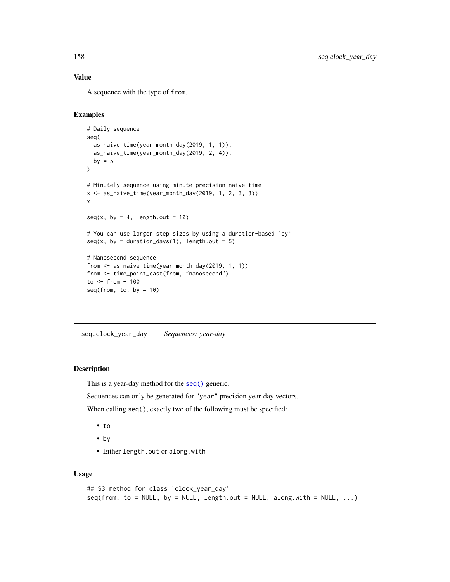## Value

A sequence with the type of from.

#### Examples

```
# Daily sequence
seq(
  as_naive_time(year_month_day(2019, 1, 1)),
  as_naive_time(year_month_day(2019, 2, 4)),
  by = 5\mathcal{L}# Minutely sequence using minute precision naive-time
x \leq -as_naive_time(year_month_day(2019, 1, 2, 3, 3))
x
seq(x, by = 4, length.out = 10)# You can use larger step sizes by using a duration-based `by`
seq(x, by = duration\_days(1), length.out = 5)# Nanosecond sequence
from <- as_naive_time(year_month_day(2019, 1, 1))
from <- time_point_cast(from, "nanosecond")
to <- from + 100
seq(from, to, by = 10)
```
seq.clock\_year\_day *Sequences: year-day*

## Description

This is a year-day method for the [seq\(\)](#page-0-0) generic.

Sequences can only be generated for "year" precision year-day vectors.

When calling seq(), exactly two of the following must be specified:

- to
- by
- Either length.out or along.with

## Usage

```
## S3 method for class 'clock_year_day'
seq(from, to = NULL, by = NULL, length.out = NULL, along with = NULL, ...)
```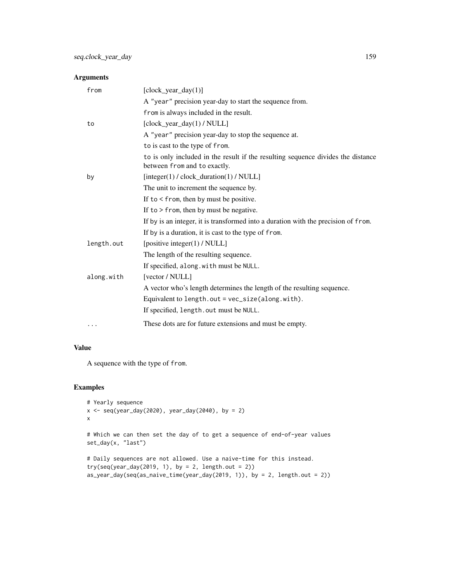## Arguments

| from       | $[clock\_year\_day(1)]$                                                                                          |
|------------|------------------------------------------------------------------------------------------------------------------|
|            | A "year" precision year-day to start the sequence from.                                                          |
|            | from is always included in the result.                                                                           |
| to         | [clock_year_day(1) / NULL]                                                                                       |
|            | A "year" precision year-day to stop the sequence at.                                                             |
|            | to is cast to the type of from.                                                                                  |
|            | to is only included in the result if the resulting sequence divides the distance<br>between from and to exactly. |
| by         | $[integer(1) / clock\_duration(1) / NULL]$                                                                       |
|            | The unit to increment the sequence by.                                                                           |
|            | If to $\le$ from, then by must be positive.                                                                      |
|            | If to $>$ from, then by must be negative.                                                                        |
|            | If by is an integer, it is transformed into a duration with the precision of from.                               |
|            | If by is a duration, it is cast to the type of from.                                                             |
| length.out | [positive integer(1) / NULL]                                                                                     |
|            | The length of the resulting sequence.                                                                            |
|            | If specified, along.with must be NULL.                                                                           |
| along.with | [vector / NULL]                                                                                                  |
|            | A vector who's length determines the length of the resulting sequence.                                           |
|            | Equivalent to length.out = vec_size(along.with).                                                                 |
|            | If specified, length.out must be NULL.                                                                           |
| .          | These dots are for future extensions and must be empty.                                                          |

## Value

A sequence with the type of from.

```
# Yearly sequence
x \leq -\text{seq}(\text{year}_day(2020), \text{year}_day(2040), \text{by} = 2)x
# Which we can then set the day of to get a sequence of end-of-year values
set_day(x, "last")
# Daily sequences are not allowed. Use a naive-time for this instead.
try(seq(year_day(2019, 1), by = 2, length.out = 2))as_year_day(seq(as_naive_time(year_day(2019, 1)), by = 2, length.out = 2))
```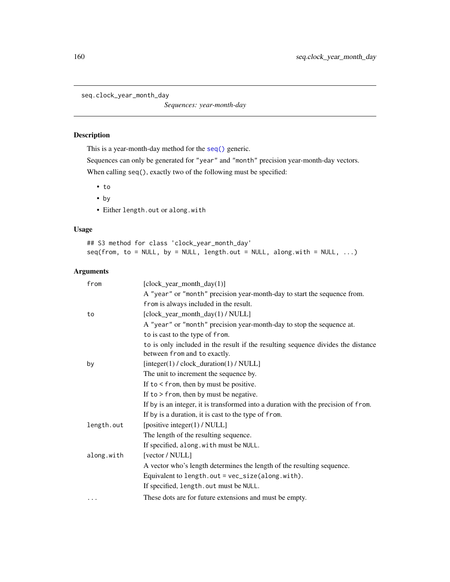seq.clock\_year\_month\_day

*Sequences: year-month-day*

## Description

This is a year-month-day method for the [seq\(\)](#page-0-0) generic.

Sequences can only be generated for "year" and "month" precision year-month-day vectors. When calling seq(), exactly two of the following must be specified:

- to
- by
- Either length.out or along.with

## Usage

## S3 method for class 'clock\_year\_month\_day'  $seq(from, to = NULL, by = NULL, length.out = NULL, along with = NULL, ...)$ 

## Arguments

| from       | $[clock\_year\_month\_day(1)]$                                                                                   |
|------------|------------------------------------------------------------------------------------------------------------------|
|            | A "year" or "month" precision year-month-day to start the sequence from.                                         |
|            | from is always included in the result.                                                                           |
| to         | [clock_year_month_day(1) / NULL]                                                                                 |
|            | A "year" or "month" precision year-month-day to stop the sequence at.                                            |
|            | to is cast to the type of from.                                                                                  |
|            | to is only included in the result if the resulting sequence divides the distance<br>between from and to exactly. |
| by         | [integer(1) / clock_duration(1) / NULL]                                                                          |
|            | The unit to increment the sequence by.                                                                           |
|            | If to $\le$ from, then by must be positive.                                                                      |
|            | If to $>$ from, then by must be negative.                                                                        |
|            | If by is an integer, it is transformed into a duration with the precision of from.                               |
|            | If by is a duration, it is cast to the type of from.                                                             |
| length.out | [positive integer(1) / NULL]                                                                                     |
|            | The length of the resulting sequence.                                                                            |
|            | If specified, along.with must be NULL.                                                                           |
| along.with | [vector / NULL]                                                                                                  |
|            | A vector who's length determines the length of the resulting sequence.                                           |
|            | Equivalent to length.out = $vec_size$ (along.with).                                                              |
|            | If specified, length.out must be NULL.                                                                           |
| $\cdots$   | These dots are for future extensions and must be empty.                                                          |
|            |                                                                                                                  |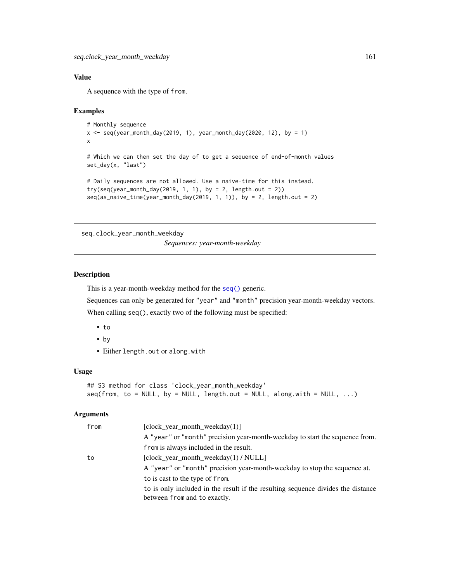# Value

A sequence with the type of from.

#### Examples

```
# Monthly sequence
x \leq - seq(year_month_day(2019, 1), year_month_day(2020, 12), by = 1)
x
# Which we can then set the day of to get a sequence of end-of-month values
set_day(x, "last")
# Daily sequences are not allowed. Use a naive-time for this instead.
try(seq(year_month_day(2019, 1, 1), by = 2, length.out = 2))seq(as\_naive\_time(year\_month\_day(2019, 1, 1)), by = 2, length.out = 2)
```
seq.clock\_year\_month\_weekday

*Sequences: year-month-weekday*

## Description

This is a year-month-weekday method for the [seq\(\)](#page-0-0) generic.

Sequences can only be generated for "year" and "month" precision year-month-weekday vectors.

When calling seq(), exactly two of the following must be specified:

- to
- by
- Either length.out or along.with

## Usage

```
## S3 method for class 'clock_year_month_weekday'
seq(from, to = NULL, by = NULL, length.out = NULL, along with = NULL, ...)
```
#### Arguments

| from | [clock year month weekday $(1)$ ]                                                |
|------|----------------------------------------------------------------------------------|
|      | A "year" or "month" precision year-month-weekday to start the sequence from.     |
|      | from is always included in the result.                                           |
| to   | [clock_year_month_weekday(1) / NULL]                                             |
|      | A "year" or "month" precision year-month-weekday to stop the sequence at.        |
|      | to is cast to the type of from.                                                  |
|      | to is only included in the result if the resulting sequence divides the distance |
|      | between from and to exactly.                                                     |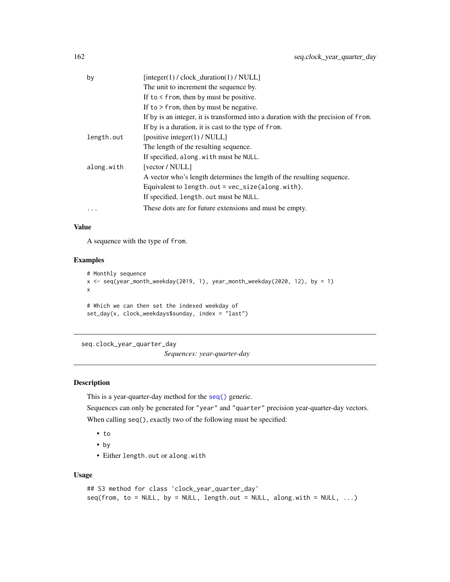| by         | $[integer(1) / clock_duration(1) / NULL]$                                          |
|------------|------------------------------------------------------------------------------------|
|            | The unit to increment the sequence by.                                             |
|            | If to $\le$ from, then by must be positive.                                        |
|            | If to $>$ from, then by must be negative.                                          |
|            | If by is an integer, it is transformed into a duration with the precision of from. |
|            | If by is a duration, it is cast to the type of from.                               |
| length.out | [positive integer(1) / NULL]                                                       |
|            | The length of the resulting sequence.                                              |
|            | If specified, along.with must be NULL.                                             |
| along.with | [vector / NULL]                                                                    |
|            | A vector who's length determines the length of the resulting sequence.             |
|            | Equivalent to length.out = vec_size(along.with).                                   |
|            | If specified, length.out must be NULL.                                             |
| $\cdot$    | These dots are for future extensions and must be empty.                            |
|            |                                                                                    |

## Value

A sequence with the type of from.

## Examples

```
# Monthly sequence
x <- seq(year_month_weekday(2019, 1), year_month_weekday(2020, 12), by = 1)
x
# Which we can then set the indexed weekday of
set_day(x, clock_weekdays$sunday, index = "last")
```
seq.clock\_year\_quarter\_day

*Sequences: year-quarter-day*

## Description

This is a year-quarter-day method for the [seq\(\)](#page-0-0) generic.

Sequences can only be generated for "year" and "quarter" precision year-quarter-day vectors. When calling seq(), exactly two of the following must be specified:

- to
- by
- Either length.out or along.with

### Usage

```
## S3 method for class 'clock_year_quarter_day'
seq(from, to = NULL, by = NULL, length.out = NULL, along with = NULL, ...)
```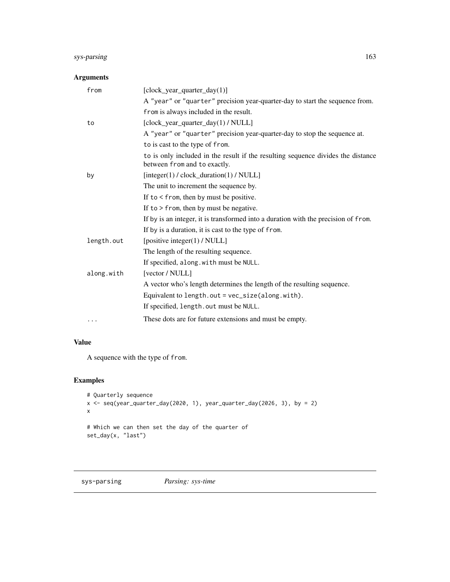# sys-parsing 163

## Arguments

| from       | $[clock\_year\_quarter\_day(1)]$                                                                                 |
|------------|------------------------------------------------------------------------------------------------------------------|
|            | A "year" or "quarter" precision year-quarter-day to start the sequence from.                                     |
|            | from is always included in the result.                                                                           |
| to         | [clock_year_quarter_day(1) / NULL]                                                                               |
|            | A "year" or "quarter" precision year-quarter-day to stop the sequence at.                                        |
|            | to is cast to the type of from.                                                                                  |
|            | to is only included in the result if the resulting sequence divides the distance<br>between from and to exactly. |
| by         | $[integer(1) / clock\_duration(1) / NULL]$                                                                       |
|            | The unit to increment the sequence by.                                                                           |
|            | If to $\le$ from, then by must be positive.                                                                      |
|            | If to $>$ from, then by must be negative.                                                                        |
|            | If by is an integer, it is transformed into a duration with the precision of from.                               |
|            | If by is a duration, it is cast to the type of from.                                                             |
| length.out | [positive integer(1) / NULL]                                                                                     |
|            | The length of the resulting sequence.                                                                            |
|            | If specified, along.with must be NULL.                                                                           |
| along.with | [vector / NULL]                                                                                                  |
|            | A vector who's length determines the length of the resulting sequence.                                           |
|            | Equivalent to length.out = vec_size(along.with).                                                                 |
|            | If specified, length.out must be NULL.                                                                           |
| $\cdots$   | These dots are for future extensions and must be empty.                                                          |

## Value

A sequence with the type of from.

```
# Quarterly sequence
x \le seq(year_quarter_day(2020, 1), year_quarter_day(2026, 3), by = 2)
x
# Which we can then set the day of the quarter of
set_day(x, "last")
```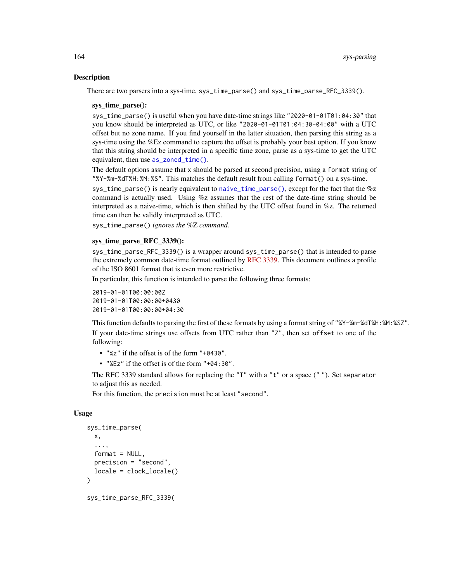#### **Description**

There are two parsers into a sys-time, sys\_time\_parse() and sys\_time\_parse\_RFC\_3339().

#### sys\_time\_parse():

sys\_time\_parse() is useful when you have date-time strings like "2020-01-01T01:04:30" that you know should be interpreted as UTC, or like "2020-01-01T01:04:30-04:00" with a UTC offset but no zone name. If you find yourself in the latter situation, then parsing this string as a sys-time using the %Ez command to capture the offset is probably your best option. If you know that this string should be interpreted in a specific time zone, parse as a sys-time to get the UTC equivalent, then use [as\\_zoned\\_time\(\)](#page-24-0).

The default options assume that x should be parsed at second precision, using a format string of "%Y-%m-%dT%H:%M:%S". This matches the default result from calling format() on a sys-time.

sys\_time\_parse() is nearly equivalent to [naive\\_time\\_parse\(\)](#page-118-0), except for the fact that the %z command is actually used. Using %z assumes that the rest of the date-time string should be interpreted as a naive-time, which is then shifted by the UTC offset found in %z. The returned time can then be validly interpreted as UTC.

sys\_time\_parse() *ignores the* %Z *command.*

#### sys\_time\_parse\_RFC\_3339():

sys\_time\_parse\_RFC\_3339() is a wrapper around sys\_time\_parse() that is intended to parse the extremely common date-time format outlined by [RFC 3339.](https://datatracker.ietf.org/doc/html/rfc3339) This document outlines a profile of the ISO 8601 format that is even more restrictive.

In particular, this function is intended to parse the following three formats:

```
2019-01-01T00:00:00Z
2019-01-01T00:00:00+0430
2019-01-01T00:00:00+04:30
```
This function defaults to parsing the first of these formats by using a format string of "%Y-%m-%dT%H:%M:%SZ". If your date-time strings use offsets from UTC rather than "Z", then set offset to one of the following:

- "%z" if the offset is of the form "+0430".
- "%Ez" if the offset is of the form "+04:30".

The RFC 3339 standard allows for replacing the "T" with a "t" or a space  $($ ""). Set separator to adjust this as needed.

For this function, the precision must be at least "second".

#### Usage

```
sys_time_parse(
  x,
  ...,
  format = NULL,
 precision = "second",
  locale = clock_locale()
)
sys_time_parse_RFC_3339(
```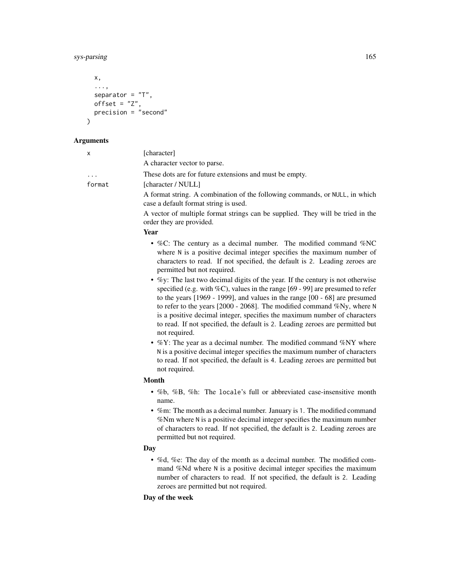# sys-parsing 165

```
x,
  ...,
  separator = "T",offset = "Z",precision = "second"
\mathcal{L}
```
# Arguments

| х      | [character]                                                                                                                                                                                                                                                                                                                                                                                                                      |
|--------|----------------------------------------------------------------------------------------------------------------------------------------------------------------------------------------------------------------------------------------------------------------------------------------------------------------------------------------------------------------------------------------------------------------------------------|
|        | A character vector to parse.                                                                                                                                                                                                                                                                                                                                                                                                     |
|        | These dots are for future extensions and must be empty.                                                                                                                                                                                                                                                                                                                                                                          |
| format | [character / NULL]                                                                                                                                                                                                                                                                                                                                                                                                               |
|        | A format string. A combination of the following commands, or NULL, in which<br>case a default format string is used.                                                                                                                                                                                                                                                                                                             |
|        | A vector of multiple format strings can be supplied. They will be tried in the<br>order they are provided.                                                                                                                                                                                                                                                                                                                       |
|        | Year                                                                                                                                                                                                                                                                                                                                                                                                                             |
|        | • %C: The century as a decimal number. The modified command %NC<br>where N is a positive decimal integer specifies the maximum number of<br>characters to read. If not specified, the default is 2. Leading zeroes are<br>permitted but not required.<br>• $\%$ y: The last two decimal digits of the year. If the century is not otherwise                                                                                      |
|        | specified (e.g. with $\%C$ ), values in the range [69 - 99] are presumed to refer<br>to the years $[1969 - 1999]$ , and values in the range $[00 - 68]$ are presumed<br>to refer to the years $[2000 - 2068]$ . The modified command %Ny, where N<br>is a positive decimal integer, specifies the maximum number of characters<br>to read. If not specified, the default is 2. Leading zeroes are permitted but<br>not required. |
|        | • $\%$ Y: The year as a decimal number. The modified command $\%$ NY where<br>N is a positive decimal integer specifies the maximum number of characters<br>to read. If not specified, the default is 4. Leading zeroes are permitted but<br>not required.                                                                                                                                                                       |
|        | <b>Month</b>                                                                                                                                                                                                                                                                                                                                                                                                                     |
|        | • %b, %B, %h: The locale's full or abbreviated case-insensitive month<br>name.                                                                                                                                                                                                                                                                                                                                                   |
|        | • %m: The month as a decimal number. January is 1. The modified command<br>%Nm where N is a positive decimal integer specifies the maximum number<br>of characters to read. If not specified, the default is 2. Leading zeroes are<br>permitted but not required.                                                                                                                                                                |
|        | Day                                                                                                                                                                                                                                                                                                                                                                                                                              |
|        | • %d, %e: The day of the month as a decimal number. The modified com-<br>mand %Nd where N is a positive decimal integer specifies the maximum<br>number of characters to read. If not specified, the default is 2. Leading<br>zeroes are permitted but not required.                                                                                                                                                             |

# Day of the week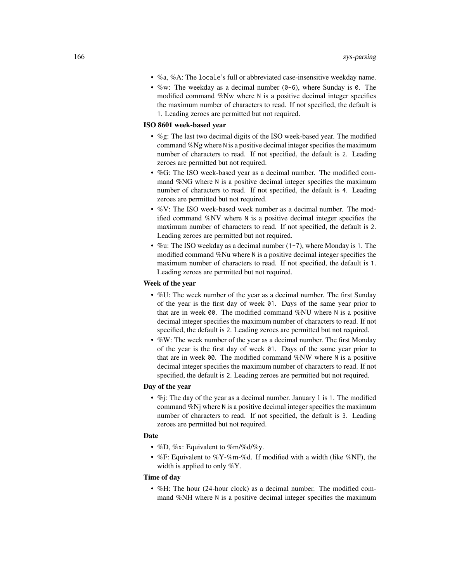- %a, %A: The locale's full or abbreviated case-insensitive weekday name.
- %w: The weekday as a decimal number  $(0-6)$ , where Sunday is 0. The modified command %Nw where N is a positive decimal integer specifies the maximum number of characters to read. If not specified, the default is 1. Leading zeroes are permitted but not required.

## ISO 8601 week-based year

- %g: The last two decimal digits of the ISO week-based year. The modified command %Ng where N is a positive decimal integer specifies the maximum number of characters to read. If not specified, the default is 2. Leading zeroes are permitted but not required.
- %G: The ISO week-based year as a decimal number. The modified command %NG where N is a positive decimal integer specifies the maximum number of characters to read. If not specified, the default is 4. Leading zeroes are permitted but not required.
- %V: The ISO week-based week number as a decimal number. The modified command %NV where N is a positive decimal integer specifies the maximum number of characters to read. If not specified, the default is 2. Leading zeroes are permitted but not required.
- %u: The ISO weekday as a decimal number (1-7), where Monday is 1. The modified command %Nu where N is a positive decimal integer specifies the maximum number of characters to read. If not specified, the default is 1. Leading zeroes are permitted but not required.

## Week of the year

- %U: The week number of the year as a decimal number. The first Sunday of the year is the first day of week 01. Days of the same year prior to that are in week 00. The modified command %NU where N is a positive decimal integer specifies the maximum number of characters to read. If not specified, the default is 2. Leading zeroes are permitted but not required.
- %W: The week number of the year as a decimal number. The first Monday of the year is the first day of week 01. Days of the same year prior to that are in week 00. The modified command %NW where N is a positive decimal integer specifies the maximum number of characters to read. If not specified, the default is 2. Leading zeroes are permitted but not required.

## Day of the year

• %*i*: The day of the year as a decimal number. January 1 is 1. The modified command %Nj where N is a positive decimal integer specifies the maximum number of characters to read. If not specified, the default is 3. Leading zeroes are permitted but not required.

## Date

- %D, %x: Equivalent to %m/%d/%y.
- %F: Equivalent to %Y-%m-%d. If modified with a width (like %NF), the width is applied to only %Y.

## Time of day

• %H: The hour (24-hour clock) as a decimal number. The modified command %NH where N is a positive decimal integer specifies the maximum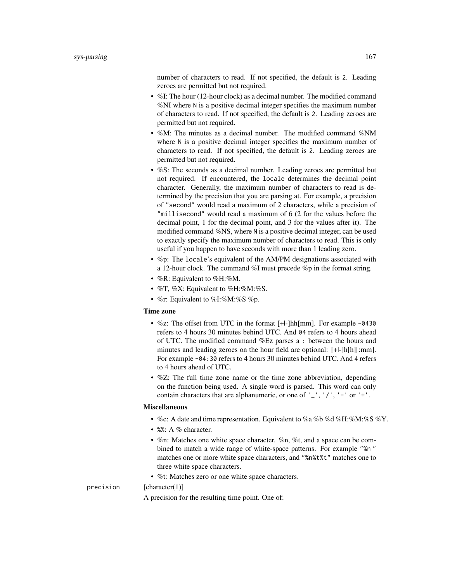number of characters to read. If not specified, the default is 2. Leading zeroes are permitted but not required.

- %I: The hour (12-hour clock) as a decimal number. The modified command %NI where N is a positive decimal integer specifies the maximum number of characters to read. If not specified, the default is 2. Leading zeroes are permitted but not required.
- %M: The minutes as a decimal number. The modified command %NM where N is a positive decimal integer specifies the maximum number of characters to read. If not specified, the default is 2. Leading zeroes are permitted but not required.
- %S: The seconds as a decimal number. Leading zeroes are permitted but not required. If encountered, the locale determines the decimal point character. Generally, the maximum number of characters to read is determined by the precision that you are parsing at. For example, a precision of "second" would read a maximum of 2 characters, while a precision of "millisecond" would read a maximum of 6 (2 for the values before the decimal point, 1 for the decimal point, and 3 for the values after it). The modified command %NS, where N is a positive decimal integer, can be used to exactly specify the maximum number of characters to read. This is only useful if you happen to have seconds with more than 1 leading zero.
- %p: The locale's equivalent of the AM/PM designations associated with a 12-hour clock. The command %I must precede %p in the format string.
- %R: Equivalent to %H:%M.
- $\%$ T,  $\%$ X: Equivalent to  $\%$ H: $\%$ M: $\%$ S.
- %r: Equivalent to %I:%M:%S %p.

### Time zone

- %z: The offset from UTC in the format [+|-]hh[mm]. For example -0430 refers to 4 hours 30 minutes behind UTC. And 04 refers to 4 hours ahead of UTC. The modified command %Ez parses a : between the hours and minutes and leading zeroes on the hour field are optional: [+|-]h[h][:mm]. For example -04:30 refers to 4 hours 30 minutes behind UTC. And 4 refers to 4 hours ahead of UTC.
- %Z: The full time zone name or the time zone abbreviation, depending on the function being used. A single word is parsed. This word can only contain characters that are alphanumeric, or one of  $'$   $'$ ,  $'$ / $'$ ,  $'$  - $'$  or  $'$  + $'$ .

#### Miscellaneous

- %c: A date and time representation. Equivalent to %a %b %d %H:%M:%S %Y.
- %%: A % character.
- %n: Matches one white space character. %n, %t, and a space can be combined to match a wide range of white-space patterns. For example "%n " matches one or more white space characters, and "%n%t%t" matches one to three white space characters.
- %t: Matches zero or one white space characters.

precision [character(1)]

A precision for the resulting time point. One of: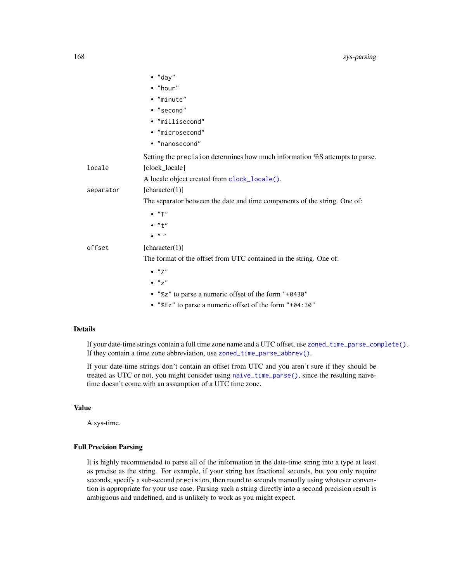|           | $\bullet$ "day"                                                             |
|-----------|-----------------------------------------------------------------------------|
|           | • "hour"                                                                    |
|           | • "minute"                                                                  |
|           | • "second"                                                                  |
|           | • "millisecond"                                                             |
|           | • "microsecond"                                                             |
|           | • "nanosecond"                                                              |
|           | Setting the precision determines how much information %S attempts to parse. |
| locale    | [clock_locale]                                                              |
|           | A locale object created from clock_locale().                                |
| separator | [character(1)]                                                              |
|           | The separator between the date and time components of the string. One of:   |
|           | $\bullet$ "T"                                                               |
|           | $\bullet$ "+"                                                               |
|           | - 11 - 11                                                                   |
| offset    | [character(1)]                                                              |
|           | The format of the offset from UTC contained in the string. One of:          |
|           | $\bullet$ "7"                                                               |
|           | $\bullet$ " $7$ "                                                           |
|           | • "%z" to parse a numeric offset of the form "+0430"                        |
|           | • "%Ez" to parse a numeric offset of the form "+04:30"                      |

## Details

If your date-time strings contain a full time zone name and a UTC offset, use [zoned\\_time\\_parse\\_complete\(\)](#page-238-0). If they contain a time zone abbreviation, use [zoned\\_time\\_parse\\_abbrev\(\)](#page-238-0).

If your date-time strings don't contain an offset from UTC and you aren't sure if they should be treated as UTC or not, you might consider using [naive\\_time\\_parse\(\)](#page-118-0), since the resulting naivetime doesn't come with an assumption of a UTC time zone.

## Value

A sys-time.

### Full Precision Parsing

It is highly recommended to parse all of the information in the date-time string into a type at least as precise as the string. For example, if your string has fractional seconds, but you only require seconds, specify a sub-second precision, then round to seconds manually using whatever convention is appropriate for your use case. Parsing such a string directly into a second precision result is ambiguous and undefined, and is unlikely to work as you might expect.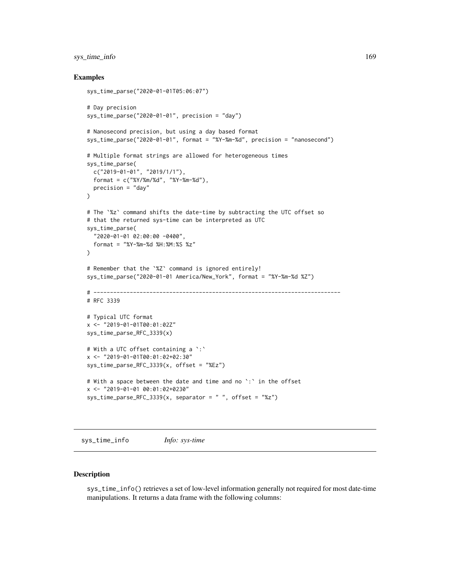## sys\_time\_info 169

## Examples

```
sys_time_parse("2020-01-01T05:06:07")
# Day precision
sys_time_parse("2020-01-01", precision = "day")
# Nanosecond precision, but using a day based format
sys_time_parse("2020-01-01", format = "%Y-%m-%d", precision = "nanosecond")
# Multiple format strings are allowed for heterogeneous times
sys_time_parse(
  c("2019-01-01", "2019/1/1"),
  format = c("%Y/%m/%d", "%Y-%m-%d"),
  precision = "day"
)
# The `%z` command shifts the date-time by subtracting the UTC offset so
# that the returned sys-time can be interpreted as UTC
sys_time_parse(
  "2020-01-01 02:00:00 -0400",
  format = "%Y-%m-%d %H:%M:%S %z"
)
# Remember that the `%Z` command is ignored entirely!
sys_time_parse("2020-01-01 America/New_York", format = "%Y-%m-%d %Z")
# ---------------------------------------------------------------------------
# RFC 3339
# Typical UTC format
x <- "2019-01-01T00:01:02Z"
sys_time_parse_RFC_3339(x)
# With a UTC offset containing a `:`
x <- "2019-01-01T00:01:02+02:30"
sys_time_parse_RFC_3339(x, offset = "%Ez")
# With a space between the date and time and no `:` in the offset
x <- "2019-01-01 00:01:02+0230"
sys_time\_parse\_RFC_3339(x, separator = " " , offset = "Xz")
```
sys\_time\_info *Info: sys-time*

#### Description

sys\_time\_info() retrieves a set of low-level information generally not required for most date-time manipulations. It returns a data frame with the following columns: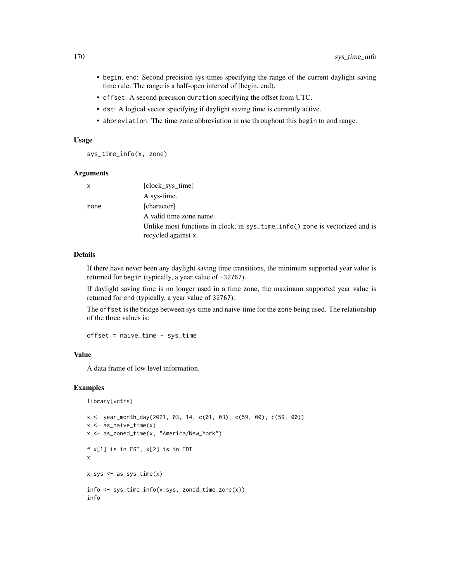- begin, end: Second precision sys-times specifying the range of the current daylight saving time rule. The range is a half-open interval of [begin, end).
- offset: A second precision duration specifying the offset from UTC.
- dst: A logical vector specifying if daylight saving time is currently active.
- abbreviation: The time zone abbreviation in use throughout this begin to end range.

#### Usage

sys\_time\_info(x, zone)

## Arguments

| X    | [clock sys time]                                                                                    |
|------|-----------------------------------------------------------------------------------------------------|
|      | A sys-time.                                                                                         |
| zone | [character]                                                                                         |
|      | A valid time zone name.                                                                             |
|      | Unlike most functions in clock, in sys_time_info() zone is vectorized and is<br>recycled against x. |
|      |                                                                                                     |

## Details

If there have never been any daylight saving time transitions, the minimum supported year value is returned for begin (typically, a year value of -32767).

If daylight saving time is no longer used in a time zone, the maximum supported year value is returned for end (typically, a year value of 32767).

The offset is the bridge between sys-time and naive-time for the zone being used. The relationship of the three values is:

offset = naive\_time - sys\_time

## Value

A data frame of low level information.

```
library(vctrs)
```

```
x <- year_month_day(2021, 03, 14, c(01, 03), c(59, 00), c(59, 00))
x \leq -as\_naive\_time(x)x <- as_zoned_time(x, "America/New_York")
# x[1] is in EST, x[2] is in EDT
x
x_sys <- as_sys_time(x)
info <- sys_time_info(x_sys, zoned_time_zone(x))
info
```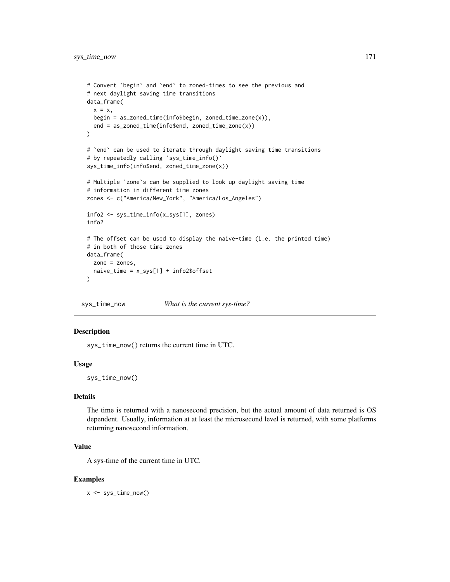```
# Convert `begin` and `end` to zoned-times to see the previous and
# next daylight saving time transitions
data_frame(
  x = x,
  begin = as_zoned_time(info$begin, zoned_time_zone(x)),
  end = as_zoned_time(info$end, zoned_time_zone(x))
\mathcal{L}# 'end' can be used to iterate through daylight saving time transitions
# by repeatedly calling `sys_time_info()`
sys_time_info(info$end, zoned_time_zone(x))
# Multiple `zone`s can be supplied to look up daylight saving time
# information in different time zones
zones <- c("America/New_York", "America/Los_Angeles")
info2 <- sys_time_info(x_sys[1], zones)
info2
# The offset can be used to display the naive-time (i.e. the printed time)
# in both of those time zones
data_frame(
  zone = zones,
  naive_time = x_sys[1] + info2$offset
)
```
sys\_time\_now *What is the current sys-time?*

## Description

sys\_time\_now() returns the current time in UTC.

#### Usage

sys\_time\_now()

## Details

The time is returned with a nanosecond precision, but the actual amount of data returned is OS dependent. Usually, information at at least the microsecond level is returned, with some platforms returning nanosecond information.

#### Value

A sys-time of the current time in UTC.

#### Examples

x <- sys\_time\_now()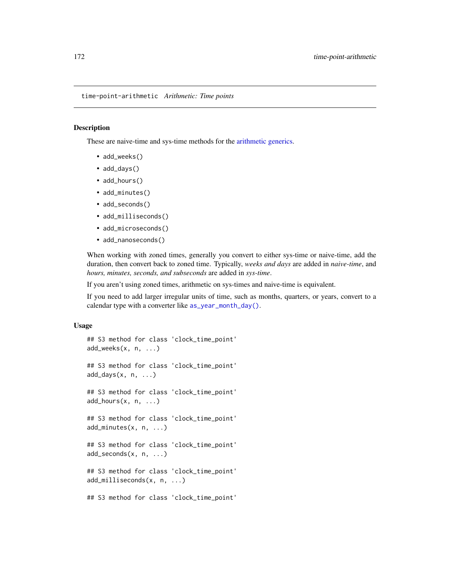time-point-arithmetic *Arithmetic: Time points*

## Description

These are naive-time and sys-time methods for the [arithmetic generics.](#page-32-0)

- add\_weeks()
- add\_days()
- add\_hours()
- add\_minutes()
- add\_seconds()
- add\_milliseconds()
- add\_microseconds()
- add\_nanoseconds()

When working with zoned times, generally you convert to either sys-time or naive-time, add the duration, then convert back to zoned time. Typically, *weeks and days* are added in *naive-time*, and *hours, minutes, seconds, and subseconds* are added in *sys-time*.

If you aren't using zoned times, arithmetic on sys-times and naive-time is equivalent.

If you need to add larger irregular units of time, such as months, quarters, or years, convert to a calendar type with a converter like [as\\_year\\_month\\_day\(\)](#page-21-0).

#### Usage

```
## S3 method for class 'clock_time_point'
add_weeks(x, n, ...)
## S3 method for class 'clock_time_point'
add\_days(x, n, ...)## S3 method for class 'clock_time_point'
add\_hours(x, n, ...)## S3 method for class 'clock_time_point'
add_minutes(x, n, ...)
## S3 method for class 'clock_time_point'
add_seconds(x, n, ...)
## S3 method for class 'clock_time_point'
add_milliseconds(x, n, ...)
## S3 method for class 'clock_time_point'
```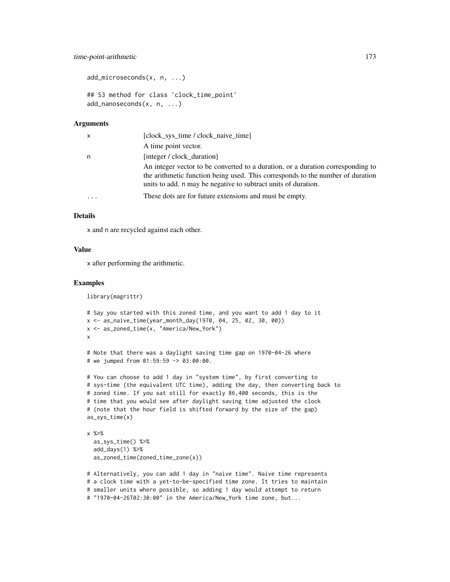```
add_microseconds(x, n, ...)
## S3 method for class 'clock_time_point'
add_nanoseconds(x, n, ...)
```
#### Arguments

| x | [clock_sys_time / clock_naive_time]                                                                                                                                                                                                 |
|---|-------------------------------------------------------------------------------------------------------------------------------------------------------------------------------------------------------------------------------------|
|   | A time point vector.                                                                                                                                                                                                                |
| n | [integer / clock duration]                                                                                                                                                                                                          |
|   | An integer vector to be converted to a duration, or a duration corresponding to<br>the arithmetic function being used. This corresponds to the number of duration<br>units to add. n may be negative to subtract units of duration. |
| . | These dots are for future extensions and must be empty.                                                                                                                                                                             |

## Details

x and n are recycled against each other.

#### Value

x after performing the arithmetic.

#### Examples

```
library(magrittr)
# Say you started with this zoned time, and you want to add 1 day to it
```

```
x <- as_naive_time(year_month_day(1970, 04, 25, 02, 30, 00))
x <- as_zoned_time(x, "America/New_York")
x
# Note that there was a daylight saving time gap on 1970-04-26 where
```

```
# we jumped from 01:59:59 -> 03:00:00.
```

```
# You can choose to add 1 day in "system time", by first converting to
# sys-time (the equivalent UTC time), adding the day, then converting back to
# zoned time. If you sat still for exactly 86,400 seconds, this is the
# time that you would see after daylight saving time adjusted the clock
# (note that the hour field is shifted forward by the size of the gap)
as_sys_time(x)
```

```
x %>%
  as_sys_time() %>%
  add_days(1) %>%
  as_zoned_time(zoned_time_zone(x))
```
# Alternatively, you can add 1 day in "naive time". Naive time represents # a clock time with a yet-to-be-specified time zone. It tries to maintain # smaller units where possible, so adding 1 day would attempt to return # "1970-04-26T02:30:00" in the America/New\_York time zone, but...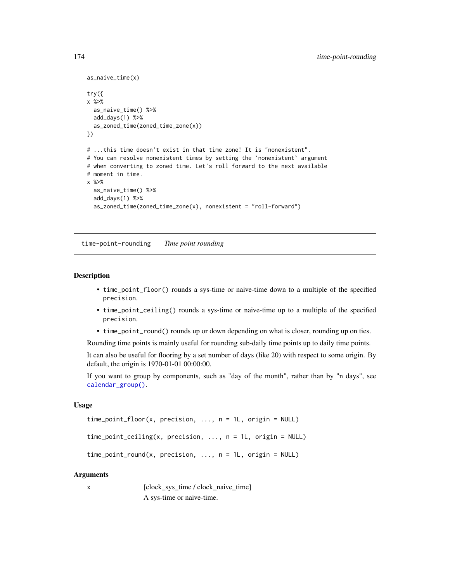```
as_naive_time(x)
try({
x %>%
  as_naive_time() %>%
  add_days(1) %>%
  as_zoned_time(zoned_time_zone(x))
})
# ...this time doesn't exist in that time zone! It is "nonexistent".
# You can resolve nonexistent times by setting the 'nonexistent' argument
# when converting to zoned time. Let's roll forward to the next available
# moment in time.
x %>%
  as_naive_time() %>%
  add_days(1) %>%
  as\_zoned\_time(zoned\_time\_zone(x), nonexistence = "roll-forward")
```
time-point-rounding *Time point rounding*

#### <span id="page-173-0"></span>Description

- time\_point\_floor() rounds a sys-time or naive-time down to a multiple of the specified precision.
- time\_point\_ceiling() rounds a sys-time or naive-time up to a multiple of the specified precision.
- time\_point\_round() rounds up or down depending on what is closer, rounding up on ties.

Rounding time points is mainly useful for rounding sub-daily time points up to daily time points.

It can also be useful for flooring by a set number of days (like 20) with respect to some origin. By default, the origin is 1970-01-01 00:00:00.

If you want to group by components, such as "day of the month", rather than by "n days", see [calendar\\_group\(\)](#page-27-0).

## Usage

```
time\_point\_floor(x, precision, ..., n = 1L, origin = NULL)time_point_ceiling(x, precision, ..., n = 1L, origin = NULL)
time\_point\_round(x, precision, ..., n = 1L, origin = NULL)
```
#### Arguments

x [clock\_sys\_time / clock\_naive\_time] A sys-time or naive-time.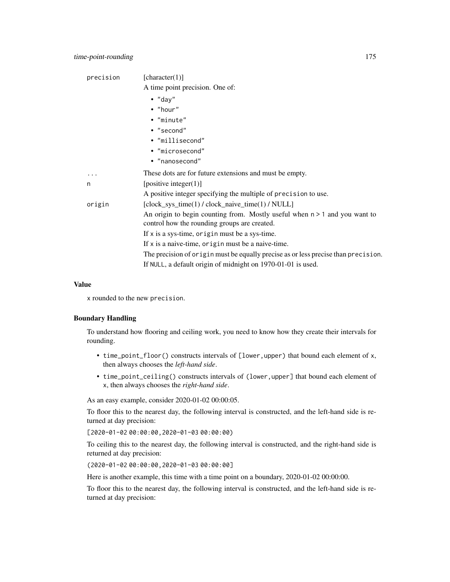| precision | [character(1)]                                                                                                               |
|-----------|------------------------------------------------------------------------------------------------------------------------------|
|           | A time point precision. One of:                                                                                              |
|           | $\bullet$ "day"                                                                                                              |
|           | $\bullet$ "hour"                                                                                                             |
|           | • "minute"                                                                                                                   |
|           | • "second"                                                                                                                   |
|           | • "millisecond"                                                                                                              |
|           | · "microsecond"                                                                                                              |
|           | • "nanosecond"                                                                                                               |
| .         | These dots are for future extensions and must be empty.                                                                      |
| n         | [positive integer $(1)$ ]                                                                                                    |
|           | A positive integer specifying the multiple of precision to use.                                                              |
| origin    | [clock_sys_time(1) / clock_naive_time(1) / NULL]                                                                             |
|           | An origin to begin counting from. Mostly useful when $n > 1$ and you want to<br>control how the rounding groups are created. |
|           | If $x$ is a sys-time, origin must be a sys-time.                                                                             |
|           | If $x$ is a naive-time, origin must be a naive-time.                                                                         |
|           | The precision of origin must be equally precise as or less precise than precision.                                           |
|           | If NULL, a default origin of midnight on 1970-01-01 is used.                                                                 |
|           |                                                                                                                              |

## Value

x rounded to the new precision.

## Boundary Handling

To understand how flooring and ceiling work, you need to know how they create their intervals for rounding.

- time\_point\_floor() constructs intervals of [lower,upper) that bound each element of x, then always chooses the *left-hand side*.
- time\_point\_ceiling() constructs intervals of (lower,upper] that bound each element of x, then always chooses the *right-hand side*.

As an easy example, consider 2020-01-02 00:00:05.

To floor this to the nearest day, the following interval is constructed, and the left-hand side is returned at day precision:

[2020-01-02 00:00:00,2020-01-03 00:00:00)

To ceiling this to the nearest day, the following interval is constructed, and the right-hand side is returned at day precision:

(2020-01-02 00:00:00,2020-01-03 00:00:00]

Here is another example, this time with a time point on a boundary, 2020-01-02 00:00:00.

To floor this to the nearest day, the following interval is constructed, and the left-hand side is returned at day precision: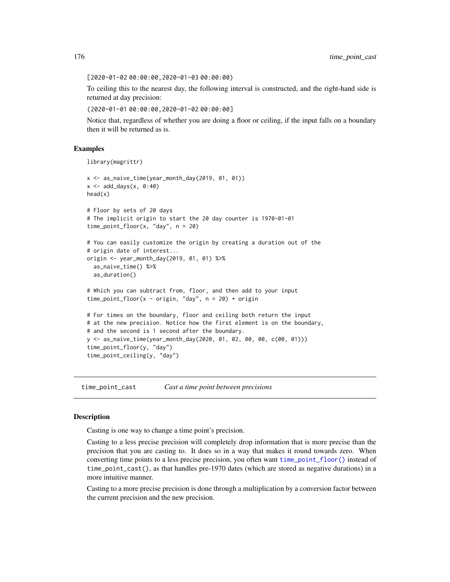[2020-01-02 00:00:00,2020-01-03 00:00:00)

To ceiling this to the nearest day, the following interval is constructed, and the right-hand side is returned at day precision:

(2020-01-01 00:00:00,2020-01-02 00:00:00]

Notice that, regardless of whether you are doing a floor or ceiling, if the input falls on a boundary then it will be returned as is.

## Examples

```
library(magrittr)
```

```
x <- as_naive_time(year_month_day(2019, 01, 01))
x \le - add_days(x, 0:40)head(x)
# Floor by sets of 20 days
# The implicit origin to start the 20 day counter is 1970-01-01
time_point_floor(x, "day", n = 20)
# You can easily customize the origin by creating a duration out of the
# origin date of interest...
origin <- year_month_day(2019, 01, 01) %>%
  as_naive_time() %>%
  as_duration()
# Which you can subtract from, floor, and then add to your input
time_point_floor(x - origin, "day", n = 20) + origin
# For times on the boundary, floor and ceiling both return the input
# at the new precision. Notice how the first element is on the boundary,
# and the second is 1 second after the boundary.
y <- as_naive_time(year_month_day(2020, 01, 02, 00, 00, c(00, 01)))
time_point_floor(y, "day")
time_point_ceiling(y, "day")
```
time\_point\_cast *Cast a time point between precisions*

#### Description

Casting is one way to change a time point's precision.

Casting to a less precise precision will completely drop information that is more precise than the precision that you are casting to. It does so in a way that makes it round towards zero. When converting time points to a less precise precision, you often want [time\\_point\\_floor\(\)](#page-173-0) instead of time\_point\_cast(), as that handles pre-1970 dates (which are stored as negative durations) in a more intuitive manner.

Casting to a more precise precision is done through a multiplication by a conversion factor between the current precision and the new precision.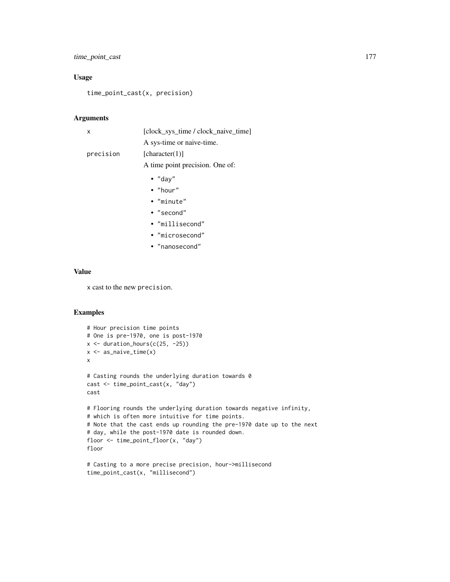## time\_point\_cast 177

## Usage

time\_point\_cast(x, precision)

## Arguments

| X         | [clock_sys_time / clock_naive_time] |
|-----------|-------------------------------------|
|           | A sys-time or naive-time.           |
| precision | [character(1)]                      |
|           | A time point precision. One of:     |
|           | • "day"                             |
|           | $\bullet$ "hour"                    |
|           | $\bullet$ "minute"                  |
|           | $\cdot$ "second"                    |
|           | • "millisecond"                     |
|           | • "microsecond"                     |
|           | • "nanosecond"                      |
|           |                                     |

## Value

x cast to the new precision.

```
# Hour precision time points
# One is pre-1970, one is post-1970
x \leftarrow duration_hours(c(25, -25))
x <- as_naive_time(x)
x
# Casting rounds the underlying duration towards 0
cast <- time_point_cast(x, "day")
cast
# Flooring rounds the underlying duration towards negative infinity,
# which is often more intuitive for time points.
# Note that the cast ends up rounding the pre-1970 date up to the next
# day, while the post-1970 date is rounded down.
floor <- time_point_floor(x, "day")
floor
```

```
# Casting to a more precise precision, hour->millisecond
time_point_cast(x, "millisecond")
```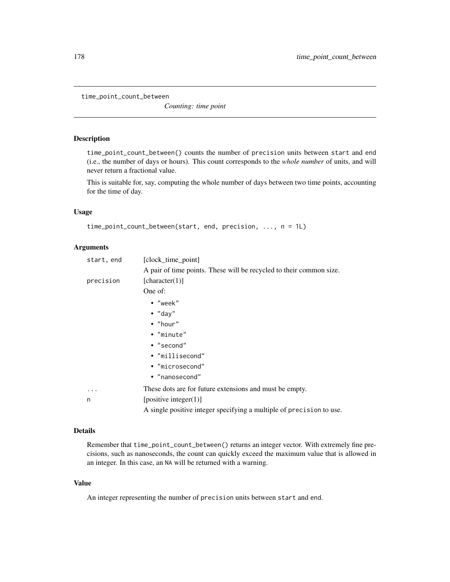time\_point\_count\_between

*Counting: time point*

## Description

time\_point\_count\_between() counts the number of precision units between start and end (i.e., the number of days or hours). This count corresponds to the *whole number* of units, and will never return a fractional value.

This is suitable for, say, computing the whole number of days between two time points, accounting for the time of day.

#### Usage

```
time_point_count_between(start, end, precision, ..., n = 1L)
```
## Arguments

| start, end | [clock_time_point]                                                   |
|------------|----------------------------------------------------------------------|
|            | A pair of time points. These will be recycled to their common size.  |
| precision  | [character(1)]                                                       |
|            | One of:                                                              |
|            | $\bullet$ "week"                                                     |
|            | $\bullet$ "day"                                                      |
|            | $\bullet$ "hour"                                                     |
|            | • "minute"                                                           |
|            | • "second"                                                           |
|            | • "millisecond"                                                      |
|            | • "microsecond"                                                      |
|            | • "nanosecond"                                                       |
|            | These dots are for future extensions and must be empty.              |
| n          | [positive integer $(1)$ ]                                            |
|            | A single positive integer specifying a multiple of precision to use. |

## Details

Remember that time\_point\_count\_between() returns an integer vector. With extremely fine precisions, such as nanoseconds, the count can quickly exceed the maximum value that is allowed in an integer. In this case, an NA will be returned with a warning.

#### Value

An integer representing the number of precision units between start and end.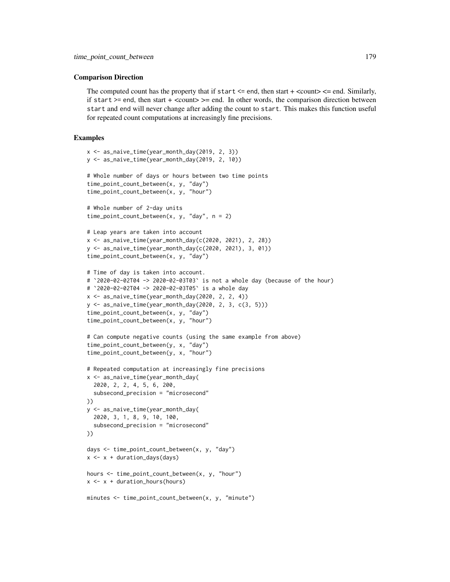### Comparison Direction

The computed count has the property that if start  $\leq$  end, then start  $+$   $\leq$  count $\geq$   $\leq$  end. Similarly, if start  $>=$  end, then start  $+$  <count $>=$  end. In other words, the comparison direction between start and end will never change after adding the count to start. This makes this function useful for repeated count computations at increasingly fine precisions.

```
x <- as_naive_time(year_month_day(2019, 2, 3))
y <- as_naive_time(year_month_day(2019, 2, 10))
# Whole number of days or hours between two time points
time_point_count_between(x, y, "day")
time_point_count_between(x, y, "hour")
# Whole number of 2-day units
time_point_count_between(x, y, "day", n = 2)
# Leap years are taken into account
x <- as_naive_time(year_month_day(c(2020, 2021), 2, 28))
y <- as_naive_time(year_month_day(c(2020, 2021), 3, 01))
time_point_count_between(x, y, "day")
# Time of day is taken into account.
# `2020-02-02T04 -> 2020-02-03T03` is not a whole day (because of the hour)
# `2020-02-02T04 -> 2020-02-03T05` is a whole day
x \le - as_naive_time(year_month_day(2020, 2, 2, 4))
y \le - as naive time(year month day(2020, 2, 3, c(3, 5)))
time_point_count_between(x, y, "day")
time_point_count_between(x, y, "hour")
# Can compute negative counts (using the same example from above)
time_point_count_between(y, x, "day")
time_point_count_between(y, x, "hour")
# Repeated computation at increasingly fine precisions
x <- as_naive_time(year_month_day(
  2020, 2, 2, 4, 5, 6, 200,
  subsecond_precision = "microsecond"
))
y <- as_naive_time(year_month_day(
  2020, 3, 1, 8, 9, 10, 100,
  subsecond_precision = "microsecond"
))
days <- time_point_count_between(x, y, "day")
x \leftarrow x + duration\_days (days)
hours <- time_point_count_between(x, y, "hour")
x \leftarrow x + duration_hours(hours)minutes \le time_point_count_between(x, y, "minute")
```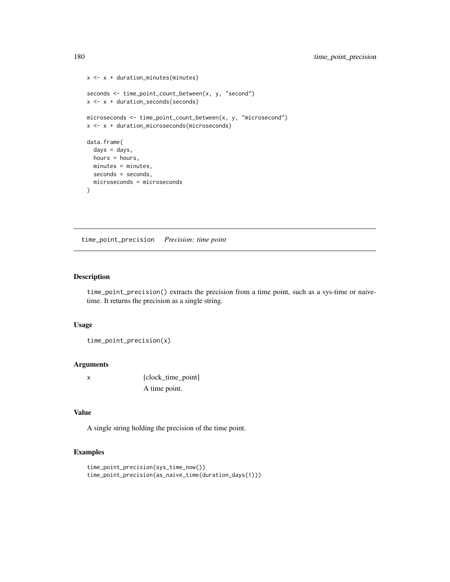```
x \leftarrow x + duration\_minutes(minutes)seconds <- time_point_count_between(x, y, "second")
x \leftarrow x + duration\_seconds(seconds)microseconds <- time_point_count_between(x, y, "microsecond")
x <- x + duration_microseconds(microseconds)
data.frame(
  days = days,
  hours = hours,
 minutes = minutes,
  seconds = seconds,
  microseconds = microseconds
)
```
time\_point\_precision *Precision: time point*

## Description

time\_point\_precision() extracts the precision from a time point, such as a sys-time or naivetime. It returns the precision as a single string.

## Usage

time\_point\_precision(x)

#### **Arguments**

x [clock\_time\_point] A time point.

## Value

A single string holding the precision of the time point.

```
time_point_precision(sys_time_now())
time_point_precision(as_naive_time(duration_days(1)))
```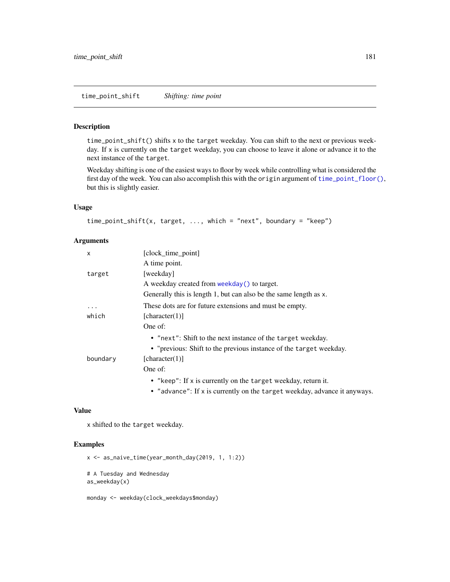#### Description

time\_point\_shift() shifts x to the target weekday. You can shift to the next or previous weekday. If x is currently on the target weekday, you can choose to leave it alone or advance it to the next instance of the target.

Weekday shifting is one of the easiest ways to floor by week while controlling what is considered the first day of the week. You can also accomplish this with the origin argument of [time\\_point\\_floor\(\)](#page-173-0), but this is slightly easier.

## Usage

```
time_point_shift(x, target, \dots, which = "next", boundary = "keep")
```
#### Arguments

| X        | [clock_time_point]                                                        |
|----------|---------------------------------------------------------------------------|
|          | A time point.                                                             |
| target   | [weekday]                                                                 |
|          | A weekday created from weekday() to target.                               |
|          | Generally this is length 1, but can also be the same length as x.         |
| .        | These dots are for future extensions and must be empty.                   |
| which    | [character(1)]                                                            |
|          | One of:                                                                   |
|          | • "next": Shift to the next instance of the target weekday.               |
|          | • "previous: Shift to the previous instance of the target weekday.        |
| boundary | [character(1)]                                                            |
|          | One of:                                                                   |
|          | • "keep": If x is currently on the target weekday, return it.             |
|          | • "advance": If x is currently on the target weekday, advance it anyways. |

#### Value

x shifted to the target weekday.

#### Examples

x <- as\_naive\_time(year\_month\_day(2019, 1, 1:2)) # A Tuesday and Wednesday as\_weekday(x)

monday <- weekday(clock\_weekdays\$monday)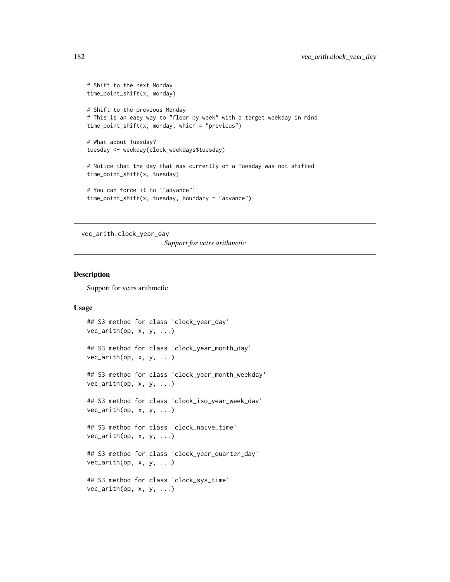```
# Shift to the next Monday
time_point_shift(x, monday)
# Shift to the previous Monday
# This is an easy way to "floor by week" with a target weekday in mind
time_point_shift(x, monday, which = "previous")
# What about Tuesday?
tuesday <- weekday(clock_weekdays$tuesday)
# Notice that the day that was currently on a Tuesday was not shifted
time_point_shift(x, tuesday)
# You can force it to `"advance"`
time_point_shift(x, tuesday, boundary = "advance")
```
vec\_arith.clock\_year\_day

*Support for vctrs arithmetic*

#### Description

Support for vctrs arithmetic

#### Usage

```
## S3 method for class 'clock_year_day'
vec_arith(op, x, y, ...)
## S3 method for class 'clock_year_month_day'
vec_arith(op, x, y, ...)
## S3 method for class 'clock_year_month_weekday'
vec_arith(op, x, y, ...)
## S3 method for class 'clock_iso_year_week_day'
vec_arith(op, x, y, ...)
## S3 method for class 'clock_naive_time'
vec_arith(op, x, y, ...)
## S3 method for class 'clock_year_quarter_day'
vec_arith(op, x, y, ...)
## S3 method for class 'clock_sys_time'
vec_arith(op, x, y, ...)
```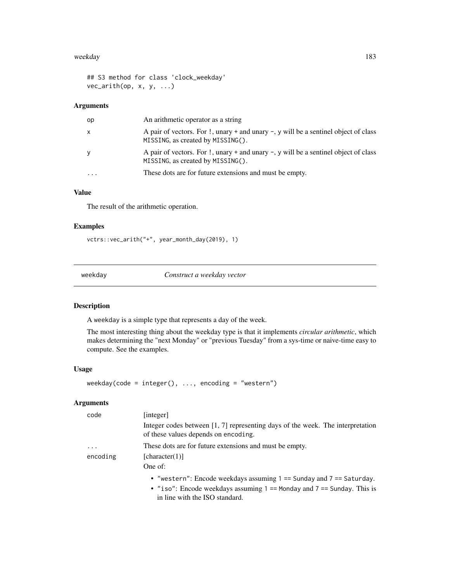#### weekday and the state of the state of the state of the state of the state of the state of the state of the state of the state of the state of the state of the state of the state of the state of the state of the state of th

## S3 method for class 'clock\_weekday' vec\_arith(op, x, y, ...)

# Arguments

| op | An arithmetic operator as a string                                                                                              |
|----|---------------------------------------------------------------------------------------------------------------------------------|
| x  | A pair of vectors. For !, unary + and unary -, y will be a sentinel object of class<br>MISSING, as created by MISSING().        |
|    | A pair of vectors. For $\cdot$ , unary + and unary -, y will be a sentinel object of class<br>MISSING, as created by MISSING(). |
| .  | These dots are for future extensions and must be empty.                                                                         |
|    |                                                                                                                                 |

# Value

The result of the arithmetic operation.

# Examples

```
vctrs::vec_arith("+", year_month_day(2019), 1)
```
<span id="page-182-0"></span>weekday *Construct a weekday vector*

# Description

A weekday is a simple type that represents a day of the week.

The most interesting thing about the weekday type is that it implements *circular arithmetic*, which makes determining the "next Monday" or "previous Tuesday" from a sys-time or naive-time easy to compute. See the examples.

#### Usage

```
weekday(code = integer(), ..., encoding = "western")
```
# Arguments

| code     | [integer]                                                                                                                |
|----------|--------------------------------------------------------------------------------------------------------------------------|
|          | Integer codes between $[1, 7]$ representing days of the week. The interpretation<br>of these values depends on encoding. |
| .        | These dots are for future extensions and must be empty.                                                                  |
| encoding | [character(1)]                                                                                                           |
|          | One of:                                                                                                                  |
|          | • "western": Encode weekdays assuming $1 ==$ Sunday and $7 ==$ Saturday.                                                 |
|          | • "iso": Encode weekdays assuming $1 ==$ Monday and $7 ==$ Sunday. This is<br>in line with the ISO standard.             |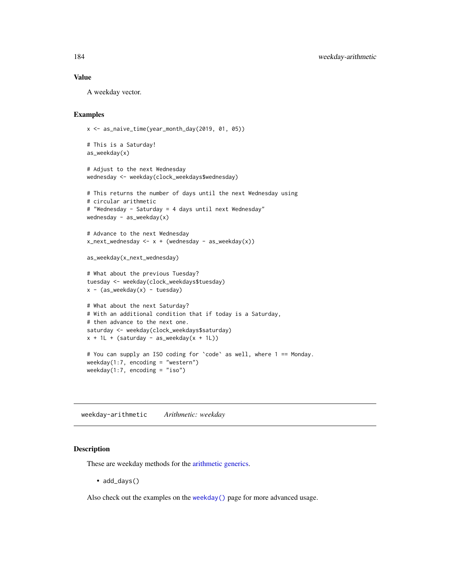A weekday vector.

#### Examples

```
x <- as_naive_time(year_month_day(2019, 01, 05))
# This is a Saturday!
as_weekday(x)
```

```
# Adjust to the next Wednesday
wednesday <- weekday(clock_weekdays$wednesday)
```

```
# This returns the number of days until the next Wednesday using
# circular arithmetic
# "Wednesday - Saturday = 4 days until next Wednesday"
wednesday - as_weekday(x)
# Advance to the next Wednesday
x_next_wednesday <- x + (wednesday - as_weekday(x))
as_weekday(x_next_wednesday)
# What about the previous Tuesday?
tuesday <- weekday(clock_weekdays$tuesday)
x - (as_weekday(x) - tuesday)
# What about the next Saturday?
# With an additional condition that if today is a Saturday,
# then advance to the next one.
saturday <- weekday(clock_weekdays$saturday)
x + 1L + (saturday - as_weekday(x + 1L))# You can supply an ISO coding for `code` as well, where 1 == Monday.
weekday(1:7, encoding = "western")
weekday(1:7, encoding = "iso")
```
weekday-arithmetic *Arithmetic: weekday*

# Description

These are weekday methods for the [arithmetic generics.](#page-32-0)

• add\_days()

Also check out the examples on the [weekday\(\)](#page-182-0) page for more advanced usage.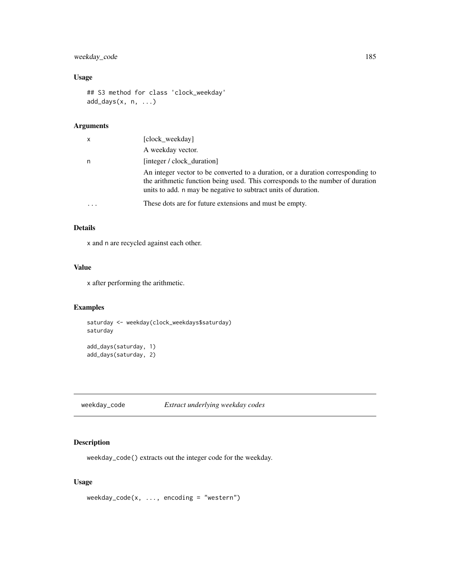# weekday\_code 185

## Usage

```
## S3 method for class 'clock_weekday'
add\_days(x, n, ...)
```
#### Arguments

| x | [clock weekday]                                                                                                                                                                                                                     |
|---|-------------------------------------------------------------------------------------------------------------------------------------------------------------------------------------------------------------------------------------|
|   | A weekday vector.                                                                                                                                                                                                                   |
| n | [integer / clock duration]                                                                                                                                                                                                          |
|   | An integer vector to be converted to a duration, or a duration corresponding to<br>the arithmetic function being used. This corresponds to the number of duration<br>units to add. n may be negative to subtract units of duration. |
|   | These dots are for future extensions and must be empty.                                                                                                                                                                             |

# Details

x and n are recycled against each other.

## Value

x after performing the arithmetic.

# Examples

```
saturday <- weekday(clock_weekdays$saturday)
saturday
```

```
add_days(saturday, 1)
add_days(saturday, 2)
```
weekday\_code *Extract underlying weekday codes*

# Description

weekday\_code() extracts out the integer code for the weekday.

## Usage

```
weekday\_code(x, ..., encoding = "western")
```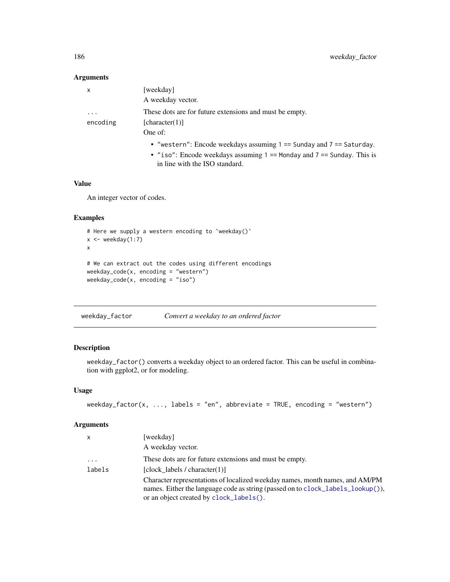## Arguments

| $\mathsf{x}$ | [weekday]                                                                  |
|--------------|----------------------------------------------------------------------------|
|              | A weekday vector.                                                          |
| $\cdot$      | These dots are for future extensions and must be empty.                    |
| encoding     | [character(1)]                                                             |
|              | One of:                                                                    |
|              | • "western": Encode weekdays assuming $1 ==$ Sunday and $7 ==$ Saturday.   |
|              | • "iso": Encode weekdays assuming $1 ==$ Monday and $7 ==$ Sunday. This is |
|              | in line with the ISO standard.                                             |

## Value

An integer vector of codes.

# Examples

```
# Here we supply a western encoding to `weekday()`
x \le - weekday(1:7)
x
# We can extract out the codes using different encodings
weekday_code(x, encoding = "western")
weekday_code(x, encoding = "iso")
```
weekday\_factor *Convert a weekday to an ordered factor*

# Description

weekday\_factor() converts a weekday object to an ordered factor. This can be useful in combination with ggplot2, or for modeling.

## Usage

```
weekday_factor(x, ..., labels = "en", abbreviate = TRUE, encoding = "western")
```
## Arguments

| $\mathsf{x}$            | [weekday]                                                                                                                                                                                                  |
|-------------------------|------------------------------------------------------------------------------------------------------------------------------------------------------------------------------------------------------------|
|                         | A weekday vector.                                                                                                                                                                                          |
| $\cdot$ $\cdot$ $\cdot$ | These dots are for future extensions and must be empty.                                                                                                                                                    |
| labels                  | [clock labels / character $(1)$ ]                                                                                                                                                                          |
|                         | Character representations of localized weekday names, month names, and AM/PM<br>names. Either the language code as string (passed on to clock_labels_lookup()),<br>or an object created by clock_labels(). |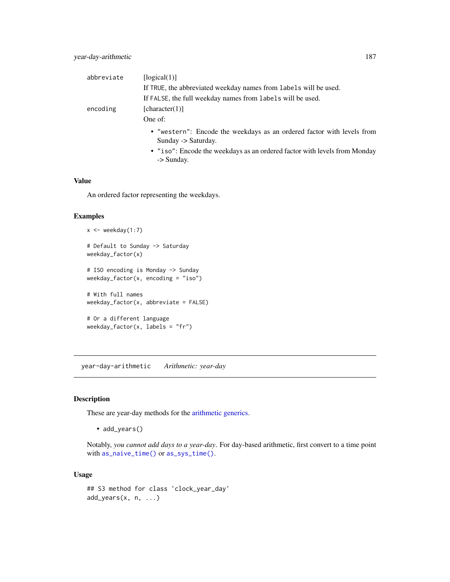| abbreviate | [logical(1)]                                                                                  |
|------------|-----------------------------------------------------------------------------------------------|
|            | If TRUE, the abbreviated weekday names from labels will be used.                              |
|            | If FALSE, the full weekday names from labels will be used.                                    |
| encoding   | [character(1)]                                                                                |
|            | One of:                                                                                       |
|            | • "western": Encode the weekdays as an ordered factor with levels from<br>Sunday -> Saturday. |
|            | • "iso": Encode the weekdays as an ordered factor with levels from Monday<br>-> Sunday.       |

An ordered factor representing the weekdays.

# Examples

```
x \leftarrow weekday(1:7)
# Default to Sunday -> Saturday
weekday_factor(x)
# ISO encoding is Monday -> Sunday
weekday_factor(x, encoding = "iso")
# With full names
weekday_factor(x, abbreviate = FALSE)
# Or a different language
weekday_factor(x, labels = "fr")
```
year-day-arithmetic *Arithmetic: year-day*

# Description

These are year-day methods for the [arithmetic generics.](#page-32-0)

• add\_years()

Notably, *you cannot add days to a year-day*. For day-based arithmetic, first convert to a time point with [as\\_naive\\_time\(\)](#page-18-0) or [as\\_sys\\_time\(\)](#page-19-0).

# Usage

```
## S3 method for class 'clock_year_day'
add\_years(x, n, ...)
```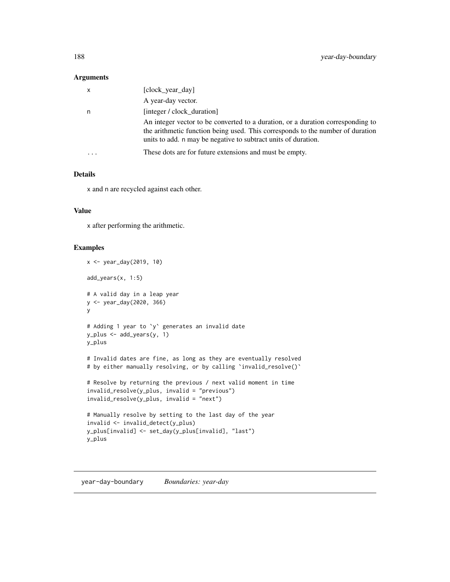## Arguments

| X         | [clock_year_day]                                                                                                                                                                                                                    |
|-----------|-------------------------------------------------------------------------------------------------------------------------------------------------------------------------------------------------------------------------------------|
|           | A year-day vector.                                                                                                                                                                                                                  |
| n         | [integer / clock_duration]                                                                                                                                                                                                          |
|           | An integer vector to be converted to a duration, or a duration corresponding to<br>the arithmetic function being used. This corresponds to the number of duration<br>units to add. n may be negative to subtract units of duration. |
| $\ddotsc$ | These dots are for future extensions and must be empty.                                                                                                                                                                             |

# Details

x and n are recycled against each other.

## Value

x after performing the arithmetic.

#### Examples

```
x <- year_day(2019, 10)
add_years(x, 1:5)
# A valid day in a leap year
y <- year_day(2020, 366)
y
# Adding 1 year to `y` generates an invalid date
y_plus <- add_years(y, 1)
y_plus
# Invalid dates are fine, as long as they are eventually resolved
# by either manually resolving, or by calling 'invalid_resolve()'
# Resolve by returning the previous / next valid moment in time
invalid_resolve(y_plus, invalid = "previous")
invalid_resolve(y_plus, invalid = "next")
# Manually resolve by setting to the last day of the year
invalid <- invalid_detect(y_plus)
y_plus[invalid] <- set_day(y_plus[invalid], "last")
y_plus
```
year-day-boundary *Boundaries: year-day*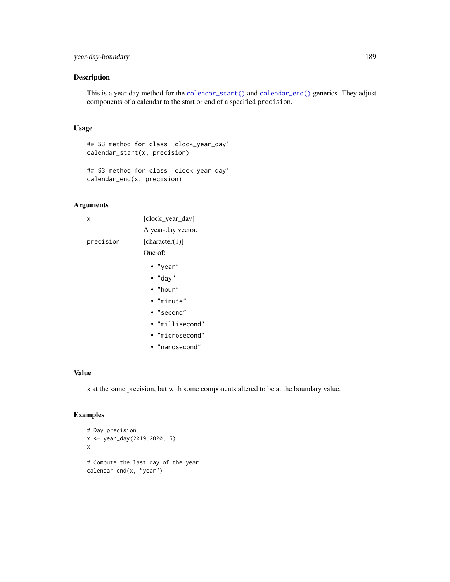# Description

This is a year-day method for the [calendar\\_start\(\)](#page-25-0) and [calendar\\_end\(\)](#page-25-0) generics. They adjust components of a calendar to the start or end of a specified precision.

#### Usage

```
## S3 method for class 'clock_year_day'
calendar_start(x, precision)
```

```
## S3 method for class 'clock_year_day'
calendar_end(x, precision)
```
# Arguments

| x         | [clock_year_day]   |
|-----------|--------------------|
|           | A year-day vector. |
| precision | [character(1)]     |
|           | One of:            |
|           | • "year"           |
|           | $\bullet$ "day"    |
|           | $\bullet$ "hour"   |
|           | • "minute"         |
|           | • "second"         |
|           | • "millisecond"    |
|           | • "microsecond"    |
|           | • "nanosecond"     |

## Value

x at the same precision, but with some components altered to be at the boundary value.

#### Examples

```
# Day precision
x <- year_day(2019:2020, 5)
x
# Compute the last day of the year
calendar_end(x, "year")
```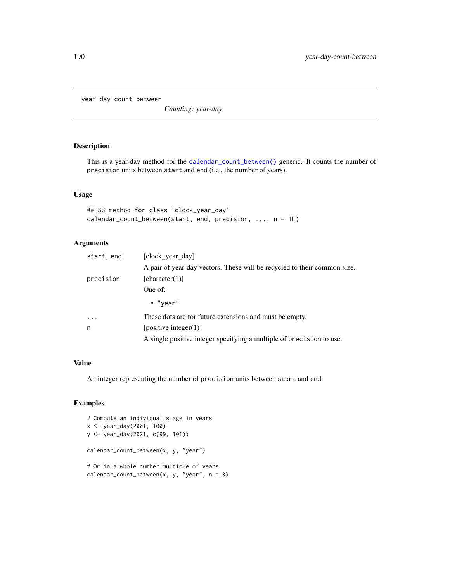year-day-count-between

*Counting: year-day*

## Description

This is a year-day method for the [calendar\\_count\\_between\(\)](#page-26-0) generic. It counts the number of precision units between start and end (i.e., the number of years).

## Usage

```
## S3 method for class 'clock_year_day'
calendar_count_between(start, end, precision, ..., n = 1L)
```
# Arguments

| start, end | [clock year day]                                                         |
|------------|--------------------------------------------------------------------------|
|            | A pair of year-day vectors. These will be recycled to their common size. |
| precision  | [character(1)]                                                           |
|            | One of:                                                                  |
|            | $\bullet$ "year"                                                         |
| $\ddots$ . | These dots are for future extensions and must be empty.                  |
| n          | [positive integer(1)]                                                    |
|            | A single positive integer specifying a multiple of precision to use.     |

# Value

An integer representing the number of precision units between start and end.

#### Examples

```
# Compute an individual's age in years
x <- year_day(2001, 100)
y <- year_day(2021, c(99, 101))
calendar_count_between(x, y, "year")
# Or in a whole number multiple of years
calendar_count_between(x, y, "year", n = 3)
```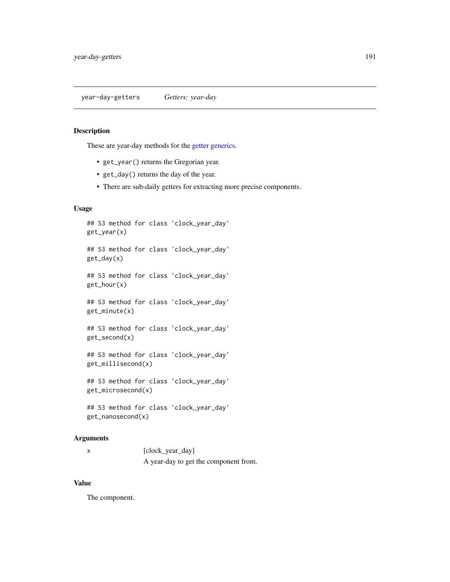year-day-getters *Getters: year-day*

#### Description

These are year-day methods for the [getter generics.](#page-36-0)

- get\_year() returns the Gregorian year.
- get\_day() returns the day of the year.
- There are sub-daily getters for extracting more precise components.

# Usage

```
## S3 method for class 'clock_year_day'
get_year(x)
## S3 method for class 'clock_year_day'
get_day(x)
## S3 method for class 'clock_year_day'
get_hour(x)
## S3 method for class 'clock_year_day'
```
get\_minute(x)

```
## S3 method for class 'clock_year_day'
get_second(x)
```
## S3 method for class 'clock\_year\_day' get\_millisecond(x)

## S3 method for class 'clock\_year\_day' get\_microsecond(x)

```
## S3 method for class 'clock_year_day'
get_nanosecond(x)
```
#### Arguments

| [clock_year_day]                      |
|---------------------------------------|
| A year-day to get the component from. |

#### Value

The component.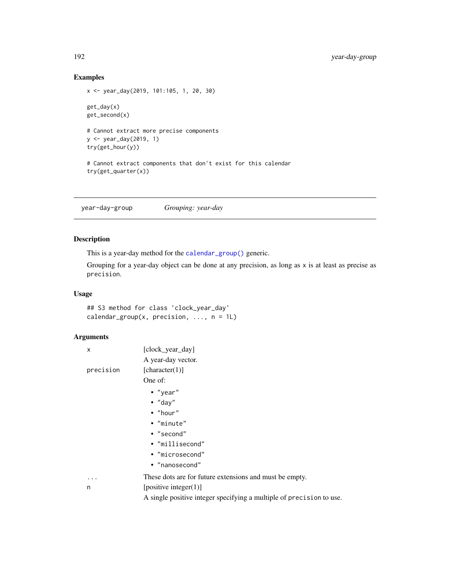# Examples

```
x <- year_day(2019, 101:105, 1, 20, 30)
get_day(x)
get_second(x)
# Cannot extract more precise components
y <- year_day(2019, 1)
try(get_hour(y))
# Cannot extract components that don't exist for this calendar
try(get_quarter(x))
```
year-day-group *Grouping: year-day*

# Description

This is a year-day method for the [calendar\\_group\(\)](#page-27-0) generic.

Grouping for a year-day object can be done at any precision, as long as x is at least as precise as precision.

# Usage

```
## S3 method for class 'clock_year_day'
calendar_group(x, precision, \dots, n = 1L)
```
#### Arguments

| X         | [clock_year_day]                                                     |
|-----------|----------------------------------------------------------------------|
|           | A year-day vector.                                                   |
| precision | [character(1)]                                                       |
|           | One of:                                                              |
|           | $\bullet$ "year"                                                     |
|           | $\bullet$ "day"                                                      |
|           | $\bullet$ "hour"                                                     |
|           | • "minute"                                                           |
|           | • "second"                                                           |
|           | • "millisecond"                                                      |
|           | • "microsecond"                                                      |
|           | • "nanosecond"                                                       |
| .         | These dots are for future extensions and must be empty.              |
| n         | [positive integer $(1)$ ]                                            |
|           | A single positive integer specifying a multiple of precision to use. |
|           |                                                                      |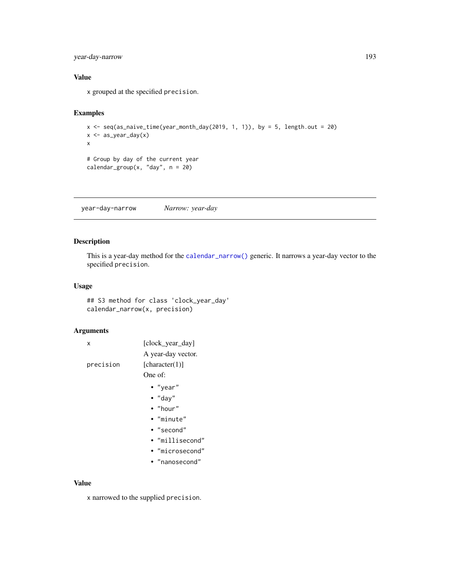# year-day-narrow 193

# Value

x grouped at the specified precision.

# Examples

```
x \le seq(as_naive_time(year_month_day(2019, 1, 1)), by = 5, length.out = 20)
x \leftarrow as\_year\_day(x)x
# Group by day of the current year
calendar_group(x, "day", n = 20)
```
year-day-narrow *Narrow: year-day*

# Description

This is a year-day method for the [calendar\\_narrow\(\)](#page-30-0) generic. It narrows a year-day vector to the specified precision.

## Usage

## S3 method for class 'clock\_year\_day' calendar\_narrow(x, precision)

# Arguments

| x         | [clock_year_day]<br>A year-day vector. |
|-----------|----------------------------------------|
| precision | [character(1)]                         |
|           | One of:                                |
|           | • "year"                               |
|           | $\bullet$ "day"                        |
|           | • "hour"                               |
|           | • "minute"                             |
|           | $\bullet$ "second"                     |
|           | • "millisecond"                        |
|           | • "microsecond"                        |
|           | • "nanosecond"                         |
|           |                                        |
| ^ יי      |                                        |

#### Value

x narrowed to the supplied precision.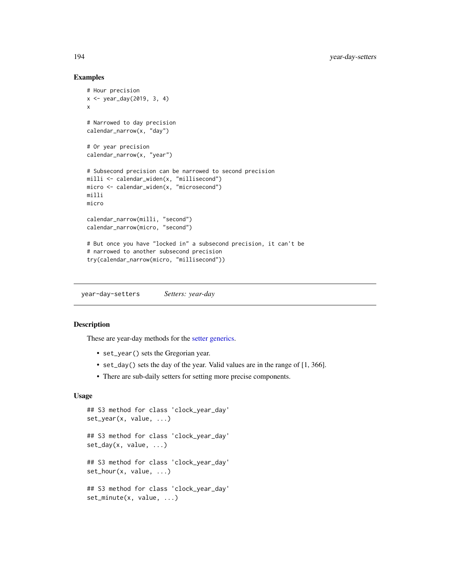#### Examples

```
# Hour precision
x <- year_day(2019, 3, 4)
x
# Narrowed to day precision
calendar_narrow(x, "day")
# Or year precision
calendar_narrow(x, "year")
# Subsecond precision can be narrowed to second precision
milli <- calendar_widen(x, "millisecond")
micro <- calendar_widen(x, "microsecond")
milli
micro
calendar_narrow(milli, "second")
calendar_narrow(micro, "second")
# But once you have "locked in" a subsecond precision, it can't be
# narrowed to another subsecond precision
try(calendar_narrow(micro, "millisecond"))
```
year-day-setters *Setters: year-day*

## Description

These are year-day methods for the [setter generics.](#page-39-0)

- set\_year() sets the Gregorian year.
- set\_day() sets the day of the year. Valid values are in the range of [1, 366].
- There are sub-daily setters for setting more precise components.

## Usage

```
## S3 method for class 'clock_year_day'
set_year(x, value, ...)
## S3 method for class 'clock_year_day'
set_day(x, value, ...)
## S3 method for class 'clock_year_day'
set_hour(x, value, ...)
## S3 method for class 'clock_year_day'
set_minute(x, value, ...)
```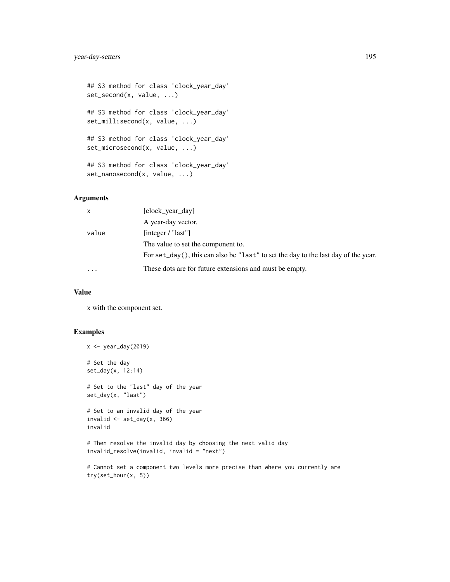```
## S3 method for class 'clock_year_day'
set_second(x, value, ...)
## S3 method for class 'clock_year_day'
set_millisecond(x, value, ...)
## S3 method for class 'clock_year_day'
set_microsecond(x, value, ...)
## S3 method for class 'clock_year_day'
set_nanosecond(x, value, ...)
```
# Arguments

| $\mathsf{x}$ | [clock year day]                                                                       |
|--------------|----------------------------------------------------------------------------------------|
|              | A year-day vector.                                                                     |
| value        | [integer / "last"]                                                                     |
|              | The value to set the component to.                                                     |
|              | For $set\_day()$ , this can also be "last" to set the day to the last day of the year. |
| $\cdots$     | These dots are for future extensions and must be empty.                                |

#### Value

x with the component set.

# Examples

```
x <- year_day(2019)
# Set the day
set_day(x, 12:14)
# Set to the "last" day of the year
set_day(x, "last")
# Set to an invalid day of the year
invalid \leq set_day(x, 366)
invalid
# Then resolve the invalid day by choosing the next valid day
invalid_resolve(invalid, invalid = "next")
```

```
# Cannot set a component two levels more precise than where you currently are
try(set_hour(x, 5))
```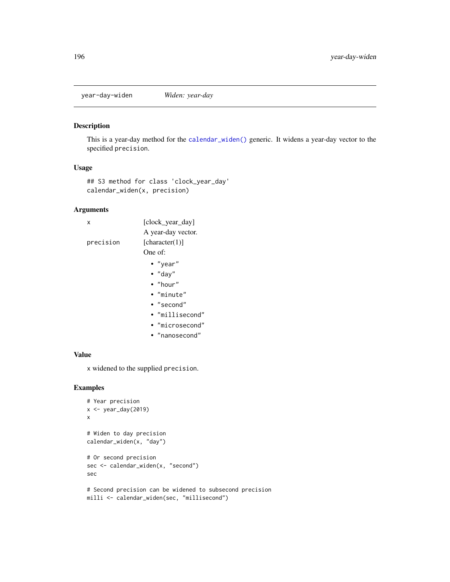year-day-widen *Widen: year-day*

#### Description

This is a year-day method for the [calendar\\_widen\(\)](#page-31-0) generic. It widens a year-day vector to the specified precision.

#### Usage

## S3 method for class 'clock\_year\_day' calendar\_widen(x, precision)

#### Arguments

x [clock\_year\_day] A year-day vector. precision [character(1)] One of: • "year" • "day" • "hour"

- "minute"
- "second"
- "millisecond"
- "microsecond"
- "nanosecond"

#### Value

x widened to the supplied precision.

# Examples

```
# Year precision
x \leftarrow \text{year\_day}(2019)x
# Widen to day precision
calendar_widen(x, "day")
# Or second precision
sec <- calendar_widen(x, "second")
sec
# Second precision can be widened to subsecond precision
milli <- calendar_widen(sec, "millisecond")
```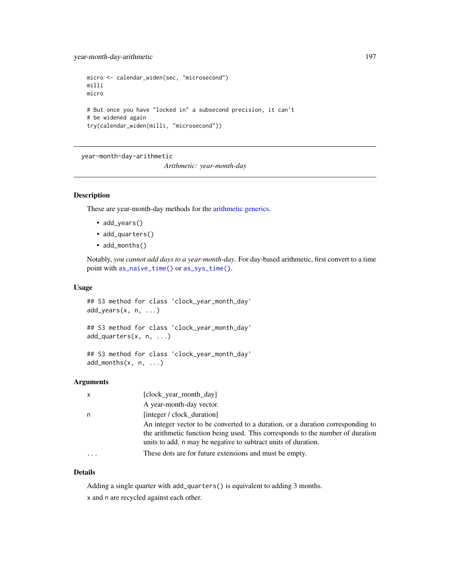year-month-day-arithmetic 197

```
micro <- calendar_widen(sec, "microsecond")
milli
micro
# But once you have "locked in" a subsecond precision, it can't
# be widened again
try(calendar_widen(milli, "microsecond"))
```

```
year-month-day-arithmetic
```
*Arithmetic: year-month-day*

# Description

These are year-month-day methods for the [arithmetic generics.](#page-32-0)

- add\_years()
- add\_quarters()
- add\_months()

Notably, *you cannot add days to a year-month-day*. For day-based arithmetic, first convert to a time point with [as\\_naive\\_time\(\)](#page-18-0) or [as\\_sys\\_time\(\)](#page-19-0).

## Usage

## S3 method for class 'clock\_year\_month\_day' add\_years(x, n, ...)

```
## S3 method for class 'clock_year_month_day'
add_quarters(x, n, ...)
```

```
## S3 method for class 'clock_year_month_day'
add\_months(x, n, ...)
```
#### **Arguments**

| $\mathsf{x}$ | [clock year month day]                                                                                                                                                                                                              |
|--------------|-------------------------------------------------------------------------------------------------------------------------------------------------------------------------------------------------------------------------------------|
|              | A year-month-day vector.                                                                                                                                                                                                            |
| n            | [integer / clock duration]                                                                                                                                                                                                          |
|              | An integer vector to be converted to a duration, or a duration corresponding to<br>the arithmetic function being used. This corresponds to the number of duration<br>units to add. n may be negative to subtract units of duration. |
|              | These dots are for future extensions and must be empty.                                                                                                                                                                             |

# Details

Adding a single quarter with add\_quarters() is equivalent to adding 3 months.

x and n are recycled against each other.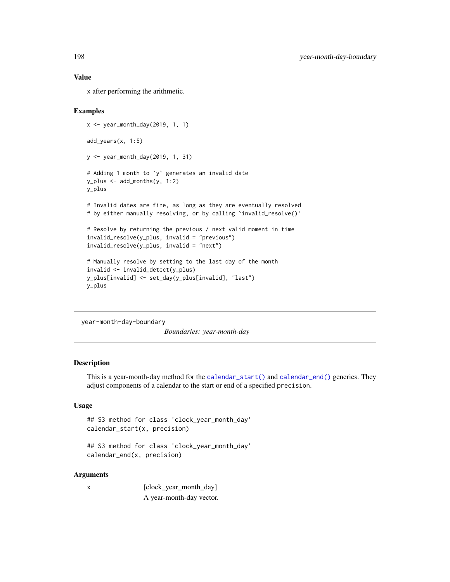x after performing the arithmetic.

## Examples

```
x <- year_month_day(2019, 1, 1)
add_years(x, 1:5)
y <- year_month_day(2019, 1, 31)
# Adding 1 month to `y` generates an invalid date
y_plus <- add_months(y, 1:2)
y_plus
# Invalid dates are fine, as long as they are eventually resolved
# by either manually resolving, or by calling 'invalid_resolve()'
# Resolve by returning the previous / next valid moment in time
invalid_resolve(y_plus, invalid = "previous")
invalid_resolve(y_plus, invalid = "next")
# Manually resolve by setting to the last day of the month
invalid <- invalid_detect(y_plus)
y_plus[invalid] <- set_day(y_plus[invalid], "last")
y_plus
```
year-month-day-boundary

*Boundaries: year-month-day*

# Description

This is a year-month-day method for the [calendar\\_start\(\)](#page-25-0) and [calendar\\_end\(\)](#page-25-0) generics. They adjust components of a calendar to the start or end of a specified precision.

#### Usage

```
## S3 method for class 'clock_year_month_day'
calendar_start(x, precision)
```

```
## S3 method for class 'clock_year_month_day'
calendar_end(x, precision)
```
#### Arguments

x [clock\_year\_month\_day] A year-month-day vector.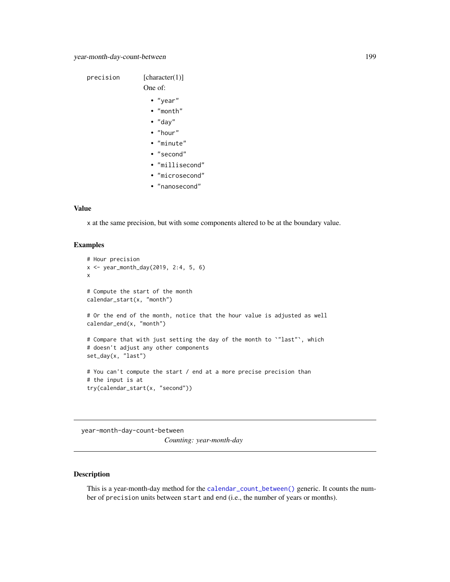```
precision [character(1)]
                One of:
                  • "year"
                  • "month"
                  • "day"
                  • "hour"
                  • "minute"
                  • "second"
                  • "millisecond"
                  • "microsecond"
                  • "nanosecond"
```
x at the same precision, but with some components altered to be at the boundary value.

#### Examples

```
# Hour precision
x <- year_month_day(2019, 2:4, 5, 6)
x
# Compute the start of the month
calendar_start(x, "month")
# Or the end of the month, notice that the hour value is adjusted as well
calendar_end(x, "month")
# Compare that with just setting the day of the month to `"last"`, which
# doesn't adjust any other components
set_day(x, "last")
# You can't compute the start / end at a more precise precision than
# the input is at
try(calendar_start(x, "second"))
```
year-month-day-count-between

*Counting: year-month-day*

# Description

This is a year-month-day method for the [calendar\\_count\\_between\(\)](#page-26-0) generic. It counts the number of precision units between start and end (i.e., the number of years or months).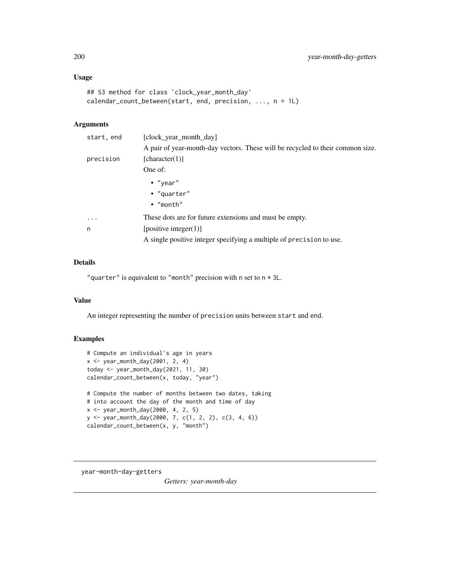# Usage

```
## S3 method for class 'clock_year_month_day'
calendar_count_between(start, end, precision, ..., n = 1L)
```
#### Arguments

| start, end | [clock year month day]                                                         |
|------------|--------------------------------------------------------------------------------|
|            | A pair of year-month-day vectors. These will be recycled to their common size. |
| precision  | [character(1)]                                                                 |
|            | One of:                                                                        |
|            | • "year"                                                                       |
|            | • "quarter"                                                                    |
|            | $\bullet$ "month"                                                              |
| $\cdots$   | These dots are for future extensions and must be empty.                        |
| n          | [positive integer(1)]                                                          |
|            | A single positive integer specifying a multiple of precision to use.           |
|            |                                                                                |

# Details

"quarter" is equivalent to "month" precision with n set to  $n \times 3L$ .

#### Value

An integer representing the number of precision units between start and end.

# Examples

```
# Compute an individual's age in years
x \leq - year_month_day(2001, 2, 4)
today <- year_month_day(2021, 11, 30)
calendar_count_between(x, today, "year")
# Compute the number of months between two dates, taking
# into account the day of the month and time of day
x <- year_month_day(2000, 4, 2, 5)
y <- year_month_day(2000, 7, c(1, 2, 2), c(3, 4, 6))
calendar_count_between(x, y, "month")
```
year-month-day-getters

*Getters: year-month-day*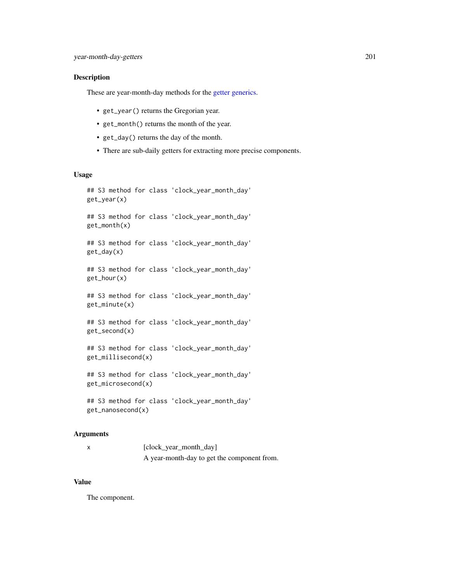## Description

These are year-month-day methods for the [getter generics.](#page-36-0)

- get\_year() returns the Gregorian year.
- get\_month() returns the month of the year.
- get\_day() returns the day of the month.
- There are sub-daily getters for extracting more precise components.

# Usage

```
## S3 method for class 'clock_year_month_day'
get_year(x)
## S3 method for class 'clock_year_month_day'
get_month(x)
## S3 method for class 'clock_year_month_day'
get_day(x)
## S3 method for class 'clock_year_month_day'
get_hour(x)
## S3 method for class 'clock_year_month_day'
get_minute(x)
## S3 method for class 'clock_year_month_day'
get_second(x)
## S3 method for class 'clock_year_month_day'
get_millisecond(x)
## S3 method for class 'clock_year_month_day'
get_microsecond(x)
## S3 method for class 'clock_year_month_day'
get_nanosecond(x)
```
#### Arguments

x [clock\_year\_month\_day] A year-month-day to get the component from.

## Value

The component.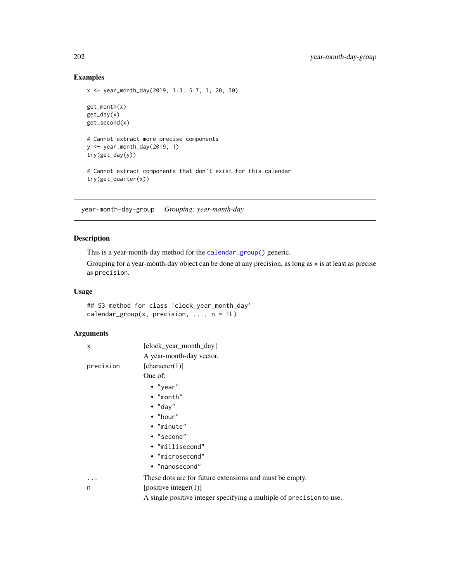# Examples

```
x <- year_month_day(2019, 1:3, 5:7, 1, 20, 30)
get_month(x)
get_day(x)
get_second(x)
# Cannot extract more precise components
y <- year_month_day(2019, 1)
try(get_day(y))
# Cannot extract components that don't exist for this calendar
try(get_quarter(x))
```
year-month-day-group *Grouping: year-month-day*

# Description

This is a year-month-day method for the [calendar\\_group\(\)](#page-27-0) generic.

Grouping for a year-month-day object can be done at any precision, as long as x is at least as precise as precision.

# Usage

## S3 method for class 'clock\_year\_month\_day' calendar\_group(x, precision, ...,  $n = 1L$ )

# Arguments

| X         | [clock_year_month_day]                                               |
|-----------|----------------------------------------------------------------------|
|           | A year-month-day vector.                                             |
| precision | [character(1)]                                                       |
|           | One of:                                                              |
|           | $\bullet$ "year"                                                     |
|           | $\bullet$ "month"                                                    |
|           | $\bullet$ "day"                                                      |
|           | $\bullet$ "hour"                                                     |
|           | • "minute"                                                           |
|           | • "second"                                                           |
|           | • "millisecond"                                                      |
|           | • "microsecond"                                                      |
|           | • "nanosecond"                                                       |
| $\cdots$  | These dots are for future extensions and must be empty.              |
| n         | [positive integer(1)]                                                |
|           | A single positive integer specifying a multiple of precision to use. |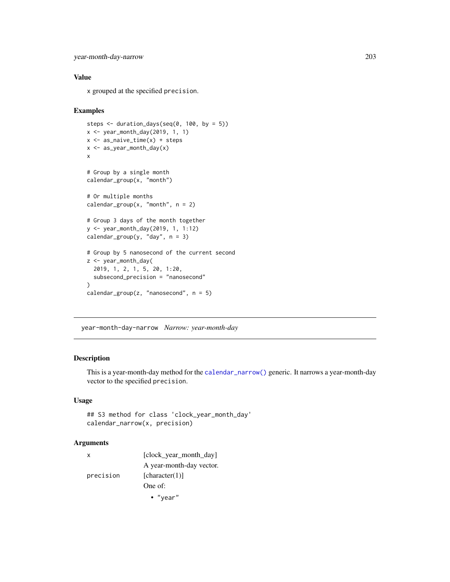```
year-month-day-narrow 203
```
x grouped at the specified precision.

#### Examples

```
steps <- duration_days(seq(0, 100, by = 5))
x <- year_month_day(2019, 1, 1)
x \leftarrow as\_naive\_time(x) + stepsx <- as_year_month_day(x)
x
# Group by a single month
calendar_group(x, "month")
# Or multiple months
calendar_group(x, "month", n = 2)
# Group 3 days of the month together
y <- year_month_day(2019, 1, 1:12)
calendar_group(y, "day", n = 3)
# Group by 5 nanosecond of the current second
z <- year_month_day(
  2019, 1, 2, 1, 5, 20, 1:20,
  subsecond_precision = "nanosecond"
)
calendar_group(z, "nanosecond", n = 5)
```
year-month-day-narrow *Narrow: year-month-day*

## Description

This is a year-month-day method for the [calendar\\_narrow\(\)](#page-30-0) generic. It narrows a year-month-day vector to the specified precision.

#### Usage

```
## S3 method for class 'clock_year_month_day'
calendar_narrow(x, precision)
```
## Arguments

| х         | [clock_year_month_day]   |
|-----------|--------------------------|
|           | A year-month-day vector. |
| precision | [character(1)]           |
|           | One of:                  |
|           | $\bullet$ "year"         |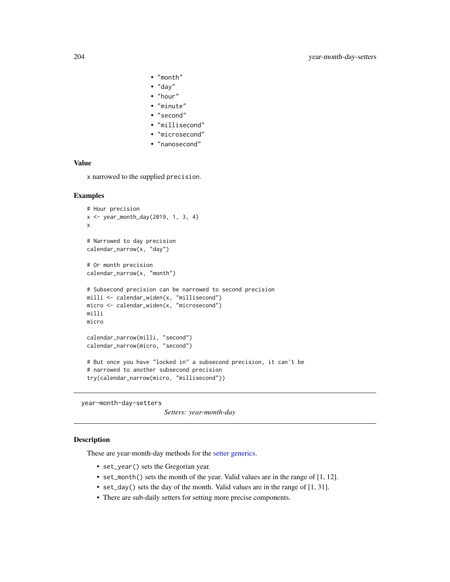- "month"
- "day"
- "hour"
- "minute"
- "second"
- "millisecond"
- "microsecond"
- "nanosecond"

x narrowed to the supplied precision.

#### Examples

```
# Hour precision
x <- year_month_day(2019, 1, 3, 4)
x
# Narrowed to day precision
calendar_narrow(x, "day")
# Or month precision
calendar_narrow(x, "month")
# Subsecond precision can be narrowed to second precision
milli <- calendar_widen(x, "millisecond")
micro <- calendar_widen(x, "microsecond")
milli
micro
calendar_narrow(milli, "second")
calendar_narrow(micro, "second")
# But once you have "locked in" a subsecond precision, it can't be
# narrowed to another subsecond precision
try(calendar_narrow(micro, "millisecond"))
```
year-month-day-setters

```
Setters: year-month-day
```
#### Description

These are year-month-day methods for the [setter generics.](#page-39-0)

- set\_year() sets the Gregorian year.
- set\_month() sets the month of the year. Valid values are in the range of [1, 12].
- set\_day() sets the day of the month. Valid values are in the range of [1, 31].
- There are sub-daily setters for setting more precise components.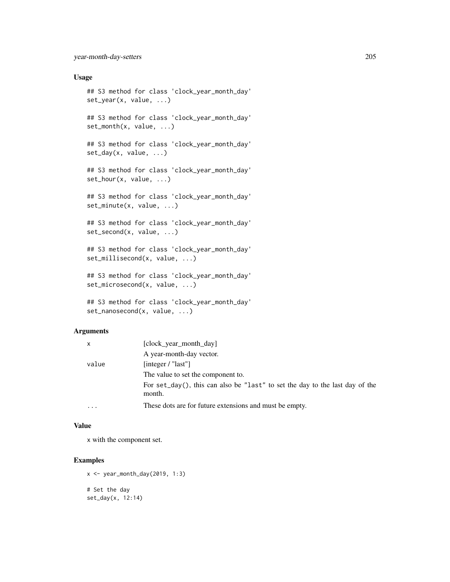#### Usage

```
## S3 method for class 'clock_year_month_day'
set_year(x, value, ...)
## S3 method for class 'clock_year_month_day'
set_month(x, value, ...)
## S3 method for class 'clock_year_month_day'
set_day(x, value, ...)
## S3 method for class 'clock_year_month_day'
set_hour(x, value, ...)
## S3 method for class 'clock_year_month_day'
set_minute(x, value, ...)
## S3 method for class 'clock_year_month_day'
set_second(x, value, ...)
## S3 method for class 'clock_year_month_day'
set_millisecond(x, value, ...)
## S3 method for class 'clock_year_month_day'
set_microsecond(x, value, ...)
## S3 method for class 'clock_year_month_day'
set_nanosecond(x, value, ...)
```
# Arguments

| x         | [clock_year_month_day]                                                                 |  |
|-----------|----------------------------------------------------------------------------------------|--|
|           | A year-month-day vector.                                                               |  |
| value     | [integer / "last"]                                                                     |  |
|           | The value to set the component to.                                                     |  |
|           | For set_day(), this can also be "last" to set the day to the last day of the<br>month. |  |
| $\ddotsc$ | These dots are for future extensions and must be empty.                                |  |

## Value

x with the component set.

## Examples

```
x \leftarrow \text{year\_month\_day}(2019, 1:3)# Set the day
set_day(x, 12:14)
```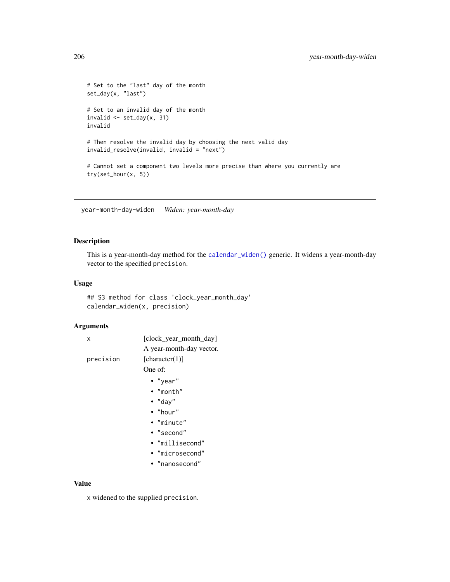```
# Set to the "last" day of the month
set_day(x, "last")
# Set to an invalid day of the month
invalid \leq set_day(x, 31)
invalid
# Then resolve the invalid day by choosing the next valid day
invalid_resolve(invalid, invalid = "next")
# Cannot set a component two levels more precise than where you currently are
try(set_hour(x, 5))
```
year-month-day-widen *Widen: year-month-day*

## Description

This is a year-month-day method for the [calendar\\_widen\(\)](#page-31-0) generic. It widens a year-month-day vector to the specified precision.

## Usage

## S3 method for class 'clock\_year\_month\_day' calendar\_widen(x, precision)

#### Arguments

| x         | [clock_year_month_day]   |
|-----------|--------------------------|
|           | A year-month-day vector. |
| precision | [character(1)]           |
|           | One of:                  |
|           | $\bullet$ "year"         |
|           | $\bullet$ "month"        |
|           | $\bullet$ "day"          |
|           | $\bullet$ "hour"         |
|           | $\bullet$ "minute"       |
|           | $\bullet$ "second"       |
|           | • "millisecond"          |
|           | • "microsecond"          |
|           | • "nanosecond"           |
|           |                          |
|           |                          |

# Value

x widened to the supplied precision.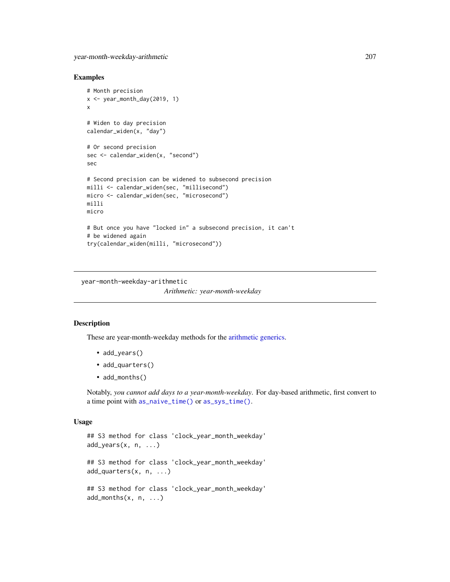#### Examples

```
# Month precision
x \leq - year_month_day(2019, 1)
x
# Widen to day precision
calendar_widen(x, "day")
# Or second precision
sec <- calendar_widen(x, "second")
sec
# Second precision can be widened to subsecond precision
milli <- calendar_widen(sec, "millisecond")
micro <- calendar_widen(sec, "microsecond")
milli
micro
# But once you have "locked in" a subsecond precision, it can't
# be widened again
try(calendar_widen(milli, "microsecond"))
```
year-month-weekday-arithmetic

*Arithmetic: year-month-weekday*

## Description

These are year-month-weekday methods for the [arithmetic generics.](#page-32-0)

- add\_years()
- add\_quarters()
- add\_months()

Notably, *you cannot add days to a year-month-weekday*. For day-based arithmetic, first convert to a time point with [as\\_naive\\_time\(\)](#page-18-0) or [as\\_sys\\_time\(\)](#page-19-0).

#### Usage

```
## S3 method for class 'clock_year_month_weekday'
add_years(x, n, ...)
## S3 method for class 'clock_year_month_weekday'
add_quarters(x, n, ...)
## S3 method for class 'clock_year_month_weekday'
add\_months(x, n, ...)
```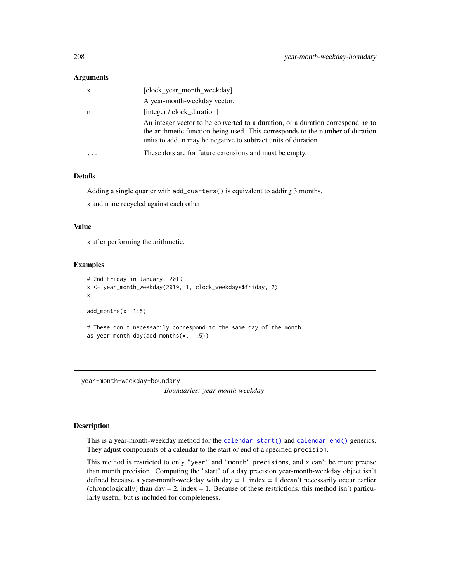#### Arguments

| $\boldsymbol{\mathsf{x}}$ | [clock_year_month_weekday]                                                                                                                                                                                                          |
|---------------------------|-------------------------------------------------------------------------------------------------------------------------------------------------------------------------------------------------------------------------------------|
|                           | A year-month-weekday vector.                                                                                                                                                                                                        |
| n                         | [integer / clock duration]                                                                                                                                                                                                          |
|                           | An integer vector to be converted to a duration, or a duration corresponding to<br>the arithmetic function being used. This corresponds to the number of duration<br>units to add. n may be negative to subtract units of duration. |
|                           | These dots are for future extensions and must be empty.                                                                                                                                                                             |

#### Details

Adding a single quarter with add\_quarters() is equivalent to adding 3 months.

x and n are recycled against each other.

#### Value

x after performing the arithmetic.

#### Examples

```
# 2nd Friday in January, 2019
x <- year_month_weekday(2019, 1, clock_weekdays$friday, 2)
x
add_months(x, 1:5)
# These don't necessarily correspond to the same day of the month
as_year_month_day(add_months(x, 1:5))
```
year-month-weekday-boundary

*Boundaries: year-month-weekday*

# Description

This is a year-month-weekday method for the [calendar\\_start\(\)](#page-25-0) and [calendar\\_end\(\)](#page-25-0) generics. They adjust components of a calendar to the start or end of a specified precision.

This method is restricted to only "year" and "month" precisions, and x can't be more precise than month precision. Computing the "start" of a day precision year-month-weekday object isn't defined because a year-month-weekday with day  $= 1$ , index  $= 1$  doesn't necessarily occur earlier (chronologically) than day  $= 2$ , index  $= 1$ . Because of these restrictions, this method isn't particularly useful, but is included for completeness.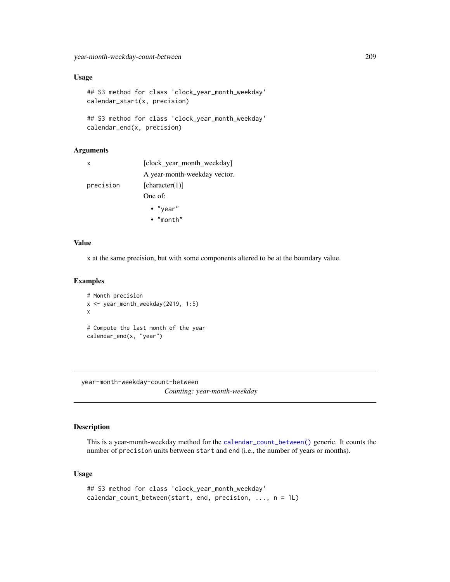# Usage

```
## S3 method for class 'clock_year_month_weekday'
calendar_start(x, precision)
## S3 method for class 'clock_year_month_weekday'
```
calendar\_end(x, precision)

## Arguments

| x         | [clock year month weekday]   |
|-----------|------------------------------|
|           | A year-month-weekday vector. |
| precision | [character(1)]               |
|           | One of:                      |
|           | $\cdot$ "year"               |
|           | $\bullet$ "month"            |

#### Value

x at the same precision, but with some components altered to be at the boundary value.

#### Examples

```
# Month precision
x <- year_month_weekday(2019, 1:5)
x
# Compute the last month of the year
calendar_end(x, "year")
```
year-month-weekday-count-between *Counting: year-month-weekday*

## Description

This is a year-month-weekday method for the [calendar\\_count\\_between\(\)](#page-26-0) generic. It counts the number of precision units between start and end (i.e., the number of years or months).

# Usage

```
## S3 method for class 'clock_year_month_weekday'
calendar_count_between(start, end, precision, ..., n = 1L)
```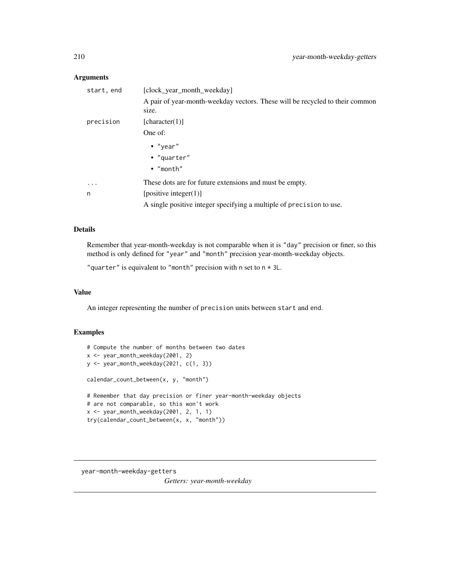# Arguments

| start, end | [clock_year_month_weekday]                                                            |
|------------|---------------------------------------------------------------------------------------|
|            | A pair of year-month-weekday vectors. These will be recycled to their common<br>size. |
| precision  | [character(1)]                                                                        |
|            | One of:                                                                               |
|            | $\bullet$ "year"                                                                      |
|            | • "quarter"                                                                           |
|            | $\bullet$ "month"                                                                     |
| $\ddotsc$  | These dots are for future extensions and must be empty.                               |
| n          | [positive integer(1)]                                                                 |
|            | A single positive integer specifying a multiple of precision to use.                  |

#### Details

Remember that year-month-weekday is not comparable when it is "day" precision or finer, so this method is only defined for "year" and "month" precision year-month-weekday objects.

"quarter" is equivalent to "month" precision with n set to  $n \times 3L$ .

# Value

An integer representing the number of precision units between start and end.

# Examples

```
# Compute the number of months between two dates
x <- year_month_weekday(2001, 2)
y <- year_month_weekday(2021, c(1, 3))
calendar_count_between(x, y, "month")
# Remember that day precision or finer year-month-weekday objects
# are not comparable, so this won't work
x <- year_month_weekday(2001, 2, 1, 1)
try(calendar_count_between(x, x, "month"))
```
year-month-weekday-getters

*Getters: year-month-weekday*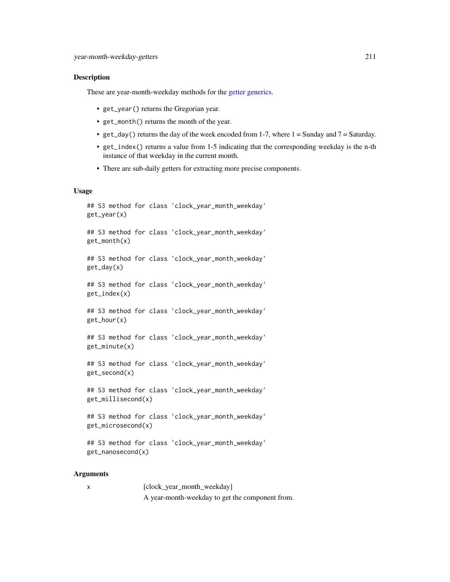#### Description

These are year-month-weekday methods for the [getter generics.](#page-36-0)

- get\_year() returns the Gregorian year.
- get\_month() returns the month of the year.
- get\_day() returns the day of the week encoded from 1-7, where  $1 =$  Sunday and  $7 =$  Saturday.
- get\_index() returns a value from 1-5 indicating that the corresponding weekday is the n-th instance of that weekday in the current month.
- There are sub-daily getters for extracting more precise components.

#### Usage

```
## S3 method for class 'clock_year_month_weekday'
get_year(x)
## S3 method for class 'clock_year_month_weekday'
get_month(x)
## S3 method for class 'clock_year_month_weekday'
get_day(x)
## S3 method for class 'clock_year_month_weekday'
get_index(x)
## S3 method for class 'clock_year_month_weekday'
get_hour(x)
## S3 method for class 'clock_year_month_weekday'
get_minute(x)
## S3 method for class 'clock_year_month_weekday'
get_second(x)
## S3 method for class 'clock_year_month_weekday'
get_millisecond(x)
## S3 method for class 'clock_year_month_weekday'
get_microsecond(x)
```

```
## S3 method for class 'clock_year_month_weekday'
get_nanosecond(x)
```
# **Arguments**

x [clock\_year\_month\_weekday] A year-month-weekday to get the component from.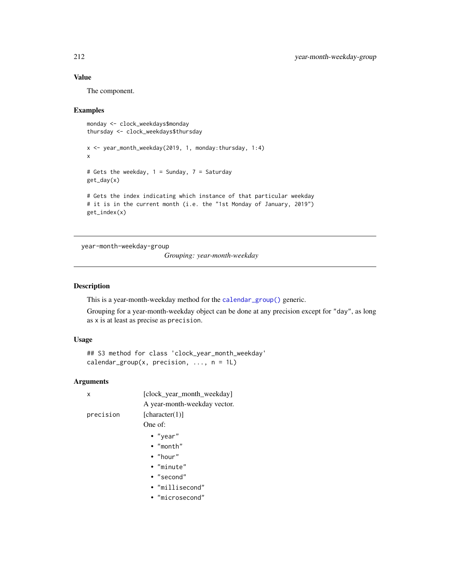The component.

#### Examples

```
monday <- clock_weekdays$monday
thursday <- clock_weekdays$thursday
x <- year_month_weekday(2019, 1, monday:thursday, 1:4)
x
# Gets the weekday, 1 = Sunday, 7 = Saturday
get_day(x)
# Gets the index indicating which instance of that particular weekday
# it is in the current month (i.e. the "1st Monday of January, 2019")
get_index(x)
```
year-month-weekday-group

*Grouping: year-month-weekday*

## Description

This is a year-month-weekday method for the [calendar\\_group\(\)](#page-27-0) generic.

Grouping for a year-month-weekday object can be done at any precision except for "day", as long as x is at least as precise as precision.

# Usage

```
## S3 method for class 'clock_year_month_weekday'
calendar_group(x, precision, ..., n = 1L)
```
#### Arguments

| x         | [clock_year_month_weekday]   |
|-----------|------------------------------|
|           | A year-month-weekday vector. |
| precision | [character(1)]               |
|           | One of:                      |
|           | $\bullet$ "year"             |
|           | $\bullet$ "month"            |
|           | $\bullet$ "hour"             |
|           | • "minute"                   |
|           | $\bullet$ "second"           |
|           | • "millisecond"              |
|           | • "microsecond"              |
|           |                              |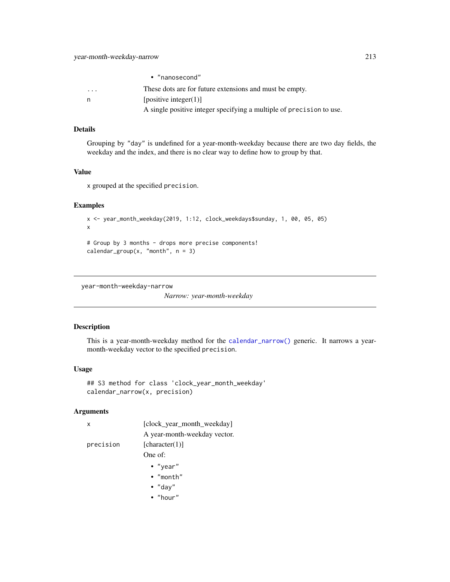|                         | • "nanosecond"                                                       |
|-------------------------|----------------------------------------------------------------------|
| $\cdot$ $\cdot$ $\cdot$ | These dots are for future extensions and must be empty.              |
| n                       | [positive integer(1)]                                                |
|                         | A single positive integer specifying a multiple of precision to use. |

# Details

Grouping by "day" is undefined for a year-month-weekday because there are two day fields, the weekday and the index, and there is no clear way to define how to group by that.

# Value

x grouped at the specified precision.

# Examples

```
x <- year_month_weekday(2019, 1:12, clock_weekdays$sunday, 1, 00, 05, 05)
x
# Group by 3 months - drops more precise components!
```
calendar\_group(x, "month",  $n = 3$ )

year-month-weekday-narrow

*Narrow: year-month-weekday*

# Description

This is a year-month-weekday method for the [calendar\\_narrow\(\)](#page-30-0) generic. It narrows a yearmonth-weekday vector to the specified precision.

#### Usage

```
## S3 method for class 'clock_year_month_weekday'
calendar_narrow(x, precision)
```
# Arguments

| x         | [clock_year_month_weekday]   |
|-----------|------------------------------|
|           | A year-month-weekday vector. |
| precision | [character(1)]               |
|           | One of:                      |
|           | $\bullet$ "year"             |
|           | $\bullet$ "month"            |
|           | $\bullet$ "day"              |
|           | $\bullet$ "hour"             |
|           |                              |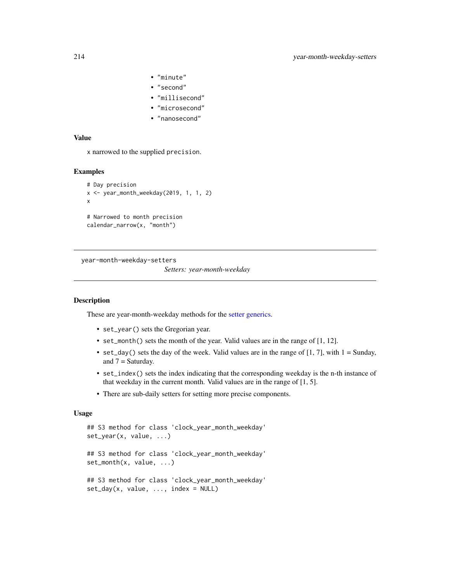- "minute"
- "second"
- "millisecond"
- "microsecond"
- "nanosecond"

x narrowed to the supplied precision.

#### Examples

```
# Day precision
x <- year_month_weekday(2019, 1, 1, 2)
x
# Narrowed to month precision
calendar_narrow(x, "month")
```
year-month-weekday-setters

*Setters: year-month-weekday*

#### Description

These are year-month-weekday methods for the [setter generics.](#page-39-0)

- set\_year() sets the Gregorian year.
- set\_month() sets the month of the year. Valid values are in the range of [1, 12].
- set\_day() sets the day of the week. Valid values are in the range of  $[1, 7]$ , with  $1 =$  Sunday, and  $7 =$  Saturday.
- set\_index() sets the index indicating that the corresponding weekday is the n-th instance of that weekday in the current month. Valid values are in the range of [1, 5].
- There are sub-daily setters for setting more precise components.

#### Usage

```
## S3 method for class 'clock_year_month_weekday'
set_year(x, value, ...)
## S3 method for class 'clock_year_month_weekday'
set_month(x, value, ...)
## S3 method for class 'clock_year_month_weekday'
set\_day(x, value, ..., index = NULL)
```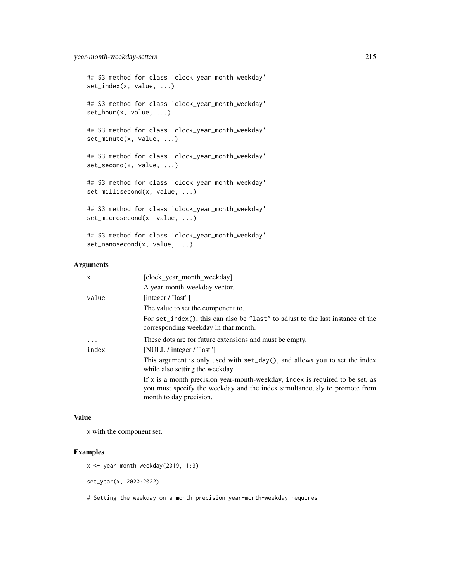```
## S3 method for class 'clock_year_month_weekday'
set_index(x, value, ...)
## S3 method for class 'clock_year_month_weekday'
set_hour(x, value, ...)
## S3 method for class 'clock_year_month_weekday'
set_minute(x, value, ...)
## S3 method for class 'clock_year_month_weekday'
set_second(x, value, ...)
## S3 method for class 'clock_year_month_weekday'
set_millisecond(x, value, ...)
## S3 method for class 'clock_year_month_weekday'
set_microsecond(x, value, ...)
## S3 method for class 'clock_year_month_weekday'
```

```
set_nanosecond(x, value, ...)
```
# Arguments

| X        | [clock_year_month_weekday]                                                                                                                                                              |
|----------|-----------------------------------------------------------------------------------------------------------------------------------------------------------------------------------------|
|          | A year-month-weekday vector.                                                                                                                                                            |
| value    | [integer / "last"]                                                                                                                                                                      |
|          | The value to set the component to.                                                                                                                                                      |
|          | For set_index(), this can also be "last" to adjust to the last instance of the<br>corresponding weekday in that month.                                                                  |
| $\cdots$ | These dots are for future extensions and must be empty.                                                                                                                                 |
| index    | [NULL / integer / "last"]                                                                                                                                                               |
|          | This argument is only used with set_day(), and allows you to set the index<br>while also setting the weekday.                                                                           |
|          | If $x$ is a month precision year-month-weekday, index is required to be set, as<br>you must specify the weekday and the index simultaneously to promote from<br>month to day precision. |
|          |                                                                                                                                                                                         |

## Value

x with the component set.

# Examples

```
x <- year_month_weekday(2019, 1:3)
```
set\_year(x, 2020:2022)

# Setting the weekday on a month precision year-month-weekday requires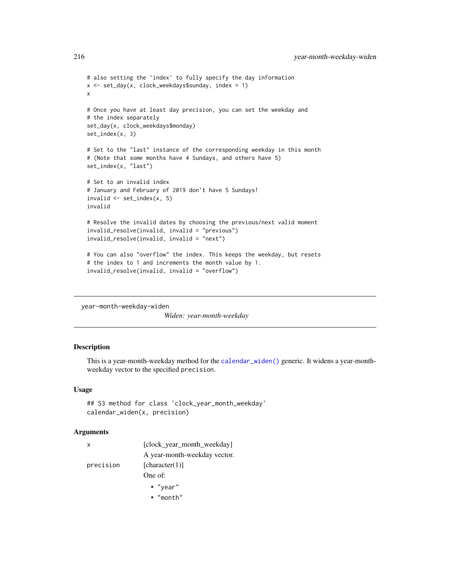```
# also setting the `index` to fully specify the day information
x \le - set_day(x, clock_weekdays$sunday, index = 1)
x
# Once you have at least day precision, you can set the weekday and
# the index separately
set_day(x, clock_weekdays$monday)
set_index(x, 3)
# Set to the "last" instance of the corresponding weekday in this month
# (Note that some months have 4 Sundays, and others have 5)
set_index(x, "last")
# Set to an invalid index
# January and February of 2019 don't have 5 Sundays!
invalid <- set_index(x, 5)
invalid
# Resolve the invalid dates by choosing the previous/next valid moment
invalid_resolve(invalid, invalid = "previous")
invalid_resolve(invalid, invalid = "next")
# You can also "overflow" the index. This keeps the weekday, but resets
# the index to 1 and increments the month value by 1.
invalid_resolve(invalid, invalid = "overflow")
```
year-month-weekday-widen

*Widen: year-month-weekday*

# Description

This is a year-month-weekday method for the [calendar\\_widen\(\)](#page-31-0) generic. It widens a year-monthweekday vector to the specified precision.

#### Usage

```
## S3 method for class 'clock_year_month_weekday'
calendar_widen(x, precision)
```
#### Arguments

| $\mathsf{X}$ | [clock_year_month_weekday]   |
|--------------|------------------------------|
|              | A year-month-weekday vector. |
| precision    | [character(1)]               |
|              | One of:                      |
|              | $\bullet$ "year"             |

• "month"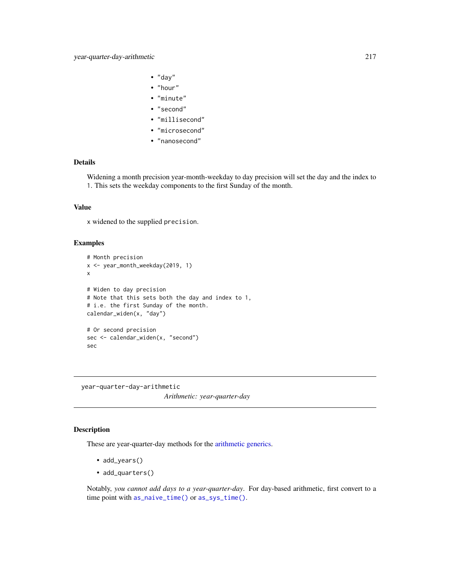- <span id="page-216-0"></span>• "day"
- "hour"
- "minute"
- "second"
- "millisecond"
- "microsecond"
- "nanosecond"

# Details

Widening a month precision year-month-weekday to day precision will set the day and the index to 1. This sets the weekday components to the first Sunday of the month.

#### Value

x widened to the supplied precision.

#### Examples

```
# Month precision
x <- year_month_weekday(2019, 1)
x
# Widen to day precision
# Note that this sets both the day and index to 1,
# i.e. the first Sunday of the month.
calendar_widen(x, "day")
# Or second precision
sec <- calendar_widen(x, "second")
sec
```
year-quarter-day-arithmetic *Arithmetic: year-quarter-day*

#### Description

These are year-quarter-day methods for the [arithmetic generics.](#page-32-0)

- add\_years()
- add\_quarters()

Notably, *you cannot add days to a year-quarter-day*. For day-based arithmetic, first convert to a time point with [as\\_naive\\_time\(\)](#page-18-0) or [as\\_sys\\_time\(\)](#page-19-0).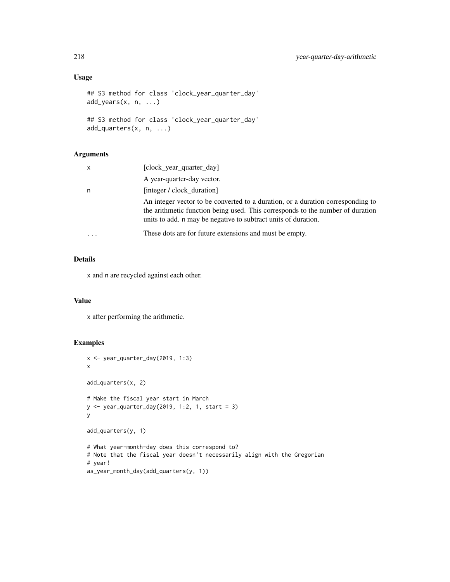# Usage

```
## S3 method for class 'clock_year_quarter_day'
add\_years(x, n, ...)## S3 method for class 'clock_year_quarter_day'
```

```
add_quarters(x, n, ...)
```
# Arguments

| $\mathsf{x}$ | [clock_year_quarter_day]                                                                                                                                                                                                            |
|--------------|-------------------------------------------------------------------------------------------------------------------------------------------------------------------------------------------------------------------------------------|
|              | A year-quarter-day vector.                                                                                                                                                                                                          |
| n            | [integer / clock duration]                                                                                                                                                                                                          |
|              | An integer vector to be converted to a duration, or a duration corresponding to<br>the arithmetic function being used. This corresponds to the number of duration<br>units to add. n may be negative to subtract units of duration. |
|              | These dots are for future extensions and must be empty.                                                                                                                                                                             |

# Details

x and n are recycled against each other.

#### Value

x after performing the arithmetic.

#### Examples

```
x <- year_quarter_day(2019, 1:3)
x
add_quarters(x, 2)
# Make the fiscal year start in March
y <- year_quarter_day(2019, 1:2, 1, start = 3)
y
add_quarters(y, 1)
# What year-month-day does this correspond to?
# Note that the fiscal year doesn't necessarily align with the Gregorian
# year!
as_year_month_day(add_quarters(y, 1))
```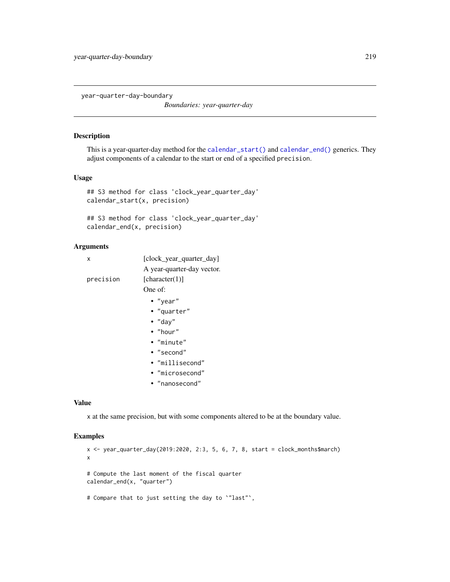<span id="page-218-0"></span>year-quarter-day-boundary

*Boundaries: year-quarter-day*

#### Description

This is a year-quarter-day method for the [calendar\\_start\(\)](#page-25-0) and [calendar\\_end\(\)](#page-25-0) generics. They adjust components of a calendar to the start or end of a specified precision.

# Usage

```
## S3 method for class 'clock_year_quarter_day'
calendar_start(x, precision)
```

```
## S3 method for class 'clock_year_quarter_day'
calendar_end(x, precision)
```
#### Arguments

| x         | [clock year quarter day]<br>A year-quarter-day vector. |  |
|-----------|--------------------------------------------------------|--|
| precision | [character(1)]                                         |  |
|           | One of:                                                |  |
|           | $\bullet$ "year"                                       |  |
|           | • "quarter"                                            |  |
|           | $\bullet$ "day"                                        |  |
|           | $\bullet$ "hour"                                       |  |
|           | $\bullet$ "minute"                                     |  |
|           | $\bullet$ "second"                                     |  |

- 
- "millisecond"
- "microsecond"
- "nanosecond"

#### Value

x at the same precision, but with some components altered to be at the boundary value.

#### Examples

```
x <- year_quarter_day(2019:2020, 2:3, 5, 6, 7, 8, start = clock_months$march)
x
# Compute the last moment of the fiscal quarter
calendar_end(x, "quarter")
# Compare that to just setting the day to `"last"`,
```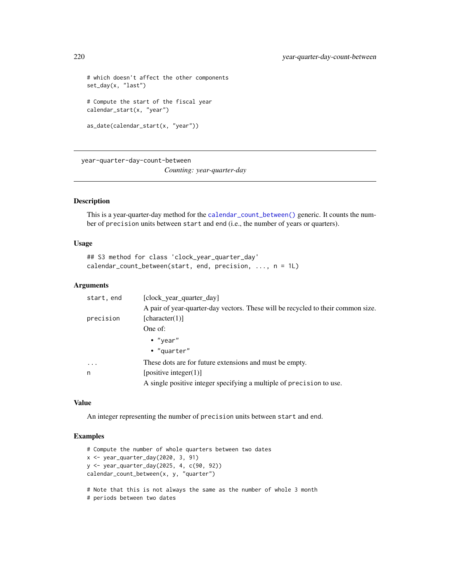```
# which doesn't affect the other components
set_day(x, "last")
# Compute the start of the fiscal year
calendar_start(x, "year")
as_date(calendar_start(x, "year"))
```
year-quarter-day-count-between

*Counting: year-quarter-day*

#### Description

This is a year-quarter-day method for the [calendar\\_count\\_between\(\)](#page-26-0) generic. It counts the number of precision units between start and end (i.e., the number of years or quarters).

#### Usage

```
## S3 method for class 'clock_year_quarter_day'
calendar_count_between(start, end, precision, ..., n = 1L)
```
#### **Arguments**

| start, end | [clock year quarter day]                                                         |
|------------|----------------------------------------------------------------------------------|
|            | A pair of year-quarter-day vectors. These will be recycled to their common size. |
| precision  | [character(1)]                                                                   |
|            | One of:                                                                          |
|            | $\bullet$ "year"                                                                 |
|            | $\bullet$ "quarter"                                                              |
| $\ddotsc$  | These dots are for future extensions and must be empty.                          |
| n          | [positive integer(1)]                                                            |
|            | A single positive integer specifying a multiple of precision to use.             |

#### Value

An integer representing the number of precision units between start and end.

# Examples

```
# Compute the number of whole quarters between two dates
x <- year_quarter_day(2020, 3, 91)
y <- year_quarter_day(2025, 4, c(90, 92))
calendar_count_between(x, y, "quarter")
# Note that this is not always the same as the number of whole 3 month
```
# periods between two dates

<span id="page-219-0"></span>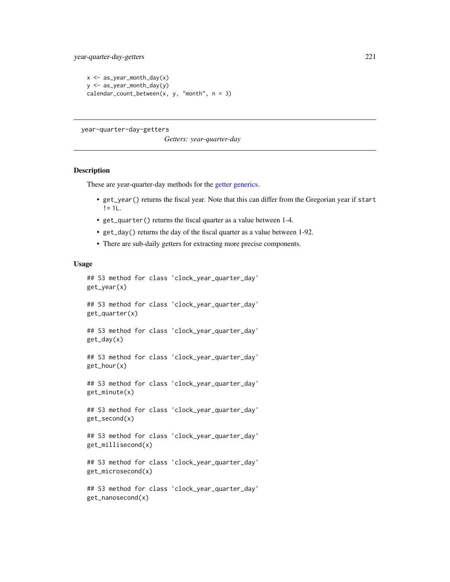```
x \leq - as_year_month_day(x)
y <- as_year_month_day(y)
calendar_count_between(x, y, "month", n = 3)
```
year-quarter-day-getters

*Getters: year-quarter-day*

#### Description

These are year-quarter-day methods for the [getter generics.](#page-36-0)

- get\_year() returns the fiscal year. Note that this can differ from the Gregorian year if start  $!= 1L$ .
- get\_quarter() returns the fiscal quarter as a value between 1-4.
- get\_day() returns the day of the fiscal quarter as a value between 1-92.
- There are sub-daily getters for extracting more precise components.

#### Usage

```
## S3 method for class 'clock_year_quarter_day'
get_year(x)
## S3 method for class 'clock_year_quarter_day'
get_quarter(x)
## S3 method for class 'clock_year_quarter_day'
get_day(x)
## S3 method for class 'clock_year_quarter_day'
get_hour(x)
## S3 method for class 'clock_year_quarter_day'
get_minute(x)
## S3 method for class 'clock_year_quarter_day'
get_second(x)
## S3 method for class 'clock_year_quarter_day'
get_millisecond(x)
## S3 method for class 'clock_year_quarter_day'
```
get\_microsecond(x)

```
## S3 method for class 'clock_year_quarter_day'
get_nanosecond(x)
```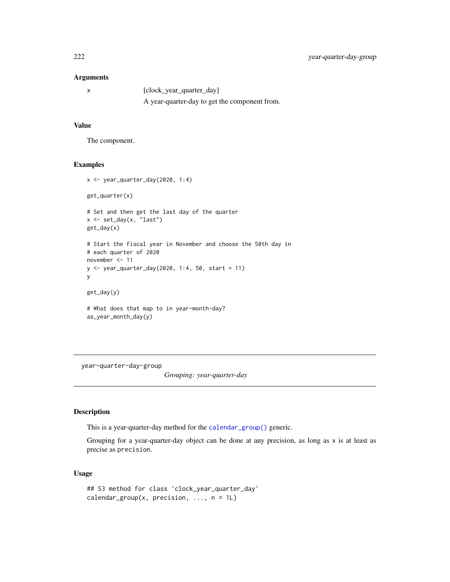# <span id="page-221-0"></span>Arguments

| [clock_year_quarter_day]                      |
|-----------------------------------------------|
| A year-quarter-day to get the component from. |

# Value

The component.

#### Examples

```
x <- year_quarter_day(2020, 1:4)
get_quarter(x)
# Set and then get the last day of the quarter
x <- set_day(x, "last")
get_day(x)
# Start the fiscal year in November and choose the 50th day in
# each quarter of 2020
november <- 11
y <- year_quarter_day(2020, 1:4, 50, start = 11)
y
get_day(y)
# What does that map to in year-month-day?
as_year_month_day(y)
```
year-quarter-day-group

*Grouping: year-quarter-day*

# Description

This is a year-quarter-day method for the [calendar\\_group\(\)](#page-27-0) generic.

Grouping for a year-quarter-day object can be done at any precision, as long as  $x$  is at least as precise as precision.

# Usage

```
## S3 method for class 'clock_year_quarter_day'
calendar_group(x, precision, \dots, n = 1L)
```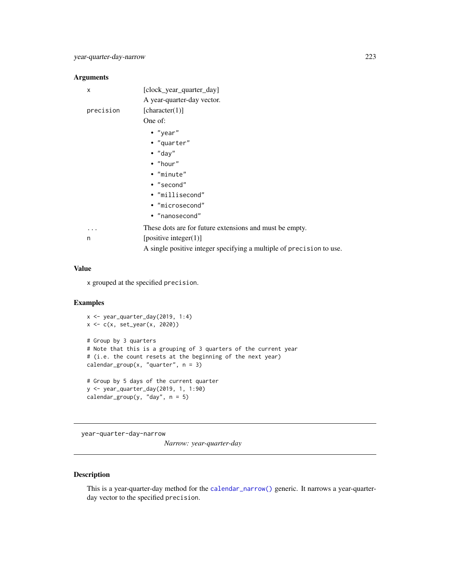#### <span id="page-222-0"></span>Arguments

| X         | [clock_year_quarter_day]                                |
|-----------|---------------------------------------------------------|
|           | A year-quarter-day vector.                              |
| precision | [character(1)]                                          |
|           | One of:                                                 |
|           | • "year"                                                |
|           | • "quarter"                                             |
|           | $\cdot$ "day"                                           |
|           | $\bullet$ "hour"                                        |
|           | • "minute"                                              |
|           | • "second"                                              |
|           | • "millisecond"                                         |
|           | • "microsecond"                                         |
|           | • "nanosecond"                                          |
|           | These dots are for future extensions and must be empty. |
| n         | [positive integer $(1)$ ]                               |
|           |                                                         |

# A single positive integer specifying a multiple of precision to use.

# Value

x grouped at the specified precision.

#### Examples

```
x \leftarrow year_quarter_day(2019, 1:4)
x <- c(x, set_year(x, 2020))
# Group by 3 quarters
# Note that this is a grouping of 3 quarters of the current year
# (i.e. the count resets at the beginning of the next year)
calendar_group(x, "quarter", n = 3)
# Group by 5 days of the current quarter
y <- year_quarter_day(2019, 1, 1:90)
calendar_group(y, "day", n = 5)
```
year-quarter-day-narrow

*Narrow: year-quarter-day*

# Description

This is a year-quarter-day method for the [calendar\\_narrow\(\)](#page-30-0) generic. It narrows a year-quarterday vector to the specified precision.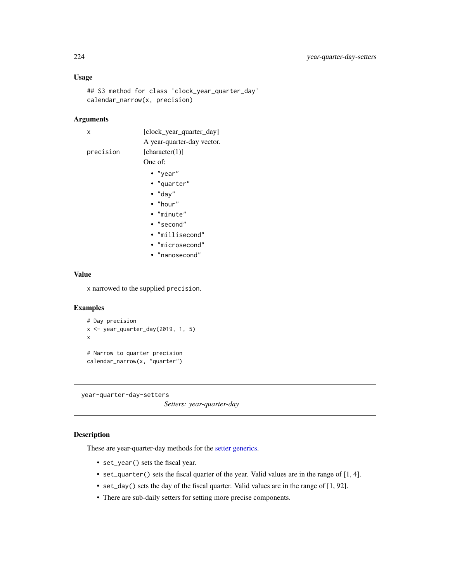# Usage

```
## S3 method for class 'clock_year_quarter_day'
calendar_narrow(x, precision)
```
# Arguments

| x         | [clock_year_quarter_day]   |
|-----------|----------------------------|
|           | A year-quarter-day vector. |
| precision | [character(1)]             |
|           | One of:                    |
|           | • "year"                   |
|           | • "quarter"                |
|           | $\bullet$ "day"            |
|           | $\bullet$ "hour"           |
|           | • "minute"                 |
|           | • "second"                 |
|           | • "millisecond"            |
|           | · "microsecond"            |
|           | • "nanosecond"             |
|           |                            |
|           |                            |

# Value

x narrowed to the supplied precision.

# Examples

```
# Day precision
x \leq -year\_quarter\_day(2019, 1, 5)x
# Narrow to quarter precision
calendar_narrow(x, "quarter")
```
year-quarter-day-setters *Setters: year-quarter-day*

# Description

These are year-quarter-day methods for the [setter generics.](#page-39-0)

- set\_year() sets the fiscal year.
- set\_quarter() sets the fiscal quarter of the year. Valid values are in the range of [1, 4].
- set\_day() sets the day of the fiscal quarter. Valid values are in the range of [1, 92].
- There are sub-daily setters for setting more precise components.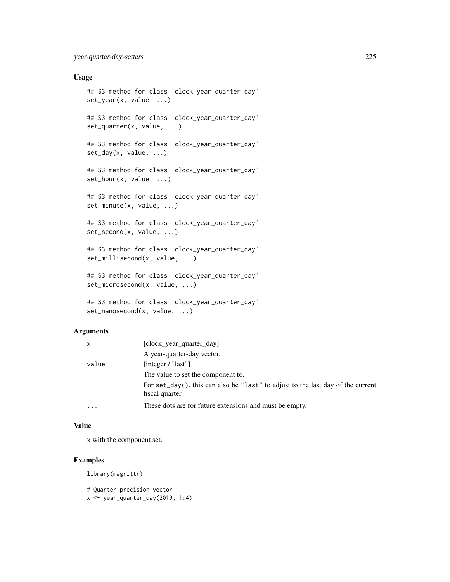# Usage

```
## S3 method for class 'clock_year_quarter_day'
set_year(x, value, ...)
## S3 method for class 'clock_year_quarter_day'
set_quarter(x, value, ...)
## S3 method for class 'clock_year_quarter_day'
set_day(x, value, ...)
## S3 method for class 'clock_year_quarter_day'
set_hour(x, value, ...)
## S3 method for class 'clock_year_quarter_day'
set_minute(x, value, ...)
## S3 method for class 'clock_year_quarter_day'
set_second(x, value, ...)
## S3 method for class 'clock_year_quarter_day'
set_millisecond(x, value, ...)
## S3 method for class 'clock_year_quarter_day'
set_microsecond(x, value, ...)
## S3 method for class 'clock_year_quarter_day'
set_nanosecond(x, value, ...)
```
### Arguments

| X     | [clock_year_quarter_day]                                                                           |
|-------|----------------------------------------------------------------------------------------------------|
|       | A year-quarter-day vector.                                                                         |
| value | [integer / " $last"$ ]                                                                             |
|       | The value to set the component to.                                                                 |
|       | For set_day(), this can also be "last" to adjust to the last day of the current<br>fiscal quarter. |
|       | These dots are for future extensions and must be empty.                                            |

# Value

x with the component set.

# Examples

library(magrittr)

```
# Quarter precision vector
x \leftarrow year_quarter_day(2019, 1:4)
```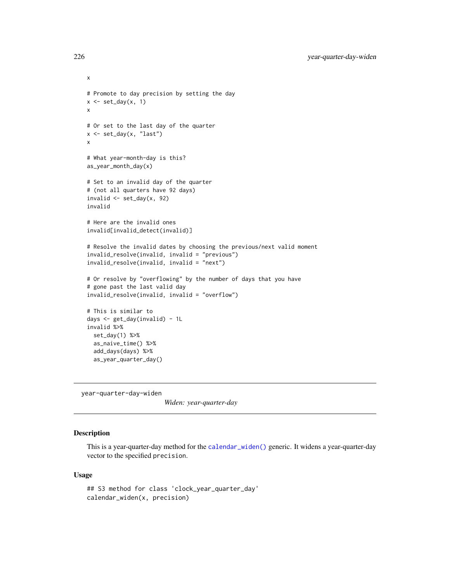```
# Promote to day precision by setting the day
x \leftarrow set\_day(x, 1)x
# Or set to the last day of the quarter
x <- set_day(x, "last")
x
# What year-month-day is this?
as_year_month_day(x)
# Set to an invalid day of the quarter
# (not all quarters have 92 days)
invalid \leq set_day(x, 92)
invalid
# Here are the invalid ones
invalid[invalid_detect(invalid)]
# Resolve the invalid dates by choosing the previous/next valid moment
invalid_resolve(invalid, invalid = "previous")
invalid_resolve(invalid, invalid = "next")
# Or resolve by "overflowing" by the number of days that you have
# gone past the last valid day
invalid_resolve(invalid, invalid = "overflow")
# This is similar to
days <- get_day(invalid) - 1L
invalid %>%
 set_day(1) %>%
  as_naive_time() %>%
  add_days(days) %>%
  as_year_quarter_day()
```
year-quarter-day-widen

*Widen: year-quarter-day*

# Description

This is a year-quarter-day method for the [calendar\\_widen\(\)](#page-31-0) generic. It widens a year-quarter-day vector to the specified precision.

#### Usage

```
## S3 method for class 'clock_year_quarter_day'
calendar_widen(x, precision)
```
<span id="page-225-0"></span>

x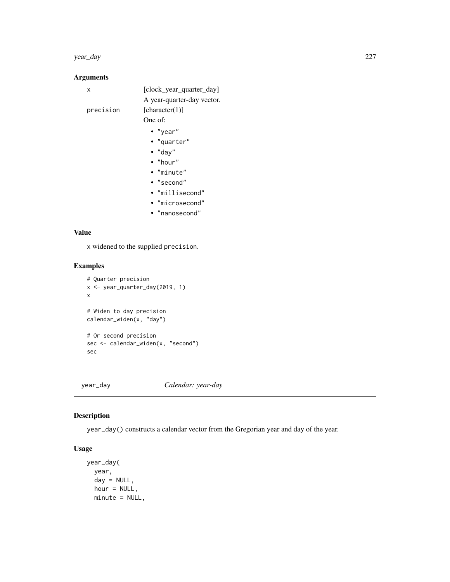#### year\_day 227

# Arguments

| x         | [clock_year_quarter_day]   |
|-----------|----------------------------|
|           | A year-quarter-day vector. |
| precision | [character(1)]             |
|           | One of:                    |
|           | $\bullet$ "year"           |
|           | • "quarter"                |
|           | $\bullet$ "day"            |
|           | $\bullet$ "hour"           |
|           | $\bullet$ "minute"         |
|           | • "second"                 |
|           | • "millisecond"            |
|           | • "microsecond"            |
|           | • "nanosecond"             |
|           |                            |

# Value

x widened to the supplied precision.

# Examples

```
# Quarter precision
x <- year_quarter_day(2019, 1)
x
# Widen to day precision
calendar_widen(x, "day")
# Or second precision
sec <- calendar_widen(x, "second")
sec
```
year\_day *Calendar: year-day*

# Description

year\_day() constructs a calendar vector from the Gregorian year and day of the year.

# Usage

```
year_day(
 year,
 day = NULL,hour = NULL,
 minute = NULL,
```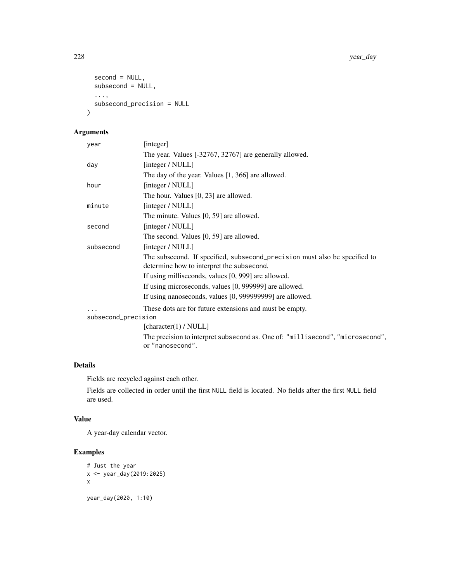```
second = NULL,
 subsecond = NULL,
 ...,
 subsecond_precision = NULL
)
```
# Arguments

| year                | [integer]                                                                                                               |
|---------------------|-------------------------------------------------------------------------------------------------------------------------|
|                     | The year. Values [-32767, 32767] are generally allowed.                                                                 |
| day                 | [integer / NULL]                                                                                                        |
|                     | The day of the year. Values [1, 366] are allowed.                                                                       |
| hour                | [integer / NULL]                                                                                                        |
|                     | The hour. Values [0, 23] are allowed.                                                                                   |
| minute              | [integer / NULL]                                                                                                        |
|                     | The minute. Values [0, 59] are allowed.                                                                                 |
| second              | [integer / NULL]                                                                                                        |
|                     | The second. Values [0, 59] are allowed.                                                                                 |
| subsecond           | [integer / NULL]                                                                                                        |
|                     | The subsecond. If specified, subsecond_precision must also be specified to<br>determine how to interpret the subsecond. |
|                     | If using milliseconds, values [0, 999] are allowed.                                                                     |
|                     | If using microseconds, values [0, 999999] are allowed.                                                                  |
|                     | If using nanoseconds, values [0, 999999999] are allowed.                                                                |
|                     | These dots are for future extensions and must be empty.                                                                 |
| subsecond_precision |                                                                                                                         |
|                     | [character(1) / NULL]                                                                                                   |
|                     | The precision to interpret subsecond as. One of: "millisecond", "microsecond",<br>or "nanosecond".                      |
|                     |                                                                                                                         |

# Details

Fields are recycled against each other.

Fields are collected in order until the first NULL field is located. No fields after the first NULL field are used.

# Value

A year-day calendar vector.

# Examples

```
# Just the year
x <- year_day(2019:2025)
x
year_day(2020, 1:10)
```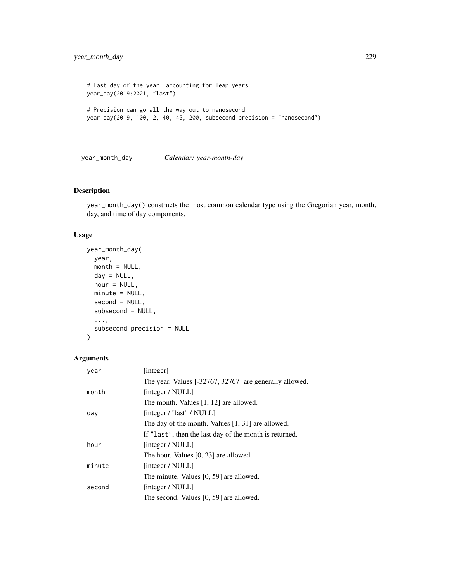```
# Last day of the year, accounting for leap years
year_day(2019:2021, "last")
# Precision can go all the way out to nanosecond
year_day(2019, 100, 2, 40, 45, 200, subsecond_precision = "nanosecond")
```
year\_month\_day *Calendar: year-month-day*

#### Description

year\_month\_day() constructs the most common calendar type using the Gregorian year, month, day, and time of day components.

#### Usage

```
year_month_day(
 year,
 month = NULL,
 day = NULL,hour = NULL,
 minute = NULL,
  second = NULL,
  subsecond = NULL,
  ...,
  subsecond_precision = NULL
\lambda
```

```
Arguments
```

| year   | [integer]                                               |
|--------|---------------------------------------------------------|
|        | The year. Values [-32767, 32767] are generally allowed. |
| month  | [integer / NULL]                                        |
|        | The month. Values $[1, 12]$ are allowed.                |
| day    | [integer / "last" / NULL]                               |
|        | The day of the month. Values $[1, 31]$ are allowed.     |
|        | If "last", then the last day of the month is returned.  |
| hour   | [integer / NULL]                                        |
|        | The hour. Values [0, 23] are allowed.                   |
| minute | [integer / NULL]                                        |
|        | The minute. Values [0, 59] are allowed.                 |
| second | [integer / NULL]                                        |
|        | The second. Values [0, 59] are allowed.                 |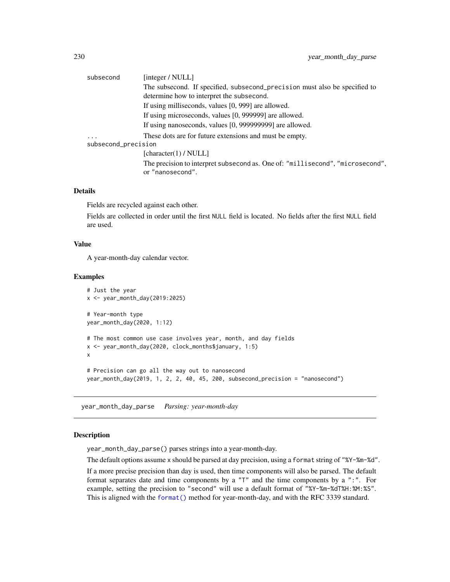<span id="page-229-0"></span>

| subsecond           | [integer / NULL]                                                                                   |
|---------------------|----------------------------------------------------------------------------------------------------|
|                     | The subsecond. If specified, subsecond_precision must also be specified to                         |
|                     | determine how to interpret the subsecond.                                                          |
|                     | If using milliseconds, values [0, 999] are allowed.                                                |
|                     | If using microseconds, values [0, 999999] are allowed.                                             |
|                     | If using nanoseconds, values [0, 999999999] are allowed.                                           |
| $\cdot$             | These dots are for future extensions and must be empty.                                            |
| subsecond_precision |                                                                                                    |
|                     | [character(1) / NULL]                                                                              |
|                     | The precision to interpret subsecond as. One of: "millisecond", "microsecond",<br>or "nanosecond". |
|                     |                                                                                                    |

# Details

Fields are recycled against each other.

Fields are collected in order until the first NULL field is located. No fields after the first NULL field are used.

#### Value

A year-month-day calendar vector.

#### Examples

```
# Just the year
x <- year_month_day(2019:2025)
# Year-month type
year_month_day(2020, 1:12)
# The most common use case involves year, month, and day fields
x <- year_month_day(2020, clock_months$january, 1:5)
x
# Precision can go all the way out to nanosecond
year_month_day(2019, 1, 2, 2, 40, 45, 200, subsecond_precision = "nanosecond")
```
year\_month\_day\_parse *Parsing: year-month-day*

#### Description

year\_month\_day\_parse() parses strings into a year-month-day.

The default options assume x should be parsed at day precision, using a format string of "%Y-%m-%d".

If a more precise precision than day is used, then time components will also be parsed. The default format separates date and time components by a "T" and the time components by a ":". For example, setting the precision to "second" will use a default format of "%Y-%m-%dT%H:%M:%S". This is aligned with the [format\(\)](#page-0-0) method for year-month-day, and with the RFC 3339 standard.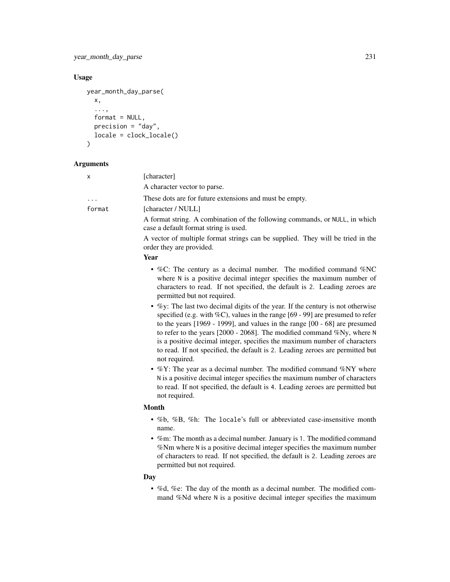year\_month\_day\_parse 231

#### Usage

```
year_month_day_parse(
  x,
  ...,
  format = NULL,precision = "day",
  locale = clock_locale()
)
```
#### Arguments

|  | [character] |
|--|-------------|
|--|-------------|

A character vector to parse. These dots are for future extensions and must be empty. format [character / NULL] A format string. A combination of the following commands, or NULL, in which

case a default format string is used.

A vector of multiple format strings can be supplied. They will be tried in the order they are provided.

Year

- %C: The century as a decimal number. The modified command %NC where N is a positive decimal integer specifies the maximum number of characters to read. If not specified, the default is 2. Leading zeroes are permitted but not required.
- $\%$ y: The last two decimal digits of the year. If the century is not otherwise specified (e.g. with %C), values in the range [69 - 99] are presumed to refer to the years [1969 - 1999], and values in the range [00 - 68] are presumed to refer to the years [2000 - 2068]. The modified command %Ny, where N is a positive decimal integer, specifies the maximum number of characters to read. If not specified, the default is 2. Leading zeroes are permitted but not required.
- $\%$ Y: The year as a decimal number. The modified command  $\%$ NY where N is a positive decimal integer specifies the maximum number of characters to read. If not specified, the default is 4. Leading zeroes are permitted but not required.

#### Month

- %b, %B, %h: The locale's full or abbreviated case-insensitive month name.
- %m: The month as a decimal number. January is 1. The modified command %Nm where N is a positive decimal integer specifies the maximum number of characters to read. If not specified, the default is 2. Leading zeroes are permitted but not required.

# Day

• %d, %e: The day of the month as a decimal number. The modified command %Nd where N is a positive decimal integer specifies the maximum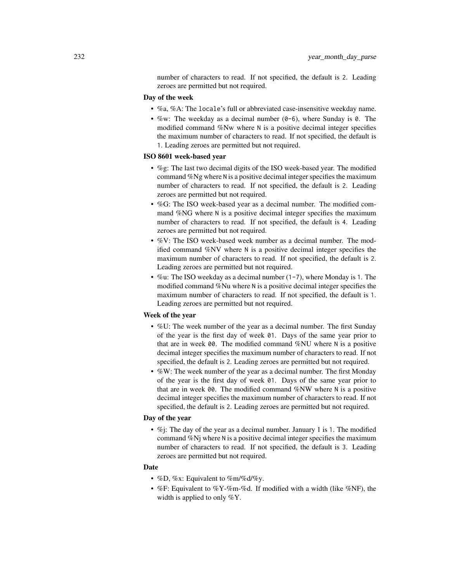number of characters to read. If not specified, the default is 2. Leading zeroes are permitted but not required.

# Day of the week

- %a, %A: The locale's full or abbreviated case-insensitive weekday name.
- %w: The weekday as a decimal number  $(0-6)$ , where Sunday is 0. The modified command %Nw where N is a positive decimal integer specifies the maximum number of characters to read. If not specified, the default is 1. Leading zeroes are permitted but not required.

#### ISO 8601 week-based year

- %g: The last two decimal digits of the ISO week-based year. The modified command %Ng where N is a positive decimal integer specifies the maximum number of characters to read. If not specified, the default is 2. Leading zeroes are permitted but not required.
- %G: The ISO week-based year as a decimal number. The modified command %NG where N is a positive decimal integer specifies the maximum number of characters to read. If not specified, the default is 4. Leading zeroes are permitted but not required.
- %V: The ISO week-based week number as a decimal number. The modified command %NV where N is a positive decimal integer specifies the maximum number of characters to read. If not specified, the default is 2. Leading zeroes are permitted but not required.
- %u: The ISO weekday as a decimal number (1-7), where Monday is 1. The modified command %Nu where N is a positive decimal integer specifies the maximum number of characters to read. If not specified, the default is 1. Leading zeroes are permitted but not required.

# Week of the year

- %U: The week number of the year as a decimal number. The first Sunday of the year is the first day of week 01. Days of the same year prior to that are in week 00. The modified command %NU where N is a positive decimal integer specifies the maximum number of characters to read. If not specified, the default is 2. Leading zeroes are permitted but not required.
- %W: The week number of the year as a decimal number. The first Monday of the year is the first day of week 01. Days of the same year prior to that are in week 00. The modified command %NW where N is a positive decimal integer specifies the maximum number of characters to read. If not specified, the default is 2. Leading zeroes are permitted but not required.

#### Day of the year

• %*j*: The day of the year as a decimal number. January 1 is 1. The modified command %Nj where N is a positive decimal integer specifies the maximum number of characters to read. If not specified, the default is 3. Leading zeroes are permitted but not required.

#### Date

- %D, %x: Equivalent to %m/%d/%y.
- %F: Equivalent to %Y-%m-%d. If modified with a width (like %NF), the width is applied to only %Y.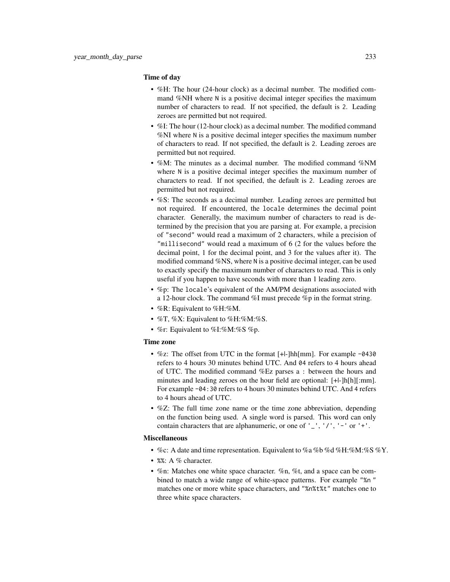#### Time of day

- %H: The hour (24-hour clock) as a decimal number. The modified command %NH where N is a positive decimal integer specifies the maximum number of characters to read. If not specified, the default is 2. Leading zeroes are permitted but not required.
- %I: The hour (12-hour clock) as a decimal number. The modified command %NI where N is a positive decimal integer specifies the maximum number of characters to read. If not specified, the default is 2. Leading zeroes are permitted but not required.
- %M: The minutes as a decimal number. The modified command %NM where N is a positive decimal integer specifies the maximum number of characters to read. If not specified, the default is 2. Leading zeroes are permitted but not required.
- %S: The seconds as a decimal number. Leading zeroes are permitted but not required. If encountered, the locale determines the decimal point character. Generally, the maximum number of characters to read is determined by the precision that you are parsing at. For example, a precision of "second" would read a maximum of 2 characters, while a precision of "millisecond" would read a maximum of 6 (2 for the values before the decimal point, 1 for the decimal point, and 3 for the values after it). The modified command %NS, where N is a positive decimal integer, can be used to exactly specify the maximum number of characters to read. This is only useful if you happen to have seconds with more than 1 leading zero.
- %p: The locale's equivalent of the AM/PM designations associated with a 12-hour clock. The command %I must precede %p in the format string.
- $%R:$  Equivalent to  $%H:\%M$ .
- %T, %X: Equivalent to %H:%M:%S.
- %r: Equivalent to %I:%M:%S %p.

#### Time zone

- %z: The offset from UTC in the format [+|-]hh[mm]. For example -0430 refers to 4 hours 30 minutes behind UTC. And 04 refers to 4 hours ahead of UTC. The modified command %Ez parses a : between the hours and minutes and leading zeroes on the hour field are optional: [+|-]h[h][:mm]. For example -04:30 refers to 4 hours 30 minutes behind UTC. And 4 refers to 4 hours ahead of UTC.
- %Z: The full time zone name or the time zone abbreviation, depending on the function being used. A single word is parsed. This word can only contain characters that are alphanumeric, or one of  $'$   $'$ ,  $'$ / $'$ ,  $'$  - $'$  or  $'$  + $'$ .

#### Miscellaneous

- %c: A date and time representation. Equivalent to %a %b %d %H:%M:%S %Y.
- %%: A % character.
- %n: Matches one white space character. %n, %t, and a space can be combined to match a wide range of white-space patterns. For example "%n " matches one or more white space characters, and "%n%t%t" matches one to three white space characters.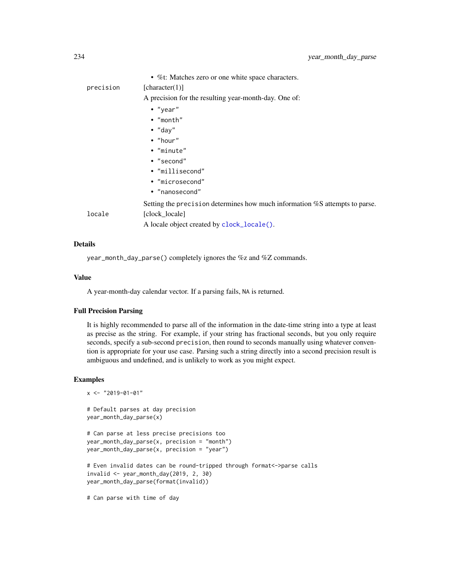<span id="page-233-0"></span>

|           | • %t: Matches zero or one white space characters.                           |
|-----------|-----------------------------------------------------------------------------|
| precision | [character(1)]                                                              |
|           | A precision for the resulting year-month-day. One of:                       |
|           | $\bullet$ "year"                                                            |
|           | $\bullet$ "month"                                                           |
|           | $\bullet$ "day"                                                             |
|           | $\bullet$ "hour"                                                            |
|           | • "minute"                                                                  |
|           | $\cdot$ "second"                                                            |
|           | • "millisecond"                                                             |
|           | • "microsecond"                                                             |
|           | • "nanosecond"                                                              |
|           | Setting the precision determines how much information %S attempts to parse. |
| locale    | [clock locale]                                                              |
|           | A locale object created by clock_locale().                                  |
|           |                                                                             |

#### Details

year\_month\_day\_parse() completely ignores the %z and %Z commands.

#### Value

A year-month-day calendar vector. If a parsing fails, NA is returned.

# Full Precision Parsing

It is highly recommended to parse all of the information in the date-time string into a type at least as precise as the string. For example, if your string has fractional seconds, but you only require seconds, specify a sub-second precision, then round to seconds manually using whatever convention is appropriate for your use case. Parsing such a string directly into a second precision result is ambiguous and undefined, and is unlikely to work as you might expect.

# Examples

```
x <- "2019-01-01"
# Default parses at day precision
year_month_day_parse(x)
# Can parse at less precise precisions too
year_month_day_parse(x, precision = "month")
year_month_day_parse(x, precision = "year")
# Even invalid dates can be round-tripped through format<->parse calls
invalid <- year_month_day(2019, 2, 30)
year_month_day_parse(format(invalid))
```
# Can parse with time of day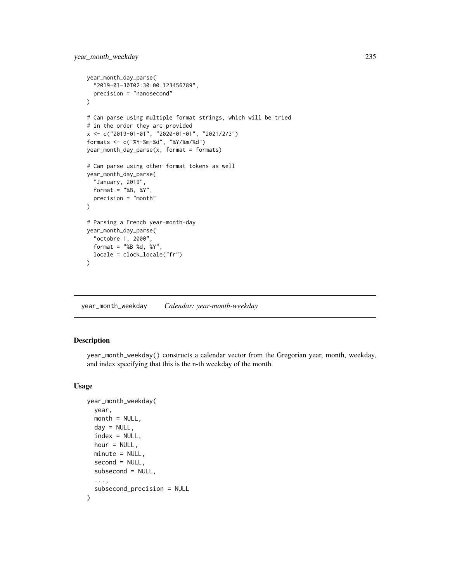```
year_month_day_parse(
  "2019-01-30T02:30:00.123456789",
  precision = "nanosecond"
\lambda# Can parse using multiple format strings, which will be tried
# in the order they are provided
x <- c("2019-01-01", "2020-01-01", "2021/2/3")
formats <- c("%Y-%m-%d", "%Y/%m/%d")
year_month_day_parse(x, format = formats)
# Can parse using other format tokens as well
year_month_day_parse(
  "January, 2019",
  format = "&B, %Y"precision = "month"
\mathcal{L}# Parsing a French year-month-day
year_month_day_parse(
  "octobre 1, 2000",
  format = "%B %d, %Y",
  locale = clock_locale("fr")
)
```
year\_month\_weekday *Calendar: year-month-weekday*

# Description

year\_month\_weekday() constructs a calendar vector from the Gregorian year, month, weekday, and index specifying that this is the n-th weekday of the month.

#### Usage

```
year_month_weekday(
  year,
  month = NULL,day = NULL,index = NULL,hour = NULL,
  minute = NULL,
  second = NULL,subsecond = NULL,
  ...,
  subsecond_precision = NULL
)
```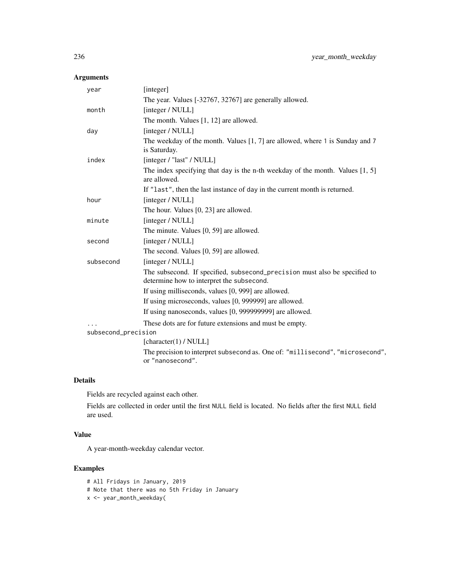# Arguments

| year                | [integer]                                                                                                               |
|---------------------|-------------------------------------------------------------------------------------------------------------------------|
|                     | The year. Values [-32767, 32767] are generally allowed.                                                                 |
| month               | [integer / NULL]                                                                                                        |
|                     | The month. Values $[1, 12]$ are allowed.                                                                                |
| day                 | [integer / NULL]                                                                                                        |
|                     | The weekday of the month. Values $[1, 7]$ are allowed, where 1 is Sunday and 7                                          |
|                     | is Saturday.                                                                                                            |
| index               | [integer / "last" / NULL]                                                                                               |
|                     | The index specifying that day is the n-th weekday of the month. Values $[1, 5]$<br>are allowed.                         |
|                     | If "last", then the last instance of day in the current month is returned.                                              |
| hour                | [integer / NULL]                                                                                                        |
|                     | The hour. Values [0, 23] are allowed.                                                                                   |
| minute              | [integer / NULL]                                                                                                        |
|                     | The minute. Values [0, 59] are allowed.                                                                                 |
| second              | [integer / NULL]                                                                                                        |
|                     | The second. Values [0, 59] are allowed.                                                                                 |
| subsecond           | [integer / NULL]                                                                                                        |
|                     | The subsecond. If specified, subsecond_precision must also be specified to<br>determine how to interpret the subsecond. |
|                     | If using milliseconds, values [0, 999] are allowed.                                                                     |
|                     | If using microseconds, values [0, 999999] are allowed.                                                                  |
|                     | If using nanoseconds, values [0, 999999999] are allowed.                                                                |
|                     | These dots are for future extensions and must be empty.                                                                 |
| subsecond_precision |                                                                                                                         |
|                     | [character(1) / $NULL$ ]                                                                                                |
|                     | The precision to interpret subsecond as. One of: "millisecond", "microsecond",<br>or "nanosecond".                      |

# Details

Fields are recycled against each other.

Fields are collected in order until the first NULL field is located. No fields after the first NULL field are used.

# Value

A year-month-weekday calendar vector.

# Examples

# All Fridays in January, 2019 # Note that there was no 5th Friday in January x <- year\_month\_weekday(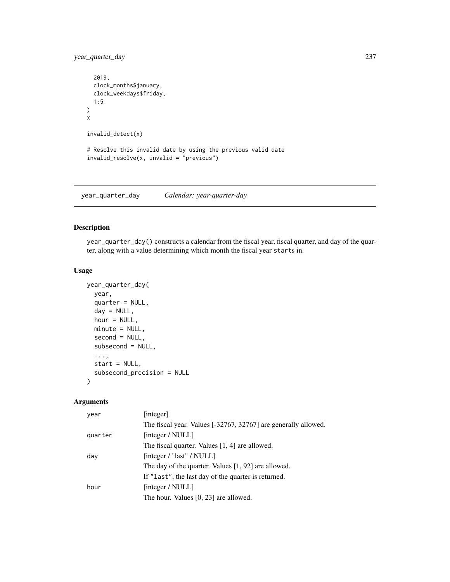year\_quarter\_day 237

```
2019,
  clock_months$january,
  clock_weekdays$friday,
  1:5
)
x
invalid_detect(x)
# Resolve this invalid date by using the previous valid date
invalid_resolve(x, invalid = "previous")
```
year\_quarter\_day *Calendar: year-quarter-day*

# Description

year\_quarter\_day() constructs a calendar from the fiscal year, fiscal quarter, and day of the quarter, along with a value determining which month the fiscal year starts in.

# Usage

```
year_quarter_day(
  year,
  quarter = NULL,
  day = NULL,
  hour = NULL,
  minute = NULL,
  second = NULL,subsecond = NULL,
  ...,
  start = NULL,
  subsecond_precision = NULL
)
```
# Arguments

| year    | [integer]                                                      |
|---------|----------------------------------------------------------------|
|         | The fiscal year. Values [-32767, 32767] are generally allowed. |
| quarter | [integer / NULL]                                               |
|         | The fiscal quarter. Values [1, 4] are allowed.                 |
| day     | [integer / "last" / $NULL$ ]                                   |
|         | The day of the quarter. Values [1, 92] are allowed.            |
|         | If "last", the last day of the quarter is returned.            |
| hour    | [integer / NULL]                                               |
|         | The hour. Values [0, 23] are allowed.                          |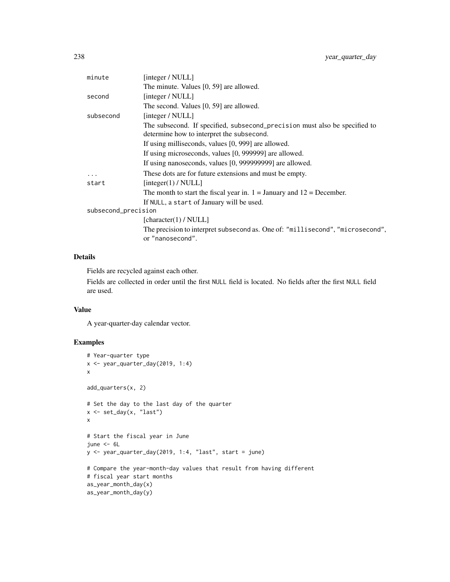| minute              | [integer / NULL]                                                               |
|---------------------|--------------------------------------------------------------------------------|
|                     | The minute. Values [0, 59] are allowed.                                        |
| second              | [integer / NULL]                                                               |
|                     | The second. Values [0, 59] are allowed.                                        |
| subsecond           | [integer / NULL]                                                               |
|                     | The subsecond. If specified, subsecond precision must also be specified to     |
|                     | determine how to interpret the subsecond.                                      |
|                     | If using milliseconds, values [0, 999] are allowed.                            |
|                     | If using microseconds, values [0, 999999] are allowed.                         |
|                     | If using nanoseconds, values [0, 999999999] are allowed.                       |
| .                   | These dots are for future extensions and must be empty.                        |
| start               | [integer(1) / NULL]                                                            |
|                     | The month to start the fiscal year in. $1 =$ January and $12 =$ December.      |
|                     | If NULL, a start of January will be used.                                      |
| subsecond_precision |                                                                                |
|                     | [character(1) / $NULL$ ]                                                       |
|                     | The precision to interpret subsecond as. One of: "millisecond", "microsecond", |
|                     | or "nanosecond".                                                               |
|                     |                                                                                |

# Details

Fields are recycled against each other.

Fields are collected in order until the first NULL field is located. No fields after the first NULL field are used.

# Value

A year-quarter-day calendar vector.

# Examples

```
# Year-quarter type
x <- year_quarter_day(2019, 1:4)
x
add_quarters(x, 2)
# Set the day to the last day of the quarter
x <- set_day(x, "last")
x
# Start the fiscal year in June
june < -6Ly <- year_quarter_day(2019, 1:4, "last", start = june)
# Compare the year-month-day values that result from having different
# fiscal year start months
as_year_month_day(x)
as_year_month_day(y)
```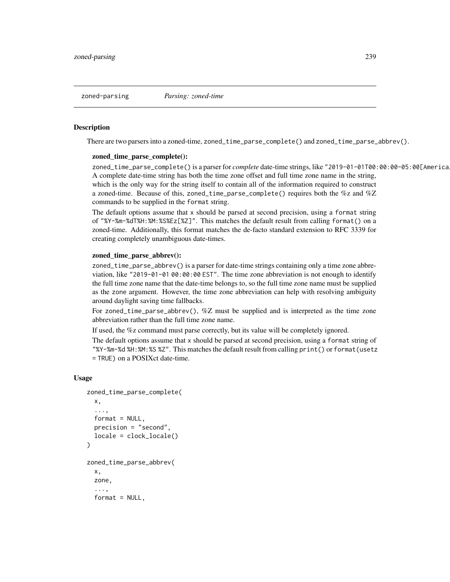zoned-parsing *Parsing: zoned-time*

#### Description

There are two parsers into a zoned-time, zoned\_time\_parse\_complete() and zoned\_time\_parse\_abbrev().

#### zoned\_time\_parse\_complete():

zoned\_time\_parse\_complete() is a parser for *complete* date-time strings, like "2019-01-01T00:00:00-05:00[America A complete date-time string has both the time zone offset and full time zone name in the string, which is the only way for the string itself to contain all of the information required to construct a zoned-time. Because of this, zoned\_time\_parse\_complete() requires both the %z and %Z commands to be supplied in the format string.

The default options assume that x should be parsed at second precision, using a format string of "%Y-%m-%dT%H:%M:%S%Ez[%Z]". This matches the default result from calling format() on a zoned-time. Additionally, this format matches the de-facto standard extension to RFC 3339 for creating completely unambiguous date-times.

#### zoned\_time\_parse\_abbrev():

zoned\_time\_parse\_abbrev() is a parser for date-time strings containing only a time zone abbreviation, like "2019-01-01 00:00:00 EST". The time zone abbreviation is not enough to identify the full time zone name that the date-time belongs to, so the full time zone name must be supplied as the zone argument. However, the time zone abbreviation can help with resolving ambiguity around daylight saving time fallbacks.

For zoned\_time\_parse\_abbrev(), %Z must be supplied and is interpreted as the time zone abbreviation rather than the full time zone name.

If used, the %z command must parse correctly, but its value will be completely ignored.

The default options assume that x should be parsed at second precision, using a format string of "%Y-%m-%d %H:%M:%S %Z". This matches the default result from calling print() or format(usetz = TRUE) on a POSIXct date-time.

#### Usage

```
zoned_time_parse_complete(
  x,
  ...,
  format = NULL,precision = "second",
  locale = clock_locale()
\overline{)}zoned_time_parse_abbrev(
  x,
  zone,
  ...,
  format = NULL,
```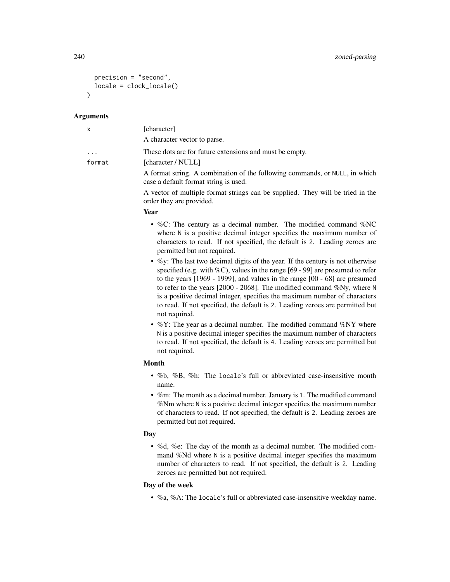```
precision = "second",
  locale = clock_locale()
\lambda
```
#### Arguments

| $\mathsf{x}$ | [character]                                                                                                          |
|--------------|----------------------------------------------------------------------------------------------------------------------|
|              | A character vector to parse.                                                                                         |
| .            | These dots are for future extensions and must be empty.                                                              |
| format       | [character / NULL]                                                                                                   |
|              | A format string. A combination of the following commands, or NULL, in which<br>case a default format string is used. |
|              | A vector of multiple format strings can be supplied. They will be tried in the<br>order they are provided.           |

#### Year

- %C: The century as a decimal number. The modified command %NC where N is a positive decimal integer specifies the maximum number of characters to read. If not specified, the default is 2. Leading zeroes are permitted but not required.
- %y: The last two decimal digits of the year. If the century is not otherwise specified (e.g. with %C), values in the range [69 - 99] are presumed to refer to the years [1969 - 1999], and values in the range [00 - 68] are presumed to refer to the years [2000 - 2068]. The modified command %Ny, where N is a positive decimal integer, specifies the maximum number of characters to read. If not specified, the default is 2. Leading zeroes are permitted but not required.
- $\%$ Y: The year as a decimal number. The modified command  $\%$ NY where N is a positive decimal integer specifies the maximum number of characters to read. If not specified, the default is 4. Leading zeroes are permitted but not required.

# Month

- %b, %B, %h: The locale's full or abbreviated case-insensitive month name.
- %m: The month as a decimal number. January is 1. The modified command %Nm where N is a positive decimal integer specifies the maximum number of characters to read. If not specified, the default is 2. Leading zeroes are permitted but not required.

#### Day

• %d, %e: The day of the month as a decimal number. The modified command %Nd where N is a positive decimal integer specifies the maximum number of characters to read. If not specified, the default is 2. Leading zeroes are permitted but not required.

# Day of the week

• %a, %A: The locale's full or abbreviated case-insensitive weekday name.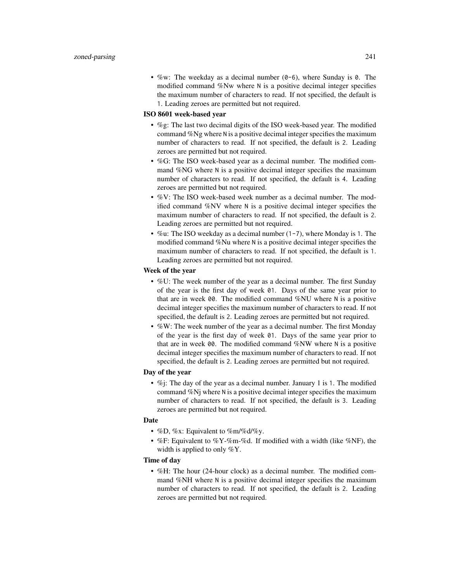• %w: The weekday as a decimal number  $(0-6)$ , where Sunday is 0. The modified command %Nw where N is a positive decimal integer specifies the maximum number of characters to read. If not specified, the default is 1. Leading zeroes are permitted but not required.

#### ISO 8601 week-based year

- %g: The last two decimal digits of the ISO week-based year. The modified command %Ng where N is a positive decimal integer specifies the maximum number of characters to read. If not specified, the default is 2. Leading zeroes are permitted but not required.
- %G: The ISO week-based year as a decimal number. The modified command %NG where N is a positive decimal integer specifies the maximum number of characters to read. If not specified, the default is 4. Leading zeroes are permitted but not required.
- %V: The ISO week-based week number as a decimal number. The modified command %NV where N is a positive decimal integer specifies the maximum number of characters to read. If not specified, the default is 2. Leading zeroes are permitted but not required.
- %u: The ISO weekday as a decimal number  $(1-7)$ , where Monday is 1. The modified command %Nu where N is a positive decimal integer specifies the maximum number of characters to read. If not specified, the default is 1. Leading zeroes are permitted but not required.

# Week of the year

- %U: The week number of the year as a decimal number. The first Sunday of the year is the first day of week 01. Days of the same year prior to that are in week 00. The modified command %NU where N is a positive decimal integer specifies the maximum number of characters to read. If not specified, the default is 2. Leading zeroes are permitted but not required.
- %W: The week number of the year as a decimal number. The first Monday of the year is the first day of week 01. Days of the same year prior to that are in week 00. The modified command %NW where N is a positive decimal integer specifies the maximum number of characters to read. If not specified, the default is 2. Leading zeroes are permitted but not required.

#### Day of the year

•  $\%$ j: The day of the year as a decimal number. January 1 is 1. The modified command %Nj where N is a positive decimal integer specifies the maximum number of characters to read. If not specified, the default is 3. Leading zeroes are permitted but not required.

#### Date

- %D, %x: Equivalent to %m/%d/%y.
- %F: Equivalent to %Y-%m-%d. If modified with a width (like %NF), the width is applied to only %Y.

# Time of day

• %H: The hour (24-hour clock) as a decimal number. The modified command %NH where N is a positive decimal integer specifies the maximum number of characters to read. If not specified, the default is 2. Leading zeroes are permitted but not required.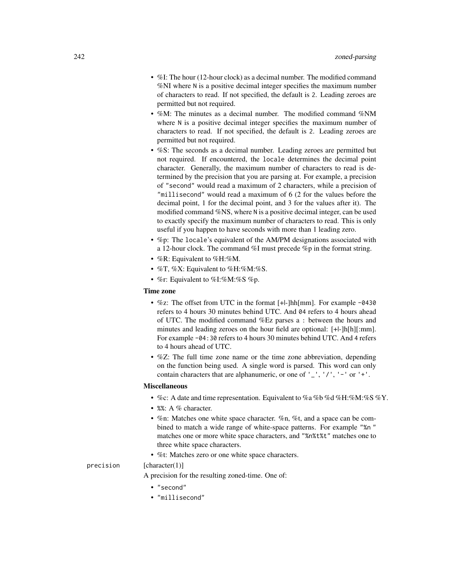- %I: The hour (12-hour clock) as a decimal number. The modified command %NI where N is a positive decimal integer specifies the maximum number of characters to read. If not specified, the default is 2. Leading zeroes are permitted but not required.
- %M: The minutes as a decimal number. The modified command %NM where N is a positive decimal integer specifies the maximum number of characters to read. If not specified, the default is 2. Leading zeroes are permitted but not required.
- %S: The seconds as a decimal number. Leading zeroes are permitted but not required. If encountered, the locale determines the decimal point character. Generally, the maximum number of characters to read is determined by the precision that you are parsing at. For example, a precision of "second" would read a maximum of 2 characters, while a precision of "millisecond" would read a maximum of 6 (2 for the values before the decimal point, 1 for the decimal point, and 3 for the values after it). The modified command %NS, where N is a positive decimal integer, can be used to exactly specify the maximum number of characters to read. This is only useful if you happen to have seconds with more than 1 leading zero.
- %p: The locale's equivalent of the AM/PM designations associated with a 12-hour clock. The command %I must precede %p in the format string.
- %R: Equivalent to %H:%M.
- %T, %X: Equivalent to %H:%M:%S.
- %r: Equivalent to %I:%M:%S %p.

#### Time zone

- %z: The offset from UTC in the format [+|-]hh[mm]. For example -0430 refers to 4 hours 30 minutes behind UTC. And 04 refers to 4 hours ahead of UTC. The modified command %Ez parses a : between the hours and minutes and leading zeroes on the hour field are optional: [+|-]h[h][:mm]. For example -04:30 refers to 4 hours 30 minutes behind UTC. And 4 refers to 4 hours ahead of UTC.
- %Z: The full time zone name or the time zone abbreviation, depending on the function being used. A single word is parsed. This word can only contain characters that are alphanumeric, or one of  $'$   $'$ ,  $'$ / $'$ ,  $'$  - $'$  or  $'$  + $'$ .

#### Miscellaneous

- %c: A date and time representation. Equivalent to %a %b %d %H:%M:%S %Y.
- %%: A % character.
- %n: Matches one white space character. %n, %t, and a space can be combined to match a wide range of white-space patterns. For example "%n " matches one or more white space characters, and "%n%t%t" matches one to three white space characters.
- %t: Matches zero or one white space characters.
- 

#### $precision$  [character(1)]

A precision for the resulting zoned-time. One of:

- "second"
- "millisecond"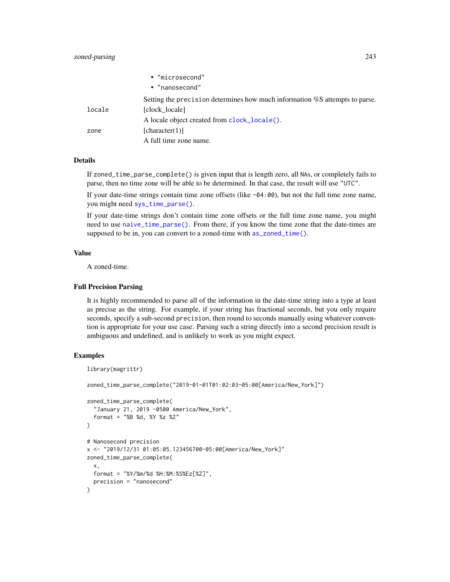# <span id="page-242-0"></span>zoned-parsing 243

|        | • "microsecond"                                                             |
|--------|-----------------------------------------------------------------------------|
|        | • "nanosecond"                                                              |
|        | Setting the precision determines how much information %S attempts to parse. |
| locale | [clock locale]                                                              |
|        | A locale object created from clock_locale().                                |
| zone   | [character(1)]                                                              |
|        | A full time zone name.                                                      |

# Details

If zoned\_time\_parse\_complete() is given input that is length zero, all NAs, or completely fails to parse, then no time zone will be able to be determined. In that case, the result will use "UTC".

If your date-time strings contain time zone offsets (like  $-04:00$ ), but not the full time zone name, you might need [sys\\_time\\_parse\(\)](#page-162-0).

If your date-time strings don't contain time zone offsets or the full time zone name, you might need to use [naive\\_time\\_parse\(\)](#page-118-0). From there, if you know the time zone that the date-times are supposed to be in, you can convert to a zoned-time with [as\\_zoned\\_time\(\)](#page-24-0).

# Value

A zoned-time.

#### Full Precision Parsing

It is highly recommended to parse all of the information in the date-time string into a type at least as precise as the string. For example, if your string has fractional seconds, but you only require seconds, specify a sub-second precision, then round to seconds manually using whatever convention is appropriate for your use case. Parsing such a string directly into a second precision result is ambiguous and undefined, and is unlikely to work as you might expect.

#### Examples

```
library(magrittr)
zoned_time_parse_complete("2019-01-01T01:02:03-05:00[America/New_York]")
zoned_time_parse_complete(
  "January 21, 2019 -0500 America/New_York",
 format = "%B %d, %Y %z %Z"
)
# Nanosecond precision
x <- "2019/12/31 01:05:05.123456700-05:00[America/New_York]"
zoned_time_parse_complete(
 x,
 format = "%Y/%m/%d %H:%M:%S%Ez[%Z]",
 precision = "nanosecond"
\lambda
```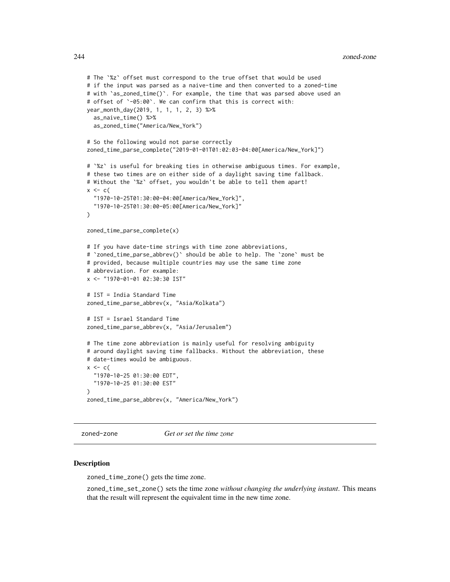```
# The `%z` offset must correspond to the true offset that would be used
# if the input was parsed as a naive-time and then converted to a zoned-time
# with `as_zoned_time()`. For example, the time that was parsed above used an
# offset of `-05:00`. We can confirm that this is correct with:
year_month_day(2019, 1, 1, 1, 2, 3) %>%
 as_naive_time() %>%
 as_zoned_time("America/New_York")
# So the following would not parse correctly
zoned_time_parse_complete("2019-01-01T01:02:03-04:00[America/New_York]")
# `%z` is useful for breaking ties in otherwise ambiguous times. For example,
# these two times are on either side of a daylight saving time fallback.
# Without the `%z` offset, you wouldn't be able to tell them apart!
x \leftarrow c"1970-10-25T01:30:00-04:00[America/New_York]",
  "1970-10-25T01:30:00-05:00[America/New_York]"
)
zoned_time_parse_complete(x)
# If you have date-time strings with time zone abbreviations,
# `zoned_time_parse_abbrev()` should be able to help. The `zone` must be
# provided, because multiple countries may use the same time zone
# abbreviation. For example:
x <- "1970-01-01 02:30:30 IST"
# IST = India Standard Time
zoned_time_parse_abbrev(x, "Asia/Kolkata")
# IST = Israel Standard Time
zoned_time_parse_abbrev(x, "Asia/Jerusalem")
# The time zone abbreviation is mainly useful for resolving ambiguity
# around daylight saving time fallbacks. Without the abbreviation, these
# date-times would be ambiguous.
x \leftarrow c"1970-10-25 01:30:00 EDT",
  "1970-10-25 01:30:00 EST"
\lambdazoned_time_parse_abbrev(x, "America/New_York")
```
zoned-zone *Get or set the time zone*

#### **Description**

zoned\_time\_zone() gets the time zone.

zoned\_time\_set\_zone() sets the time zone *without changing the underlying instant*. This means that the result will represent the equivalent time in the new time zone.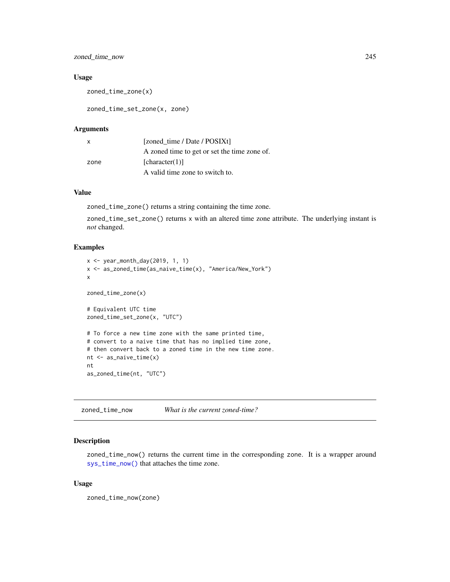# zoned\_time\_now 245

#### Usage

zoned\_time\_zone(x)

zoned\_time\_set\_zone(x, zone)

# Arguments

| X    | [zoned time / Date / POSIXt]                 |
|------|----------------------------------------------|
|      | A zoned time to get or set the time zone of. |
| zone | [character(1)]                               |
|      | A valid time zone to switch to.              |

# Value

zoned\_time\_zone() returns a string containing the time zone.

zoned\_time\_set\_zone() returns x with an altered time zone attribute. The underlying instant is *not* changed.

# Examples

```
x <- year_month_day(2019, 1, 1)
x <- as_zoned_time(as_naive_time(x), "America/New_York")
x
zoned_time_zone(x)
# Equivalent UTC time
zoned_time_set_zone(x, "UTC")
# To force a new time zone with the same printed time,
# convert to a naive time that has no implied time zone,
# then convert back to a zoned time in the new time zone.
nt <- as_naive_time(x)
nt
as_zoned_time(nt, "UTC")
```
zoned\_time\_now *What is the current zoned-time?*

# Description

zoned\_time\_now() returns the current time in the corresponding zone. It is a wrapper around [sys\\_time\\_now\(\)](#page-170-0) that attaches the time zone.

#### Usage

zoned\_time\_now(zone)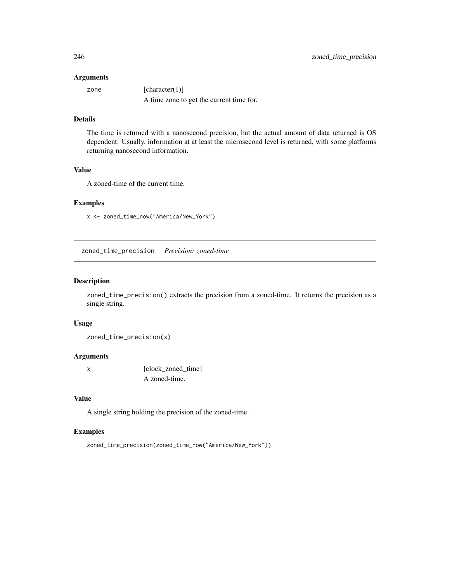#### Arguments

zone [character(1)] A time zone to get the current time for.

# Details

The time is returned with a nanosecond precision, but the actual amount of data returned is OS dependent. Usually, information at at least the microsecond level is returned, with some platforms returning nanosecond information.

# Value

A zoned-time of the current time.

#### Examples

x <- zoned\_time\_now("America/New\_York")

zoned\_time\_precision *Precision: zoned-time*

#### Description

zoned\_time\_precision() extracts the precision from a zoned-time. It returns the precision as a single string.

#### Usage

zoned\_time\_precision(x)

#### Arguments

x [clock\_zoned\_time] A zoned-time.

# Value

A single string holding the precision of the zoned-time.

# Examples

zoned\_time\_precision(zoned\_time\_now("America/New\_York"))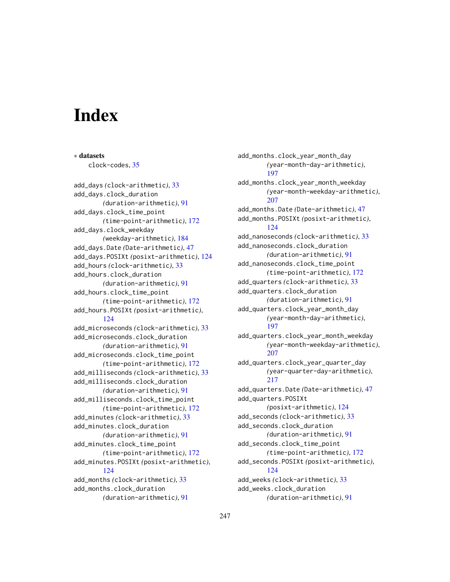# **Index**

∗ datasets

clock-codes, [35](#page-34-0) add\_days *(*clock-arithmetic*)*, [33](#page-32-1) add\_days.clock\_duration *(*duration-arithmetic*)*, [91](#page-90-0) add\_days.clock\_time\_point *(*time-point-arithmetic*)*, [172](#page-171-0) add\_days.clock\_weekday *(*weekday-arithmetic*)*, [184](#page-183-0) add\_days.Date *(*Date-arithmetic*)*, [47](#page-46-0) add\_days.POSIXt *(*posixt-arithmetic*)*, [124](#page-123-0) add\_hours *(*clock-arithmetic*)*, [33](#page-32-1) add\_hours.clock\_duration *(*duration-arithmetic*)*, [91](#page-90-0) add\_hours.clock\_time\_point *(*time-point-arithmetic*)*, [172](#page-171-0) add\_hours.POSIXt *(*posixt-arithmetic*)*, [124](#page-123-0) add\_microseconds *(*clock-arithmetic*)*, [33](#page-32-1) add\_microseconds.clock\_duration *(*duration-arithmetic*)*, [91](#page-90-0) add\_microseconds.clock\_time\_point *(*time-point-arithmetic*)*, [172](#page-171-0) add\_milliseconds *(*clock-arithmetic*)*, [33](#page-32-1) add\_milliseconds.clock\_duration *(*duration-arithmetic*)*, [91](#page-90-0) add\_milliseconds.clock\_time\_point *(*time-point-arithmetic*)*, [172](#page-171-0) add\_minutes *(*clock-arithmetic*)*, [33](#page-32-1) add\_minutes.clock\_duration *(*duration-arithmetic*)*, [91](#page-90-0) add\_minutes.clock\_time\_point *(*time-point-arithmetic*)*, [172](#page-171-0) add\_minutes.POSIXt *(*posixt-arithmetic*)*, [124](#page-123-0) add\_months *(*clock-arithmetic*)*, [33](#page-32-1) add\_months.clock\_duration *(*duration-arithmetic*)*, [91](#page-90-0)

add\_months.clock\_year\_month\_day *(*year-month-day-arithmetic*)*, [197](#page-196-0) add\_months.clock\_year\_month\_weekday *(*year-month-weekday-arithmetic*)*, [207](#page-206-0) add\_months.Date *(*Date-arithmetic*)*, [47](#page-46-0) add\_months.POSIXt *(*posixt-arithmetic*)*, [124](#page-123-0) add\_nanoseconds *(*clock-arithmetic*)*, [33](#page-32-1) add\_nanoseconds.clock\_duration *(*duration-arithmetic*)*, [91](#page-90-0) add\_nanoseconds.clock\_time\_point *(*time-point-arithmetic*)*, [172](#page-171-0) add\_quarters *(*clock-arithmetic*)*, [33](#page-32-1) add\_quarters.clock\_duration *(*duration-arithmetic*)*, [91](#page-90-0) add\_quarters.clock\_year\_month\_day *(*year-month-day-arithmetic*)*, [197](#page-196-0) add\_quarters.clock\_year\_month\_weekday *(*year-month-weekday-arithmetic*)*, [207](#page-206-0) add\_quarters.clock\_year\_quarter\_day *(*year-quarter-day-arithmetic*)*, [217](#page-216-0) add\_quarters.Date *(*Date-arithmetic*)*, [47](#page-46-0) add\_quarters.POSIXt *(*posixt-arithmetic*)*, [124](#page-123-0) add\_seconds *(*clock-arithmetic*)*, [33](#page-32-1) add\_seconds.clock\_duration *(*duration-arithmetic*)*, [91](#page-90-0) add\_seconds.clock\_time\_point *(*time-point-arithmetic*)*, [172](#page-171-0) add\_seconds.POSIXt *(*posixt-arithmetic*)*, [124](#page-123-0) add\_weeks *(*clock-arithmetic*)*, [33](#page-32-1) add\_weeks.clock\_duration *(*duration-arithmetic*)*, [91](#page-90-0)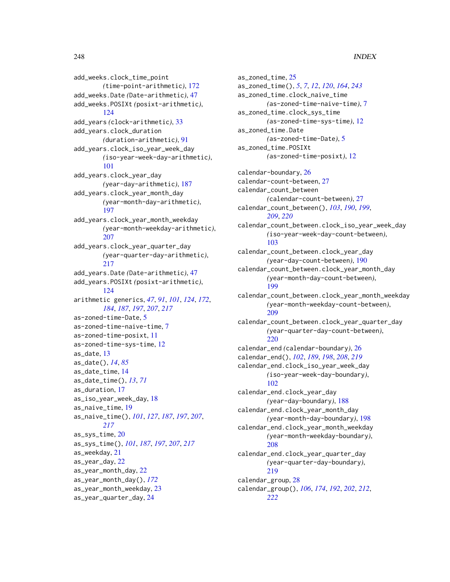# 248 **INDEX**

add\_weeks.clock\_time\_point *(*time-point-arithmetic*)*, [172](#page-171-0) add\_weeks.Date *(*Date-arithmetic*)*, [47](#page-46-0) add\_weeks.POSIXt *(*posixt-arithmetic*)*, [124](#page-123-0) add\_years *(*clock-arithmetic*)*, [33](#page-32-1) add\_years.clock\_duration *(*duration-arithmetic*)*, [91](#page-90-0) add\_years.clock\_iso\_year\_week\_day *(*iso-year-week-day-arithmetic*)*, [101](#page-100-0) add\_years.clock\_year\_day *(*year-day-arithmetic*)*, [187](#page-186-0) add\_years.clock\_year\_month\_day *(*year-month-day-arithmetic*)*, [197](#page-196-0) add\_years.clock\_year\_month\_weekday *(*year-month-weekday-arithmetic*)*, [207](#page-206-0) add\_years.clock\_year\_quarter\_day *(*year-quarter-day-arithmetic*)*, [217](#page-216-0) add\_years.Date *(*Date-arithmetic*)*, [47](#page-46-0) add\_years.POSIXt *(*posixt-arithmetic*)*, [124](#page-123-0) arithmetic generics, *[47](#page-46-0)*, *[91](#page-90-0)*, *[101](#page-100-0)*, *[124](#page-123-0)*, *[172](#page-171-0)*, *[184](#page-183-0)*, *[187](#page-186-0)*, *[197](#page-196-0)*, *[207](#page-206-0)*, *[217](#page-216-0)* as-zoned-time-Date, [5](#page-4-0) as-zoned-time-naive-time, [7](#page-6-0) as-zoned-time-posixt, [11](#page-10-0) as-zoned-time-sys-time, [12](#page-11-0) as\_date, [13](#page-12-0) as\_date(), *[14](#page-13-0)*, *[85](#page-84-0)* as\_date\_time, [14](#page-13-0) as\_date\_time(), *[13](#page-12-0)*, *[71](#page-70-0)* as\_duration, [17](#page-16-0) as\_iso\_year\_week\_day, [18](#page-17-0) as\_naive\_time, [19](#page-18-1) as\_naive\_time(), *[101](#page-100-0)*, *[127](#page-126-0)*, *[187](#page-186-0)*, *[197](#page-196-0)*, *[207](#page-206-0)*, *[217](#page-216-0)* as\_sys\_time, [20](#page-19-1) as\_sys\_time(), *[101](#page-100-0)*, *[187](#page-186-0)*, *[197](#page-196-0)*, *[207](#page-206-0)*, *[217](#page-216-0)* as\_weekday, [21](#page-20-0) as\_year\_day, [22](#page-21-0) as\_year\_month\_day, [22](#page-21-0) as\_year\_month\_day(), *[172](#page-171-0)* as\_year\_month\_weekday, [23](#page-22-0) as\_year\_quarter\_day, [24](#page-23-0)

as\_zoned\_time, [25](#page-24-1) as\_zoned\_time(), *[5](#page-4-0)*, *[7](#page-6-0)*, *[12](#page-11-0)*, *[120](#page-119-0)*, *[164](#page-163-0)*, *[243](#page-242-0)* as\_zoned\_time.clock\_naive\_time *(*as-zoned-time-naive-time*)*, [7](#page-6-0) as\_zoned\_time.clock\_sys\_time *(*as-zoned-time-sys-time*)*, [12](#page-11-0) as\_zoned\_time.Date *(*as-zoned-time-Date*)*, [5](#page-4-0) as\_zoned\_time.POSIXt *(*as-zoned-time-posixt*)*, [12](#page-11-0) calendar-boundary, [26](#page-25-1) calendar-count-between, [27](#page-26-1) calendar\_count\_between *(*calendar-count-between*)*, [27](#page-26-1) calendar\_count\_between(), *[103](#page-102-0)*, *[190](#page-189-0)*, *[199](#page-198-0)*, *[209](#page-208-0)*, *[220](#page-219-0)* calendar\_count\_between.clock\_iso\_year\_week\_day *(*iso-year-week-day-count-between*)*, [103](#page-102-0) calendar\_count\_between.clock\_year\_day *(*year-day-count-between*)*, [190](#page-189-0) calendar\_count\_between.clock\_year\_month\_day *(*year-month-day-count-between*)*, [199](#page-198-0) calendar\_count\_between.clock\_year\_month\_weekday *(*year-month-weekday-count-between*)*, [209](#page-208-0) calendar\_count\_between.clock\_year\_quarter\_day *(*year-quarter-day-count-between*)*, [220](#page-219-0) calendar\_end *(*calendar-boundary*)*, [26](#page-25-1) calendar\_end(), *[102](#page-101-0)*, *[189](#page-188-0)*, *[198](#page-197-0)*, *[208](#page-207-0)*, *[219](#page-218-0)* calendar\_end.clock\_iso\_year\_week\_day *(*iso-year-week-day-boundary*)*, [102](#page-101-0) calendar\_end.clock\_year\_day *(*year-day-boundary*)*, [188](#page-187-0) calendar\_end.clock\_year\_month\_day *(*year-month-day-boundary*)*, [198](#page-197-0) calendar\_end.clock\_year\_month\_weekday *(*year-month-weekday-boundary*)*, [208](#page-207-0) calendar\_end.clock\_year\_quarter\_day *(*year-quarter-day-boundary*)*, [219](#page-218-0) calendar\_group, [28](#page-27-1) calendar\_group(), *[106](#page-105-0)*, *[174](#page-173-0)*, *[192](#page-191-0)*, *[202](#page-201-0)*, *[212](#page-211-0)*, *[222](#page-221-0)*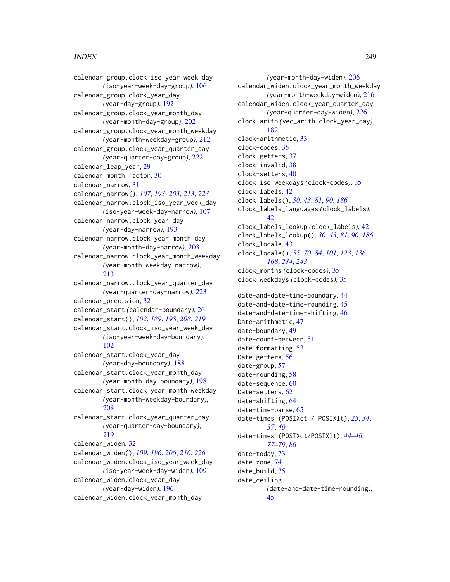#### INDEX 249

calendar\_group.clock\_iso\_year\_week\_day *(*iso-year-week-day-group*)*, [106](#page-105-0) calendar\_group.clock\_year\_day *(*year-day-group*)*, [192](#page-191-0) calendar\_group.clock\_year\_month\_day *(*year-month-day-group*)*, [202](#page-201-0) calendar\_group.clock\_year\_month\_weekday *(*year-month-weekday-group*)*, [212](#page-211-0) calendar\_group.clock\_year\_quarter\_day *(*year-quarter-day-group*)*, [222](#page-221-0) calendar\_leap\_year, [29](#page-28-0) calendar\_month\_factor, [30](#page-29-0) calendar\_narrow, [31](#page-30-1) calendar\_narrow(), *[107](#page-106-0)*, *[193](#page-192-0)*, *[203](#page-202-0)*, *[213](#page-212-0)*, *[223](#page-222-0)* calendar\_narrow.clock\_iso\_year\_week\_day *(*iso-year-week-day-narrow*)*, [107](#page-106-0) calendar\_narrow.clock\_year\_day *(*year-day-narrow*)*, [193](#page-192-0) calendar\_narrow.clock\_year\_month\_day *(*year-month-day-narrow*)*, [203](#page-202-0) calendar\_narrow.clock\_year\_month\_weekday *(*year-month-weekday-narrow*)*, [213](#page-212-0) calendar\_narrow.clock\_year\_quarter\_day *(*year-quarter-day-narrow*)*, [223](#page-222-0) calendar\_precision, [32](#page-31-1) calendar\_start *(*calendar-boundary*)*, [26](#page-25-1) calendar\_start(), *[102](#page-101-0)*, *[189](#page-188-0)*, *[198](#page-197-0)*, *[208](#page-207-0)*, *[219](#page-218-0)* calendar\_start.clock\_iso\_year\_week\_day *(*iso-year-week-day-boundary*)*, [102](#page-101-0) calendar\_start.clock\_year\_day *(*year-day-boundary*)*, [188](#page-187-0) calendar\_start.clock\_year\_month\_day *(*year-month-day-boundary*)*, [198](#page-197-0) calendar\_start.clock\_year\_month\_weekday *(*year-month-weekday-boundary*)*, [208](#page-207-0) calendar\_start.clock\_year\_quarter\_day *(*year-quarter-day-boundary*)*, [219](#page-218-0) calendar\_widen, [32](#page-31-1) calendar\_widen(), *[109](#page-108-0)*, *[196](#page-195-0)*, *[206](#page-205-0)*, *[216](#page-215-0)*, *[226](#page-225-0)* calendar\_widen.clock\_iso\_year\_week\_day *(*iso-year-week-day-widen*)*, [109](#page-108-0) calendar\_widen.clock\_year\_day *(*year-day-widen*)*, [196](#page-195-0) calendar\_widen.clock\_year\_month\_day

*(*year-month-day-widen*)*, [206](#page-205-0) calendar\_widen.clock\_year\_month\_weekday *(*year-month-weekday-widen*)*, [216](#page-215-0) calendar\_widen.clock\_year\_quarter\_day *(*year-quarter-day-widen*)*, [226](#page-225-0) clock-arith *(*vec\_arith.clock\_year\_day*)*, [182](#page-181-0) clock-arithmetic, [33](#page-32-1) clock-codes, [35](#page-34-0) clock-getters, [37](#page-36-1) clock-invalid, [38](#page-37-0) clock-setters, [40](#page-39-1) clock\_iso\_weekdays *(*clock-codes*)*, [35](#page-34-0) clock\_labels, [42](#page-41-0) clock\_labels(), *[30](#page-29-0)*, *[43](#page-42-1)*, *[81](#page-80-0)*, *[90](#page-89-0)*, *[186](#page-185-0)* clock\_labels\_languages *(*clock\_labels*)*, [42](#page-41-0) clock\_labels\_lookup *(*clock\_labels*)*, [42](#page-41-0) clock\_labels\_lookup(), *[30](#page-29-0)*, *[43](#page-42-1)*, *[81](#page-80-0)*, *[90](#page-89-0)*, *[186](#page-185-0)* clock\_locale, [43](#page-42-1) clock\_locale(), *[55](#page-54-0)*, *[70](#page-69-0)*, *[84](#page-83-0)*, *[101](#page-100-0)*, *[123](#page-122-0)*, *[136](#page-135-0)*, *[168](#page-167-0)*, *[234](#page-233-0)*, *[243](#page-242-0)* clock\_months *(*clock-codes*)*, [35](#page-34-0) clock\_weekdays *(*clock-codes*)*, [35](#page-34-0) date-and-date-time-boundary, [44](#page-43-0) date-and-date-time-rounding, [45](#page-44-0) date-and-date-time-shifting, [46](#page-45-0) Date-arithmetic, [47](#page-46-0) date-boundary, [49](#page-48-0) date-count-between, [51](#page-50-0) date-formatting, [53](#page-52-0) Date-getters, [56](#page-55-0) date-group, [57](#page-56-0) date-rounding, [58](#page-57-0) date-sequence, [60](#page-59-0) Date-setters, [62](#page-61-0) date-shifting, [64](#page-63-0) date-time-parse, [65](#page-64-0) date-times (POSIXct / POSIXlt), *[25](#page-24-1)*, *[34](#page-33-0)*, *[37](#page-36-1)*, *[40](#page-39-1)* date-times (POSIXct/POSIXlt), *[44](#page-43-0)[–46](#page-45-0)*, *[77](#page-76-0)[–79](#page-78-0)*, *[86](#page-85-0)* date-today, [73](#page-72-0) date-zone, [74](#page-73-0) date\_build, [75](#page-74-0) date\_ceiling *(*date-and-date-time-rounding*)*, [45](#page-44-0)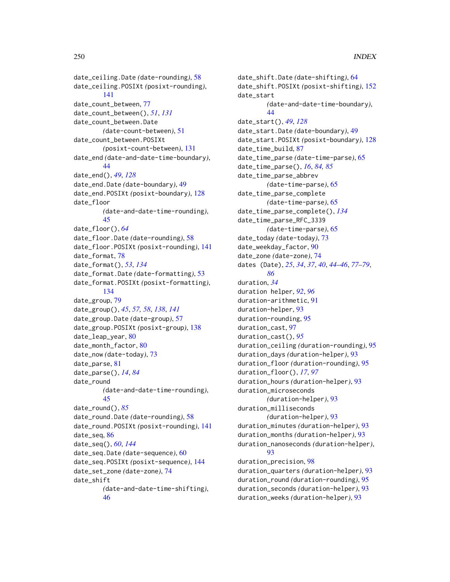date\_ceiling.Date *(*date-rounding*)*, [58](#page-57-0) date\_ceiling.POSIXt *(*posixt-rounding*)*, [141](#page-140-0) date\_count\_between, [77](#page-76-0) date\_count\_between(), *[51](#page-50-0)*, *[131](#page-130-0)* date\_count\_between.Date *(*date-count-between*)*, [51](#page-50-0) date\_count\_between.POSIXt *(*posixt-count-between*)*, [131](#page-130-0) date\_end *(*date-and-date-time-boundary*)*, [44](#page-43-0) date\_end(), *[49](#page-48-0)*, *[128](#page-127-0)* date\_end.Date *(*date-boundary*)*, [49](#page-48-0) date\_end.POSIXt *(*posixt-boundary*)*, [128](#page-127-0) date\_floor *(*date-and-date-time-rounding*)*, [45](#page-44-0) date\_floor(), *[64](#page-63-0)* date\_floor.Date *(*date-rounding*)*, [58](#page-57-0) date\_floor.POSIXt *(*posixt-rounding*)*, [141](#page-140-0) date\_format, [78](#page-77-0) date\_format(), *[53](#page-52-0)*, *[134](#page-133-0)* date\_format.Date *(*date-formatting*)*, [53](#page-52-0) date\_format.POSIXt *(*posixt-formatting*)*, [134](#page-133-0) date\_group, [79](#page-78-0) date\_group(), *[45](#page-44-0)*, *[57,](#page-56-0) [58](#page-57-0)*, *[138](#page-137-0)*, *[141](#page-140-0)* date\_group.Date *(*date-group*)*, [57](#page-56-0) date\_group.POSIXt *(*posixt-group*)*, [138](#page-137-0) date\_leap\_year, [80](#page-79-0) date\_month\_factor, [80](#page-79-0) date\_now *(*date-today*)*, [73](#page-72-0) date\_parse, [81](#page-80-0) date\_parse(), *[14](#page-13-0)*, *[84](#page-83-0)* date\_round *(*date-and-date-time-rounding*)*, [45](#page-44-0) date\_round(), *[85](#page-84-0)* date\_round.Date *(*date-rounding*)*, [58](#page-57-0) date\_round.POSIXt *(*posixt-rounding*)*, [141](#page-140-0) date\_seq, [86](#page-85-0) date\_seq(), *[60](#page-59-0)*, *[144](#page-143-0)* date\_seq.Date *(*date-sequence*)*, [60](#page-59-0) date\_seq.POSIXt *(*posixt-sequence*)*, [144](#page-143-0) date\_set\_zone *(*date-zone*)*, [74](#page-73-0) date\_shift *(*date-and-date-time-shifting*)*,

[46](#page-45-0)

date\_shift.Date *(*date-shifting*)*, [64](#page-63-0) date\_shift.POSIXt *(*posixt-shifting*)*, [152](#page-151-0) date\_start *(*date-and-date-time-boundary*)*, [44](#page-43-0) date\_start(), *[49](#page-48-0)*, *[128](#page-127-0)* date\_start.Date *(*date-boundary*)*, [49](#page-48-0) date\_start.POSIXt *(*posixt-boundary*)*, [128](#page-127-0) date\_time\_build, [87](#page-86-0) date\_time\_parse *(*date-time-parse*)*, [65](#page-64-0) date\_time\_parse(), *[16](#page-15-0)*, *[84,](#page-83-0) [85](#page-84-0)* date\_time\_parse\_abbrev *(*date-time-parse*)*, [65](#page-64-0) date\_time\_parse\_complete *(*date-time-parse*)*, [65](#page-64-0) date\_time\_parse\_complete(), *[134](#page-133-0)* date\_time\_parse\_RFC\_3339 *(*date-time-parse*)*, [65](#page-64-0) date\_today *(*date-today*)*, [73](#page-72-0) date\_weekday\_factor, [90](#page-89-0) date\_zone *(*date-zone*)*, [74](#page-73-0) dates (Date), *[25](#page-24-1)*, *[34](#page-33-0)*, *[37](#page-36-1)*, *[40](#page-39-1)*, *[44](#page-43-0)[–46](#page-45-0)*, *[77](#page-76-0)[–79](#page-78-0)*, *[86](#page-85-0)* duration, *[34](#page-33-0)* duration helper, *[92](#page-91-0)*, *[96](#page-95-0)* duration-arithmetic, [91](#page-90-0) duration-helper, [93](#page-92-0) duration-rounding, [95](#page-94-0) duration\_cast, [97](#page-96-0) duration\_cast(), *[95](#page-94-0)* duration\_ceiling *(*duration-rounding*)*, [95](#page-94-0) duration\_days *(*duration-helper*)*, [93](#page-92-0) duration\_floor *(*duration-rounding*)*, [95](#page-94-0) duration\_floor(), *[17](#page-16-0)*, *[97](#page-96-0)* duration\_hours *(*duration-helper*)*, [93](#page-92-0) duration\_microseconds *(*duration-helper*)*, [93](#page-92-0) duration\_milliseconds *(*duration-helper*)*, [93](#page-92-0) duration\_minutes *(*duration-helper*)*, [93](#page-92-0) duration\_months *(*duration-helper*)*, [93](#page-92-0) duration\_nanoseconds *(*duration-helper*)*, [93](#page-92-0) duration\_precision, [98](#page-97-0) duration\_quarters *(*duration-helper*)*, [93](#page-92-0) duration\_round *(*duration-rounding*)*, [95](#page-94-0) duration\_seconds *(*duration-helper*)*, [93](#page-92-0)

duration\_weeks *(*duration-helper*)*, [93](#page-92-0)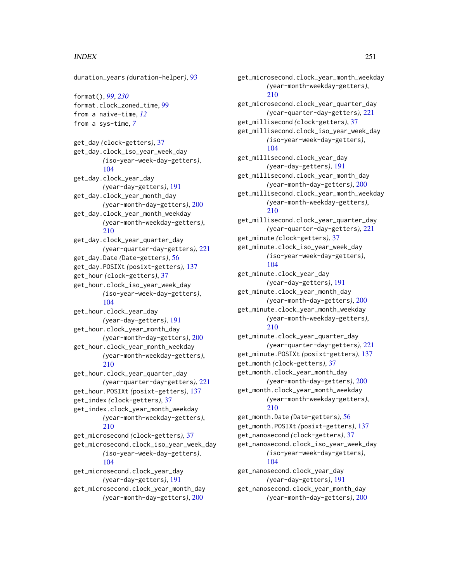# INDEX  $251$

duration\_years *(*duration-helper*)*, [93](#page-92-0) format(), *[99](#page-98-0)*, *[230](#page-229-0)* format.clock\_zoned\_time, [99](#page-98-0) from a naive-time, *[12](#page-11-0)* from a sys-time, *[7](#page-6-0)* get\_day *(*clock-getters*)*, [37](#page-36-1) get\_day.clock\_iso\_year\_week\_day *(*iso-year-week-day-getters*)*, [104](#page-103-0) get\_day.clock\_year\_day *(*year-day-getters*)*, [191](#page-190-0) get\_day.clock\_year\_month\_day *(*year-month-day-getters*)*, [200](#page-199-0) get\_day.clock\_year\_month\_weekday *(*year-month-weekday-getters*)*, [210](#page-209-0) get\_day.clock\_year\_quarter\_day *(*year-quarter-day-getters*)*, [221](#page-220-0) get\_day.Date *(*Date-getters*)*, [56](#page-55-0) get\_day.POSIXt *(*posixt-getters*)*, [137](#page-136-0) get\_hour *(*clock-getters*)*, [37](#page-36-1) get\_hour.clock\_iso\_year\_week\_day *(*iso-year-week-day-getters*)*, [104](#page-103-0) get\_hour.clock\_year\_day *(*year-day-getters*)*, [191](#page-190-0) get\_hour.clock\_year\_month\_day *(*year-month-day-getters*)*, [200](#page-199-0) get\_hour.clock\_year\_month\_weekday *(*year-month-weekday-getters*)*, [210](#page-209-0) get\_hour.clock\_year\_quarter\_day *(*year-quarter-day-getters*)*, [221](#page-220-0) get\_hour.POSIXt *(*posixt-getters*)*, [137](#page-136-0) get\_index *(*clock-getters*)*, [37](#page-36-1) get\_index.clock\_year\_month\_weekday *(*year-month-weekday-getters*)*, [210](#page-209-0) get\_microsecond *(*clock-getters*)*, [37](#page-36-1) get\_microsecond.clock\_iso\_year\_week\_day *(*iso-year-week-day-getters*)*, [104](#page-103-0) get\_microsecond.clock\_year\_day *(*year-day-getters*)*, [191](#page-190-0) get\_microsecond.clock\_year\_month\_day *(*year-month-day-getters*)*, [200](#page-199-0)

get\_microsecond.clock\_year\_month\_weekday *(*year-month-weekday-getters*)*, [210](#page-209-0) get\_microsecond.clock\_year\_quarter\_day *(*year-quarter-day-getters*)*, [221](#page-220-0) get\_millisecond *(*clock-getters*)*, [37](#page-36-1) get\_millisecond.clock\_iso\_year\_week\_day *(*iso-year-week-day-getters*)*, [104](#page-103-0) get\_millisecond.clock\_year\_day *(*year-day-getters*)*, [191](#page-190-0) get\_millisecond.clock\_year\_month\_day *(*year-month-day-getters*)*, [200](#page-199-0) get\_millisecond.clock\_year\_month\_weekday *(*year-month-weekday-getters*)*, [210](#page-209-0) get\_millisecond.clock\_year\_quarter\_day *(*year-quarter-day-getters*)*, [221](#page-220-0) get\_minute *(*clock-getters*)*, [37](#page-36-1) get\_minute.clock\_iso\_year\_week\_day *(*iso-year-week-day-getters*)*, [104](#page-103-0) get\_minute.clock\_year\_day *(*year-day-getters*)*, [191](#page-190-0) get\_minute.clock\_year\_month\_day *(*year-month-day-getters*)*, [200](#page-199-0) get\_minute.clock\_year\_month\_weekday *(*year-month-weekday-getters*)*, [210](#page-209-0) get\_minute.clock\_year\_quarter\_day *(*year-quarter-day-getters*)*, [221](#page-220-0) get\_minute.POSIXt *(*posixt-getters*)*, [137](#page-136-0) get\_month *(*clock-getters*)*, [37](#page-36-1) get\_month.clock\_year\_month\_day *(*year-month-day-getters*)*, [200](#page-199-0) get\_month.clock\_year\_month\_weekday *(*year-month-weekday-getters*)*, [210](#page-209-0) get\_month.Date *(*Date-getters*)*, [56](#page-55-0) get\_month.POSIXt *(*posixt-getters*)*, [137](#page-136-0) get\_nanosecond *(*clock-getters*)*, [37](#page-36-1) get\_nanosecond.clock\_iso\_year\_week\_day *(*iso-year-week-day-getters*)*, [104](#page-103-0) get\_nanosecond.clock\_year\_day *(*year-day-getters*)*, [191](#page-190-0) get\_nanosecond.clock\_year\_month\_day *(*year-month-day-getters*)*, [200](#page-199-0)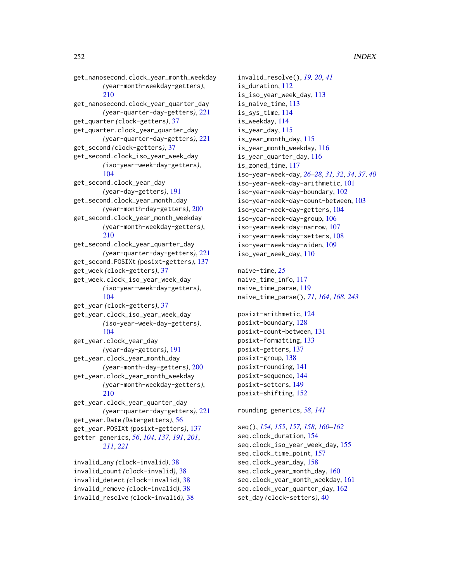# get\_nanosecond.clock\_year\_month\_weekday *(*year-month-weekday-getters*)*, [210](#page-209-0)

get\_nanosecond.clock\_year\_quarter\_day *(*year-quarter-day-getters*)*, [221](#page-220-0) get\_quarter *(*clock-getters*)*, [37](#page-36-1) get\_quarter.clock\_year\_quarter\_day *(*year-quarter-day-getters*)*, [221](#page-220-0) get\_second *(*clock-getters*)*, [37](#page-36-1) get\_second.clock\_iso\_year\_week\_day *(*iso-year-week-day-getters*)*, [104](#page-103-0) get\_second.clock\_year\_day *(*year-day-getters*)*, [191](#page-190-0) get\_second.clock\_year\_month\_day *(*year-month-day-getters*)*, [200](#page-199-0) get\_second.clock\_year\_month\_weekday *(*year-month-weekday-getters*)*, [210](#page-209-0) get\_second.clock\_year\_quarter\_day *(*year-quarter-day-getters*)*, [221](#page-220-0) get\_second.POSIXt *(*posixt-getters*)*, [137](#page-136-0) get\_week *(*clock-getters*)*, [37](#page-36-1) get\_week.clock\_iso\_year\_week\_day *(*iso-year-week-day-getters*)*, [104](#page-103-0) get\_year *(*clock-getters*)*, [37](#page-36-1) get\_year.clock\_iso\_year\_week\_day *(*iso-year-week-day-getters*)*, [104](#page-103-0) get\_year.clock\_year\_day *(*year-day-getters*)*, [191](#page-190-0) get\_year.clock\_year\_month\_day *(*year-month-day-getters*)*, [200](#page-199-0) get\_year.clock\_year\_month\_weekday *(*year-month-weekday-getters*)*, [210](#page-209-0) get\_year.clock\_year\_quarter\_day *(*year-quarter-day-getters*)*, [221](#page-220-0) get\_year.Date *(*Date-getters*)*, [56](#page-55-0)

get\_year.POSIXt *(*posixt-getters*)*, [137](#page-136-0) getter generics, *[56](#page-55-0)*, *[104](#page-103-0)*, *[137](#page-136-0)*, *[191](#page-190-0)*, *[201](#page-200-0)*, *[211](#page-210-0)*, *[221](#page-220-0)*

invalid\_any *(*clock-invalid*)*, [38](#page-37-0) invalid\_count *(*clock-invalid*)*, [38](#page-37-0) invalid\_detect *(*clock-invalid*)*, [38](#page-37-0) invalid\_remove *(*clock-invalid*)*, [38](#page-37-0) invalid\_resolve *(*clock-invalid*)*, [38](#page-37-0)

invalid\_resolve(), *[19,](#page-18-1) [20](#page-19-1)*, *[41](#page-40-0)* is\_duration, [112](#page-111-0) is\_iso\_year\_week\_day, [113](#page-112-0) is\_naive\_time, [113](#page-112-0) is\_sys\_time, [114](#page-113-0) is\_weekday, [114](#page-113-0) is\_year\_day, [115](#page-114-0) is\_year\_month\_day, [115](#page-114-0) is\_year\_month\_weekday, [116](#page-115-0) is\_year\_quarter\_day, [116](#page-115-0) is\_zoned\_time, [117](#page-116-0) iso-year-week-day, *[26](#page-25-1)[–28](#page-27-1)*, *[31,](#page-30-1) [32](#page-31-1)*, *[34](#page-33-0)*, *[37](#page-36-1)*, *[40](#page-39-1)* iso-year-week-day-arithmetic, [101](#page-100-0) iso-year-week-day-boundary, [102](#page-101-0) iso-year-week-day-count-between, [103](#page-102-0) iso-year-week-day-getters, [104](#page-103-0) iso-year-week-day-group, [106](#page-105-0) iso-year-week-day-narrow, [107](#page-106-0) iso-year-week-day-setters, [108](#page-107-0) iso-year-week-day-widen, [109](#page-108-0) iso\_year\_week\_day, [110](#page-109-0)

naive-time, *[25](#page-24-1)* naive\_time\_info, [117](#page-116-0) naive\_time\_parse, [119](#page-118-1) naive\_time\_parse(), *[71](#page-70-0)*, *[164](#page-163-0)*, *[168](#page-167-0)*, *[243](#page-242-0)*

posixt-arithmetic, [124](#page-123-0) posixt-boundary, [128](#page-127-0) posixt-count-between, [131](#page-130-0) posixt-formatting, [133](#page-132-0) posixt-getters, [137](#page-136-0) posixt-group, [138](#page-137-0) posixt-rounding, [141](#page-140-0) posixt-sequence, [144](#page-143-0) posixt-setters, [149](#page-148-0) posixt-shifting, [152](#page-151-0)

rounding generics, *[58](#page-57-0)*, *[141](#page-140-0)*

seq(), *[154,](#page-153-0) [155](#page-154-0)*, *[157,](#page-156-0) [158](#page-157-0)*, *[160](#page-159-0)[–162](#page-161-0)* seq.clock\_duration, [154](#page-153-0) seq.clock\_iso\_year\_week\_day, [155](#page-154-0) seq.clock\_time\_point, [157](#page-156-0) seq.clock\_year\_day, [158](#page-157-0) seq.clock\_year\_month\_day, [160](#page-159-0) seq.clock\_year\_month\_weekday, [161](#page-160-0) seq.clock\_year\_quarter\_day, [162](#page-161-0) set\_day *(*clock-setters*)*, [40](#page-39-1)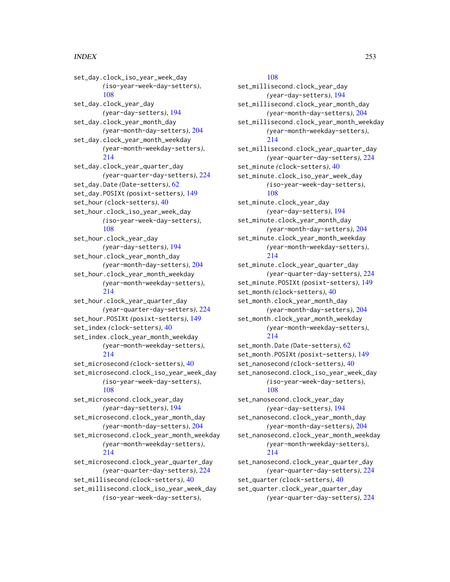## INDEX  $253$

set\_day.clock\_iso\_year\_week\_day *(*iso-year-week-day-setters*)*, [108](#page-107-0) set\_day.clock\_year\_day *(*year-day-setters*)*, [194](#page-193-0) set\_day.clock\_year\_month\_day *(*year-month-day-setters*)*, [204](#page-203-0) set\_day.clock\_year\_month\_weekday *(*year-month-weekday-setters*)*, [214](#page-213-0) set\_day.clock\_year\_quarter\_day *(*year-quarter-day-setters*)*, [224](#page-223-0) set\_day.Date *(*Date-setters*)*, [62](#page-61-0) set\_day.POSIXt *(*posixt-setters*)*, [149](#page-148-0) set\_hour *(*clock-setters*)*, [40](#page-39-0) set\_hour.clock\_iso\_year\_week\_day *(*iso-year-week-day-setters*)*, [108](#page-107-0) set\_hour.clock\_year\_day *(*year-day-setters*)*, [194](#page-193-0) set\_hour.clock\_year\_month\_day *(*year-month-day-setters*)*, [204](#page-203-0) set\_hour.clock\_year\_month\_weekday *(*year-month-weekday-setters*)*, [214](#page-213-0) set\_hour.clock\_year\_quarter\_day *(*year-quarter-day-setters*)*, [224](#page-223-0) set\_hour.POSIXt *(*posixt-setters*)*, [149](#page-148-0) set\_index *(*clock-setters*)*, [40](#page-39-0) set\_index.clock\_year\_month\_weekday *(*year-month-weekday-setters*)*, [214](#page-213-0) set\_microsecond *(*clock-setters*)*, [40](#page-39-0) set\_microsecond.clock\_iso\_year\_week\_day *(*iso-year-week-day-setters*)*, [108](#page-107-0) set\_microsecond.clock\_year\_day *(*year-day-setters*)*, [194](#page-193-0) set\_microsecond.clock\_year\_month\_day *(*year-month-day-setters*)*, [204](#page-203-0) set\_microsecond.clock\_year\_month\_weekday *(*year-month-weekday-setters*)*, [214](#page-213-0) set\_microsecond.clock\_year\_quarter\_day *(*year-quarter-day-setters*)*, [224](#page-223-0) set\_millisecond *(*clock-setters*)*, [40](#page-39-0) set\_millisecond.clock\_iso\_year\_week\_day *(*iso-year-week-day-setters*)*,

## [108](#page-107-0)

set\_millisecond.clock\_year\_day *(*year-day-setters*)*, [194](#page-193-0) set\_millisecond.clock\_year\_month\_day *(*year-month-day-setters*)*, [204](#page-203-0) set\_millisecond.clock\_year\_month\_weekday *(*year-month-weekday-setters*)*, [214](#page-213-0) set\_millisecond.clock\_year\_quarter\_day *(*year-quarter-day-setters*)*, [224](#page-223-0) set\_minute *(*clock-setters*)*, [40](#page-39-0) set\_minute.clock\_iso\_year\_week\_day *(*iso-year-week-day-setters*)*, [108](#page-107-0) set\_minute.clock\_year\_day *(*year-day-setters*)*, [194](#page-193-0) set\_minute.clock\_year\_month\_day *(*year-month-day-setters*)*, [204](#page-203-0) set\_minute.clock\_year\_month\_weekday *(*year-month-weekday-setters*)*, [214](#page-213-0) set\_minute.clock\_year\_quarter\_day *(*year-quarter-day-setters*)*, [224](#page-223-0) set\_minute.POSIXt *(*posixt-setters*)*, [149](#page-148-0) set\_month *(*clock-setters*)*, [40](#page-39-0) set\_month.clock\_year\_month\_day *(*year-month-day-setters*)*, [204](#page-203-0) set\_month.clock\_year\_month\_weekday *(*year-month-weekday-setters*)*, [214](#page-213-0) set\_month.Date *(*Date-setters*)*, [62](#page-61-0) set\_month.POSIXt *(*posixt-setters*)*, [149](#page-148-0) set\_nanosecond *(*clock-setters*)*, [40](#page-39-0) set\_nanosecond.clock\_iso\_year\_week\_day *(*iso-year-week-day-setters*)*, [108](#page-107-0) set\_nanosecond.clock\_year\_day *(*year-day-setters*)*, [194](#page-193-0) set\_nanosecond.clock\_year\_month\_day *(*year-month-day-setters*)*, [204](#page-203-0) set\_nanosecond.clock\_year\_month\_weekday *(*year-month-weekday-setters*)*, [214](#page-213-0) set\_nanosecond.clock\_year\_quarter\_day *(*year-quarter-day-setters*)*, [224](#page-223-0) set\_quarter *(*clock-setters*)*, [40](#page-39-0) set\_quarter.clock\_year\_quarter\_day *(*year-quarter-day-setters*)*, [224](#page-223-0)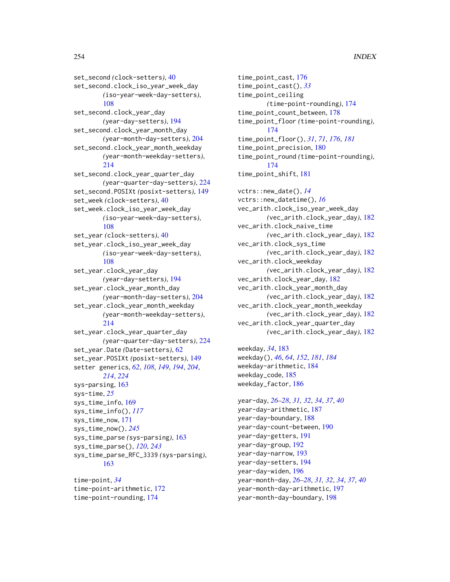# 254 INDEX

set\_second *(*clock-setters*)*, [40](#page-39-0) set\_second.clock\_iso\_year\_week\_day *(*iso-year-week-day-setters*)*, [108](#page-107-0) set\_second.clock\_year\_day *(*year-day-setters*)*, [194](#page-193-0) set\_second.clock\_year\_month\_day *(*year-month-day-setters*)*, [204](#page-203-0) set\_second.clock\_year\_month\_weekday *(*year-month-weekday-setters*)*, [214](#page-213-0) set\_second.clock\_year\_quarter\_day *(*year-quarter-day-setters*)*, [224](#page-223-0) set\_second.POSIXt *(*posixt-setters*)*, [149](#page-148-0) set\_week *(*clock-setters*)*, [40](#page-39-0) set\_week.clock\_iso\_year\_week\_day *(*iso-year-week-day-setters*)*, [108](#page-107-0) set\_year *(*clock-setters*)*, [40](#page-39-0) set\_year.clock\_iso\_year\_week\_day *(*iso-year-week-day-setters*)*, [108](#page-107-0) set\_year.clock\_year\_day *(*year-day-setters*)*, [194](#page-193-0) set\_year.clock\_year\_month\_day *(*year-month-day-setters*)*, [204](#page-203-0) set\_year.clock\_year\_month\_weekday *(*year-month-weekday-setters*)*, [214](#page-213-0) set\_year.clock\_year\_quarter\_day *(*year-quarter-day-setters*)*, [224](#page-223-0) set\_year.Date *(*Date-setters*)*, [62](#page-61-0) set\_year.POSIXt *(*posixt-setters*)*, [149](#page-148-0) setter generics, *[62](#page-61-0)*, *[108](#page-107-0)*, *[149](#page-148-0)*, *[194](#page-193-0)*, *[204](#page-203-0)*, *[214](#page-213-0)*, *[224](#page-223-0)* sys-parsing, [163](#page-162-0) sys-time, *[25](#page-24-0)* sys\_time\_info, [169](#page-168-0) sys\_time\_info(), *[117](#page-116-0)* sys\_time\_now, [171](#page-170-0) sys\_time\_now(), *[245](#page-244-0)* sys\_time\_parse *(*sys-parsing*)*, [163](#page-162-0) sys\_time\_parse(), *[120](#page-119-0)*, *[243](#page-242-0)* sys\_time\_parse\_RFC\_3339 *(*sys-parsing*)*, [163](#page-162-0) time-point, *[34](#page-33-0)*

time-point-arithmetic, [172](#page-171-0) time-point-rounding, [174](#page-173-0)

time\_point\_cast, [176](#page-175-0) time\_point\_cast(), *[33](#page-32-0)* time\_point\_ceiling *(*time-point-rounding*)*, [174](#page-173-0) time\_point\_count\_between, [178](#page-177-0) time\_point\_floor *(*time-point-rounding*)*, [174](#page-173-0) time\_point\_floor(), *[31](#page-30-0)*, *[71](#page-70-0)*, *[176](#page-175-0)*, *[181](#page-180-0)* time\_point\_precision, [180](#page-179-0) time\_point\_round *(*time-point-rounding*)*, [174](#page-173-0) time\_point\_shift, [181](#page-180-0) vctrs::new\_date(), *[14](#page-13-0)* vctrs::new\_datetime(), *[16](#page-15-0)* vec\_arith.clock\_iso\_year\_week\_day *(*vec\_arith.clock\_year\_day*)*, [182](#page-181-0) vec\_arith.clock\_naive\_time *(*vec\_arith.clock\_year\_day*)*, [182](#page-181-0) vec\_arith.clock\_sys\_time *(*vec\_arith.clock\_year\_day*)*, [182](#page-181-0) vec\_arith.clock\_weekday *(*vec\_arith.clock\_year\_day*)*, [182](#page-181-0) vec\_arith.clock\_year\_day, [182](#page-181-0) vec\_arith.clock\_year\_month\_day *(*vec\_arith.clock\_year\_day*)*, [182](#page-181-0) vec\_arith.clock\_year\_month\_weekday *(*vec\_arith.clock\_year\_day*)*, [182](#page-181-0) vec\_arith.clock\_year\_quarter\_day

*(*vec\_arith.clock\_year\_day*)*, [182](#page-181-0)

weekday, *[34](#page-33-0)*, [183](#page-182-0) weekday(), *[46](#page-45-0)*, *[64](#page-63-0)*, *[152](#page-151-0)*, *[181](#page-180-0)*, *[184](#page-183-0)* weekday-arithmetic, [184](#page-183-0) weekday\_code, [185](#page-184-0) weekday\_factor, [186](#page-185-0)

year-day, *[26](#page-25-0)[–28](#page-27-0)*, *[31,](#page-30-0) [32](#page-31-0)*, *[34](#page-33-0)*, *[37](#page-36-0)*, *[40](#page-39-0)* year-day-arithmetic, [187](#page-186-0) year-day-boundary, [188](#page-187-0) year-day-count-between, [190](#page-189-0) year-day-getters, [191](#page-190-0) year-day-group, [192](#page-191-0) year-day-narrow, [193](#page-192-0) year-day-setters, [194](#page-193-0) year-day-widen, [196](#page-195-0) year-month-day, *[26](#page-25-0)[–28](#page-27-0)*, *[31,](#page-30-0) [32](#page-31-0)*, *[34](#page-33-0)*, *[37](#page-36-0)*, *[40](#page-39-0)* year-month-day-arithmetic, [197](#page-196-0) year-month-day-boundary, [198](#page-197-0)